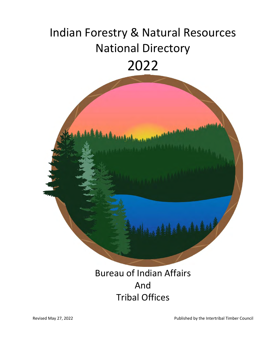# Indian Forestry & Natural Resources National Directory

2022



And Tribal Offices

Revised May 27, 2022 Published by the Intertribal Timber Council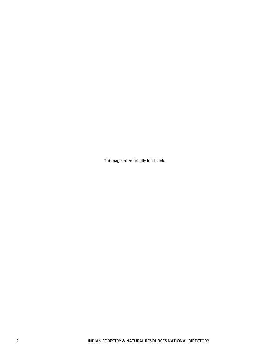This page intentionally left blank.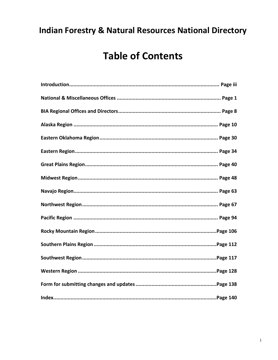# **Indian Forestry & Natural Resources National Directory**

# **Table of Contents**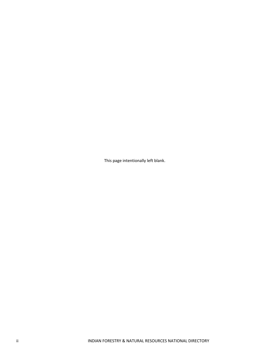This page intentionally left blank.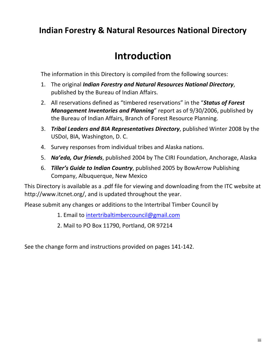# **Indian Forestry & Natural Resources National Directory**

# **Introduction**

The information in this Directory is compiled from the following sources:

- 1. The original *Indian Forestry and Natural Resources National Directory*, published by the Bureau of Indian Affairs.
- 2. All reservations defined as "timbered reservations" in the "*Status of Forest Management Inventories and Planning*" report as of 9/30/2006, published by the Bureau of Indian Affairs, Branch of Forest Resource Planning.
- 3. *Tribal Leaders and BIA Representatives Directory*, published Winter 2008 by the USDoI, BIA, Washington, D. C.
- 4. Survey responses from individual tribes and Alaska nations.
- 5. *Na'eda, Our friends*, published 2004 by The CIRI Foundation, Anchorage, Alaska
- 6. *Tiller's Guide to Indian Country*, published 2005 by BowArrow Publishing Company, Albuquerque, New Mexico

This Directory is available as a .pdf file for viewing and downloading from the ITC website at http://www.itcnet.org/, and is updated throughout the year.

Please submit any changes or additions to the Intertribal Timber Council by

1. Email to intertribaltimbercouncil@gmail.com

2. Mail to PO Box 11790, Portland, OR 97214

See the change form and instructions provided on pages 141‐142.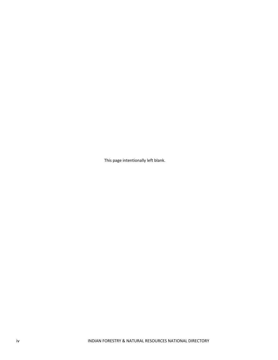This page intentionally left blank.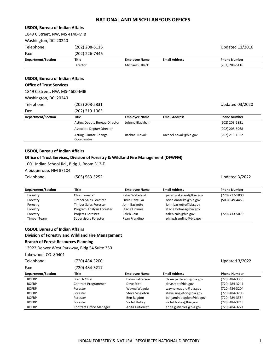| <b>USDOI, Bureau of Indian Affairs</b>                                    |                                      |                      |                      |                        |
|---------------------------------------------------------------------------|--------------------------------------|----------------------|----------------------|------------------------|
| 1849 C Street, NW, MS 4140-MIB                                            |                                      |                      |                      |                        |
| Washington, DC 20240                                                      |                                      |                      |                      |                        |
| Telephone:                                                                | (202) 208-5116                       |                      |                      | <b>Updated 11/2016</b> |
| Fax:                                                                      | (202) 226-7446                       |                      |                      |                        |
| Department/Section                                                        | <b>Title</b>                         | <b>Employee Name</b> | <b>Email Address</b> | <b>Phone Number</b>    |
|                                                                           | Director                             | Michael S. Black     |                      | (202) 208-5116         |
| <b>USDOI, Bureau of Indian Affairs</b><br><b>Office of Trust Services</b> |                                      |                      |                      |                        |
| 1849 C Street, NW, MS-4600-MIB                                            |                                      |                      |                      |                        |
| Washington, DC 20240                                                      |                                      |                      |                      |                        |
| Telephone:                                                                | (202) 208-5831                       |                      |                      | <b>Updated 03/2020</b> |
| Fax:                                                                      | (202) 219-1065                       |                      |                      |                        |
| Department/Section                                                        | Title                                | <b>Employee Name</b> | <b>Email Address</b> | <b>Phone Number</b>    |
|                                                                           | <b>Acting Deputy Bureau Director</b> | Johnna Blackhair     |                      | (202) 208-5831         |

| Acting Deputy Bureau Director        | JUHIHIA DIALNIJAH |                       | 12021 200-9091 |
|--------------------------------------|-------------------|-----------------------|----------------|
| <b>Associate Deputy Director</b>     |                   |                       | (202) 208-5968 |
| Acting Climate Change<br>Coordinator | Rachael Novak     | rachael.novak@bia.gov | (202) 219-1652 |
|                                      |                   |                       |                |

#### **USDOI, Bureau of Indian Affairs**

#### **Office of Trust Services, Division of Forestry & Wildland Fire Management (DFWFM)**

1001 Indian School Rd., Bldg 1, Room 312‐E

Albuquerque, NM 87104

Telephone: (505) 563‐5252 Updated 3/2022

Updated 3/2022

| <b>Department/Section</b> | Title                       | <b>Employee Name</b> | <b>Email Address</b>    | <b>Phone Number</b> |
|---------------------------|-----------------------------|----------------------|-------------------------|---------------------|
| Forestry                  | Chief Forester              | Peter Wakeland       | peter.wakeland@bia.gov  | (720) 237-1800      |
| Forestry                  | Timber Sales Forester       | Orvie Danzuka        | orvie.danzuka@bia.gov   | (503) 949-4453      |
| Forestry                  | Timber Sales Forester       | John Baskette        | john.baskette@bia.gov   |                     |
| Forestry                  | Program Analysis Forester   | <b>Stacie Holmes</b> | stacie.holmes@bia.gov   |                     |
| Forestry                  | <b>Projects Forester</b>    | Caleb Cain           | caleb.cain@bia.gov      | (720) 413-5079      |
| <b>Timber Team</b>        | <b>Supervisory Forester</b> | Ryan Frandino        | philip.frandino@bia.gov |                     |

# **USDOI, Bureau of Indian Affairs**

#### **Division of Forestry and Wildland Fire Management**

#### **Branch of Forest Resources Planning**

13922 Denver West Parkway, Bldg 54 Suite 350

Lakewood, CO 80401

| Telephone: | (720) 484-3200      |  |
|------------|---------------------|--|
| Fav.       | $(720)$ $(84.3217)$ |  |

| Fax:                      | (720) 484-3217                 |                      |                         |                     |
|---------------------------|--------------------------------|----------------------|-------------------------|---------------------|
| <b>Department/Section</b> | Title                          | <b>Employee Name</b> | <b>Email Address</b>    | <b>Phone Number</b> |
| <b>BOFRP</b>              | Branch Chief                   | Dawn Patterson       | dawn.patterson@bia.gov  | (720) 484-3355      |
| <b>BOFRP</b>              | Contract Programmer            | Dave Stitt           | dave.stitt@bia.gov      | (720) 484-3211      |
| <b>BOFRP</b>              | Forester                       | Wayne Waguiu         | wayne.waguiu@bia.gov    | (720) 484-3204      |
| <b>BOFRP</b>              | Forester                       | Steve Singleton      | steve.singleton@bia.gov | (720) 484-3206      |
| <b>BOFRP</b>              | Forester                       | Ben Bagdon           | benjamin.bagdon@bia.gov | (720) 484-3354      |
| <b>BOFRP</b>              | Forester                       | Violet Holley        | violet.holley@bia.gov   | (720) 484-3218      |
| <b>BOFRP</b>              | <b>Contract Office Manager</b> | Anita Gutierrez      | anita.gutierrez@bia.gov | (720) 484-3221      |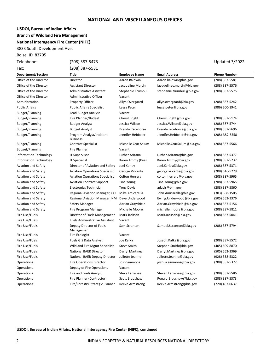## **USDOI, Bureau of Indian Affairs Branch of Wildland Fire Management**

**National Interagency Fire Center (NIFC)** 

3833 South Development Ave.

Boise, ID 83705

| Telephone: |
|------------|
|------------|

| . . |  |
|-----|--|

Fax: (208) 387‐5581

# Telephone: (208) 387‐5473 Updated 3/2022

| Department/Section            | <b>Title</b>                                | <b>Employee Name</b>   | <b>Email Address</b>       | <b>Phone Number</b> |
|-------------------------------|---------------------------------------------|------------------------|----------------------------|---------------------|
| Office of the Director        | Director                                    | Aaron Baldwin          | Aaron.baldwin@bia.gov      | (208) 387-5581      |
| Office of the Director        | <b>Assistant Director</b>                   | Jacqueline Martin      | jacquelinec.martin@bia.gov | (208) 387-5576      |
| Office of the Director        | Administrative Assistant                    | Stephanie Trumbull     | stephanie.trumbull@bia.gov | (208) 387-5575      |
| Office of the Director        | Administrative Officer                      | Vacant                 |                            |                     |
| Administration                | <b>Property Officer</b>                     | Allyn Overgaard        | allyn.overgaard@bia.gov    | (208) 387-5242      |
| <b>Public Affairs</b>         | <b>Public Affairs Specialist</b>            | Lessa Peter            | lessa.peter@bia.gov        | (986) 200-1941      |
| Budget/Planning               | Lead Budget Analyst                         | Vacant                 |                            |                     |
| Budget/Planning               | Fire Planner/Budget                         | Cheryl Bright          | Cheryl.Bright@bia.gov      | (208) 387-5174      |
| Budget/Planning               | <b>Budget Analyst</b>                       | Jessica Wilson         | Jessica. Wilson@bia.gov    | (208) 387-5744      |
| Budget/Planning               | <b>Budget Analyst</b>                       | Brenda Racehorse       | brenda.racehorse@bia.gov   | (208) 387-5696      |
| <b>Budget/Planning</b>        | Program Analyst/Incident<br><b>Business</b> | Jennifer Hebbeler      | Jennifer.Hebbeler@bia.gov  | (208)-387-5558      |
| Budget/Planning               | <b>Contract Specialist</b>                  | Michelle Cruz Salum    | Michelle.CruzSalum@bia.gov | (208) 387-5566      |
| Budget/Planning               | Fire Planner                                | Vacant                 |                            |                     |
| <b>Information Technology</b> | <b>IT Supervisor</b>                        | Luther Arizana         | Luther.Arizana@bia.gov     | (208) 387-5377      |
| <b>Information Technology</b> | <b>IT Specialist</b>                        | Karen Jimmy (Kee)      | Karen.Jimmy@bia.gov        | (208) 387-5237      |
| <b>Aviation and Safety</b>    | Director of Aviation and Safety             | Joel Kerley            | Joel.Kerley@bia.gov        | (208) 387-5371      |
| <b>Aviation and Safety</b>    | <b>Aviation Operations Specialist</b>       | George Violante        | george.violante@bia.gov    | (208) 616-5279      |
| <b>Aviation and Safety</b>    | <b>Aviation Operations Specialist</b>       | Colton Herrera         | colton.herrera@bia.gov     | (208) 387-5965      |
| <b>Aviation and Safety</b>    | <b>Aviation Contract Support</b>            | <b>Tina Young</b>      | Tina.Young@bia.gov         | (208) 387-5965      |
| <b>Aviation and Safety</b>    | Electronics Technician                      | <b>Tony Davis</b>      | adavis@blm.gov             | (208) 387-5860      |
| <b>Aviation and Safety</b>    | Regional Aviation Manager, CO               | Mike Amicarella        | John.Amicarella@bia.gov    | (303) 888-1505      |
| <b>Aviation and Safety</b>    | Regional Aviation Manager, NM               | Dave Underwood         | Ewing.Underwood@bia.gov    | (505) 563-3376      |
| <b>Aviation and Safety</b>    | Safety Manager                              | Adrian Grayshield      | Adrian.Grayshield@bia.gov  | (208) 387-5156      |
| Aviation and Safety           | Fire Program Manager                        | Michelle Moore         | michelle.moore@bia.gov     | (208) 387-5811      |
| Fire Use/Fuels                | Director of Fuels Management                | Mark Jackson           | Mark.Jackson@bia.gov       | (208) 387-5041      |
| Fire Use/Fuels                | <b>Fuels Administrative Assistant</b>       | Vacant                 |                            |                     |
| Fire Use/Fuels                | Deputy Director of Fuels<br>Management      | Sam Scranton           | Samuel.Scranton@bia.gov    | (208) 387-5794      |
| Fire Use/Fuels                | Fire Ecologist                              | Vacant                 |                            |                     |
| Fire Use/Fuels                | Fuels GIS Data Analyst                      | Joe Kafka              | Joseph.Kafka@bia.gov       | (208) 387-5572      |
| Fire Use/Fuels                | <b>Wildland Fire Mgmt Specialist</b>        | <b>Steve Smith</b>     | Stephen.Smith@bia.gov      | (405) 609-8870      |
| Fire Use/Fuels                | <b>National BAER Director</b>               | Darryl Martinez        | Darryl.Martinez@bia.gov    | (505) 563-3369      |
| Fire Use/Fuels                | National BAER Deputy Director               | Juliette Jeanne        | Juliette.Jeanne@bia.gov    | (928) 338-5322      |
| Operations                    | <b>Fire Operations Director</b>             | <b>Josh Simmons</b>    | joshua.simmons@bia.gov     | (208) 387-5372      |
| Operations                    | Deputy of Fire Operations                   | Vacant                 |                            |                     |
| Operations                    | Fire and Fuels Analyst                      | <b>Steve Larrabee</b>  | Steven.Larrabee@bia.gov    | (208) 387-5586      |
| Operations                    | Fire Planner (Contractor)                   | Scott Bradshaw         | Ronald.Bradshaw@bia.gov    | (208) 387-5373      |
| Operations                    | Fire/Forestry Strategic Planner             | <b>Reeve Armstrong</b> | Reeve.Armstrong@bia.gov    | (720) 407-0637      |

#### **USDOI, Bureau of Indian Affairs, National Interagency Fire Center (NIFC), continued**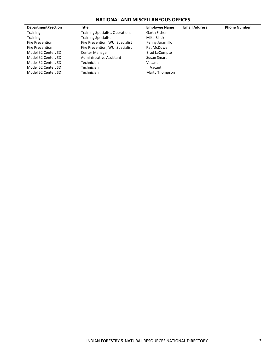| Department/Section     | Title                                  | <b>Employee Name</b> | <b>Email Address</b> | <b>Phone Number</b> |
|------------------------|----------------------------------------|----------------------|----------------------|---------------------|
| <b>Training</b>        | <b>Training Specialist, Operations</b> | Garth Fisher         |                      |                     |
| <b>Training</b>        | <b>Training Specialist</b>             | Mike Black           |                      |                     |
| <b>Fire Prevention</b> | Fire Prevention, WUI Specialist        | Kenny Jaramillo      |                      |                     |
| Fire Prevention        | Fire Prevention, WUI Specialist        | Pat McDowell         |                      |                     |
| Model 52 Center, SD    | Center Manager                         | <b>Brad LeCompte</b> |                      |                     |
| Model 52 Center, SD    | Administrative Assistant               | Susan Smart          |                      |                     |
| Model 52 Center, SD    | Technician                             | Vacant               |                      |                     |
| Model 52 Center, SD    | Technician                             | Vacant               |                      |                     |
| Model 52 Center, SD    | Technician                             | Marty Thompson       |                      |                     |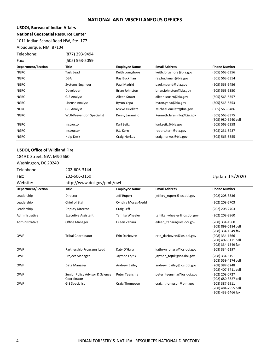#### **USDOI, Bureau of Indian Affairs**

#### **National Geospatial Resource Center**

1011 Indian School Road NW, Ste. 177

Albuquerque, NM 87104

| Telephone: | (877) 293-9494 |
|------------|----------------|
| Fax:       | (505) 563-5059 |

| <b>Department/Section</b> | Title                            | <b>Employee Name</b> | <b>Email Address</b>      | <b>Phone Number</b>                   |
|---------------------------|----------------------------------|----------------------|---------------------------|---------------------------------------|
| <b>NGRC</b>               | Task Lead                        | Keith Longshore      | keith.longshore@bia.gov   | (505) 563-5356                        |
| <b>NGRC</b>               | DBA                              | Ray Buckman          | ray.buckman@bia.gov       | (505) 563-5354                        |
| <b>NGRC</b>               | Systems Engineer                 | Paul Madrid          | paul.madrid@bia.gov       | (505) 563-5456                        |
| <b>NGRC</b>               | Developer                        | Brian Johnston       | brian.johnston@bia.gov    | (505) 563-5350                        |
| <b>NGRC</b>               | <b>GIS Analyst</b>               | Aileen Stuart        | aileen.stuart@bia.gov     | (505) 563-5357                        |
| NGRC                      | License Analyst                  | <b>Byron Yepa</b>    | byron.yepa@bia.gov        | (505) 563-5353                        |
| <b>NGRC</b>               | <b>GIS Analyst</b>               | Micke Ouellett       | Michael.ouelett@bia.gov   | (505) 563-5486                        |
| <b>NGRC</b>               | <b>WUI/Prevention Specialist</b> | Kenny Jaramillo      | Kenneth.Jaramillo@bia.gov | (505) 563-3375<br>(505) 980-6240 cell |
| <b>NGRC</b>               | Instructor                       | Karl Seitz           | karl.seitz@bia.gov        | (505) 563-5358                        |
| <b>NGRC</b>               | Instructor                       | R.J. Kern            | robert.kern@bia.gov       | (505) 231-5237                        |
| <b>NGRC</b>               | Help Desk                        | <b>Craig Norkus</b>  | craig.norkus@bia.gov      | (505) 563-5355                        |

#### **USDOI, Office of Wildland Fire**

OWF Senior Policy Advisor & Science

Coordinator

| 1849 C Street, NW, MS-2660 |                            |                      |                            |                                                             |
|----------------------------|----------------------------|----------------------|----------------------------|-------------------------------------------------------------|
| Washington, DC 20240       |                            |                      |                            |                                                             |
| Telephone:                 | 202-606-3144               |                      |                            |                                                             |
| Fax:                       | 202-606-3150               |                      |                            | Updated 5/2020                                              |
| Website:                   |                            |                      |                            |                                                             |
| Department/Section         | <b>Title</b>               | <b>Employee Name</b> | <b>Email Address</b>       | <b>Phone Number</b>                                         |
| Leadership                 | Director                   | Jeff Rupert          | jeffery rupert@ios.doi.gov | (202) 208-3836                                              |
| Leadership                 | Chief of Staff             | Cynthia Moses-Nedd   |                            | (202) 208-2703                                              |
| Leadership                 | Deputy Director            | Craig Leff           |                            | (202) 208-2703                                              |
| Administrative             | <b>Executive Assistant</b> | Tamika Wheeler       | tamika wheeler@ios.doi.gov | (202) 208-3860                                              |
| Administrative             | Office Manager             | Eileen Zahara        | eileen zahara@ios.doi.gov  | (208) 334-1560<br>(208) 899-0184 cell<br>(208) 334-1549 fax |
| <b>OWF</b>                 | <b>Tribal Coordinator</b>  | Erin Darboven        | erin darboven@ios.doi.gov  | (208) 334-1566<br>(208) 407-6171 cell<br>(208) 334-1549 fax |
| <b>OWF</b>                 | Partnership Programs Lead  | Katy O'Hara          | kathryn ohara@ios.doi.gov  | (208) 334-6197                                              |
| <b>OWF</b>                 | Project Manager            | Jaymee Fojtik        | jaymee fojtik@ios.doi.gov  | (208) 334-6191                                              |

OWF Data Manager Andrew Bailey andrew\_bailey@ios.doi.gov (208)

OWF GIS Specialist Craig Thompson craig\_thompson@blm.gov (208) 387‐5911

 $(208) 559-4174$  cell<br> $(208) 387-5248$ 

(208) 407‐6711 cell

(202) 680‐3827 cell

(208) 484‐7955 cell (208) 433‐6466 fax

Peter Teensma peter\_teensma@ios.doi.gov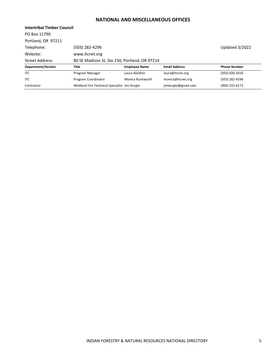| <b>Intertribal Timber Council</b> |                                               |                      |                      |                     |  |  |
|-----------------------------------|-----------------------------------------------|----------------------|----------------------|---------------------|--|--|
| PO Box 11790                      |                                               |                      |                      |                     |  |  |
| Portland, OR 97211                |                                               |                      |                      |                     |  |  |
| Telephone:                        |                                               | Updated 3/2022       |                      |                     |  |  |
| Website:                          |                                               |                      |                      |                     |  |  |
| <b>Street Address:</b>            | 80 SE Madison St, Ste 230, Portland, OR 97214 |                      |                      |                     |  |  |
| Department/Section                | Title                                         | <b>Employee Name</b> | <b>Email Address</b> | <b>Phone Number</b> |  |  |
| <b>ITC</b>                        | Program Manager                               | Laura Alvidrez       | laura@itcnet.org     | (503) 820-2016      |  |  |
| <b>ITC</b>                        | Program Coordinator                           | Monica Rushworth     | monica@itcnet.org    | (503) 282-4296      |  |  |
| Contractor                        | Wildland Fire Technical Specialist Jim Durglo |                      | jimdurglo@gmail.com  | (406) 531-6172      |  |  |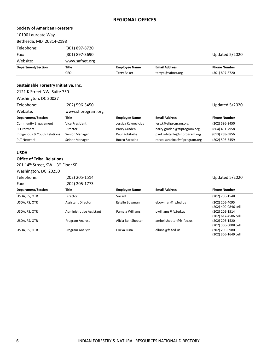# **Society of American Foresters**

| 10100 Laureate Way      |                |                      |                      |                     |
|-------------------------|----------------|----------------------|----------------------|---------------------|
| Bethesda, MD 20814-2198 |                |                      |                      |                     |
| Telephone:              | (301) 897-8720 |                      |                      |                     |
| Fax:                    | (301) 897-3690 |                      |                      | Updated 5/2020      |
| Website:                | www.safnet.org |                      |                      |                     |
| Department/Section      | Title          | <b>Employee Name</b> | <b>Email Address</b> | <b>Phone Number</b> |
|                         | CEO            | Terry Baker          | terryb@safnet.org    | (301) 897-8720      |

# **Sustainable Forestry Initiative, Inc.**

|                              | 2121 K Street NW, Suite 750 |                      |                                |                     |  |  |
|------------------------------|-----------------------------|----------------------|--------------------------------|---------------------|--|--|
| Washington, DC 20037         |                             |                      |                                |                     |  |  |
| Telephone:                   | (202) 596-3450              |                      |                                | Updated 5/2020      |  |  |
| Website:                     | www.sfiprogram.org          |                      |                                |                     |  |  |
| Department/Section           | Title                       | <b>Employee Name</b> | <b>Email Address</b>           | <b>Phone Number</b> |  |  |
| <b>Community Engagement</b>  | <b>Vice President</b>       | Jessica Kaknevicius  | jess.k@sfiprogram.org          | (202) 596-3450      |  |  |
| <b>SFI Partners</b>          | Director                    | Barry Graden         | barry.graden@sfiprogram.org    | (864) 451-7958      |  |  |
| Indigenous & Youth Relations | Senior Manager              | Paul Robitaille      | paul.robitaille@sfiprogram.org | $(613)$ 288-5856    |  |  |
| <b>PLT Network</b>           | Seinor Manager              | Rocco Saracina       | rocco.saracina@sfiprogram.org  | (202) 596-3459      |  |  |

#### **USDA**

# **Office of Tribal Relations**

|                      | 201 14th Street, SW - 3rd Floor SE |                      |                         |                                       |  |  |  |
|----------------------|------------------------------------|----------------------|-------------------------|---------------------------------------|--|--|--|
| Washington, DC 20250 |                                    |                      |                         |                                       |  |  |  |
| Telephone:           | Updated 5/2020                     |                      |                         |                                       |  |  |  |
| Fax:                 | (202) 205-1773                     |                      |                         |                                       |  |  |  |
| Department/Section   | <b>Title</b>                       | <b>Employee Name</b> | <b>Email Address</b>    | <b>Phone Number</b>                   |  |  |  |
| USDA, FS, OTR        | Director                           | Vacant               |                         | (202) 205-1548                        |  |  |  |
| USDA, FS, OTR        | <b>Assistant Director</b>          | Estelle Bowman       | ebowman@fs.fed.us       | (202) 205-4095<br>(202) 400-0846 cell |  |  |  |
| USDA, FS, OTR        | Administrative Assistant           | Pamela Williams      | pwilliams@fs.fed.us     | (202) 205-1514<br>(202) 617-4506 cell |  |  |  |
| USDA, FS, OTR        | Program Analyst                    | Alicia Bell-Sheeter  | ambellsheeter@fs.fed.us | (202) 205-1520<br>(202) 306-6008 cell |  |  |  |
| USDA, FS, OTR        | Program Analyst                    | Ericka Luna          | elluna@fs.fed.us        | (202) 205-0980<br>(202) 306-1649 cell |  |  |  |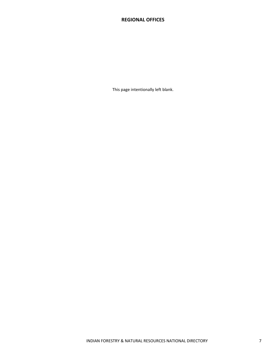This page intentionally left blank.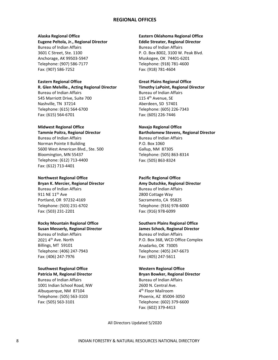#### **Alaska Regional Office**

#### **Eugene Peltola, Jr., Regional Director**

Bureau of Indian Affairs 3601 C Street, Ste. 1100 Anchorage, AK 99503‐5947 Telephone: (907) 586‐7177 Fax: (907) 586‐7252

#### **Eastern Regional Office**

**R. Glen Melville., Acting Regional Director**  Bureau of Indian Affairs 545 Marriott Drive, Suite 700 Nashville, TN 37214 Telephone: (615) 564‐6700 Fax: (615) 564‐6701

#### **Midwest Regional Office**

**Tammie Poitra, Regional Director**  Bureau of Indian Affairs Norman Pointe II Building 5600 West American Blvd., Ste. 500 Bloomington, MN 55437 Telephone: (612) 713‐4400 Fax: (612) 713‐4401

#### **Northwest Regional Office Bryan K. Mercier, Regional Director**

Bureau of Indian Affairs 911 NE 11<sup>th</sup> Ave Portland, OR 97232‐4169 Telephone: (503) 231‐6702 Fax: (503) 231‐2201

# **Rocky Mountain Regional Office**

**Susan Messerly, Regional Director**  Bureau of Indian Affairs 2021 4th Ave. North Billings, MT 59101 Telephone: (406) 247‐7943 Fax: (406) 247‐7976

#### **Southwest Regional Office**

**Patricia M, Regional Director**  Bureau of Indian Affairs 1001 Indian School Road, NW Albuquerque, NM 87104 Telephone: (505) 563‐3103 Fax: (505) 563‐3101

#### **Eastern Oklahoma Regional Office Eddie Streater, Regional Director**

Bureau of Indian Affairs P. O. Box 8002, 3100 W. Peak Blvd. Muskogee, OK 74401‐6201 Telephone: (918) 781‐4600 Fax: (918) 781‐4604

#### **Great Plains Regional Office**

**Timothy LaPoint, Regional Director**  Bureau of Indian Affairs 115 4<sup>th</sup> Avenue, SE Aberdeen, SD 57401 Telephone: (605) 226‐7343 Fax: (605) 226‐7446

#### **Navajo Regional Office**

**Bartholomew Stevens, Regional Director**  Bureau of Indian Affairs P.O. Box 1060 Gallup, NM 87305 Telephone: (505) 863‐8314 Fax: (505) 863‐8324

#### **Pacific Regional Office**

**Amy Dutschke, Regional Director**  Bureau of Indian Affairs 2800 Cottage Way Sacramento, CA 95825 Telephone: (916) 978‐6000 Fax: (916) 978‐6099

#### **Southern Plains Regional Office**

**James Schock, Regional Director**  Bureau of Indian Affairs P.O. Box 368, WCD Office Complex Anadarko, OK 73005 Telephone: (405) 247‐6673 Fax: (405) 247‐5611

#### **Western Regional Office Bryan Bowker, Regional Director**

Bureau of Indian Affairs 2600 N. Central Ave. 4th Floor Mailroom Phoenix, AZ 85004‐3050 Telephone: (602) 379‐6600 Fax: (602) 379‐4413

All Directors Updated 5/2020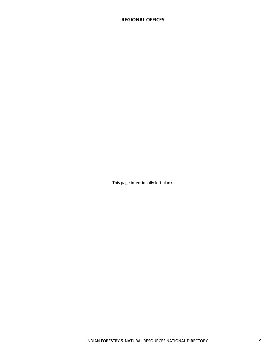This page intentionally left blank.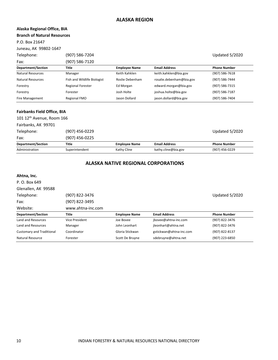# **Alaska Regional Office, BIA**

**Branch of Natural Resources** 

P.O. Box 21647

Juneau, AK 99802‐1647

| Telephone:               | (907) 586-7204              |                      |                          | Updated 5/2020      |
|--------------------------|-----------------------------|----------------------|--------------------------|---------------------|
| Fax:                     | (907) 586-7120              |                      |                          |                     |
| Department/Section       | Title                       | <b>Employee Name</b> | <b>Email Address</b>     | <b>Phone Number</b> |
| <b>Natural Resources</b> | Manager                     | Keith Kahklen        | keith.kahklen@bia.gov    | (907) 586-7618      |
| Natural Resources        | Fish and Wildlife Biologist | Roslie Debenham      | rosalie.debenham@bia.gov | (907) 586-7444      |
| Forestry                 | <b>Regional Forester</b>    | Ed Morgan            | edward.morgan@bia.gov    | (907) 586-7315      |
| Forestry                 | Forester                    | Josh Holte           | joshua.holte@bia.gov     | (907) 586-7187      |
| Fire Management          | Regional FMO                | Jason Dollard        | jason.dollard@bia.gov    | (907) 586-7404      |

#### **Fairbanks Field Office, BIA**

| Administration                        | Superintendent | Kathy Cline          | kathy.cline@bia.gov  | (907) 456-0229      |
|---------------------------------------|----------------|----------------------|----------------------|---------------------|
| Department/Section                    | Title          | <b>Employee Name</b> | <b>Email Address</b> | <b>Phone Number</b> |
| Fax:                                  | (907) 456-0225 |                      |                      |                     |
| Telephone:                            | (907) 456-0229 |                      |                      | Updated 5/2020      |
| Fairbanks, AK 99701                   |                |                      |                      |                     |
| 101 12 <sup>th</sup> Avenue, Room 166 |                |                      |                      |                     |

# **ALASKA NATIVE REGIONAL CORPORATIONS**

| Ahtna, Inc.                      |                   |                      |                         |                     |
|----------------------------------|-------------------|----------------------|-------------------------|---------------------|
| P. O. Box 649                    |                   |                      |                         |                     |
| Glenallen, AK 99588              |                   |                      |                         |                     |
| Telephone:                       | (907) 822-3476    |                      |                         | Updated 5/2020      |
| Fax:                             | (907) 822-3495    |                      |                         |                     |
| Website:                         | www.ahtna-inc.com |                      |                         |                     |
| <b>Department/Section</b>        | <b>Title</b>      | <b>Employee Name</b> | <b>Email Address</b>    | <b>Phone Number</b> |
| Land and Resources               | Vice President    | Joe Bovee            | jbovee@ahtna-inc.com    | (907) 822-3476      |
| Land and Resources               | Manager           | John Leonhart        | jleonhart@ahtna.net     | (907) 822-3476      |
| <b>Customary and Traditional</b> | Coordinator       | Gloria Stickwan      | gstickwan@ahtna-inc.com | (907) 822-8137      |
| Natural Resource                 | Forester          | Scott De Bruyne      | sdebruyne@ahtna.net     | (907) 223-6850      |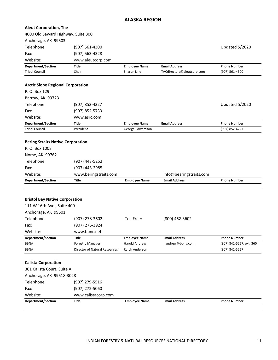# **Aleut Corporation, The**

| <b>Tribal Council</b>              | Chair             | Sharon Lind          | TACdirectors@aleutcorp.com | (907) 561-4300      |
|------------------------------------|-------------------|----------------------|----------------------------|---------------------|
| <b>Department/Section</b>          | Title             | <b>Employee Name</b> | <b>Email Address</b>       | <b>Phone Number</b> |
| Website:                           | www.aleutcorp.com |                      |                            |                     |
| Fax:                               | (907) 563-4328    |                      |                            |                     |
| Telephone:                         | (907) 561-4300    |                      |                            | Updated 5/2020      |
| Anchorage, AK 99503                |                   |                      |                            |                     |
| 4000 Old Seward Highway, Suite 300 |                   |                      |                            |                     |

# **Arctic Slope Regional Corporation**

| <b>Tribal Council</b> | President      | George Edwardson     |                      | (907) 852-4227      |
|-----------------------|----------------|----------------------|----------------------|---------------------|
| Department/Section    | Title          | <b>Employee Name</b> | <b>Email Address</b> | <b>Phone Number</b> |
| Website:              | www.asrc.com   |                      |                      |                     |
| Fax:                  | (907) 852-5733 |                      |                      |                     |
| Telephone:            | (907) 852-4227 |                      |                      | Updated 5/2020      |
| Barrow, AK 99723      |                |                      |                      |                     |
| P. O. Box 129         |                |                      |                      |                     |

#### **Bering Straits Native Corporation**

| Department/Section | Title                 | <b>Employee Name</b> | <b>Email Address</b>    | <b>Phone Number</b> |
|--------------------|-----------------------|----------------------|-------------------------|---------------------|
| Website:           | www.beringstraits.com |                      | info@bearingstraits.com |                     |
| Fax:               | (907) 443-2985        |                      |                         |                     |
| Telephone:         | (907) 443-5252        |                      |                         |                     |
| Nome, AK 99762     |                       |                      |                         |                     |
| P. O. Box 1008     |                       |                      |                         |                     |

#### **Bristol Bay Native Corporation**

| 111 W 16th Ave., Suite 400 |                               |                      |                      |                          |
|----------------------------|-------------------------------|----------------------|----------------------|--------------------------|
| Anchorage, AK 99501        |                               |                      |                      |                          |
| Telephone:                 | (907) 278-3602                | Toll Free:           | (800) 462-3602       |                          |
| Fax:                       | (907) 276-3924                |                      |                      |                          |
| Website:                   | www.bbnc.net                  |                      |                      |                          |
| Department/Section         | Title                         | <b>Employee Name</b> | <b>Email Address</b> | <b>Phone Number</b>      |
| <b>BBNA</b>                | <b>Forestry Manager</b>       | <b>Harold Andrew</b> | handrew@bbna.com     | (907) 842-5257, ext. 360 |
| <b>BBNA</b>                | Director of Natural Resources | Ralph Anderson       |                      | (907) 842-5257           |

#### **Calista Corporation**

| Department/Section         | Title               | <b>Employee Name</b> | <b>Email Address</b> | <b>Phone Number</b> |
|----------------------------|---------------------|----------------------|----------------------|---------------------|
| Website:                   | www.calistacorp.com |                      |                      |                     |
| Fax:                       | (907) 272-5060      |                      |                      |                     |
| Telephone:                 | (907) 279-5516      |                      |                      |                     |
| Anchorage, AK 99518-3028   |                     |                      |                      |                     |
| 301 Calista Court, Suite A |                     |                      |                      |                     |
|                            |                     |                      |                      |                     |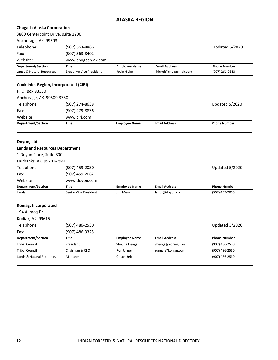# **Chugach Alaska Corporation**

| Lands & Natural Resources          | <b>Executive Vice President</b> | Josie Hickel         | jhickel@chugach-ak.com | (907) 261-0343      |
|------------------------------------|---------------------------------|----------------------|------------------------|---------------------|
| Department/Section                 | Title                           | <b>Employee Name</b> | <b>Email Address</b>   | <b>Phone Number</b> |
| Website:                           | www.chugach-ak.com              |                      |                        |                     |
| Fax:                               | (907) 563-8402                  |                      |                        |                     |
| Telephone:                         | (907) 563-8866                  |                      |                        | Updated 5/2020      |
| Anchorage, AK 99503                |                                 |                      |                        |                     |
| 3800 Centerpoint Drive, suite 1200 |                                 |                      |                        |                     |

# **Cook Inlet Region, Incorporated (CIRI)**

| Department/Section       | Title          | <b>Employee Name</b> | <b>Email Address</b> | <b>Phone Number</b> |
|--------------------------|----------------|----------------------|----------------------|---------------------|
| Website:                 | www.ciri.com   |                      |                      |                     |
| Fax:                     | (907) 279-8836 |                      |                      |                     |
| Telephone:               | (907) 274-8638 |                      |                      | Updated 5/2020      |
| Anchorage, AK 99509-3330 |                |                      |                      |                     |
| P. O. Box 93330          |                |                      |                      |                     |
|                          |                |                      |                      |                     |

| Doyon, Ltd.                           |                       |                      |                      |                     |  |  |  |
|---------------------------------------|-----------------------|----------------------|----------------------|---------------------|--|--|--|
| <b>Lands and Resources Department</b> |                       |                      |                      |                     |  |  |  |
| 1 Doyon Place, Suite 300              |                       |                      |                      |                     |  |  |  |
| Fairbanks, AK 99701-2941              |                       |                      |                      |                     |  |  |  |
| Telephone:                            | (907) 459-2030        |                      |                      | Updated 5/2020      |  |  |  |
| Fax:                                  | (907) 459-2062        |                      |                      |                     |  |  |  |
| Website:                              | www.doyon.com         |                      |                      |                     |  |  |  |
| Department/Section                    | <b>Title</b>          | <b>Employee Name</b> | <b>Email Address</b> | <b>Phone Number</b> |  |  |  |
| Lands                                 | Senior Vice President | Jim Mery             | lands@doyon.com      | (907) 459-2030      |  |  |  |
|                                       |                       |                      |                      |                     |  |  |  |
| Koniag, Incorporated                  |                       |                      |                      |                     |  |  |  |

| 194 Alimag Dr.        |                |                      |                      |                     |
|-----------------------|----------------|----------------------|----------------------|---------------------|
| Kodiak, AK 99615      |                |                      |                      |                     |
| Telephone:            | (907) 486-2530 |                      |                      | Updated 3/2020      |
| Fax:                  | (907) 486-3325 |                      |                      |                     |
|                       |                |                      |                      |                     |
| Department/Section    | <b>Title</b>   | <b>Employee Name</b> | <b>Email Address</b> | <b>Phone Number</b> |
| <b>Tribal Council</b> | President      | Shauna Henga         | shenga@koniag.com    | (907) 486-2530      |
| <b>Tribal Council</b> | Chairman & CEO | Ron Unger            | runger@koniag.com    | (907) 486-2530      |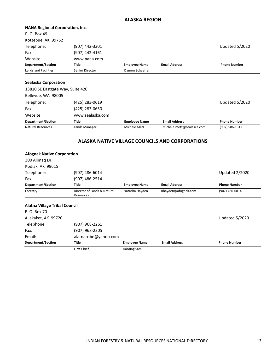#### **NANA Regional Corporation, Inc.**

| P. O. Box 49         |                 |                      |                      |                     |
|----------------------|-----------------|----------------------|----------------------|---------------------|
| Kotzebue, AK 99752   |                 |                      |                      |                     |
| Telephone:           | (907) 442-3301  |                      |                      | Updated 5/2020      |
| Fax:                 | (907) 442-4161  |                      |                      |                     |
| Website:             | www.nana.com    |                      |                      |                     |
| Department/Section   | Title           | <b>Employee Name</b> | <b>Email Address</b> | <b>Phone Number</b> |
| Lands and Facilities | Senior Director | Damon Schaeffer      |                      |                     |

# **Sealaska Corporation**

| 13810 SE Eastgate Way, Suite 420 |                  |                      |                           |                     |
|----------------------------------|------------------|----------------------|---------------------------|---------------------|
| Bellevue, WA 98005               |                  |                      |                           |                     |
| Telephone:                       | (425) 283-0619   |                      |                           | Updated 5/2020      |
| Fax:                             | (425) 283-0650   |                      |                           |                     |
| Website:                         | www.sealaska.com |                      |                           |                     |
| Department/Section               | Title            | <b>Employee Name</b> | <b>Email Address</b>      | <b>Phone Number</b> |
| <b>Natural Resources</b>         | Lands Manager    | Michele Metz         | michele.metz@sealaska.com | (907) 586-1512      |

# **ALASKA NATIVE VILLAGE COUNCILS AND CORPORATIONS**

#### **Afognak Native Corporation**

Telephone: (907) 968‐2261 Fax: (907) 968‐2305

Email: alatnatribe@yahoo.com

| 300 Alimag Dr.<br>Kodiak, AK 99615   |                                          |                      |                      |                     |
|--------------------------------------|------------------------------------------|----------------------|----------------------|---------------------|
| Telephone:                           | (907) 486-6014                           |                      |                      | Updated 2/2020      |
| Fax:                                 | (907) 486-2514                           |                      |                      |                     |
| Department/Section                   | <b>Title</b>                             | <b>Employee Name</b> | <b>Email Address</b> | <b>Phone Number</b> |
| Forestry                             | Director of Lands & Natural<br>Resources | Natasha Hayden       | nhayden@afognak.com  | (907) 486-6014      |
| <b>Alatna Village Tribal Council</b> |                                          |                      |                      |                     |
| P. O. Box 70                         |                                          |                      |                      |                     |
| Allakaket, AK 99720                  |                                          |                      |                      | Updated 5/2020      |

**Department/Section Title Employee Name Email Address Phone Number** 

First Chief **Harding Sam**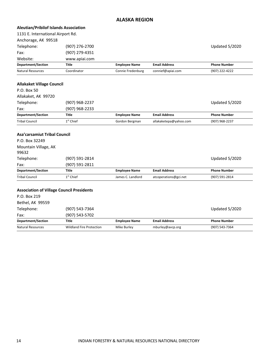# **Aleutian/Pribilof Islands Association**

| 1131 E. International Airport Rd.                                    |                                 |                      |                        |                     |
|----------------------------------------------------------------------|---------------------------------|----------------------|------------------------|---------------------|
| Anchorage, AK 99518                                                  |                                 |                      |                        |                     |
| Telephone:                                                           | (907) 276-2700                  |                      |                        | Updated 5/2020      |
| Fax:                                                                 | (907) 279-4351                  |                      |                        |                     |
| Website:                                                             | www.apiai.com                   |                      |                        |                     |
| <b>Department/Section</b>                                            | <b>Title</b>                    | <b>Employee Name</b> | <b>Email Address</b>   | <b>Phone Number</b> |
| <b>Natural Resources</b>                                             | Coordinator                     | Connie Fredenburg    | connief@apiai.com      | (907) 222-4222      |
| <b>Allakaket Village Council</b>                                     |                                 |                      |                        |                     |
| P.O. Box 50                                                          |                                 |                      |                        |                     |
| Allakaket, AK 99720                                                  |                                 |                      |                        |                     |
| Telephone:                                                           | (907) 968-2237                  |                      |                        | Updated 5/2020      |
| Fax:                                                                 | (907) 968-2233                  |                      |                        |                     |
| <b>Department/Section</b>                                            | <b>Title</b>                    | <b>Employee Name</b> | <b>Email Address</b>   | <b>Phone Number</b> |
| <b>Tribal Council</b>                                                | $1st$ Chief                     | Gordon Bergman       | allakaketepa@yahoo.com | (907) 968-2237      |
| Asa'carsamiut Tribal Council                                         |                                 |                      |                        |                     |
| P.O. Box 32249                                                       |                                 |                      |                        |                     |
| Mountain Village, AK<br>99632                                        |                                 |                      |                        |                     |
| Telephone:                                                           | (907) 591-2814                  |                      |                        | Updated 5/2020      |
| Fax:                                                                 | (907) 591-2811                  |                      |                        |                     |
| <b>Department/Section</b>                                            | Title                           | <b>Employee Name</b> | <b>Email Address</b>   | <b>Phone Number</b> |
| <b>Tribal Council</b>                                                | $1st$ Chief                     | James C. Landlord    | atcoperations@gci.net  | (907) 591-2814      |
|                                                                      |                                 |                      |                        |                     |
| P.O. Box 219                                                         |                                 |                      |                        |                     |
|                                                                      |                                 |                      |                        |                     |
| Telephone:                                                           | (907) 543-7364                  |                      |                        | Updated 5/2020      |
| Fax:                                                                 | (907) 543-5702                  |                      |                        |                     |
| <b>Department/Section</b>                                            | <b>Title</b>                    | <b>Employee Name</b> | <b>Email Address</b>   | <b>Phone Number</b> |
| <b>Natural Resources</b>                                             | <b>Wildland Fire Protection</b> | Mike Burley          | mburley@avcp.org       | (907) 543-7364      |
| <b>Association of Village Council Presidents</b><br>Bethel, AK 99559 |                                 |                      |                        |                     |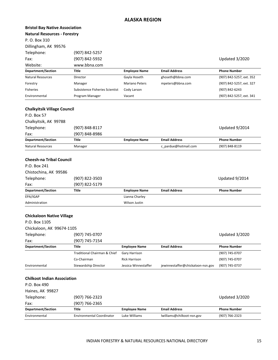# **Bristol Bay Native Association**

| <b>Natural Resources - Forestry</b> |  |  |
|-------------------------------------|--|--|
|                                     |  |  |

| P. O. Box 310            |                                 |                       |                      |                          |
|--------------------------|---------------------------------|-----------------------|----------------------|--------------------------|
| Dillingham, AK 99576     |                                 |                       |                      |                          |
| Telephone:               | (907) 842-5257                  |                       |                      |                          |
| Fax:                     | (907) 842-5932                  |                       |                      | Updated 3/2020           |
| Website:                 | www.bbna.com                    |                       |                      |                          |
| Department/Section       | <b>Title</b>                    | <b>Employee Name</b>  | <b>Email Address</b> | <b>Phone Number</b>      |
| <b>Natural Resources</b> | Director                        | Gayla Hoseth          | ghoseth@bbna.com     | (907) 842-5257, ext. 352 |
| Forestry                 | Manager                         | <b>Mariano Peters</b> | mpeters@bbna.com     | (907) 842-5257, ext. 327 |
| <b>Fisheries</b>         | Subsistence Fisheries Scientist | Cody Larson           |                      | (907) 842-6243           |
| Environmental            | Program Manager                 | Vacant                |                      | (907) 842-5257, ext. 341 |

#### **Chalkyitsik Village Council**

| <b>Natural Resources</b> | Manager        |                      | c pardue@hotmail.com | (907) 848-8119      |
|--------------------------|----------------|----------------------|----------------------|---------------------|
| Department/Section       | Title          | <b>Employee Name</b> | <b>Email Address</b> | <b>Phone Number</b> |
| Fax:                     | (907) 848-8986 |                      |                      |                     |
| Telephone:               | (907) 848-8117 |                      |                      | Updated 9/2014      |
| Chalkyitsik, AK 99788    |                |                      |                      |                     |
| P.O. Box 57              |                |                      |                      |                     |

# **Cheesh‐na Tribal Council**

| P.O. Box 241          |                |                      |                      |                     |
|-----------------------|----------------|----------------------|----------------------|---------------------|
| Chistochina, AK 99586 |                |                      |                      |                     |
| Telephone:            | (907) 822-3503 |                      |                      | Updated 9/2014      |
| Fax:                  | (907) 822-5179 |                      |                      |                     |
| Department/Section    | Title          | <b>Employee Name</b> | <b>Email Address</b> | <b>Phone Number</b> |
| EPA/IGAP              |                | Lianna Charley       |                      |                     |
| Administration        |                | Wilson Justin        |                      |                     |

#### **Chickaloon Native Village**

| P.O. Box 1105             |                              |                      |                                   |                     |
|---------------------------|------------------------------|----------------------|-----------------------------------|---------------------|
| Chickaloon, AK 99674-1105 |                              |                      |                                   |                     |
| Telephone:                | (907) 745-0707               |                      |                                   | Updated 3/2020      |
| Fax:                      | (907) 745-7154               |                      |                                   |                     |
| Department/Section        | Title                        | <b>Employee Name</b> | <b>Email Address</b>              | <b>Phone Number</b> |
|                           | Traditional Chairman & Chief | Gary Harrison        |                                   | (907) 745-0707      |
|                           | Co-Chairman                  | <b>Rick Harrison</b> |                                   | (907) 745-0707      |
| Environmental             | Stewardship Director         | Jessica Winnestaffer | jewinnestaffer@chickaloon-nsn.gov | (907) 745-0737      |

#### **Chilkoot Indian Association**

| Environmental      | <b>Environmental Coordinator</b> | Luke Williams        | lwilliams@chilkoot-nsn.gov | (907) 766-2323      |
|--------------------|----------------------------------|----------------------|----------------------------|---------------------|
| Department/Section | Title                            | <b>Employee Name</b> | <b>Email Address</b>       | <b>Phone Number</b> |
| Fax:               | (907) 766-2365                   |                      |                            |                     |
| Telephone:         | (907) 766-2323                   |                      |                            | Updated 3/2020      |
| Haines, AK 99827   |                                  |                      |                            |                     |
| P.O. Box 490       |                                  |                      |                            |                     |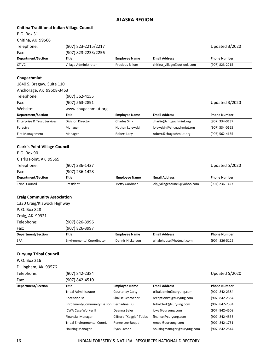#### **Chitina Traditional Indian Village Council**

| <b>CTIVC</b>       | Village Administrator | <b>Precious Billum</b> | chitina village@outlook.com | (907) 823-2215      |
|--------------------|-----------------------|------------------------|-----------------------------|---------------------|
| Department/Section | Title                 | <b>Employee Name</b>   | <b>Email Address</b>        | <b>Phone Number</b> |
| Fax:               | (907) 823-2233/2256   |                        |                             |                     |
| Telephone:         | (907) 823-2215/2217   |                        |                             | Updated 3/2020      |
| Chitina, AK 99566  |                       |                        |                             |                     |
| P.O. Box 31        |                       |                        |                             |                     |

# **Chugachmiut**

| 1840 S. Bragaw, Suite 110              |                          |                      |                           |                     |
|----------------------------------------|--------------------------|----------------------|---------------------------|---------------------|
| Anchorage, AK 99508-3463               |                          |                      |                           |                     |
| Telephone:                             | (907) 562-4155           |                      |                           |                     |
| Fax:                                   | (907) 563-2891           |                      |                           | Updated 3/2020      |
| Website:                               | www.chugachmiut.org      |                      |                           |                     |
| Department/Section                     | Title                    | <b>Employee Name</b> | <b>Email Address</b>      | <b>Phone Number</b> |
| <b>Enterprise &amp; Trust Services</b> | <b>Division Director</b> | <b>Charles Sink</b>  | charlie@chugachmiut.org   | (907) 334-0137      |
| Forestry                               | Manager                  | Nathan Lojewski      | lojewskin@chugachmiut.org | (907) 334-0165      |
| Fire Management                        | Manager                  | Robert Lacy          | robert@chugachmiut.org    | (907) 562-4155      |

# **Clark's Point Village Council**

| <b>Tribal Council</b>  | President      | <b>Betty Gardiner</b> | clp villagecouncil@yahoo.com | (907) 236-1427      |
|------------------------|----------------|-----------------------|------------------------------|---------------------|
| Department/Section     | Title          | <b>Employee Name</b>  | <b>Email Address</b>         | <b>Phone Number</b> |
| Fax:                   | (907) 236-1428 |                       |                              |                     |
| Telephone:             | (907) 236-1427 |                       |                              | Updated 5/2020      |
| Clarks Point, AK 99569 |                |                       |                              |                     |
| P.O. Box 90            |                |                       |                              |                     |

# **Craig Community Association**

| <b>EPA</b>                 | <b>Environmental Coordinator</b> | Dennis Nickerson     | whalehouse@hotmail.com | (907) 826-5125      |  |
|----------------------------|----------------------------------|----------------------|------------------------|---------------------|--|
| Department/Section         | Title                            | <b>Employee Name</b> | <b>Email Address</b>   | <b>Phone Number</b> |  |
| Fax:                       | (907) 826-3997                   |                      |                        |                     |  |
| Telephone:                 | (907) 826-3996                   |                      |                        |                     |  |
| Craig, AK 99921            |                                  |                      |                        |                     |  |
| P. O. Box 828              |                                  |                      |                        |                     |  |
| 1330 Craig/Klawock Highway |                                  |                      |                        |                     |  |
|                            |                                  |                      |                        |                     |  |

#### **Curyung Tribal Council**

| P. O. Box 216        |                              |                         |                            |                     |
|----------------------|------------------------------|-------------------------|----------------------------|---------------------|
| Dillingham, AK 99576 |                              |                         |                            |                     |
| Telephone:           | (907) 842-2384               |                         |                            | Updated 5/2020      |
| Fax:                 | (907) 842-4510               |                         |                            |                     |
| Department/Section   | Title                        | <b>Employee Name</b>    | <b>Email Address</b>       | <b>Phone Number</b> |
|                      | <b>Tribal Administrator</b>  | Courtenay Carty         | tribaladmin@curyung.com    | (907) 842-2384      |
|                      | Receptionist                 | Shalise Schroeder       | receptionist@curyung.com   | (907) 842-2384      |
|                      | Enrollment/Community Liaison | <b>Bernadine Dull</b>   | tribalclerk@curyung.com    | (907) 842-2384      |
|                      | <b>ICWA Case Worker II</b>   | Deanna Baier            | icwa@curyung.com           | (907) 842-4508      |
|                      | <b>Financial Manager</b>     | Clifford "Keggie" Tubbs | finance@curyung.com        | (907) 842-4533      |
|                      | Tribal Environmental Coord.  | Renee Lee-Roque         | renee@curyung.com          | (907) 842-1751      |
|                      | <b>Housing Manager</b>       | Ryan Larson             | housingmanager@curyung.com | (907) 842-2544      |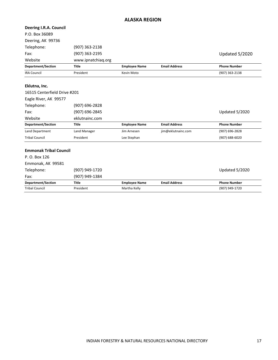| Deering I.R.A. Council        |                    |                      |                      |                     |
|-------------------------------|--------------------|----------------------|----------------------|---------------------|
| P.O. Box 36089                |                    |                      |                      |                     |
| Deering, AK 99736             |                    |                      |                      |                     |
| Telephone:                    | (907) 363-2138     |                      |                      |                     |
| Fax:                          | (907) 363-2195     |                      |                      | Updated 5/2020      |
| Website                       | www.ipnatchiaq.org |                      |                      |                     |
| <b>Department/Section</b>     | <b>Title</b>       | <b>Employee Name</b> | <b>Email Address</b> | <b>Phone Number</b> |
| <b>IRA Council</b>            | President          | Kevin Moto           |                      | (907) 363-2138      |
| Eklutna, Inc.                 |                    |                      |                      |                     |
| 16515 Centerfield Drive #201  |                    |                      |                      |                     |
| Eagle River, AK 99577         |                    |                      |                      |                     |
| Telephone:                    | (907) 696-2828     |                      |                      |                     |
| Fax:                          | (907) 696-2845     |                      |                      | Updated 5/2020      |
| Website                       | eklutnainc.com     |                      |                      |                     |
| <b>Department/Section</b>     | <b>Title</b>       | <b>Employee Name</b> | <b>Email Address</b> | <b>Phone Number</b> |
| Land Department               | Land Manager       | Jim Arnesen          | jim@eklutnainc.com   | (907) 696-2828      |
| <b>Tribal Council</b>         | President          | Lee Stephan          |                      | (907) 688-6020      |
| <b>Emmonak Tribal Council</b> |                    |                      |                      |                     |
| P. O. Box 126                 |                    |                      |                      |                     |
| Emmonak, AK 99581             |                    |                      |                      |                     |
| Telephone:                    | (907) 949-1720     |                      |                      | Updated 5/2020      |
| Fax:                          | (907) 949-1384     |                      |                      |                     |
| <b>Department/Section</b>     | <b>Title</b>       | <b>Employee Name</b> | <b>Email Address</b> | <b>Phone Number</b> |
| <b>Tribal Council</b>         | President          | Martha Kelly         |                      | (907) 949-1720      |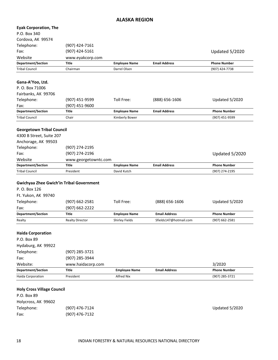# **Eyak Corporation, The**

| Eyak Corporation, The                           |                        |                       |                        |                     |
|-------------------------------------------------|------------------------|-----------------------|------------------------|---------------------|
| P.O. Box 340                                    |                        |                       |                        |                     |
| Cordova, AK 99574                               |                        |                       |                        |                     |
| Telephone:                                      | (907) 424-7161         |                       |                        |                     |
| Fax:                                            | (907) 424-5161         |                       |                        | Updated 5/2020      |
| Website                                         | www.eyakcorp.com       |                       |                        |                     |
| <b>Department/Section</b>                       | Title                  | <b>Employee Name</b>  | <b>Email Address</b>   | <b>Phone Number</b> |
| <b>Tribal Council</b>                           | Chairman               | Darrel Olsen          |                        | (907) 424-7738      |
| Gana-A'Yoo, Ltd.                                |                        |                       |                        |                     |
| P. O. Box 71006                                 |                        |                       |                        |                     |
| Fairbanks, AK 99706                             |                        |                       |                        |                     |
| Telephone:                                      | (907) 451-9599         | Toll Free:            | (888) 656-1606         | Updated 5/2020      |
| Fax:                                            | (907) 451-9600         |                       |                        |                     |
| <b>Department/Section</b>                       | <b>Title</b>           | <b>Employee Name</b>  | <b>Email Address</b>   | <b>Phone Number</b> |
| <b>Tribal Council</b>                           | Chair                  | Kimberly Bower        |                        | (907) 451-9599      |
| <b>Georgetown Tribal Council</b>                |                        |                       |                        |                     |
| 4300 B Street, Suite 207                        |                        |                       |                        |                     |
| Anchorage, AK 99503                             |                        |                       |                        |                     |
| Telephone:                                      | (907) 274-2195         |                       |                        |                     |
| Fax:                                            | (907) 274-2196         |                       |                        | Updated 5/2020      |
| Website                                         | www.georgetowntc.com   |                       |                        |                     |
| <b>Department/Section</b>                       | <b>Title</b>           | <b>Employee Name</b>  | <b>Email Address</b>   | <b>Phone Number</b> |
| <b>Tribal Council</b>                           | President              | David Kutch           |                        | (907) 274-2195      |
|                                                 |                        |                       |                        |                     |
| <b>Gwichyaa Zhee Gwich'in Tribal Government</b> |                        |                       |                        |                     |
| P. O. Box 126                                   |                        |                       |                        |                     |
| Ft. Yukon, AK 99740                             |                        |                       |                        |                     |
| Telephone:                                      | (907) 662-2581         | Toll Free:            | (888) 656-1606         | Updated 5/2020      |
| Fax:                                            | (907) 662-2222         |                       |                        |                     |
| <b>Department/Section</b>                       | Title                  | <b>Employee Name</b>  | <b>Email Address</b>   | <b>Phone Number</b> |
| Realty                                          | <b>Realty Director</b> | <b>Shirley Fields</b> | Sfields147@hotmail.com | (907) 662-2581      |
| <b>Haida Corporation</b>                        |                        |                       |                        |                     |
| P.O. Box 89                                     |                        |                       |                        |                     |
| Hydaburg, AK 99922                              |                        |                       |                        |                     |
| Telephone:                                      | (907) 285-3721         |                       |                        |                     |
| Fax:                                            | (907) 285-3944         |                       |                        |                     |
|                                                 | www.haidacorp.com      |                       |                        | 3/2020              |
|                                                 |                        |                       |                        |                     |
| Website:<br><b>Department/Section</b>           | <b>Title</b>           | <b>Employee Name</b>  | <b>Email Address</b>   | <b>Phone Number</b> |

| P.O. Box 89         |                |
|---------------------|----------------|
| Holycross, AK 99602 |                |
| Telephone:          | (907) 476-7124 |
| Fax:                | (907) 476-7132 |

Updated 5/2020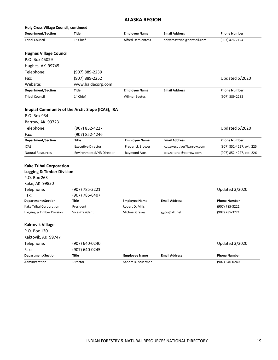| Holy Cross Village Council, continued |                                                   |                          |                            |                          |
|---------------------------------------|---------------------------------------------------|--------------------------|----------------------------|--------------------------|
| <b>Department/Section</b>             | <b>Title</b>                                      | <b>Employee Name</b>     | <b>Email Address</b>       | <b>Phone Number</b>      |
| <b>Tribal Council</b>                 | 1 <sup>st</sup> Chief                             | <b>Alfred Demientess</b> | holycrosstribe@hotmail.com | (907) 476-7124           |
| <b>Hughes Village Council</b>         |                                                   |                          |                            |                          |
| P.O. Box 45029                        |                                                   |                          |                            |                          |
| Hughes, AK 99745                      |                                                   |                          |                            |                          |
| Telephone:                            | (907) 889-2239                                    |                          |                            |                          |
| Fax:                                  | (907) 889-2252                                    |                          |                            | Updated 5/2020           |
| Website:                              | www.haidacorp.com                                 |                          |                            |                          |
| <b>Department/Section</b>             | <b>Title</b>                                      | <b>Employee Name</b>     | <b>Email Address</b>       | <b>Phone Number</b>      |
| <b>Tribal Council</b>                 | $1st$ Chief                                       | <b>Wilmer Beetus</b>     |                            | (907) 889-2232           |
|                                       | Inupiat Community of the Arctic Slope (ICAS), IRA |                          |                            |                          |
| P.O. Box 934                          |                                                   |                          |                            |                          |
| Barrow, AK 99723                      |                                                   |                          |                            |                          |
| Telephone:                            | (907) 852-4227                                    |                          |                            | Updated 5/2020           |
| Fax:                                  | (907) 852-4246                                    |                          |                            |                          |
| Department/Section                    | <b>Title</b>                                      | <b>Employee Name</b>     | <b>Email Address</b>       | <b>Phone Number</b>      |
| <b>ICAS</b>                           | <b>Executive Director</b>                         | <b>Frederick Brower</b>  | icas.executive@barrow.com  | (907) 852-4227, ext. 225 |
| <b>Natural Resources</b>              | Environmental/NR Director                         | Raymond Atos             | icas.natural@barrow.com    | (907) 852-4227, ext. 226 |
|                                       |                                                   |                          |                            |                          |
| <b>Kake Tribal Corporation</b>        |                                                   |                          |                            |                          |
| <b>Logging &amp; Timber Division</b>  |                                                   |                          |                            |                          |
| P.O. Box 263                          |                                                   |                          |                            |                          |
| Kake, AK 99830                        |                                                   |                          |                            |                          |
| Telephone:                            | (907) 785-3221                                    |                          |                            | Updated 3/2020           |
| Fax:                                  | (907) 785-6407                                    |                          |                            |                          |
| Department/Section                    | <b>Title</b>                                      | <b>Employee Name</b>     | <b>Email Address</b>       | <b>Phone Number</b>      |
| Kake Tribal Corporation               | President                                         | Robert D. Mills          |                            | (907) 785-3221           |
| Logging & Timber Division             | Vice-President                                    | <b>Michael Graves</b>    | gypo@att.net               | (907) 785-3221           |
| <b>Kaktovik Village</b>               |                                                   |                          |                            |                          |
| P.O. Box 130                          |                                                   |                          |                            |                          |
| Kaktovik, AK 99747                    |                                                   |                          |                            |                          |
| Telephone:                            | (907) 640-0240                                    |                          |                            | Updated 3/2020           |
| Fax:                                  | (907) 640-0245                                    |                          |                            |                          |
| Department/Section                    | Title                                             | <b>Employee Name</b>     | <b>Email Address</b>       | <b>Phone Number</b>      |
| Administration                        | Director                                          | Sandra K. Stuermer       |                            | (907) 640-0240           |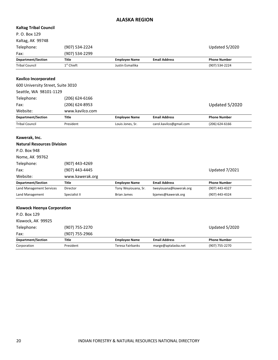| <b>Kaltag Tribal Council</b>      |                        |                      |                         |                       |
|-----------------------------------|------------------------|----------------------|-------------------------|-----------------------|
| P. O. Box 129                     |                        |                      |                         |                       |
| Kaltag, AK 99748                  |                        |                      |                         |                       |
| Telephone:                        | (907) 534-2224         |                      |                         | Updated 5/2020        |
| Fax:                              | (907) 534-2299         |                      |                         |                       |
| Department/Section                | <b>Title</b>           | <b>Employee Name</b> | <b>Email Address</b>    | <b>Phone Number</b>   |
| <b>Tribal Council</b>             | 1 <sup>st</sup> Chieft | Justin Esmailika     |                         | (907) 534-2224        |
| <b>Kavilco Incorporated</b>       |                        |                      |                         |                       |
| 600 University Street, Suite 3010 |                        |                      |                         |                       |
| Seattle, WA 98101-1129            |                        |                      |                         |                       |
| Telephone:                        | (206) 624-6166         |                      |                         |                       |
| Fax:                              | (206) 624-8953         |                      |                         | Updated 5/2020        |
| Website:                          | www.kavilco.com        |                      |                         |                       |
| <b>Department/Section</b>         | <b>Title</b>           | <b>Employee Name</b> | <b>Email Address</b>    | <b>Phone Number</b>   |
| <b>Tribal Council</b>             | President              | Louis Jones, Sr.     | carol.kavilco@gmail.com | (206) 624-6166        |
| Kawerak, Inc.                     |                        |                      |                         |                       |
| <b>Natural Resources Division</b> |                        |                      |                         |                       |
| P.O. Box 948                      |                        |                      |                         |                       |
| Nome, AK 99762                    |                        |                      |                         |                       |
| Telephone:                        | (907) 443-4269         |                      |                         |                       |
| Fax:                              | (907) 443-4445         |                      |                         | <b>Updated 7/2021</b> |
| Website:                          | www.kawerak.org        |                      |                         |                       |
| <b>Department/Section</b>         | <b>Title</b>           | <b>Employee Name</b> | <b>Email Address</b>    | <b>Phone Number</b>   |
| Land Management Services          | Director               | Tony Weyiouana, Sr.  | tweyiouana@kawerak.org  | (907) 443-4327        |
| Land Management                   | Specialist II          | <b>Brian James</b>   | bjames@kawerak.org      | (907) 443-4324        |
| <b>Klawock Heenya Corporation</b> |                        |                      |                         |                       |
| P.O. Box 129                      |                        |                      |                         |                       |
| Klawock, AK 99925                 |                        |                      |                         |                       |
| Telephone:                        | (907) 755-2270         |                      |                         | Updated 5/2020        |
| Fax:                              | (907) 755-2966         |                      |                         |                       |
| Department/Section                | <b>Title</b>           | <b>Employee Name</b> | <b>Email Address</b>    | <b>Phone Number</b>   |

Corporation President Teresa Fairbanks marge@aptalaska.net (907) 755‐2270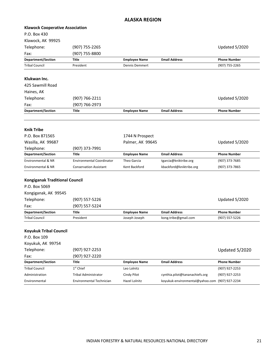## **Klawock Cooperative Association**

| P.O. Box 430                          |                                  |                      |                                                |                     |
|---------------------------------------|----------------------------------|----------------------|------------------------------------------------|---------------------|
| Klawock, AK 99925                     |                                  |                      |                                                |                     |
| Telephone:                            | (907) 755-2265                   |                      |                                                | Updated 5/2020      |
| Fax:                                  | (907) 755-8800                   |                      |                                                |                     |
| <b>Department/Section</b>             | Title                            | <b>Employee Name</b> | <b>Email Address</b>                           | <b>Phone Number</b> |
| <b>Tribal Council</b>                 | President                        | Dennis Demmert       |                                                | (907) 755-2265      |
| Klukwan Inc.                          |                                  |                      |                                                |                     |
| 425 Sawmill Road                      |                                  |                      |                                                |                     |
| Haines, AK                            |                                  |                      |                                                |                     |
| Telephone:                            | (907) 766-2211                   |                      |                                                | Updated 5/2020      |
| Fax:                                  | (907) 766-2973                   |                      |                                                |                     |
| Department/Section                    | Title                            | <b>Employee Name</b> | <b>Email Address</b>                           | <b>Phone Number</b> |
| <b>Knik Tribe</b>                     |                                  |                      |                                                |                     |
| P.O. Box 871565                       |                                  | 1744 N Prospect      |                                                |                     |
| Wasilla, AK 99687                     |                                  | Palmer, AK 99645     |                                                | Updated 5/2020      |
| Telephone:                            | (907) 373-7991                   |                      |                                                |                     |
| <b>Department/Section</b>             | <b>Title</b>                     | <b>Employee Name</b> | <b>Email Address</b>                           | <b>Phone Number</b> |
| Environmental & NR                    | <b>Environmental Coordinator</b> | Theo Garcia          | tgarcia@kniktribe.org                          | (907) 373-7685      |
| Environmental & NR                    | <b>Conservation Assistant</b>    | Kent Backford        | kbackford@kniktribe.org                        | (907) 373-7865      |
| <b>Kongiganak Traditional Council</b> |                                  |                      |                                                |                     |
| P.O. Box 5069                         |                                  |                      |                                                |                     |
| Kongiganak, AK 99545                  |                                  |                      |                                                |                     |
| Telephone:                            | (907) 557-5226                   |                      |                                                | Updated 5/2020      |
| Fax:                                  | (907) 557-5224                   |                      |                                                |                     |
| <b>Department/Section</b>             | <b>Title</b>                     | <b>Employee Name</b> | <b>Email Address</b>                           | <b>Phone Number</b> |
| <b>Tribal Council</b>                 | President                        | Joseph Joseph        | kong.tribe@gmail.com                           | (907) 557-5226      |
| <b>Koyukuk Tribal Council</b>         |                                  |                      |                                                |                     |
| P.O. Box 109                          |                                  |                      |                                                |                     |
| Koyukuk, AK 99754                     |                                  |                      |                                                |                     |
| Telephone:                            | (907) 927-2253                   |                      |                                                | Updated 5/2020      |
| Fax:                                  | (907) 927-2220                   |                      |                                                |                     |
| Department/Section                    | <b>Title</b>                     | <b>Employee Name</b> | <b>Email Address</b>                           | <b>Phone Number</b> |
| <b>Tribal Council</b>                 | 1 <sup>st</sup> Chief            | Leo Lolnitz          |                                                | (907) 927-2253      |
| Administration                        | <b>Tribal Administrator</b>      | Cindy Pilot          | cynthia.pilot@tananachiefs.org                 | (907) 927-2253      |
| Environmental                         | Environmental Technician         | Hazel Lolnitz        | koyukuk-environmental@yahoo.com (907) 927-2234 |                     |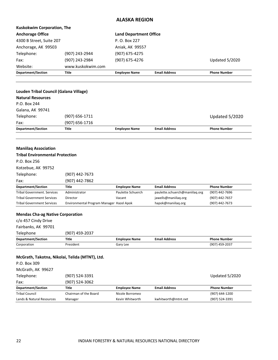|                   | <b>Land Department Office</b> |                                                          |                     |  |
|-------------------|-------------------------------|----------------------------------------------------------|---------------------|--|
|                   | P. O. Box 227                 |                                                          |                     |  |
|                   | Aniak, AK 99557               |                                                          |                     |  |
| (907) 243-2944    |                               |                                                          |                     |  |
| (907) 243-2984    |                               |                                                          | Updated 5/2020      |  |
| www.kuskokwim.com |                               |                                                          |                     |  |
| Title             |                               | <b>Email Address</b>                                     | <b>Phone Number</b> |  |
|                   |                               | (907) 675-4275<br>(907) 675-4276<br><b>Employee Name</b> |                     |  |

| <b>Department/Section</b>              | <b>Title</b>   | <b>Employee Name</b> | <b>Email Address</b> | <b>Phone Number</b> |  |  |
|----------------------------------------|----------------|----------------------|----------------------|---------------------|--|--|
| Fax:                                   | (907) 656-1716 |                      |                      |                     |  |  |
| Telephone:                             | (907) 656-1711 |                      |                      | Updated 5/2020      |  |  |
| Galana, AK 99741                       |                |                      |                      |                     |  |  |
| P.O. Box 244                           |                |                      |                      |                     |  |  |
| <b>Natural Resources</b>               |                |                      |                      |                     |  |  |
| Louden Tribal Council (Galana Village) |                |                      |                      |                     |  |  |

#### **Maniilaq Association**

#### **Tribal Environmental Protection**

| P.O. Box 256                       |                                          |                      |                                |                     |
|------------------------------------|------------------------------------------|----------------------|--------------------------------|---------------------|
| Kotzebue, AK 99752                 |                                          |                      |                                |                     |
| Telephone:                         | (907) 442-7673                           |                      |                                |                     |
| Fax:                               | (907) 442-7862                           |                      |                                |                     |
| Department/Section                 | Title                                    | <b>Employee Name</b> | <b>Email Address</b>           | <b>Phone Number</b> |
| <b>Tribal Government. Services</b> | Administrator                            | Paulette Schuerch    | paulette.schuerch@maniilag.org | (907) 442-7696      |
| <b>Tribal Government Services</b>  | Director                                 | Vacant               | jawells@maniilag.org           | (907) 442-7657      |
| <b>Tribal Government Services</b>  | Environmental Program Manager Hazel Apok |                      | hapok@maniilag.org             | (907) 442-7673      |

#### **Mendas Cha‐ag Native Corporation**

c/o 457 Cindy Drive Fairbanks, AK 99701

Telephone (907) 459‐2037

| . <del>.</del>     | .<br>.       |                      |               |                 |
|--------------------|--------------|----------------------|---------------|-----------------|
| Department/Section | <b>Title</b> | <b>Employee Name</b> | Email Address | Phone Number    |
| Corporation        | President    | Gary Lee             |               | 459-2037<br>(90 |

#### **McGrath, Takotna, Nikolai, Telida (MTNT), Ltd.**

| P.O. Box 309              |                       |                      |                      |                     |
|---------------------------|-----------------------|----------------------|----------------------|---------------------|
| McGrath, AK 99627         |                       |                      |                      |                     |
| Telephone:                | (907) 524-3391        |                      |                      | Updated 5/2020      |
| Fax:                      | (907) 524-3062        |                      |                      |                     |
| Department/Section        | Title                 | <b>Employee Name</b> | <b>Email Address</b> | <b>Phone Number</b> |
| <b>Tribal Council</b>     | Chairman of the Board | Nicole Borromeo      |                      | (907) 644-1200      |
| Lands & Natural Resources | Manager               | Kevin Whitworth      | kwhitworth@mtnt.net  | (907) 524-3391      |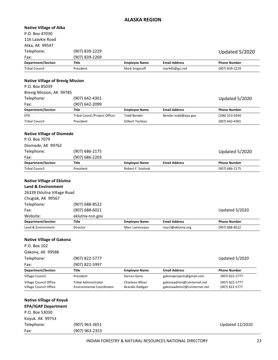| <b>Native Village of Atka</b>           |                               |                        |                             |                        |
|-----------------------------------------|-------------------------------|------------------------|-----------------------------|------------------------|
| P.O. Box 47030                          |                               |                        |                             |                        |
| 116 Laavkix Road                        |                               |                        |                             |                        |
| Atka, AK 99547                          |                               |                        |                             |                        |
| Telephone:                              | (907) 839-2229                |                        |                             | Updated 5/2020         |
| Fax:                                    | (907) 839-2269                |                        |                             |                        |
| <b>Department/Section</b>               | <b>Title</b>                  | <b>Employee Name</b>   | <b>Email Address</b>        | <b>Phone Number</b>    |
| <b>Tribal Council</b>                   | President                     | Mark Snigaroff         | mark45@gci.net              | (907) 839-2229         |
| <b>Native Village of Brevig Mission</b> |                               |                        |                             |                        |
| P.O. Box 85039                          |                               |                        |                             |                        |
| Brevig Mission, AK 99785                |                               |                        |                             |                        |
|                                         | (907) 642-4301                |                        |                             |                        |
| Telephone:<br>Fax:                      | (907) 642-2099                |                        |                             | Updated 5/2020         |
| <b>Department/Section</b>               | <b>Title</b>                  | <b>Employee Name</b>   | <b>Email Address</b>        | <b>Phone Number</b>    |
| EPA                                     | Tribal Coord./Project Officer | <b>Todd Bender</b>     | Bender.todd@epa.gov         | (206) 553-0344         |
| <b>Tribal Council</b>                   | President                     | Gilbert Tocktoo        |                             | (907) 642-4301         |
|                                         |                               |                        |                             |                        |
| <b>Native Village of Diomede</b>        |                               |                        |                             |                        |
| P.O. Box 7079                           |                               |                        |                             |                        |
| Diomede, AK 99762                       |                               |                        |                             |                        |
| Telephone:                              | (907) 686-2175                |                        |                             | Updated 5/2020         |
| Fax:                                    | (907) 686-2203                |                        |                             |                        |
| <b>Department/Section</b>               | <b>Title</b>                  | <b>Employee Name</b>   | <b>Email Address</b>        | <b>Phone Number</b>    |
| <b>Tribal Council</b>                   | President                     | Robert F. Soolook      |                             | (907) 686-2175         |
| <b>Native Village of Eklutna</b>        |                               |                        |                             |                        |
| <b>Land &amp; Environment</b>           |                               |                        |                             |                        |
| 26339 Eklutna Village Road              |                               |                        |                             |                        |
| Chugiak, AK 99567                       |                               |                        |                             |                        |
| Telephone:                              | (907) 688-8522                |                        |                             |                        |
| Fax:                                    | (907) 688-6021                |                        |                             | Updated 5/2020         |
| Website:                                | eklutna-nsn.gov               |                        |                             |                        |
| Department/Section                      | <b>Title</b>                  | <b>Employee Name</b>   | <b>Email Address</b>        | <b>Phone Number</b>    |
| Land & Environment                      | Director                      | Marc Lamoreaux         | marcl@eklutna.org           | (907) 688-8522         |
|                                         |                               |                        |                             |                        |
| <b>Native Village of Gakona</b>         |                               |                        |                             |                        |
| P.O. Box 102                            |                               |                        |                             |                        |
| Gakona, AK 99586                        |                               |                        |                             |                        |
| Telephone:                              | (907) 822-5777                |                        |                             | Updated 5/2020         |
| Fax:                                    | (907) 822-5997                |                        |                             |                        |
| <b>Department/Section</b>               | <b>Title</b>                  | <b>Employee Name</b>   | <b>Email Address</b>        | <b>Phone Number</b>    |
| <b>Village Council</b>                  | President                     | Darren Gene            | gakonaprojects@gmail.com    | (907) 822-5777         |
| Village Council Office                  | <b>Tribal Administrator</b>   | <b>Charlene Nllner</b> | gakonaadmin@cvinternet.net  | (907) 822-5777         |
| Village Council Office                  | Environmental Coordinator     | Brandie Radigan        | gakonaadmin2@cvinternet.net | (907) 822-5777         |
| <b>Native Village of Koyuk</b>          |                               |                        |                             |                        |
| <b>EPA/IGAP Department</b>              |                               |                        |                             |                        |
| P.O. Box 53030                          |                               |                        |                             |                        |
|                                         |                               |                        |                             |                        |
| Koyuk. AK 99753                         |                               |                        |                             |                        |
| Telephone:                              | (907) 963-3651                |                        |                             | <b>Updated 12/2010</b> |

Fax: (907) 963‐2353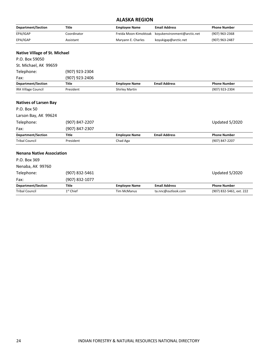| Department/Section                   | <b>Title</b>   | <b>Employee Name</b>  | <b>Email Address</b>        | <b>Phone Number</b>      |
|--------------------------------------|----------------|-----------------------|-----------------------------|--------------------------|
| EPA/IGAP                             | Coordinator    | Freida Moon-Kimoktoak | koyukenvironment@arctic.net | (907) 963-2368           |
| EPA/IGAP                             | Assistant      | Maryann E. Charles    | koyukigap@arctic.net        | (907) 963-2487           |
| <b>Native Village of St. Michael</b> |                |                       |                             |                          |
| P.O. Box 59050                       |                |                       |                             |                          |
| St. Michael, AK 99659                |                |                       |                             |                          |
| Telephone:                           | (907) 923-2304 |                       |                             |                          |
| Fax:                                 | (907) 923-2406 |                       |                             |                          |
| Department/Section                   | <b>Title</b>   | <b>Employee Name</b>  | <b>Email Address</b>        | <b>Phone Number</b>      |
| <b>IRA Village Council</b>           | President      | <b>Shirley Martin</b> |                             | (907) 923-2304           |
| <b>Natives of Larsen Bay</b>         |                |                       |                             |                          |
| P.O. Box 50                          |                |                       |                             |                          |
| Larson Bay, AK 99624                 |                |                       |                             |                          |
| Telephone:                           | (907) 847-2207 |                       |                             | Updated 5/2020           |
| Fax:                                 | (907) 847-2307 |                       |                             |                          |
| <b>Department/Section</b>            | Title          | <b>Employee Name</b>  | <b>Email Address</b>        | <b>Phone Number</b>      |
| <b>Tribal Council</b>                | President      | Chad Aga              |                             | (907) 847-2207           |
| <b>Nenana Native Association</b>     |                |                       |                             |                          |
| P.O. Box 369                         |                |                       |                             |                          |
| Nenaba, AK 99760                     |                |                       |                             |                          |
| Telephone:                           | (907) 832-5461 |                       |                             | Updated 5/2020           |
| Fax:                                 | (907) 832-1077 |                       |                             |                          |
| <b>Department/Section</b>            | <b>Title</b>   | <b>Employee Name</b>  | <b>Email Address</b>        | <b>Phone Number</b>      |
| <b>Tribal Council</b>                | $1st$ Chief    | <b>Tim McManus</b>    | ta.nnc@outlook.com          | (907) 832-5461, ext. 222 |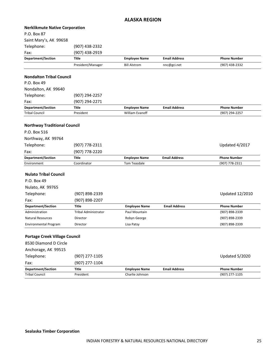## **Nerklikmute Native Corporation**

| Saint Mary's, AK 99658<br>Telephone:<br>(907) 438-2332<br>(907) 438-2919<br>Fax:<br>Department/Section<br>Title<br><b>Employee Name</b><br><b>Email Address</b><br><b>Phone Number</b><br>President/Manager<br><b>Bill Alstrom</b><br>(907) 438-2332<br>nnc@gci.net<br><b>Nondalton Tribal Council</b><br>(907) 294-2257<br>(907) 294-2271<br><b>Phone Number</b><br>Title<br><b>Employee Name</b><br><b>Email Address</b><br>William Evanoff<br>President<br>(907) 294-2257<br>(907) 778-2311<br>Updated 4/2017<br>(907) 778-2220<br><b>Title</b><br><b>Email Address</b><br><b>Phone Number</b><br><b>Employee Name</b><br><b>Tom Teasdale</b><br>(907) 778-2311<br>Coordinator<br><b>Nulato Tribal Council</b><br>P.O. Box 49<br>Nulato, AK 99765<br>Telephone:<br>(907) 898-2339<br><b>Updated 12/2010</b><br>(907) 898-2207<br>Fax:<br><b>Department/Section</b><br><b>Email Address</b><br><b>Phone Number</b><br>Title<br><b>Employee Name</b><br>Administration<br><b>Tribal Administrator</b><br>(907) 898-2339<br>Paul Mountain<br><b>Natural Resources</b><br>(907) 898-2339<br>Robyn George<br>Director<br>(907) 898-2339<br><b>Environmental Program</b><br>Director<br>Lisa Patsy<br><b>Portage Creek Village Council</b><br>8530 Diamond D Circle<br>Anchorage, AK 99515<br>Telephone:<br>(907) 277-1105<br>Updated 5/2020<br>(907) 277-1104<br>Fax:<br>Department/Section<br><b>Email Address</b><br><b>Phone Number</b><br>Title<br><b>Employee Name</b><br><b>Tribal Council</b><br>President<br>Charlie Johnson<br>(907) 277-1105 | P.O. Box 87 |  |  |
|------------------------------------------------------------------------------------------------------------------------------------------------------------------------------------------------------------------------------------------------------------------------------------------------------------------------------------------------------------------------------------------------------------------------------------------------------------------------------------------------------------------------------------------------------------------------------------------------------------------------------------------------------------------------------------------------------------------------------------------------------------------------------------------------------------------------------------------------------------------------------------------------------------------------------------------------------------------------------------------------------------------------------------------------------------------------------------------------------------------------------------------------------------------------------------------------------------------------------------------------------------------------------------------------------------------------------------------------------------------------------------------------------------------------------------------------------------------------------------------------------------------------------------------------------|-------------|--|--|
|                                                                                                                                                                                                                                                                                                                                                                                                                                                                                                                                                                                                                                                                                                                                                                                                                                                                                                                                                                                                                                                                                                                                                                                                                                                                                                                                                                                                                                                                                                                                                      |             |  |  |
|                                                                                                                                                                                                                                                                                                                                                                                                                                                                                                                                                                                                                                                                                                                                                                                                                                                                                                                                                                                                                                                                                                                                                                                                                                                                                                                                                                                                                                                                                                                                                      |             |  |  |
|                                                                                                                                                                                                                                                                                                                                                                                                                                                                                                                                                                                                                                                                                                                                                                                                                                                                                                                                                                                                                                                                                                                                                                                                                                                                                                                                                                                                                                                                                                                                                      |             |  |  |
|                                                                                                                                                                                                                                                                                                                                                                                                                                                                                                                                                                                                                                                                                                                                                                                                                                                                                                                                                                                                                                                                                                                                                                                                                                                                                                                                                                                                                                                                                                                                                      |             |  |  |
|                                                                                                                                                                                                                                                                                                                                                                                                                                                                                                                                                                                                                                                                                                                                                                                                                                                                                                                                                                                                                                                                                                                                                                                                                                                                                                                                                                                                                                                                                                                                                      |             |  |  |
| P.O. Box 49<br>Nondalton, AK 99640<br>Telephone:<br>Fax:<br><b>Department/Section</b><br><b>Tribal Council</b><br><b>Northway Traditional Council</b><br>P.O. Box 516<br>Northway, AK 99764<br>Telephone:<br>Fax:<br><b>Department/Section</b><br>Environment                                                                                                                                                                                                                                                                                                                                                                                                                                                                                                                                                                                                                                                                                                                                                                                                                                                                                                                                                                                                                                                                                                                                                                                                                                                                                        |             |  |  |
|                                                                                                                                                                                                                                                                                                                                                                                                                                                                                                                                                                                                                                                                                                                                                                                                                                                                                                                                                                                                                                                                                                                                                                                                                                                                                                                                                                                                                                                                                                                                                      |             |  |  |
|                                                                                                                                                                                                                                                                                                                                                                                                                                                                                                                                                                                                                                                                                                                                                                                                                                                                                                                                                                                                                                                                                                                                                                                                                                                                                                                                                                                                                                                                                                                                                      |             |  |  |
|                                                                                                                                                                                                                                                                                                                                                                                                                                                                                                                                                                                                                                                                                                                                                                                                                                                                                                                                                                                                                                                                                                                                                                                                                                                                                                                                                                                                                                                                                                                                                      |             |  |  |
|                                                                                                                                                                                                                                                                                                                                                                                                                                                                                                                                                                                                                                                                                                                                                                                                                                                                                                                                                                                                                                                                                                                                                                                                                                                                                                                                                                                                                                                                                                                                                      |             |  |  |
|                                                                                                                                                                                                                                                                                                                                                                                                                                                                                                                                                                                                                                                                                                                                                                                                                                                                                                                                                                                                                                                                                                                                                                                                                                                                                                                                                                                                                                                                                                                                                      |             |  |  |
|                                                                                                                                                                                                                                                                                                                                                                                                                                                                                                                                                                                                                                                                                                                                                                                                                                                                                                                                                                                                                                                                                                                                                                                                                                                                                                                                                                                                                                                                                                                                                      |             |  |  |
|                                                                                                                                                                                                                                                                                                                                                                                                                                                                                                                                                                                                                                                                                                                                                                                                                                                                                                                                                                                                                                                                                                                                                                                                                                                                                                                                                                                                                                                                                                                                                      |             |  |  |
|                                                                                                                                                                                                                                                                                                                                                                                                                                                                                                                                                                                                                                                                                                                                                                                                                                                                                                                                                                                                                                                                                                                                                                                                                                                                                                                                                                                                                                                                                                                                                      |             |  |  |
|                                                                                                                                                                                                                                                                                                                                                                                                                                                                                                                                                                                                                                                                                                                                                                                                                                                                                                                                                                                                                                                                                                                                                                                                                                                                                                                                                                                                                                                                                                                                                      |             |  |  |
|                                                                                                                                                                                                                                                                                                                                                                                                                                                                                                                                                                                                                                                                                                                                                                                                                                                                                                                                                                                                                                                                                                                                                                                                                                                                                                                                                                                                                                                                                                                                                      |             |  |  |
|                                                                                                                                                                                                                                                                                                                                                                                                                                                                                                                                                                                                                                                                                                                                                                                                                                                                                                                                                                                                                                                                                                                                                                                                                                                                                                                                                                                                                                                                                                                                                      |             |  |  |
|                                                                                                                                                                                                                                                                                                                                                                                                                                                                                                                                                                                                                                                                                                                                                                                                                                                                                                                                                                                                                                                                                                                                                                                                                                                                                                                                                                                                                                                                                                                                                      |             |  |  |
|                                                                                                                                                                                                                                                                                                                                                                                                                                                                                                                                                                                                                                                                                                                                                                                                                                                                                                                                                                                                                                                                                                                                                                                                                                                                                                                                                                                                                                                                                                                                                      |             |  |  |
|                                                                                                                                                                                                                                                                                                                                                                                                                                                                                                                                                                                                                                                                                                                                                                                                                                                                                                                                                                                                                                                                                                                                                                                                                                                                                                                                                                                                                                                                                                                                                      |             |  |  |
|                                                                                                                                                                                                                                                                                                                                                                                                                                                                                                                                                                                                                                                                                                                                                                                                                                                                                                                                                                                                                                                                                                                                                                                                                                                                                                                                                                                                                                                                                                                                                      |             |  |  |
|                                                                                                                                                                                                                                                                                                                                                                                                                                                                                                                                                                                                                                                                                                                                                                                                                                                                                                                                                                                                                                                                                                                                                                                                                                                                                                                                                                                                                                                                                                                                                      |             |  |  |
|                                                                                                                                                                                                                                                                                                                                                                                                                                                                                                                                                                                                                                                                                                                                                                                                                                                                                                                                                                                                                                                                                                                                                                                                                                                                                                                                                                                                                                                                                                                                                      |             |  |  |
|                                                                                                                                                                                                                                                                                                                                                                                                                                                                                                                                                                                                                                                                                                                                                                                                                                                                                                                                                                                                                                                                                                                                                                                                                                                                                                                                                                                                                                                                                                                                                      |             |  |  |
|                                                                                                                                                                                                                                                                                                                                                                                                                                                                                                                                                                                                                                                                                                                                                                                                                                                                                                                                                                                                                                                                                                                                                                                                                                                                                                                                                                                                                                                                                                                                                      |             |  |  |
|                                                                                                                                                                                                                                                                                                                                                                                                                                                                                                                                                                                                                                                                                                                                                                                                                                                                                                                                                                                                                                                                                                                                                                                                                                                                                                                                                                                                                                                                                                                                                      |             |  |  |
|                                                                                                                                                                                                                                                                                                                                                                                                                                                                                                                                                                                                                                                                                                                                                                                                                                                                                                                                                                                                                                                                                                                                                                                                                                                                                                                                                                                                                                                                                                                                                      |             |  |  |
|                                                                                                                                                                                                                                                                                                                                                                                                                                                                                                                                                                                                                                                                                                                                                                                                                                                                                                                                                                                                                                                                                                                                                                                                                                                                                                                                                                                                                                                                                                                                                      |             |  |  |
|                                                                                                                                                                                                                                                                                                                                                                                                                                                                                                                                                                                                                                                                                                                                                                                                                                                                                                                                                                                                                                                                                                                                                                                                                                                                                                                                                                                                                                                                                                                                                      |             |  |  |
|                                                                                                                                                                                                                                                                                                                                                                                                                                                                                                                                                                                                                                                                                                                                                                                                                                                                                                                                                                                                                                                                                                                                                                                                                                                                                                                                                                                                                                                                                                                                                      |             |  |  |
|                                                                                                                                                                                                                                                                                                                                                                                                                                                                                                                                                                                                                                                                                                                                                                                                                                                                                                                                                                                                                                                                                                                                                                                                                                                                                                                                                                                                                                                                                                                                                      |             |  |  |
|                                                                                                                                                                                                                                                                                                                                                                                                                                                                                                                                                                                                                                                                                                                                                                                                                                                                                                                                                                                                                                                                                                                                                                                                                                                                                                                                                                                                                                                                                                                                                      |             |  |  |
|                                                                                                                                                                                                                                                                                                                                                                                                                                                                                                                                                                                                                                                                                                                                                                                                                                                                                                                                                                                                                                                                                                                                                                                                                                                                                                                                                                                                                                                                                                                                                      |             |  |  |
|                                                                                                                                                                                                                                                                                                                                                                                                                                                                                                                                                                                                                                                                                                                                                                                                                                                                                                                                                                                                                                                                                                                                                                                                                                                                                                                                                                                                                                                                                                                                                      |             |  |  |
|                                                                                                                                                                                                                                                                                                                                                                                                                                                                                                                                                                                                                                                                                                                                                                                                                                                                                                                                                                                                                                                                                                                                                                                                                                                                                                                                                                                                                                                                                                                                                      |             |  |  |

#### **Sealaska Timber Corporation**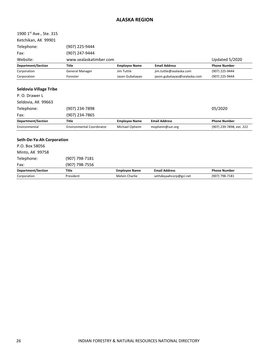| 1900 1st Ave., Ste. 315       |                                  |                       |                              |                          |
|-------------------------------|----------------------------------|-----------------------|------------------------------|--------------------------|
| Ketchikan, AK 99901           |                                  |                       |                              |                          |
| Telephone:                    | (907) 225-9444                   |                       |                              |                          |
| Fax:                          | (907) 247-9444                   |                       |                              |                          |
| Website:                      | www.sealaskatimber.com           |                       |                              | Updated 5/2020           |
| <b>Department/Section</b>     | <b>Title</b>                     | <b>Employee Name</b>  | <b>Email Address</b>         | <b>Phone Number</b>      |
| Corporation                   | <b>General Manager</b>           | Jim Tuttle            | jim.tuttle@sealaska.com      | (907) 225-9444           |
| Corporation                   | Forester                         | Jason Gubatayao       | jason.gubatayao@sealaska.com | (907) 225-9444           |
| <b>Seldovia Village Tribe</b> |                                  |                       |                              |                          |
| P.O. Drawer L                 |                                  |                       |                              |                          |
| Seldovia, AK 99663            |                                  |                       |                              |                          |
| Telephone:                    | (907) 234-7898                   |                       |                              | 05/2020                  |
| Fax:                          | (907) 234-7865                   |                       |                              |                          |
| <b>Department/Section</b>     | <b>Title</b>                     | <b>Employee Name</b>  | <b>Email Address</b>         | <b>Phone Number</b>      |
| Environmental                 | <b>Environmental Coordinator</b> | Michael Opheim        | mopheim@sut.org              | (907) 239-7898, ext. 222 |
| Seth-De-Ya-Ah Corporation     |                                  |                       |                              |                          |
| P.O. Box 58056                |                                  |                       |                              |                          |
| Minto, AK 99758               |                                  |                       |                              |                          |
| Telephone:                    | (907) 798-7181                   |                       |                              |                          |
| Fax:                          | (907) 798-7556                   |                       |                              |                          |
| <b>Department/Section</b>     | <b>Title</b>                     | <b>Employee Name</b>  | <b>Email Address</b>         | <b>Phone Number</b>      |
| Corporation                   | President                        | <b>Melvin Charlie</b> | sethdeyaahcorp@gci.net       | (907) 798-7181           |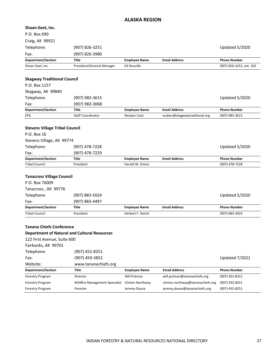| Shaan-Seet, Inc.                                    |                                       |                      |                                   |                          |
|-----------------------------------------------------|---------------------------------------|----------------------|-----------------------------------|--------------------------|
| P.O. Box 690                                        |                                       |                      |                                   |                          |
| Craig, AK 99921                                     |                                       |                      |                                   |                          |
| Telephone:                                          | (907) 826-3251                        |                      |                                   | Updated 5/2020           |
| Fax:                                                | (907) 826-3980                        |                      |                                   |                          |
| <b>Department/Section</b>                           | <b>Title</b>                          | <b>Employee Name</b> | <b>Email Address</b>              | <b>Phone Number</b>      |
| Shaan-Seet, Inc.                                    | President/General Manager             | Ed Douville          |                                   | (907) 826-3251, ext. 102 |
| <b>Skagway Traditional Council</b>                  |                                       |                      |                                   |                          |
| P.O. Box 1157                                       |                                       |                      |                                   |                          |
| Skagway, AK 99840                                   |                                       |                      |                                   |                          |
| Telephone:                                          | (907) 983-3615                        |                      |                                   | Updated 5/2020           |
| Fax:                                                | (907) 983-3068                        |                      |                                   |                          |
| <b>Department/Section</b>                           | <b>Title</b>                          | <b>Employee Name</b> | <b>Email Address</b>              | <b>Phone Number</b>      |
| EPA                                                 | <b>IGAP Coordinator</b>               | Reuben Cash          | reuben@skagwaytraditional.org     | (907) 983-3615           |
| <b>Stevens Village Tribal Council</b>               |                                       |                      |                                   |                          |
| P.O. Box 16                                         |                                       |                      |                                   |                          |
| Stevens Village, AK 99774                           |                                       |                      |                                   |                          |
| Telephone:                                          | (907) 478-7228                        |                      |                                   | Updated 5/2020           |
| Fax:                                                | (907) 478-7229                        |                      |                                   |                          |
| Department/Section                                  | <b>Title</b>                          | <b>Employee Name</b> | <b>Email Address</b>              | <b>Phone Number</b>      |
| <b>Tribal Council</b>                               | President                             | Harold W. Simon      |                                   | (907) 478-7228           |
|                                                     |                                       |                      |                                   |                          |
| <b>Tanacross Village Council</b>                    |                                       |                      |                                   |                          |
| P.O. Box 76009                                      |                                       |                      |                                   |                          |
| Tanacross, AK 99776                                 |                                       |                      |                                   |                          |
| Telephone:                                          | (907) 883-5024                        |                      |                                   | Updated 5/2020           |
| Fax:                                                | (907) 883-4497                        |                      |                                   |                          |
| <b>Department/Section</b>                           | Title                                 | <b>Employee Name</b> | <b>Email Address</b>              | <b>Phone Number</b>      |
| <b>Tribal Council</b>                               | President                             | Herbert F. Demit     |                                   | (907) 883-5024           |
| Tanana Chiefs Conference                            |                                       |                      |                                   |                          |
| <b>Department of Natural and Cultural Resources</b> |                                       |                      |                                   |                          |
| 122 First Avenue, Suite 600                         |                                       |                      |                                   |                          |
| Fairbanks, AK 99701                                 |                                       |                      |                                   |                          |
| Telephone:                                          | (907) 452-8251                        |                      |                                   |                          |
| Fax:                                                | (907) 459-3852                        |                      |                                   | <b>Updated 7/2021</b>    |
| Website:                                            | www.tananachiefs.org                  |                      |                                   |                          |
| <b>Department/Section</b>                           | Title                                 | <b>Employee Name</b> | <b>Email Address</b>              | <b>Phone Number</b>      |
| Forestry Program                                    | Director                              | Will Putman          | will.putman@tananachiefs.org      | (907) 452-8251           |
| <b>Forestry Program</b>                             | <b>Wildfire Management Specialist</b> | Clinton Northway     | clinton.northway@tananachiefs.org | (907) 452-8251           |
| <b>Forestry Program</b>                             | Forester                              | Jeremy Douse         | jeremy.douse@tananachiefs.org     | (907) 452-8251           |
|                                                     |                                       |                      |                                   |                          |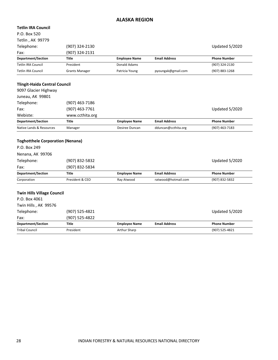| <b>Tetlin IRA Council</b>               |                       |                      |                      |                     |
|-----------------------------------------|-----------------------|----------------------|----------------------|---------------------|
| P.O. Box 520                            |                       |                      |                      |                     |
| Tetlin, AK 99779                        |                       |                      |                      |                     |
| Telephone:                              | (907) 324-2130        |                      |                      | Updated 5/2020      |
| Fax:                                    | (907) 324-2131        |                      |                      |                     |
| Department/Section                      | <b>Title</b>          | <b>Employee Name</b> | <b>Email Address</b> | <b>Phone Number</b> |
| <b>Tetlin IRA Council</b>               | President             | <b>Donald Adams</b>  |                      | (907) 324-2130      |
| <b>Tetlin IRA Council</b>               | <b>Grants Manager</b> | Patricia Young       | pyoungak@gmail.com   | (907) 883-1268      |
| <b>Tlingit-Haida Central Council</b>    |                       |                      |                      |                     |
| 9097 Glacier Highway                    |                       |                      |                      |                     |
| Juneau, AK 99801                        |                       |                      |                      |                     |
| Telephone:                              | (907) 463-7186        |                      |                      |                     |
| Fax:                                    | (907) 463-7761        |                      |                      | Updated 5/2020      |
| Webiste:                                | www.ccthita.org       |                      |                      |                     |
| Department/Section                      | <b>Title</b>          | <b>Employee Name</b> | <b>Email Address</b> | <b>Phone Number</b> |
| Native Lands & Resources                | Manager               | Desiree Duncan       | dduncan@ccthita.org  | (907) 463-7183      |
| <b>Toghotthele Corporation (Nenana)</b> |                       |                      |                      |                     |
| P.O. Box 249                            |                       |                      |                      |                     |
| Nenana, AK 99706                        |                       |                      |                      |                     |
| Telephone:                              | (907) 832-5832        |                      |                      | Updated 5/2020      |
| Fax:                                    | (907) 832-5834        |                      |                      |                     |
| Department/Section                      | <b>Title</b>          | <b>Employee Name</b> | <b>Email Address</b> | <b>Phone Number</b> |
| Corporation                             | President & CEO       | Ray Atwood           | ratwood@hotmail.com  | (907) 832-5832      |
| <b>Twin Hills Village Council</b>       |                       |                      |                      |                     |
| P.O. Box 4061                           |                       |                      |                      |                     |
| Twin Hills, AK 99576                    |                       |                      |                      |                     |
| Telephone:                              | (907) 525-4821        |                      |                      | Updated 5/2020      |
| Fax:                                    | (907) 525-4822        |                      |                      |                     |
| Department/Section                      | <b>Title</b>          | <b>Employee Name</b> | <b>Email Address</b> | <b>Phone Number</b> |
| <b>Tribal Council</b>                   | President             | <b>Arthur Sharp</b>  |                      | (907) 525-4821      |
|                                         |                       |                      |                      |                     |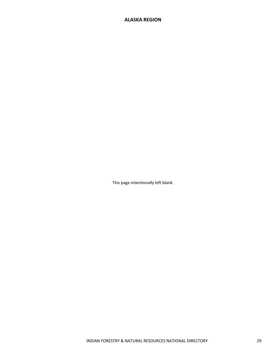This page intentionally left blank.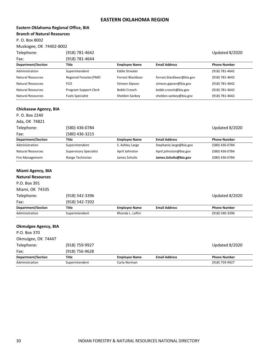#### **EASTERN OKLAHOMA REGION**

# **Eastern Oklahoma Regional Office, BIA**

# **Branch of Natural Resources**

# P. O. Box 8002

# Muskogee, OK 74402‐8002

| Telephone:         | (918) 781-4642          |                       |                           | Updated 8/2020      |
|--------------------|-------------------------|-----------------------|---------------------------|---------------------|
| Fax:               | (918) 781-4644          |                       |                           |                     |
| Department/Section | Title                   | <b>Employee Name</b>  | <b>Email Address</b>      | <b>Phone Number</b> |
| Administration     | Superintendent          | <b>Eddie Streater</b> |                           | (918) 781-4642      |
| Natural Resources  | Regional Forester/FMO   | Forrest Blackbear     | forrest.blackbear@bia.gov | (918) 781-4642      |
| Natural Resources  | <b>FCO</b>              | Simeon Gipson         | simeon.gipson@bia.gov     | (918) 781-4642      |
| Natural Resources  | Program Support Clerk   | Bobbi Crooch          | bobbi.crooch@bia.gov      | (918) 781-4642      |
| Natural Resources  | <b>Fuels Specialist</b> | Sheldon Sankey        | sheldon.sankey@bia.gov    | (918) 781-4642      |

#### **Chickasaw Agency, BIA**

| P. O. Box 2240     |                               |                      |                         |                     |
|--------------------|-------------------------------|----------------------|-------------------------|---------------------|
| Ada, OK 74821      |                               |                      |                         |                     |
| Telephone:         | (580) 436-0784                |                      |                         | Updated 8/2020      |
| Fax:               | (580) 436-3215                |                      |                         |                     |
| Department/Section | <b>Title</b>                  | <b>Employee Name</b> | <b>Email Address</b>    | <b>Phone Number</b> |
| Administration     | Superintendent                | S. Ashley Large      | Stephanie.large@bia.gov | (580) 436-0784      |
| Natural Resources  | <b>Supervisory Specialist</b> | April Johnston       | April.johnston@bia.gov  | (580) 436-0784      |
| Fire Management    | Range Technician              | James Schultz        | James.Schultz@bia.gov   | (580) 436-0784      |

# **Miami Agency, BIA**

| <b>Natural Resources</b> |                |                      |                      |                     |
|--------------------------|----------------|----------------------|----------------------|---------------------|
| P.O. Box 391             |                |                      |                      |                     |
| Miami, OK 74335          |                |                      |                      |                     |
| Telephone:               | (918) 542-3396 |                      |                      | Updated 8/2020      |
| Fax:                     | (918) 542-7202 |                      |                      |                     |
| Department/Section       | Title          | <b>Employee Name</b> | <b>Email Address</b> | <b>Phone Number</b> |
| Administration           | Superintendent | Rhonda L. Loftin     |                      | (918) 540-3396      |

#### **Okmulgee Agency, BIA**

|                                                                                                    | Telephone:<br>Fax: | (918) 759-9927<br>(918) 756-9628 |              | Updated 8/2020 |
|----------------------------------------------------------------------------------------------------|--------------------|----------------------------------|--------------|----------------|
| Department/Section<br>Title<br><b>Email Address</b><br><b>Phone Number</b><br><b>Employee Name</b> |                    |                                  |              |                |
|                                                                                                    | Administration     | Superintendent                   | Carla Norman | (918) 759-9927 |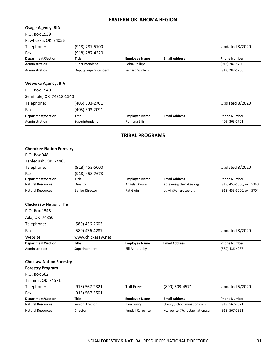## **EASTERN OKLAHOMA REGION**

| <b>Osage Agency, BIA</b> |                       |                        |                      |                     |
|--------------------------|-----------------------|------------------------|----------------------|---------------------|
| P.O. Box 1539            |                       |                        |                      |                     |
| Pawhuska, OK 74056       |                       |                        |                      |                     |
| Telephone:               | (918) 287-5700        |                        |                      | Updated 8/2020      |
| Fax:                     | (918) 287-4320        |                        |                      |                     |
| Department/Section       | Title                 | <b>Employee Name</b>   | <b>Email Address</b> | <b>Phone Number</b> |
| Administration           | Superintendent        | <b>Robin Phillips</b>  |                      | (918) 287-5700      |
| Administration           | Deputy Superintendent | <b>Richard Winlock</b> |                      | (918) 287-5700      |

|  |  |  |  | Wewoka Agency, BIA |  |  |
|--|--|--|--|--------------------|--|--|
|--|--|--|--|--------------------|--|--|

| P.O. Box 1540           |                |                      |                      |                     |  |  |
|-------------------------|----------------|----------------------|----------------------|---------------------|--|--|
| Seminole, OK 74818-1540 |                |                      |                      |                     |  |  |
| Telephone:              | (405) 303-2701 |                      |                      | Updated 8/2020      |  |  |
| Fax:                    | (405) 303-2091 |                      |                      |                     |  |  |
| Department/Section      | Title          | <b>Employee Name</b> | <b>Email Address</b> | <b>Phone Number</b> |  |  |
| Administration          | Superintendent | Romona Ellis         |                      | (405) 303-2701      |  |  |

#### **TRIBAL PROGRAMS**

| <b>Cherokee Nation Forestry</b> |                 |                      |                      |                           |  |  |
|---------------------------------|-----------------|----------------------|----------------------|---------------------------|--|--|
| P.O. Box 948                    |                 |                      |                      |                           |  |  |
| Tahlequah, OK 74465             |                 |                      |                      |                           |  |  |
| Telephone:                      | (918) 453-5000  |                      |                      | Updated 8/2020            |  |  |
| Fax:                            | (918) 458-7673  |                      |                      |                           |  |  |
| Department/Section              | Title           | <b>Employee Name</b> | <b>Email Address</b> | <b>Phone Number</b>       |  |  |
| <b>Natural Resources</b>        | Director        | Angela Drewes        | adrewes@cherokee.org | (918) 453-5000, ext. 5340 |  |  |
| Natural Resources               | Senior Director | Pat Gwin             | pgwin@cherokee.org   | (918) 453-5000, ext. 5704 |  |  |

#### **Chickasaw Nation, The**

| P.O. Box 1548      |                   |                       |                      |                     |
|--------------------|-------------------|-----------------------|----------------------|---------------------|
| Ada, OK 74850      |                   |                       |                      |                     |
| Telephone:         | (580) 436-2603    |                       |                      |                     |
| Fax:               | (580) 436-4287    |                       |                      | Updated 8/2020      |
| Website:           | www.chickasaw.net |                       |                      |                     |
| Department/Section | Title             | <b>Employee Name</b>  | <b>Email Address</b> | <b>Phone Number</b> |
| Administration     | Superintendent    | <b>Bill Anoatubby</b> |                      | (580) 436-4287      |

| <b>Choctaw Nation Forestry</b><br><b>Forestry Program</b><br>P.O. Box 602<br>Talihina, OK 74571 |                 |                      |                              |                     |
|-------------------------------------------------------------------------------------------------|-----------------|----------------------|------------------------------|---------------------|
| Telephone:                                                                                      | (918) 567-2321  | Toll Free:           | (800) 509-4571               | Updated 5/2020      |
| Fax:                                                                                            | (918) 567-3501  |                      |                              |                     |
| Department/Section                                                                              | <b>Title</b>    | <b>Employee Name</b> | <b>Email Address</b>         | <b>Phone Number</b> |
| <b>Natural Resources</b>                                                                        | Senior Director | <b>Tom Lowry</b>     | tlowry@choctawnation.com     | (918) 567-2321      |
| Natural Resources                                                                               | Director        | Kendall Carpenter    | kcarpenter@choctawnation.com | (918) 567-2321      |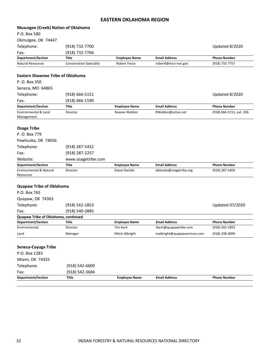## **EASTERN OKLAHOMA REGION**

| <b>Muscogee (Creek) Nation of Oklahoma</b> |                                  |                      |                              |                          |
|--------------------------------------------|----------------------------------|----------------------|------------------------------|--------------------------|
| P.O. Box 580                               |                                  |                      |                              |                          |
| Okmulgee, OK 74447                         |                                  |                      |                              |                          |
| Telephone:                                 | (918) 732-7700                   |                      |                              | Updated 8/2020           |
| Fax:                                       | (918) 732-7766                   |                      |                              |                          |
| <b>Department/Section</b>                  | <b>Title</b>                     | <b>Employee Name</b> | <b>Email Address</b>         | <b>Phone Number</b>      |
| <b>Natural Resources</b>                   | <b>Conservation Specialist</b>   | <b>Robert Fixico</b> | robertf@mcn-nsn.gov          | (918) 732-7757           |
| <b>Eastern Shawnee Tribe of Oklahoma</b>   |                                  |                      |                              |                          |
| P. O. Box 350                              |                                  |                      |                              |                          |
| Seneca, MO 64865                           |                                  |                      |                              |                          |
| Telephone:                                 | $(918) 666 - 5151$               |                      |                              | Updated 8/2020           |
| Fax:                                       | (918) 666-1590                   |                      |                              |                          |
| <b>Department/Section</b>                  | <b>Title</b>                     | <b>Employee Name</b> | <b>Email Address</b>         | <b>Phone Number</b>      |
| Environmental & Land<br>Management         | Director                         | Roxane Weldon        | RWeldon@estoo.net            | (918) 666-5151, ext. 206 |
| <b>Osage Tribe</b>                         |                                  |                      |                              |                          |
| P. O. Box 779                              |                                  |                      |                              |                          |
| Pawhuska, OK 74056                         |                                  |                      |                              |                          |
| Telephone:                                 | (918) 287-5432                   |                      |                              |                          |
| Fax:                                       | (918) 287-2257                   |                      |                              |                          |
| Website:                                   | www.osagetribe.com               |                      |                              |                          |
| <b>Department/Section</b>                  | <b>Title</b>                     | <b>Employee Name</b> | <b>Email Address</b>         | <b>Phone Number</b>      |
| Environmental & Natural<br>Resources       | Director                         | Diane Daniels        | ddaniels@osagetribe.org      | (918) 287-5404           |
| <b>Quapaw Tribe of Oklahoma</b>            |                                  |                      |                              |                          |
| P.O. Box 765                               |                                  |                      |                              |                          |
| Quapaw, OK 74363                           |                                  |                      |                              |                          |
| Telephone:                                 | (918) 542-1853                   |                      |                              | <b>Updated 07/2020</b>   |
| Fax:                                       | (918) 540-2885                   |                      |                              |                          |
| Quapaw Tribe of Oklahoma, continued        |                                  |                      |                              |                          |
| <b>Department/Section</b>                  | Title                            | <b>Employee Name</b> | <b>Email Address</b>         | <b>Phone Number</b>      |
| Environmental                              | Director                         | Tim Kent             | tkent@quapawtribe.com        | (918) 542-1853           |
| Land                                       | Manager                          | Mitch Albright       | malbright@quapawservices.com | (918) 238-3099           |
| Seneca-Cayuga Tribe                        |                                  |                      |                              |                          |
| P.O. Box 1283                              |                                  |                      |                              |                          |
| Miami, OK 74355                            |                                  |                      |                              |                          |
|                                            |                                  |                      |                              |                          |
|                                            |                                  |                      |                              |                          |
| Telephone:<br>Fax:                         | (918) 542-6609<br>(918) 542-3684 |                      |                              |                          |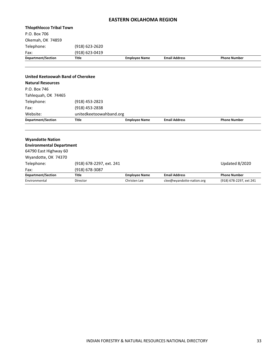## **EASTERN OKLAHOMA REGION**

| <b>Thiopthiocco Tribal Town</b>   |                          |                      |                           |                         |
|-----------------------------------|--------------------------|----------------------|---------------------------|-------------------------|
| P.O. Box 706                      |                          |                      |                           |                         |
| Okemah, OK 74859                  |                          |                      |                           |                         |
| Telephone:                        | $(918)$ 623-2620         |                      |                           |                         |
| Fax:                              | (918) 623-0419           |                      |                           |                         |
| <b>Department/Section</b>         | <b>Title</b>             | <b>Employee Name</b> | <b>Email Address</b>      | <b>Phone Number</b>     |
| United Keetoowah Band of Cherokee |                          |                      |                           |                         |
| <b>Natural Resources</b>          |                          |                      |                           |                         |
| P.O. Box 746                      |                          |                      |                           |                         |
| Tahlequah, OK 74465               |                          |                      |                           |                         |
| Telephone:                        | $(918)$ 453-2823         |                      |                           |                         |
| Fax:                              | (918) 453-2838           |                      |                           |                         |
| Website:                          | unitedkeetoowahband.org  |                      |                           |                         |
| <b>Department/Section</b>         | <b>Title</b>             | <b>Employee Name</b> | <b>Email Address</b>      | <b>Phone Number</b>     |
| <b>Wyandotte Nation</b>           |                          |                      |                           |                         |
| <b>Environmental Department</b>   |                          |                      |                           |                         |
| 64790 East Highway 60             |                          |                      |                           |                         |
| Wyandotte, OK 74370               |                          |                      |                           |                         |
| Telephone:                        | (918) 678-2297, ext. 241 |                      |                           | Updated 8/2020          |
| Fax:                              | (918) 678-3087           |                      |                           |                         |
| <b>Department/Section</b>         | <b>Title</b>             | <b>Employee Name</b> | <b>Email Address</b>      | <b>Phone Number</b>     |
| Environmental                     | Director                 | Christen Lee         | clee@wyandotte-nation.org | (918) 678-2297, ext 241 |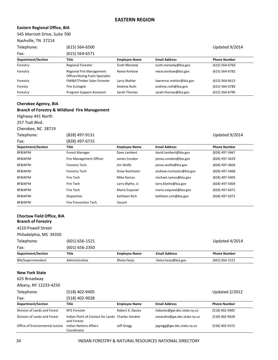## **Eastern Regional Office, BIA**

| 545 Marriott Drive, Suite 700                            |                                                                           |                      |                             |                     |
|----------------------------------------------------------|---------------------------------------------------------------------------|----------------------|-----------------------------|---------------------|
| Nashville, TN 37214                                      |                                                                           |                      |                             |                     |
| Telephone:                                               | $(615) 564 - 6500$                                                        |                      |                             | Updated 9/2014      |
| Fax:                                                     | $(615) 564 - 6571$                                                        |                      |                             |                     |
| Department/Section                                       | <b>Title</b>                                                              | <b>Employee Name</b> | <b>Email Address</b>        | <b>Phone Number</b> |
| Forestry                                                 | <b>Regional Forester</b>                                                  | <b>Scott Meneely</b> | scott.meneely@bia.gov       | (615) 564-6760      |
| Forestry                                                 | <b>Regional Fire Management</b><br><b>Officer/Acting Fuels Specialist</b> | Reese Kerbow         | reese.kerbow@bia.gov        | (615) 564-6782      |
| Forestry                                                 | FMI&P/Timber Sales Forester                                               | Larry Mahler         | lawrence.mahler@bia.gov     | (615) 564-6613      |
| Foresty                                                  | Fire Ecologist                                                            | Andrew Ruth          | andrew.ruth@bia.gov         | (615) 564-6780      |
| Forestry                                                 | Program Support Assistant                                                 | Sarah Thomas         | sarah.thomas@bia.gov        | (615) 564-6790      |
| <b>Cherokee Agency, BIA</b>                              |                                                                           |                      |                             |                     |
| <b>Branch of Forestry &amp; Wildland Fire Management</b> |                                                                           |                      |                             |                     |
| Highway 441 North                                        |                                                                           |                      |                             |                     |
| 257 Tsali Blvd.                                          |                                                                           |                      |                             |                     |
| Cherokee, NC 28719                                       |                                                                           |                      |                             |                     |
| Telephone:                                               | (828) 497-9131                                                            |                      |                             | Updated 9/2014      |
| Fax:                                                     | (828) 497-6715                                                            |                      |                             |                     |
| Department/Section                                       | <b>Title</b>                                                              | <b>Employee Name</b> | <b>Email Address</b>        | <b>Phone Number</b> |
| BF&WFM                                                   | <b>Forest Manager</b>                                                     | Dave Lambert         | david.lambert@bia.gov       | (828) 497-3467      |
| BF&WFM                                                   | Fire Management Officer                                                   | James Condon         | james.condon@bia.gov        | (828) 497-3629      |
| BF&WFM                                                   | Forestry Tech.                                                            | Jim Wolfe            | james.wolfe@bia.gov         | (828) 497-3604      |
| BF&WFM                                                   | <b>Forestry Tech</b>                                                      | Drew Rochester       | andrew.rochester@bia.gov    | (828) 497-3468      |
| BF&WFM                                                   | Fire Tech                                                                 | Mike Ramos           | michael.ramos@bia.gov       | (828) 497-5005      |
| BF&WFM                                                   | Fire Tech                                                                 | Larry Blythe, Jr.    | larry.blythe@bia.gov        | (828) 497-5004      |
| BF&WFM                                                   | Fire Tech                                                                 | Mario Esquivel       | mario.esquivel@bia.gov      | (828) 497-6071      |
| BF&WFM                                                   | Dispatcher                                                                | Kathleen Rich        | kathleen.rich@bia.gov       | (828) 497-5071      |
| BF&WFM                                                   | Fire Prevention Tech.                                                     | Vacant               |                             |                     |
|                                                          |                                                                           |                      |                             |                     |
| <b>Choctaw Field Office, BIA</b>                         |                                                                           |                      |                             |                     |
| <b>Branch of Forestry</b>                                |                                                                           |                      |                             |                     |
| 4210 Powell Street                                       |                                                                           |                      |                             |                     |
| Philadelphia, MS 39350                                   |                                                                           |                      |                             |                     |
| Telephone:                                               | $(601) 656 - 1521$                                                        |                      |                             | Updated 4/2014      |
| Fax:                                                     | (601) 656-2350                                                            |                      |                             |                     |
| <b>Department/Section</b>                                | <b>Title</b>                                                              | <b>Employee Name</b> | <b>Email Address</b>        | <b>Phone Number</b> |
| BIA/Superintendent                                       | Administrative                                                            | Rheta Harjo          | rheta.harjo@bia.gov         | (601) 656-1521      |
|                                                          |                                                                           |                      |                             |                     |
| <b>New York State</b>                                    |                                                                           |                      |                             |                     |
| 625 Broadway                                             |                                                                           |                      |                             |                     |
| Albany, NY 12233-4250                                    |                                                                           |                      |                             |                     |
|                                                          |                                                                           |                      |                             |                     |
| Telephone:                                               | (518) 402-9405                                                            |                      |                             | Updated 2/2012      |
| Fax:                                                     | (518) 402-9028                                                            |                      |                             |                     |
| Department/Section                                       | <b>Title</b>                                                              | <b>Employee Name</b> | <b>Email Address</b>        | <b>Phone Number</b> |
| Division of Lands and Forest                             | <b>NYS Forester</b>                                                       | Robert K. Davies     | rkdavies@gw.dec.state.ny.us | (518) 402-9405      |
| Division of Lands and Forest                             | Indian Point of Contact for Lands Charles Vandrei<br>and Forests          |                      | cevandre@gw.dec.state.ny.us | (518) 402-9428      |
| Office of Environmental Justice                          | <b>Indian Nations Affairs</b><br>Coordinator                              | Jeff Gregg           | jagregg@gw.dec.state.ny.us  | (518) 402-9155      |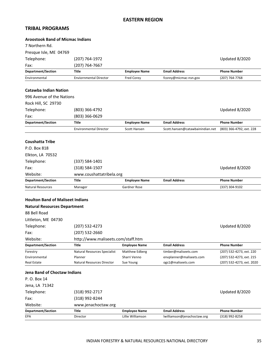# **TRIBAL PROGRAMS**

| <b>Aroostook Band of Micmac Indians</b> |                                    |                                           |                                  |                           |
|-----------------------------------------|------------------------------------|-------------------------------------------|----------------------------------|---------------------------|
| 7 Northern Rd.                          |                                    |                                           |                                  |                           |
| Presque Isle, ME 04769                  |                                    |                                           |                                  |                           |
| Telephone:                              | (207) 764-1972                     |                                           |                                  | Updated 8/2020            |
| Fax:                                    | (207) 764-7667                     |                                           |                                  |                           |
| Department/Section                      | Title                              | <b>Employee Name</b>                      | <b>Email Address</b>             | <b>Phone Number</b>       |
| Environmental                           | <b>Enviornmental Director</b>      | <b>Fred Corey</b>                         | fcorey@micmac-nsn.gov            | (207) 764-7768            |
|                                         |                                    |                                           |                                  |                           |
| <b>Catawba Indian Nation</b>            |                                    |                                           |                                  |                           |
| 996 Avenue of the Nations               |                                    |                                           |                                  |                           |
| Rock Hill, SC 29730                     |                                    |                                           |                                  |                           |
| Telephone:                              | (803) 366-4792                     |                                           |                                  | Updated 8/2020            |
| Fax:                                    | (803) 366-0629                     |                                           |                                  |                           |
| <b>Department/Section</b>               | Title                              | <b>Employee Name</b>                      | <b>Email Address</b>             | <b>Phone Number</b>       |
|                                         | <b>Environmental Director</b>      | <b>Scott Hansen</b>                       | Scott.hansen@catawbainindian.net | (803) 366-4792, ext. 228  |
|                                         |                                    |                                           |                                  |                           |
| <b>Coushatta Tribe</b>                  |                                    |                                           |                                  |                           |
| P.O. Box 818                            |                                    |                                           |                                  |                           |
| Elkton, LA 70532                        |                                    |                                           |                                  |                           |
| Telephone:                              | (337) 584-1401                     |                                           |                                  |                           |
| Fax:                                    | (318) 584-1507                     |                                           |                                  | Updated 8/2020            |
| Website:                                | www.coushattatribela.org           |                                           |                                  |                           |
| Department/Section                      | Title                              | <b>Employee Name</b>                      | <b>Email Address</b>             | <b>Phone Number</b>       |
| <b>Natural Resources</b>                | Manager                            | Gardner Rose                              |                                  | (337) 304-9102            |
|                                         |                                    |                                           |                                  |                           |
| <b>Houlton Band of Maliseet Indians</b> |                                    |                                           |                                  |                           |
| <b>Natural Resources Department</b>     |                                    |                                           |                                  |                           |
| 88 Bell Road                            |                                    |                                           |                                  |                           |
| Littleton, ME 04730                     |                                    |                                           |                                  |                           |
| Telephone:                              | (207) 532-4273                     |                                           |                                  | Updated 8/2020            |
| Fax:                                    | (207) 532-2660                     |                                           |                                  |                           |
| Website:                                | http://www.maliseets.com/staff.htm |                                           |                                  |                           |
| Department/Section                      | Title                              | <b>Employee Name</b>                      | <b>Email Address</b>             | <b>Phone Number</b>       |
| Forestry                                | Natural Resources Specialist       | Matthew Edberg                            | timber@maliseets.com             | (207) 532-4273, ext. 220  |
| Environmental                           | Planner                            | Sharri Venno                              | envplanner@maliseets.com         | (207) 532-4273, ext. 215  |
| <b>Real Estate</b>                      | Natural Resources Director         | Sue Young                                 | ogs1@maliseets.com               | (207) 532-4273, ext. 2020 |
| Jena Band of Choctaw Indians            |                                    |                                           |                                  |                           |
| P. O. Box 14                            |                                    |                                           |                                  |                           |
| Jena, LA 71342                          |                                    |                                           |                                  |                           |
| Telephone:                              | (318) 992-2717                     |                                           |                                  | Updated 8/2020            |
| Fax:                                    | (318) 992-8244                     |                                           |                                  |                           |
|                                         |                                    |                                           |                                  |                           |
| Website:<br><b>Department/Section</b>   | www.jenachoctaw.org<br>Title       |                                           | <b>Email Address</b>             | <b>Phone Number</b>       |
| EPA                                     | Director                           | <b>Employee Name</b><br>Lillie Williamson | lwilliamson@jenachoctaw.org      | (318) 992-8258            |
|                                         |                                    |                                           |                                  |                           |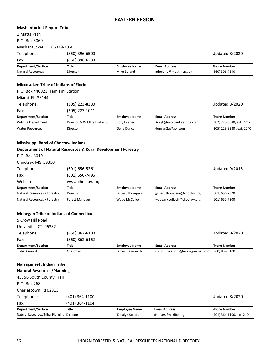#### **Mashantucket Pequot Tribe**

| <b>Natural Resources</b>    | Director       | Mike Boland          | mboland@mptn-nsn.gov | (860) 396-7590      |
|-----------------------------|----------------|----------------------|----------------------|---------------------|
| Department/Section          | Title          | <b>Employee Name</b> | <b>Email Address</b> | <b>Phone Number</b> |
| Fax:                        | (860) 396-6288 |                      |                      |                     |
| Telephone:                  | (860) 396-6500 |                      |                      | Updated 8/2020      |
| Mashantucket, CT 06339-3060 |                |                      |                      |                     |
| P.O. Box 3060               |                |                      |                      |                     |
| 1 Matts Path                |                |                      |                      |                     |

## **Miccosukee Tribe of Indians of Florida**

| P.O. Box 440021, Tamiami Station |                               |                      |                           |                           |  |  |
|----------------------------------|-------------------------------|----------------------|---------------------------|---------------------------|--|--|
| Miami, FL 33144                  |                               |                      |                           |                           |  |  |
| Telephone:                       | (305) 223-8380                |                      |                           | Updated 8/2020            |  |  |
| Fax:                             | (305) 223-1011                |                      |                           |                           |  |  |
| Department/Section               | Title                         | <b>Employee Name</b> | <b>Email Address</b>      | <b>Phone Number</b>       |  |  |
| <b>Wildlife Department</b>       | Director & Wildlife Biologist | Rory Feeney          | RoryF@miccosukeetribe.com | (302) 223-8380, ext. 2217 |  |  |
| <b>Water Resources</b>           | Director                      | Gene Duncan          | duncan2u@aol.com          | (305) 223-8380, ext. 2240 |  |  |

#### **Mississippi Band of Choctaw Indians**

#### **Department of Natural Resources & Rural Development Forestry**

| P.O. Box 6010                |                 |                      |                             |                     |
|------------------------------|-----------------|----------------------|-----------------------------|---------------------|
| Choctaw, MS 39350            |                 |                      |                             |                     |
| Telephone:                   | (601) 656-5261  |                      |                             | Updated 9/2015      |
| Fax:                         | (601) 650-7496  |                      |                             |                     |
| Website:                     | www.choctaw.org |                      |                             |                     |
| Department/Section           | <b>Title</b>    | <b>Employee Name</b> | <b>Email Address</b>        | <b>Phone Number</b> |
| Natural Resources / Forestry | Director        | Gilbert Thompson     | gilbert.thompson@choctw.org | (601) 656-2070      |
| Natural Resources / Forestry | Forest Manager  | Wade McCulloch       | wade.mcculloch@choctaw.org  | (601) 650-7300      |

## **Mohegan Tribe of Indians of Connecticut**

| <b>Tribal Council</b> | Chairman       | James Gessner. Jr.   | communications@moheganmail.com (860) 832-6100 |                     |
|-----------------------|----------------|----------------------|-----------------------------------------------|---------------------|
| Department/Section    | Title          | <b>Employee Name</b> | <b>Email Address</b>                          | <b>Phone Number</b> |
| Fax:                  | (860) 862-6162 |                      |                                               |                     |
| Telephone:            | (860) 862-6100 |                      |                                               | Updated 8/2020      |
| Uncasville, CT 06382  |                |                      |                                               |                     |
| 5 Crow Hill Road      |                |                      |                                               |                     |
|                       |                |                      |                                               |                     |

#### **Narragansett Indian Tribe**

| <b>Natural Resources/Planning</b>          |                |                      |                      |                          |  |
|--------------------------------------------|----------------|----------------------|----------------------|--------------------------|--|
| 4375B South County Trail                   |                |                      |                      |                          |  |
| P.O. Box 268                               |                |                      |                      |                          |  |
| Charlestown, RI 02813                      |                |                      |                      |                          |  |
| Telephone:                                 | (401) 364-1100 |                      |                      | Updated 8/2020           |  |
| Fax:                                       | (401) 364-1104 |                      |                      |                          |  |
| Department/Section                         | Title          | <b>Employee Name</b> | <b>Email Address</b> | <b>Phone Number</b>      |  |
| Natural Resources/Tribal Planning Director |                | Dinalyn Spears       | dspears@nitribe.org  | (401) 364-1100, ext. 210 |  |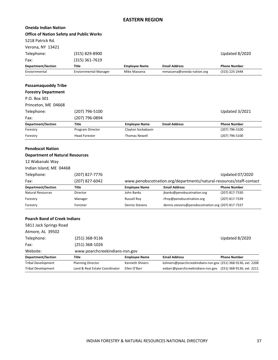# **Oneida Indian Nation**

## **Office of Nation Safety and Public Works**

5218 Patrick Rd.

| Verona, NY 13421   |                              |                      |                            |                     |  |
|--------------------|------------------------------|----------------------|----------------------------|---------------------|--|
| Telephone:         | (315) 829-8900               |                      |                            | Updated 8/2020      |  |
| Fax:               | (315) 361-7619               |                      |                            |                     |  |
| Department/Section | Title                        | <b>Employee Name</b> | <b>Email Address</b>       | <b>Phone Number</b> |  |
| Enviornmental      | <b>Enviornmental Manager</b> | Mike Massena         | mmassena@oneida-nation.org | (315) 225-2444      |  |

## **Passamaquoddy Tribe**

## **Forestry Department**

P.O. Box 301

#### Princeton, ME 04668

| $1.111$ CCCU <sub>1</sub> , IVIL 07000 |                      |                      |                      |                     |
|----------------------------------------|----------------------|----------------------|----------------------|---------------------|
| Telephone:                             | (207) 796-5100       |                      |                      | Updated 3/2021      |
| Fax:                                   | (207) 796-0894       |                      |                      |                     |
| Department/Section                     | Title                | <b>Employee Name</b> | <b>Email Address</b> | <b>Phone Number</b> |
| Forestry                               | Program Director     | Clayton Sockabasin   |                      | (207) 796-5100      |
| Forestry                               | <b>Head Forester</b> | <b>Thomas Newell</b> |                      | (207) 796-5100      |
|                                        |                      |                      |                      |                     |

#### **Penobscot Nation**

## **Department of Natural Resources**

12 Wabanaki Way

Indian Island, ME 04468

| Telephone:               | (207) 827-7776  |                      |                                                                     | <b>Updated 07/2020</b> |
|--------------------------|-----------------|----------------------|---------------------------------------------------------------------|------------------------|
| Fax:                     | (207) 827-6042  |                      | www.penobscotnation.org/departments/natural-resources/staff-contact |                        |
| Department/Section       | Title           | <b>Employee Name</b> | <b>Email Address</b>                                                | <b>Phone Number</b>    |
| <b>Natural Resources</b> | <b>Director</b> | John Banks           | jbanks@penobscotnation.org                                          | (207) 817-7330         |
| Forestry                 | Manager         | <b>Russell Roy</b>   | rfroy@penobscotnation.org                                           | (207) 817-7339         |
| Forestry                 | Forester        | Dennis Stevens       | dennis.stevens@penobscotnation.org (207) 817-7337                   |                        |
|                          |                 |                      |                                                                     |                        |

### **Poarch Band of Creek Indians**

| 5811 Jack Springs Road    |                                |                        |                                                               |                           |
|---------------------------|--------------------------------|------------------------|---------------------------------------------------------------|---------------------------|
| Atmore, AL 39502          |                                |                        |                                                               |                           |
| Telephone:                | (251) 368-9136                 |                        |                                                               | Updated 8/2020            |
| Fax:                      | (251) 368-1026                 |                        |                                                               |                           |
| Website:                  | www.poarchcreekindians-nsn.gov |                        |                                                               |                           |
| Department/Section        | Title                          | <b>Employee Name</b>   | <b>Email Address</b>                                          | <b>Phone Number</b>       |
| <b>Tribal Development</b> | <b>Planning Director</b>       | <b>Kenneth Shivers</b> | kshivers@poarchcreekindians-nsn.gov (251) 368-9136, ext. 2208 |                           |
| <b>Tribal Development</b> | Land & Real Estate Coordinator | Ellen O'Barr           | eobarr@poarchcreekindians-nsn.gov                             | (251) 368-9136, ext. 2211 |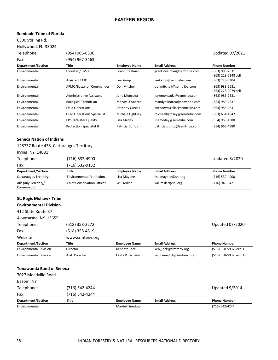| <b>Seminole Tribe of Florida</b>                                                               |                                    |                        |                              |                                       |
|------------------------------------------------------------------------------------------------|------------------------------------|------------------------|------------------------------|---------------------------------------|
| 6300 Stirling Rd.                                                                              |                                    |                        |                              |                                       |
| Hollywood, FL 33024                                                                            |                                    |                        |                              |                                       |
| Telephone:                                                                                     | (954) 966-6300                     |                        |                              | <b>Updated 07/2021</b>                |
| Fax:                                                                                           | (954) 967-3463                     |                        |                              |                                       |
| <b>Department/Section</b>                                                                      | <b>Title</b>                       | <b>Employee Name</b>   | <b>Email Address</b>         | <b>Phone Number</b>                   |
| Environmental                                                                                  | Forester / FMO                     | <b>Grant Steelman</b>  | grantsteelman@semtribe.com   | (863) 983-2631<br>(863) 228-6248 cell |
| Environmental                                                                                  | <b>Assistant FMO</b>               | Lee Kemp               | leekemp@semtribe.com         | (863) 228-5304                        |
| Environmental                                                                                  | AFMO/Battalion Commander           | Don Mitchell           | donmitchell@semtribe.com     | (863) 983-2631<br>(863) 228-2079 cell |
| Environmental                                                                                  | Administrative Assistant           | June Moncada           | junemoncada@semtribe.com     | (863) 983-2631                        |
| Environmental                                                                                  | <b>Biological Technician</b>       | Mandy D'Andrea         | mandydandrea@semtribe.com    | (863) 983-2631                        |
| Environmental                                                                                  | <b>Field Operations</b>            | <b>Anthony Curella</b> | anthonycurella@semtribe.com  | (863) 983-2631                        |
| Environmental                                                                                  | <b>Filed Operations Specialist</b> | Michale Lightsey       | michaellightsey@semtribe.com | (863) 634-4642                        |
| Environmental                                                                                  | <b>EPS III-Water Quality</b>       | Lisa Meday             | lisameday@semtribe.com       | (954) 965-4380                        |
| Environmental                                                                                  | <b>Protection Specialist II</b>    | Patricia Durius        | patricia.durius@semtribe.com | (954) 965-4380                        |
| <b>Seneca Nation of Indians</b><br>128737 Route 438, Cattaraugus Territory<br>Irving, NY 14081 |                                    |                        |                              |                                       |
| Telephone:                                                                                     | (716) 532-4900                     |                        |                              | Updated 8/2020                        |
| Fax:                                                                                           | (716) 532-9132                     |                        |                              |                                       |
| <b>Department/Section</b>                                                                      | Title                              | <b>Employee Name</b>   | <b>Email Address</b>         | <b>Phone Number</b>                   |
| Cattaraugus Territory                                                                          | Environmental Protection.          | Lisa Maybee            | lisa.maybee@sni.org          | (716) 532-4900                        |
| Allegany Territory/<br>Conservation                                                            | <b>Chief Conservation Officer</b>  | Will Miller            | will.miller@sni.org          | (716) 946-6421                        |
| <b>St. Regis Mohawk Tribe</b>                                                                  |                                    |                        |                              |                                       |
| <b>Environmental Division</b>                                                                  |                                    |                        |                              |                                       |
| 412 State Route 37                                                                             |                                    |                        |                              |                                       |
| Akwesasne, NY 13655                                                                            |                                    |                        |                              |                                       |
| Telephone:                                                                                     | (518) 358-2272                     |                        |                              | <b>Updated 07/2020</b>                |
| Fax:                                                                                           | (518) 358-4519                     |                        |                              |                                       |
| Website:                                                                                       | www.srmtenv.org                    |                        |                              |                                       |
| Department/Section                                                                             | <b>Title</b>                       | <b>Employee Name</b>   | <b>Email Address</b>         | <b>Phone Number</b>                   |
| <b>Environmental Division</b>                                                                  | Director                           | Kenneth Jock           | ken jock@srmtenv.org         | (518) 358-5937, ext. 16               |
| <b>Environmental Division</b>                                                                  | Asst. Director                     | Leslie K. Benedict     | les benedict@srmtenv.org     | (518) 358-5937, ext. 18               |
| <b>Tonawanda Band of Seneca</b>                                                                |                                    |                        |                              |                                       |
| 7027 Meadville Road                                                                            |                                    |                        |                              |                                       |
| Basom, NY                                                                                      |                                    |                        |                              |                                       |
| Telephone:                                                                                     | (716) 542-4244                     |                        |                              | Updated 9/2014                        |
| Fax:                                                                                           | (716) 542-4244                     |                        |                              |                                       |
| <b>Department/Section</b>                                                                      | Title                              | <b>Employee Name</b>   | <b>Email Address</b>         | <b>Phone Number</b>                   |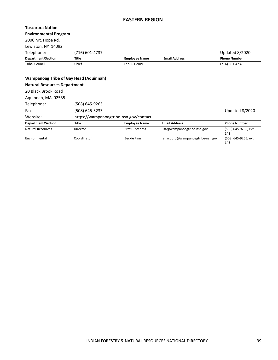| Tuscarora Nation                    |                                               |                                        |                                 |                             |
|-------------------------------------|-----------------------------------------------|----------------------------------------|---------------------------------|-----------------------------|
| <b>Environmental Program</b>        |                                               |                                        |                                 |                             |
| 2006 Mt. Hope Rd.                   |                                               |                                        |                                 |                             |
| Lewiston, NY 14092                  |                                               |                                        |                                 |                             |
| Telephone:                          | (716) 601-4737                                |                                        |                                 | Updated 8/2020              |
| Department/Section                  | <b>Title</b>                                  | <b>Employee Name</b>                   | <b>Email Address</b>            | <b>Phone Number</b>         |
| <b>Tribal Council</b>               | Chief                                         | Leo R. Henry                           |                                 | (716) 601-4737              |
|                                     | <b>Wampanoag Tribe of Gay Head (Aquinnah)</b> |                                        |                                 |                             |
| <b>Natural Resources Department</b> |                                               |                                        |                                 |                             |
| 20 Black Brook Road                 |                                               |                                        |                                 |                             |
| Aquinnah, MA 02535                  |                                               |                                        |                                 |                             |
| Telephone:                          | (508) 645-9265                                |                                        |                                 |                             |
| Fax:                                | (508) 645-3233                                |                                        |                                 | Updated 8/2020              |
| Website:                            |                                               | https://wampanoagtribe-nsn.gov/contact |                                 |                             |
| Department/Section                  | <b>Title</b>                                  | <b>Employee Name</b>                   | <b>Email Address</b>            | <b>Phone Number</b>         |
| <b>Natural Resources</b>            | Director                                      | Bret P. Stearns                        | isa@wampanoagtribe-nsn.gov      | (508) 645-9265, ext.<br>141 |
| Environmental                       | Coordinator                                   | <b>Beckie Finn</b>                     | envcoord@wampanoagtribe-nsn.gov | (508) 645-9265, ext.<br>143 |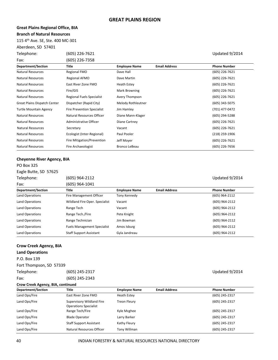## **Great Plains Regional Office, BIA Branch of Natural Resources**

115 4th Ave. SE, Ste. 400 MC‐301

Aberdeen, SD 57401

| Telephone: | (605) 226-7621 |
|------------|----------------|
| Fax:       | (605) 226-7358 |

|                               | , ,                               |                      |                      |                     |  |
|-------------------------------|-----------------------------------|----------------------|----------------------|---------------------|--|
| Department/Section            | Title                             | <b>Employee Name</b> | <b>Email Address</b> | <b>Phone Number</b> |  |
| <b>Natural Resources</b>      | Regional FMO                      | Dave Hall            |                      | (605) 226-7621      |  |
| <b>Natural Resources</b>      | Regional AFMO                     | Dave Martin          |                      | (605) 226-7621      |  |
| <b>Natural Resources</b>      | East River Zone FMO               | Heath Estey          |                      | (605) 226-7621      |  |
| <b>Natural Resources</b>      | Fire/GIS                          | Mark Browning        |                      | (605) 226-7621      |  |
| <b>Natural Resources</b>      | <b>Regional Fuels Specialist</b>  | Avery Thompson       |                      | (605) 226-7621      |  |
| Great Plains Dispatch Center  | Dispatcher (Rapid City)           | Melody Rothleutner   |                      | (605) 343-5075      |  |
| <b>Turtle Mountain Agency</b> | <b>Fire Prevention Specialist</b> | Jim Hamley           |                      | (701) 477-0472      |  |
| <b>Natural Resources</b>      | Natural Resources Officer         | Diane Mann-Klager    |                      | (605) 294-5288      |  |
| <b>Natural Resources</b>      | Administrative Officer            | Diane Cartney        |                      | (605) 226-7621      |  |
| <b>Natural Resources</b>      | Secretary                         | Vacant               |                      | (605) 226-7621      |  |
| <b>Natural Resources</b>      | Ecologist (Inter-Regional)        | Paul Pooler          |                      | (218) 259-1906      |  |
| <b>Natural Resources</b>      | Fire Mitigation/Prevention        | Jeff Moyer           |                      | (605) 226-7621      |  |
| <b>Natural Resources</b>      | Fire Archaeologist                | <b>Bronco LeBeau</b> |                      | (605) 226-7656      |  |

#### **Cheyenne River Agency, BIA**

| PO Box 325            |                                    |                      |                      |                     |
|-----------------------|------------------------------------|----------------------|----------------------|---------------------|
| Eagle Butte, SD 57625 |                                    |                      |                      |                     |
| Telephone:            | (605) 964-2112                     |                      |                      | Updated 9/2014      |
| Fax:                  | (605) 964-1041                     |                      |                      |                     |
| Department/Section    | Title                              | <b>Employee Name</b> | <b>Email Address</b> | <b>Phone Number</b> |
| Land Operations       | Fire Management Officer            | Tony Kennedy         |                      | (605) 964-2112      |
| Land Operations       | Wildland Fire Oper. Specialist     | Vacant               |                      | (605) 964-2112      |
| Land Operations       | Range Tech                         | Vacant               |                      | (605) 964-2112      |
| Land Operations       | Range Tech./Fire                   | Pete Knight          |                      | (605) 964-2112      |
| Land Operations       | Range Technician                   | Jim Bowman           |                      | (605) 964-2112      |
| Land Operations       | <b>Fuels Management Specialist</b> | Amos Isburg          |                      | (605) 964-2112      |
| Land Operations       | <b>Staff Support Assistant</b>     | Gyla Jandreau        |                      | (605) 964-2112      |

#### **Crow Creek Agency, BIA**

**Land Operations**  P.O. Box 139

| Fort Thompson, SD 57339 |                |                |
|-------------------------|----------------|----------------|
| Telephone:              | (605) 245-2317 | Updated 9/2014 |
| Fax:                    | (605) 245-2343 |                |

Updated 9/2014

# **Crow Creek Agency, BIA, continued**

| Department/Section | <b>Title</b>                                                     | <b>Employee Name</b> | <b>Email Address</b> | <b>Phone Number</b> |
|--------------------|------------------------------------------------------------------|----------------------|----------------------|---------------------|
| Land Ops/Fire      | East River Zone FMO                                              | Heath Estey          |                      | (605) 245-2317      |
| Land Ops/Fire      | <b>Supervisory Wildland Fire</b><br><b>Operations Specialist</b> | Treon Fleury         |                      | (605) 245-2317      |
| Land Ops/Fire      | Range Tech/Fire                                                  | Kyle Mcghee          |                      | (605) 245-2317      |
| Land Ops/Fire      | <b>Blade Operator</b>                                            | Larry Barker         |                      | (605) 245-2317      |
| Land Ops/Fire      | <b>Staff Support Assistant</b>                                   | Kathy Fleury         |                      | (605) 245-2317      |
| Land Ops/Fire      | Natural Resources Officer                                        | Tony Willman         |                      | (605) 245-2317      |

40 INDIAN FORESTRY & NATURAL RESOURCES NATIONAL DIRECTORY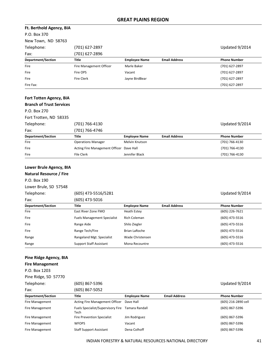| Ft. Berthold Agency, BIA        |                                                          |                      |                      |                     |
|---------------------------------|----------------------------------------------------------|----------------------|----------------------|---------------------|
| P.O. Box 370                    |                                                          |                      |                      |                     |
| New Town, ND 58763              |                                                          |                      |                      |                     |
| Telephone:                      | (701) 627-2897                                           |                      |                      | Updated 9/2014      |
| Fax:                            | (701) 627-2896                                           |                      |                      |                     |
| <b>Department/Section</b>       | <b>Title</b>                                             | <b>Employee Name</b> | <b>Email Address</b> | <b>Phone Number</b> |
| Fire                            | Fire Management Officer                                  | Marle Baker          |                      | (701) 627-2897      |
| Fire                            | Fire OPS                                                 | Vacant               |                      | (701) 627-2897      |
| Fire                            | <b>Fire Clerk</b>                                        | Jayne BirdBear       |                      | (701) 627-2897      |
| Fire Fax:                       |                                                          |                      |                      | (701) 627-2897      |
| <b>Fort Totten Agency, BIA</b>  |                                                          |                      |                      |                     |
| <b>Branch of Trust Services</b> |                                                          |                      |                      |                     |
| P.O. Box 270                    |                                                          |                      |                      |                     |
| Fort Trotten, ND 58335          |                                                          |                      |                      |                     |
| Telephone:                      | (701) 766-4130                                           |                      |                      | Updated 9/2014      |
| Fax:                            | (701) 766-4746                                           |                      |                      |                     |
| <b>Department/Section</b>       | <b>Title</b>                                             | <b>Employee Name</b> | <b>Email Address</b> | <b>Phone Number</b> |
| Fire                            | <b>Operations Manager</b>                                | Melvin Knutson       |                      | (701) 766-4130      |
| Fire                            | Acting Fire Management Officer Dave Hall                 |                      |                      | (701) 766-4130      |
| Fire                            | <b>File Clerk</b>                                        | Jennifer Black       |                      | (701) 766-4130      |
|                                 |                                                          |                      |                      |                     |
| Lower Brule Agency, BIA         |                                                          |                      |                      |                     |
| <b>Natural Resource / Fire</b>  |                                                          |                      |                      |                     |
| P.O. Box 190                    |                                                          |                      |                      |                     |
| Lower Brule, SD 57548           |                                                          |                      |                      |                     |
| Telephone:                      | (605) 473-5516/5281                                      |                      |                      | Updated 9/2014      |
| Fax:                            | (605) 473-5016                                           |                      |                      |                     |
| <b>Department/Section</b>       | <b>Title</b>                                             | <b>Employee Name</b> | <b>Email Address</b> | <b>Phone Number</b> |
| Fire                            | East River Zone FMO                                      | <b>Heath Estey</b>   |                      | (605) 226-7621      |
| Fire                            | <b>Fuels Management Specialist</b>                       | <b>Rich Coleman</b>  |                      | (605) 473-5516      |
| Fire                            | Range Aide                                               | Shilo Ziegler        |                      | (605) 473-5516      |
| Fire                            | Range Tech/Fire                                          | Brian LaRoche        |                      | (605) 473-5516      |
| Range                           | Rangeland Mgt. Specialist                                | Wade Christensen     |                      | (605) 473-5516      |
| Range                           | <b>Support Staff Assistant</b>                           | Mona Recountre       |                      | (605) 473-5516      |
| Pine Ridge Agency, BIA          |                                                          |                      |                      |                     |
| <b>Fire Management</b>          |                                                          |                      |                      |                     |
| P.O. Box 1203                   |                                                          |                      |                      |                     |
| Pine Ridge, SD 57770            |                                                          |                      |                      |                     |
| Telephone:                      | (605) 867-5396                                           |                      |                      | Updated 9/2014      |
| Fax:                            | (605) 867-5052                                           |                      |                      |                     |
| <b>Department/Section</b>       | <b>Title</b>                                             | <b>Employee Name</b> | <b>Email Address</b> | <b>Phone Number</b> |
| <b>Fire Management</b>          | Acting Fire Management Officer                           | Dave Hall            |                      | (605) 216-2890 cell |
| <b>Fire Management</b>          | Fuels Specialist/Supervisory Fire Tamara Randall<br>Tech |                      |                      | (605) 867-5396      |
| <b>Fire Management</b>          | <b>Fire Prevention Specialist</b>                        | Jim Rodriguez        |                      | (605) 867-5396      |
| <b>Fire Management</b>          | <b>WFOPS</b>                                             | Vacant               |                      | (605) 867-5396      |
| <b>Fire Management</b>          | <b>Staff Support Assistant</b>                           | Dena Colhoff         |                      | (605) 867-5396      |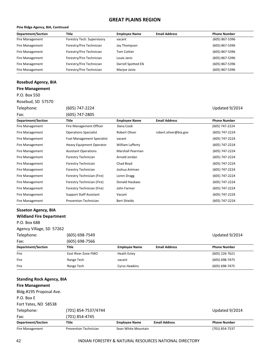#### **Pine Ridge Agency, BIA, Continued**

| Department/Section     | Title                      | <b>Employee Name</b> | <b>Email Address</b> | <b>Phone Number</b> |
|------------------------|----------------------------|----------------------|----------------------|---------------------|
| <b>Fire Management</b> | Forestry Tech. Supervisory | vacant               |                      | (605) 867-5396      |
| <b>Fire Management</b> | Forestry/Fire Technician   | Jay Thompson         |                      | (605) 867-5396      |
| <b>Fire Management</b> | Forestry/Fire Technician   | <b>Tom Cottier</b>   |                      | (605) 867-5396      |
| <b>Fire Management</b> | Forestry/Fire Technician   | Louie Janis          |                      | (605) 867-5396      |
| Fire Management        | Forestry/Fire Technician   | Darrell Spotted Elk  |                      | (605) 867-5396      |
| Fire Management        | Forestry/Fire Technician   | Marjoe Janie         |                      | (605) 867-5396      |

#### **Rosebud Agency, BIA**

**Fire Management** 

P.O. Box 550 Rosebud, SD 57570 Telephone: (605) 747‐2224 Updated 9/2014

Fax: (605) 747‐2805

| Department/Section     | Title                             | <b>Employee Name</b>    | <b>Email Address</b>  | <b>Phone Number</b> |
|------------------------|-----------------------------------|-------------------------|-----------------------|---------------------|
| Fire Management        | Fire Management Officer           | Dana Cook               |                       | (605) 747-2224      |
| Fire Management        | <b>Operations Specialist</b>      | Robert Oliver           | robert.oliver@bia.gov | (605) 747-2224      |
| <b>Fire Management</b> | <b>Fuel Management Specialist</b> | vacant                  |                       | (605) 747-2224      |
| <b>Fire Management</b> | <b>Heavy Equipment Operator</b>   | William Lafferty        |                       | (605) 747-2224      |
| Fire Management        | <b>Assistant Operations</b>       | <b>Marshall Pearman</b> |                       | (605) 747-2224      |
| <b>Fire Management</b> | Forestry Technician               | Arnold Jordan           |                       | (605) 747-2224      |
| <b>Fire Management</b> | Forestry Technician               | Chad Boyd               |                       | (605) 747-2224      |
| <b>Fire Management</b> | Forestry Technician               | Joshua Antman           |                       | (605) 747-2224      |
| <b>Fire Management</b> | Forestry Technician (Fire)        | Loren Dragg             |                       | (605) 747-2224      |
| <b>Fire Management</b> | Forestry Technician (Fire)        | Donald Haukaas          |                       | (605) 747-2224      |
| Fire Management        | Forestry Technician (Fire)        | John Farmer             |                       | (605) 747-2224      |
| Fire Management        | <b>Support Staff Assistant</b>    | Vacant                  |                       | (605) 747-2224      |
| <b>Fire Management</b> | <b>Prevention Technician</b>      | <b>Bert Shields</b>     |                       | (605) 747-2224      |

#### **Sisseton Agency, BIA**

#### **Wildland Fire Department**

| P.O. Box 688             |                     |                      |                      |                     |  |
|--------------------------|---------------------|----------------------|----------------------|---------------------|--|
| Agency Village, SD 57262 |                     |                      |                      |                     |  |
| Telephone:               | Updated 9/2014      |                      |                      |                     |  |
| Fax:                     | (605) 698-7566      |                      |                      |                     |  |
| Department/Section       | <b>Title</b>        | <b>Employee Name</b> | <b>Email Address</b> | <b>Phone Number</b> |  |
| Fire                     | East River Zone FMO | Heath Estey          |                      | (605) 226-7621      |  |
| Fire                     | Range Tech          | vacant               |                      | (605) 698-7475      |  |
| Fire                     | Range Tech          | <b>Cyrus Hawkins</b> |                      | (605) 698-7475      |  |

| <b>Standing Rock Agency, BIA</b> |                              |                      |                      |                     |  |  |  |
|----------------------------------|------------------------------|----------------------|----------------------|---------------------|--|--|--|
| <b>Fire Management</b>           |                              |                      |                      |                     |  |  |  |
| Bldg.#195 Proposal Ave.          |                              |                      |                      |                     |  |  |  |
| P.O. Box E                       |                              |                      |                      |                     |  |  |  |
| Fort Yates, ND 58538             |                              |                      |                      |                     |  |  |  |
| Telephone:                       | (701) 854-7537/4744          |                      |                      | Updated 9/2014      |  |  |  |
| Fax:                             | (701) 854-4745               |                      |                      |                     |  |  |  |
| Department/Section               | Title                        | <b>Employee Name</b> | <b>Email Address</b> | <b>Phone Number</b> |  |  |  |
| Fire Management                  | <b>Prevention Technician</b> | Sean White Mountain  |                      | (701) 854-7537      |  |  |  |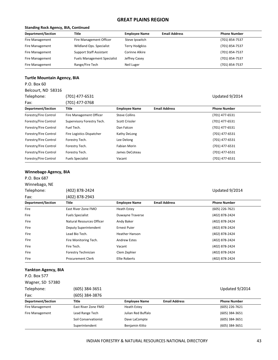#### **Standing Rock Agency, BIA, Continued**

| Department/Section | Title                              | <b>Employee Name</b>  | <b>Email Address</b> | <b>Phone Number</b> |
|--------------------|------------------------------------|-----------------------|----------------------|---------------------|
| Fire Management    | Fire Management Officer            | Steve Ipswitch        |                      | (701) 854-7537      |
| Fire Management    | Wildland Ops. Specialist           | <b>Terry Hodgkiss</b> |                      | (701) 854-7537      |
| Fire Management    | <b>Support Staff Assistant</b>     | Corinne Alkire        |                      | (701) 854-7537      |
| Fire Management    | <b>Fuels Management Specialist</b> | Jeffrey Casey         |                      | (701) 854-7537      |
| Fire Management    | Range/Fire Tech                    | Neil Luger            |                      | (701) 854-7537      |

#### **Turtle Mountain Agency, BIA**

| P.O. Box 60           |                            |                      |                      |                     |  |
|-----------------------|----------------------------|----------------------|----------------------|---------------------|--|
| Belcourt, ND 58316    |                            |                      |                      |                     |  |
| Telephone:            | (701) 477-6531             |                      |                      | Updated 9/2014      |  |
| Fax:                  | (701) 477-0768             |                      |                      |                     |  |
| Department/Section    | Title                      | <b>Employee Name</b> | <b>Email Address</b> | <b>Phone Number</b> |  |
| Forestry/Fire Control | Fire Management Officer    | <b>Steve Collins</b> |                      | (701) 477-6531      |  |
| Forestry/Fire Control | Supervisory Forestry Tech. | Scott Crissler       |                      | (701) 477-6531      |  |
| Forestry/Fire Control | Fuel Tech.                 | Dan Falcon           |                      | (701) 477-6531      |  |
| Forestry/Fire Control | Fire Logistics Dispatcher  | Kathy DeLong         |                      | (701) 477-6531      |  |
| Forestry/Fire Control | Forestry Tech.             | Lee Delong           |                      | (701) 477-6531      |  |
| Forestry/Fire Control | Forestry Tech.             | Fabian Morin         |                      | (701) 477-6531      |  |
| Forestry/Fire Control | Forestry Tech.             | James DeCoteau       |                      | (701) 477-6531      |  |
| Forestry/Fire Control | <b>Fuels Specialist</b>    | Vacant               |                      | (701) 477-6531      |  |

#### **Winnebago Agency, BIA**

P.O. Box 687

Winnebago, NE

| Telephone:                | (402) 878-2424            |                       |                      | Updated 9/2014      |  |
|---------------------------|---------------------------|-----------------------|----------------------|---------------------|--|
| Fax:                      | (402) 878-2943            |                       |                      |                     |  |
| <b>Department/Section</b> | <b>Title</b>              | <b>Employee Name</b>  | <b>Email Address</b> | <b>Phone Number</b> |  |
| Fire                      | East River Zone FMO       | <b>Heath Estey</b>    |                      | (605) 226-7621      |  |
| Fire                      | <b>Fuels Specialist</b>   | Duwayne Traverse      |                      | (402) 878-2424      |  |
| Fire                      | Natural Resources Officer | Andy Baker            |                      | (402) 878-2424      |  |
| Fire                      | Deputy Superintendent     | <b>Ernest Puier</b>   |                      | (402) 878-2424      |  |
| Fire                      | Lead Bio Tech.            | <b>Heather Hanson</b> |                      | (402) 878-2424      |  |
| Fire                      | Fire Monitoring Tech.     | <b>Andrew Estes</b>   |                      | (402) 878-2424      |  |
| Fire                      | Fire Tech.                | Vacant                |                      | (402) 878-2424      |  |
| Fire                      | Forestry Technician       | Clem Zephier          |                      | (402) 878-2424      |  |
| Fire                      | <b>Procurement Clerk</b>  | <b>Ellie Roberts</b>  |                      | (402) 878-2424      |  |
|                           |                           |                       |                      |                     |  |

#### **Yankton Agency, BIA**

| P.O. Box 577       |                      |                      |                      |                     |
|--------------------|----------------------|----------------------|----------------------|---------------------|
| Wagner, SD 57380   |                      |                      |                      |                     |
| Telephone:         | (605) 384-3651       |                      |                      | Updated 9/2014      |
| Fax:               | (605) 384-3876       |                      |                      |                     |
| Department/Section | Title                | <b>Employee Name</b> | <b>Email Address</b> | <b>Phone Number</b> |
| Fire Management    | East River Zone FMO  | Heath Estey          |                      | (605) 226-7621      |
| Fire Management    | Lead Range Tech      | Julian Red Buffalo   |                      | (605) 384-3651      |
|                    | Soil Conservationist | Dave LaCompte        |                      | (605) 384-3651      |
|                    | Superintendent       | Benjamin Kitto       |                      | (605) 384-3651      |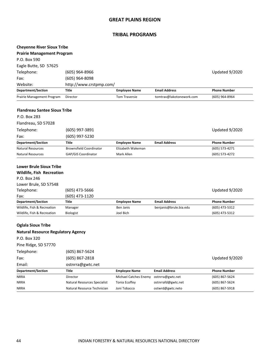## **TRIBAL PROGRAMS**

| <b>Cheyenne River Sioux Tribe</b>         |                                |                       |                          |                     |
|-------------------------------------------|--------------------------------|-----------------------|--------------------------|---------------------|
| <b>Prairie Management Program</b>         |                                |                       |                          |                     |
| P.O. Box 590                              |                                |                       |                          |                     |
| Eagle Butte, SD 57625                     |                                |                       |                          |                     |
| Telephone:                                | (605) 964-8966                 |                       |                          | Updated 9/2020      |
| Fax:                                      | (605) 964-8098                 |                       |                          |                     |
| Website:                                  | http://www.crstpmp.com/        |                       |                          |                     |
| <b>Department/Section</b>                 | <b>Title</b>                   | <b>Employee Name</b>  | <b>Email Address</b>     | <b>Phone Number</b> |
| Prairie Management Program                | Director                       | <b>Tom Traversie</b>  | tomtrav@lakotonework.com | (605) 964-8964      |
| <b>Flandreau Santee Sioux Tribe</b>       |                                |                       |                          |                     |
| P.O. Box 283                              |                                |                       |                          |                     |
| Flandreau, SD 57028                       |                                |                       |                          |                     |
| Telephone:                                | (605) 997-3891                 |                       |                          | Updated 9/2020      |
| Fax:                                      | (605) 997-5230                 |                       |                          |                     |
| Department/Section                        | Title                          | <b>Employee Name</b>  | <b>Email Address</b>     | <b>Phone Number</b> |
| <b>Natural Resources</b>                  | <b>Brownsfield Coordinator</b> | Elizabeth Wakeman     |                          | (605) 573-4271      |
| <b>Natural Resources</b>                  | GAP/GIS Coordinator            | Mark Allen            |                          | (605) 573-4272      |
| <b>Lower Brule Sioux Tribe</b>            |                                |                       |                          |                     |
| Wildlife, Fish Recreation<br>P.O. Box 246 |                                |                       |                          |                     |
| Lower Brule, SD 57548                     |                                |                       |                          |                     |
| Telephone:                                | (605) 473-5666                 |                       |                          | Updated 9/2020      |
| Fax:                                      | (605) 473-1120                 |                       |                          |                     |
| Department/Section                        | Title                          | <b>Employee Name</b>  | <b>Email Address</b>     | <b>Phone Number</b> |
| Wildlife, Fish & Recreation               | Manager                        | <b>Ben Janis</b>      | benjanis@brule.bia.edu   | (605) 473-5312      |
| Wildlife, Fish & Recreation               | <b>Biologist</b>               | Joel Bich             |                          | (605) 473-5312      |
| <b>Oglala Sioux Tribe</b>                 |                                |                       |                          |                     |
| <b>Natural Resource Regulatory Agency</b> |                                |                       |                          |                     |
| P.O. Box 320                              |                                |                       |                          |                     |
| Pine Ridge, SD 57770                      |                                |                       |                          |                     |
| Telephone:                                | (605) 867-5624                 |                       |                          |                     |
| Fax:                                      | (605) 867-2818                 |                       |                          | Updated 9/2020      |
| Email:                                    | ostnrra@gwtc.net               |                       |                          |                     |
| <b>Department/Section</b>                 | Title                          | <b>Employee Name</b>  | <b>Email Address</b>     | <b>Phone Number</b> |
| <b>NRRA</b>                               | Director                       | Michael Catches Enemy | ostnrra@gwtc.net         | (605) 867-5624      |
| <b>NRRA</b>                               | Natural Resources Specialist   | Tonia Ecoffey         | ostnrrafd@gwtc.net       | (605) 867-5624      |
| <b>NRRA</b>                               | Natural Resource Technician    | Joni Tobacco          | ostwrd@gwtc.neto         | (605) 867-5918      |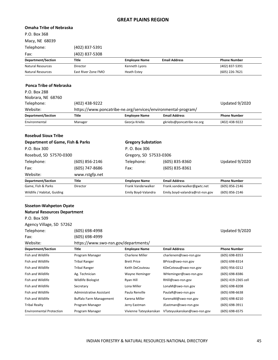## **Omaha Tribe of Nebraska**

| P.O. Box 368                   |                                                               |                      |                      |                     |
|--------------------------------|---------------------------------------------------------------|----------------------|----------------------|---------------------|
| Macy, NE 68039                 |                                                               |                      |                      |                     |
| Telephone:                     | (402) 837-5391                                                |                      |                      |                     |
| Fax:                           | (402) 837-5308                                                |                      |                      |                     |
| Department/Section             | <b>Title</b>                                                  | <b>Employee Name</b> | <b>Email Address</b> | <b>Phone Number</b> |
| <b>Natural Resources</b>       | Director                                                      | Kenneth Lyons        |                      | (402) 837-5391      |
| <b>Natural Resources</b>       | East River Zone FMO                                           | Heath Estey          |                      | (605) 226-7621      |
| <b>Ponca Tribe of Nebraska</b> |                                                               |                      |                      |                     |
| P.O. Box 288                   |                                                               |                      |                      |                     |
| Niobrara, NE 68760             |                                                               |                      |                      |                     |
| Telephone:                     | (402) 438-9222                                                |                      |                      | Updated 9/2020      |
| Website:                       | https://www.poncatribe-ne.org/services/environmental-program/ |                      |                      |                     |

| Department/Section | Title   | <b>Employee Name</b> | <b>Email Address</b>      | <b>Phone Number</b> |
|--------------------|---------|----------------------|---------------------------|---------------------|
| Environmental      | Manager | Georja Kriebs        | gkriebs@poncatribe-ne.org | (402) 438-9222      |

| <b>Rosebud Sioux Tribe</b>                                  |                |                                            |                                 |                     |  |
|-------------------------------------------------------------|----------------|--------------------------------------------|---------------------------------|---------------------|--|
| <b>Department of Game, Fish &amp; Parks</b><br>P.O. Box 300 |                | <b>Gregory Substation</b><br>P. O. Box 306 |                                 |                     |  |
|                                                             |                |                                            |                                 |                     |  |
| Telephone:                                                  | (605) 856-2146 | Telephone:                                 | (605) 835-8360                  | Updated 9/2020      |  |
| Fax:                                                        | (605) 747-8686 | Fax:                                       | (605) 835-8361                  |                     |  |
| Website:                                                    | www.rstgfp.net |                                            |                                 |                     |  |
| Department/Section                                          | <b>Title</b>   | <b>Employee Name</b>                       | <b>Email Address</b>            | <b>Phone Number</b> |  |
| Game. Fish & Parks                                          | Director       | Frank Vanderwalker                         | Frank.vanderwalker@gwtc.net     | (605) 856-2146      |  |
| Wildlife / Habitat, Guiding                                 |                | Emily Boyd-Valandra                        | Emily.boyd-valandra@rst-nsn.gov | (605) 856-2146      |  |

| <b>Sisseton-Wahpeton Oyate</b>      |                                      |                        |                             |                     |
|-------------------------------------|--------------------------------------|------------------------|-----------------------------|---------------------|
| <b>Natural Resources Department</b> |                                      |                        |                             |                     |
| P.O. Box 509                        |                                      |                        |                             |                     |
| Agency Village, SD 57262            |                                      |                        |                             |                     |
| Telephone:                          | (605) 698-4998                       |                        |                             | Updated 9/2020      |
| Fax:                                | (605) 698-4999                       |                        |                             |                     |
| Website:                            | https://www.swo-nsn.gov/departments/ |                        |                             |                     |
| Department/Section                  | <b>Title</b>                         | <b>Employee Name</b>   | <b>Email Address</b>        | <b>Phone Number</b> |
| Fish and Wildlife                   | Program Manager                      | Charlene Miller        | charlenem@swo-nsn.gov       | (605) 698-8353      |
| Fish and Wildlife                   | <b>Tribal Ranger</b>                 | <b>Brett Price</b>     | BPrice@swo-nsn.gov          | (605) 698-8314      |
| Fish and Wildlife                   | <b>Tribal Ranger</b>                 | Keith DeCouteau        | KDeCoteau@swo-nsn.gov       | (605) 956-0212      |
| Fish and Wildlife                   | Ag. Technician                       | Wayne Heminger         | WHeminger@swo-nsn.gov       | (605) 698-8386      |
| Fish and Wildlife                   | Wildlife Biologist                   | Ryan Hill              | RHill@swo-nsn.gov           | (605) 419-2365 cell |
| Fish and Wildlife                   | Secretary                            | Lona Miller            | LonaM@swo-nsn.gov           | (605) 698-8208      |
| Fish and Wildlife                   | <b>Administrative Assistant</b>      | Paula Renville         | PaulaR@swo-nsn.gov          | (605) 698-6638      |
| Fish and Wildlife                   | <b>Buffalo Farm Management</b>       | Karena Miller          | KarenaM@swo-nsn.gov         | (605) 698-8210      |
| <b>Tribal Realty</b>                | Program Manager                      | Jerry Eastman          | JEastman@swo-nsn.gov        | (605) 698-3911      |
| <b>Environmental Protection</b>     | Program Manager                      | Vivienne Tateyskanskan | VTateyuskanskan@swo-nsn.gov | (605) 698-6575      |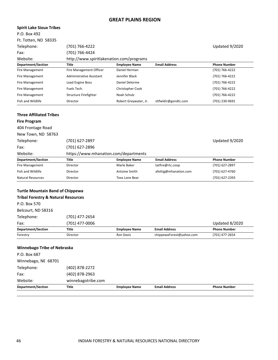| <b>Spirit Lake Sioux Tribes</b>                |                                          |                       |                          |                     |
|------------------------------------------------|------------------------------------------|-----------------------|--------------------------|---------------------|
| P.O. Box 492                                   |                                          |                       |                          |                     |
| Ft. Totten, ND 58335                           |                                          |                       |                          |                     |
| Telephone:                                     | (701) 766-4222                           |                       |                          | Updated 9/2020      |
| Fax:                                           | (701) 766-4424                           |                       |                          |                     |
| Website:                                       | http://www.spiritlakenation.com/programs |                       |                          |                     |
| <b>Department/Section</b>                      | <b>Title</b>                             | <b>Employee Name</b>  | <b>Email Address</b>     | <b>Phone Number</b> |
| <b>Fire Management</b>                         | Fire Management Officer                  | Daniel Herman         |                          | (701) 766-4222      |
| <b>Fire Management</b>                         | <b>Administrative Assistant</b>          | Jennifer Black        |                          | (701) 766-4222      |
| <b>Fire Management</b>                         | Lead Engine Boss                         | Daniel Delorme        |                          | (701) 766-4222      |
| <b>Fire Management</b>                         | Fuels Tech.                              | Christopher Cook      |                          | (701) 766-4222      |
| <b>Fire Management</b>                         | Structure Firefighter                    | Noah Schulz           |                          | (701) 766-4222      |
| Fish and Wildlife                              | Director                                 | Robert Greywater, Jr. | sltfwldir@gondtc.com     | (701) 230-9691      |
| <b>Three Affiliated Tribes</b>                 |                                          |                       |                          |                     |
| <b>Fire Program</b>                            |                                          |                       |                          |                     |
| 404 Frontage Road                              |                                          |                       |                          |                     |
| New Town, ND 58763                             |                                          |                       |                          |                     |
| Telephone:                                     | (701) 627-2897                           |                       |                          | Updated 9/2020      |
| Fax:                                           | (701) 627-2896                           |                       |                          |                     |
| Website:                                       | https://www.mhanation.com/departments    |                       |                          |                     |
| <b>Department/Section</b>                      | <b>Title</b>                             | <b>Employee Name</b>  | <b>Email Address</b>     | <b>Phone Number</b> |
| <b>Fire Management</b>                         | Director                                 | Marle Baker           | tatfire@rtc.coop         | (701) 627-2897      |
| Fish and Wildlife                              | Director                                 | Antoine Smith         | afettig@mhanation.com    | (701) 627-4760      |
| <b>Natural Resources</b>                       | Director                                 | <b>Texx Lone Bear</b> |                          | (701) 627-2393      |
| <b>Turtle Mountain Band of Chippewa</b>        |                                          |                       |                          |                     |
| <b>Tribal Forestry &amp; Natural Resources</b> |                                          |                       |                          |                     |
| P.O. Box 570                                   |                                          |                       |                          |                     |
| Belcourt, ND 58316                             |                                          |                       |                          |                     |
| Telephone:                                     | (701) 477-2654                           |                       |                          |                     |
| Fax:                                           | (701) 477-0006                           |                       |                          | Updated 8/2020      |
| <b>Department/Section</b>                      | Title                                    | <b>Employee Name</b>  | <b>Email Address</b>     | <b>Phone Number</b> |
| Forestry                                       | Director                                 | <b>Ron Davis</b>      | chippewaForest@yahoo.com | (701) 477-2654      |
|                                                |                                          |                       |                          |                     |
| <b>Winnebago Tribe of Nebraska</b>             |                                          |                       |                          |                     |
| P.O. Box 687                                   |                                          |                       |                          |                     |
| Winnebago, NE 68701                            |                                          |                       |                          |                     |
| Telephone:                                     | (402) 878-2272                           |                       |                          |                     |
| Fax:                                           | (402) 878-2963                           |                       |                          |                     |
| Website:                                       | winnebagotribe.com                       |                       |                          |                     |

**Department/Section Title Employee Name Email Address Phone Number**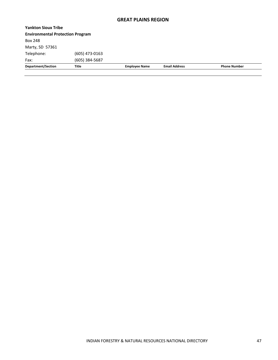| Department/Section                      | <b>Title</b>   | <b>Employee Name</b> | <b>Email Address</b> | <b>Phone Number</b> |
|-----------------------------------------|----------------|----------------------|----------------------|---------------------|
| Fax:                                    | (605) 384-5687 |                      |                      |                     |
| Telephone:                              | (605) 473-0163 |                      |                      |                     |
| Marty, SD 57361                         |                |                      |                      |                     |
| Box 248                                 |                |                      |                      |                     |
| <b>Environmental Protection Program</b> |                |                      |                      |                     |
| <b>Yankton Sioux Tribe</b>              |                |                      |                      |                     |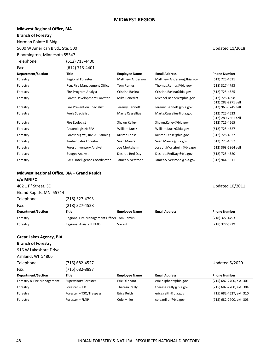# **Midwest Regional Office, BIA**

# **Branch of Forestry**

Norman Pointe II Bldg.

5600 W American Blvd., Ste. 500 Updated 11/2018

Bloomington, Minnesota 55347

Telephone: (612) 713-4400

| Fax:               | (612) 713-4401                       |                         |                           |                                       |
|--------------------|--------------------------------------|-------------------------|---------------------------|---------------------------------------|
| Department/Section | <b>Title</b>                         | <b>Employee Name</b>    | <b>Email Address</b>      | <b>Phone Number</b>                   |
| Forestry           | <b>Regional Forester</b>             | <b>Matthew Anderson</b> | Matthew.Anderson@bia.gov  | (612) 725-4521                        |
| Forestry           | Reg. Fire Management Officer         | <b>Tom Remus</b>        | Thomas.Remus@bia.gov      | (218) 327-4793                        |
| Forestry           | Fire Program Analyst                 | Cristine Basina         | Cristine.Basina@bia.gov   | (612) 725-4525                        |
| Forestry           | Forest Development Forester          | Mike Benedict           | Michael.Benedict@bia.gov  | (612) 725-4598<br>(612) 283-9271 cell |
| Forestry           | <b>Fire Prevention Specialist</b>    | Jeremy Bennett          | Jeremy.Bennett@bia.gov    | (612) 965-3745 cell                   |
| Forestry           | <b>Fuels Specialist</b>              | <b>Marty Cassellius</b> | Marty.Casselius@bia.gov   | (612) 725-4523<br>(612) 280-7361 cell |
| Forestry           | Fire Ecologist                       | Shawn Kelley            | Shawn.Kelley@bia.gov      | (612) 725-4565                        |
| Forestry           | Arcaeologist/NEPA                    | William Kurtz           | William.Kurtz@bia.gov     | (612) 725-4527                        |
| Forestry           | Forest Mgmt., Inv. & Planning        | Kristen Lease           | Kristen.Lease@bia.gov     | (612) 725-4522                        |
| Forestry           | <b>Timber Sales Forester</b>         | Sean Maiers             | Sean.Maiers@bia.gov       | (612) 725-4557                        |
| Forestry           | <b>Forest Inventory Analyst</b>      | Joe Mortzheim           | Joseph.Mortzheim@bia.gov  | (612) 368-5864 cell                   |
| Forestry           | <b>Budget Analyst</b>                | Desiree Red Day         | Desiree.RedDay@bia.gov    | (612) 725-4520                        |
| Forestry           | <b>EACC Intelligence Coordinator</b> | James Silverstone       | James.Silverstone@bia.gov | (612) 944-3811                        |

| Midwest Regional Office, BIA - Grand Rapids |                                            |                      |                       |                          |
|---------------------------------------------|--------------------------------------------|----------------------|-----------------------|--------------------------|
| c/o MNIFC                                   |                                            |                      |                       |                          |
| 402 11 <sup>th</sup> Street, SE             |                                            |                      |                       | <b>Updated 10/2011</b>   |
| Grand Rapids, MN 55744                      |                                            |                      |                       |                          |
| Telephone:                                  | (218) 327-4793                             |                      |                       |                          |
| Fax:                                        | (218) 327-4528                             |                      |                       |                          |
| Department/Section                          | <b>Title</b>                               | <b>Employee Name</b> | <b>Email Address</b>  | <b>Phone Number</b>      |
| Forestry                                    | Regional Fire Management Officer Tom Remus |                      |                       | (218) 327-4793           |
| Forestry                                    | Regional Assistant FMO                     | Vacant               |                       | (218) 327-5929           |
| <b>Great Lakes Agency, BIA</b>              |                                            |                      |                       |                          |
| <b>Branch of Forestry</b>                   |                                            |                      |                       |                          |
| 916 W Lakeshore Drive                       |                                            |                      |                       |                          |
| Ashland, WI 54806                           |                                            |                      |                       |                          |
| Telephone:                                  | (715) 682-4527                             |                      |                       | Updated 5/2020           |
| Fax:                                        | (715) 682-8897                             |                      |                       |                          |
| Department/Section                          | <b>Title</b>                               | <b>Employee Name</b> | <b>Email Address</b>  | <b>Phone Number</b>      |
| Forestry & Fire Management                  | <b>Supervisory Forester</b>                | Eric Oliphant        | eric.oliphant@bia.gov | (715) 682-2700, ext. 301 |

Forestry Forester – FD Theresa Reilly theresa.reilly@bia.gov (715) 682-2700, ext. 304 Forestry Forester – TSO/Trespass Erica Reith erica.reith@bia.gov (715) 682‐4527, ext. 310 Forestry Forester – FMIP Cole Miller cole.miller@bia.gov (715) 682-2700, ext. 303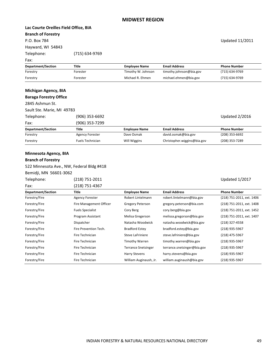| Lac Courte Oreilles Field Office, BIA |                                           |                         |                             |                           |
|---------------------------------------|-------------------------------------------|-------------------------|-----------------------------|---------------------------|
| <b>Branch of Forestry</b>             |                                           |                         |                             |                           |
| P.O. Box 784                          |                                           |                         |                             | <b>Updated 11/2011</b>    |
| Hayward, WI 54843                     |                                           |                         |                             |                           |
| Telephone:                            | (715) 634-9769                            |                         |                             |                           |
| Fax:                                  |                                           |                         |                             |                           |
| <b>Department/Section</b>             | Title                                     | <b>Employee Name</b>    | <b>Email Address</b>        | <b>Phone Number</b>       |
| Forestry                              | Forester                                  | Timothy W. Johnson      | timothy.johnson@bia.gov     | (715) 634-9769            |
| Forestry                              | Forester                                  | Michael R. Ehmen        | michael.ehmen@bia.gov       | (715) 634-9769            |
| Michigan Agency, BIA                  |                                           |                         |                             |                           |
| <b>Baraga Forestry Office</b>         |                                           |                         |                             |                           |
| 2845 Ashmun St.                       |                                           |                         |                             |                           |
| Sault Ste. Marie, MI 49783            |                                           |                         |                             |                           |
| Telephone:                            | (906) 353-6692                            |                         |                             | Updated 2/2016            |
| Fax:                                  | (906) 353-7299                            |                         |                             |                           |
| <b>Department/Section</b>             | <b>Title</b>                              | <b>Employee Name</b>    | <b>Email Address</b>        | <b>Phone Number</b>       |
| Forestry                              | <b>Agency Forester</b>                    | Dave Osmak              | david.osmak@bia.gov         | (208) 353-6692            |
| Forestry                              | <b>Fuels Technician</b>                   | Will Wiggins            | Christopher.wiggins@bia.gov | (208) 353-7289            |
| <b>Minnesota Agency, BIA</b>          |                                           |                         |                             |                           |
| <b>Branch of Forestry</b>             |                                           |                         |                             |                           |
|                                       | 522 Minnesota Ave., NW, Federal Bldg #418 |                         |                             |                           |
| Bemidji, MN 56601-3062                |                                           |                         |                             |                           |
| Telephone:                            | (218) 751-2011                            |                         |                             | Updated 1/2017            |
| Fax:                                  | (218) 751-4367                            |                         |                             |                           |
| <b>Department/Section</b>             | <b>Title</b>                              | <b>Employee Name</b>    | <b>Email Address</b>        | <b>Phone Number</b>       |
| Forestry/Fire                         | <b>Agency Forester</b>                    | Robert Lintelmann       | robert.lintelmann@bia.gov   | (218) 751-2011, ext. 1406 |
| Forestry/Fire                         | Fire Management Officer                   | <b>Gregory Peterson</b> | gregory.peterson@bia.com    | (218) 751-2011, ext. 1408 |
| Forestry/Fire                         | <b>Fuels Specialist</b>                   | Cory Berg               | cory.berg@bia.gov           | (218) 751-2011, ext. 1452 |
| Forestry/Fire                         | Program Assistant                         | Melisa Gregerson        | melissa.gregorson@bia.gov   | (218) 751-2011, ext. 1407 |
| Forestry/Fire                         | Dispatcher                                | Natasha Woodwick        | natasha.woodwick@bia.gov    | (218) 327-4558            |

Forestry/Fire Fire Prevention Tech. Bradford Estey bradford.estey@bia.gov (218) 935‐5967 Forestry/Fire **Fire Technician** Steve LaFriniere steve lafriniere@bia.gov (218) 475‐5967 Forestry/Fire Fire Technician Timothy Warren timothy.warren@bia.gov (218) 935‐5967 Forestry/Fire **Fire Technician Fire Technician** Terrance Snetsinger terrance.snetsinger@bia.gov (218) 935-5967 Forestry/Fire Fire Technician Harry Stevens harry.stevens@bia.gov (218) 935-5967 Forestry/Fire Fire Technician William Auginaush, Jr. william.auginaush@bia.gov (218) 935‐5967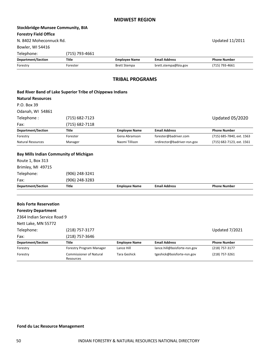| <b>Stockbridge-Munsee Community, BIA</b>                          |                                                           |                        |                              |                           |
|-------------------------------------------------------------------|-----------------------------------------------------------|------------------------|------------------------------|---------------------------|
| <b>Forestry Field Office</b>                                      |                                                           |                        |                              |                           |
| N. 8402 Moheconnuck Rd.                                           |                                                           |                        |                              | <b>Updated 11/2011</b>    |
| Bowler, WI 54416                                                  |                                                           |                        |                              |                           |
| Telephone:                                                        | (715) 793-4661                                            |                        |                              |                           |
| <b>Department/Section</b>                                         | <b>Title</b>                                              | <b>Employee Name</b>   | <b>Email Address</b>         | <b>Phone Number</b>       |
| Forestry                                                          | Forester                                                  | <b>Brett Stempa</b>    | brett.stempa@bia.gov         | (715) 793-4661            |
|                                                                   |                                                           | <b>TRIBAL PROGRAMS</b> |                              |                           |
|                                                                   | Bad River Band of Lake Superior Tribe of Chippewa Indians |                        |                              |                           |
| <b>Natural Resources</b>                                          |                                                           |                        |                              |                           |
| P.O. Box 39                                                       |                                                           |                        |                              |                           |
| Odanah, WI 54861                                                  |                                                           |                        |                              |                           |
| Telephone:                                                        | (715) 682-7123                                            |                        |                              | <b>Updated 05/2020</b>    |
| Fax:                                                              | (715) 682-7118                                            |                        |                              |                           |
| Department/Section                                                | <b>Title</b>                                              | <b>Employee Name</b>   | <b>Email Address</b>         | <b>Phone Number</b>       |
| Forestry                                                          | Forester                                                  | Gena Abramson          | forester@badriver.com        | (715) 685-7840, ext. 1563 |
| <b>Natural Resources</b>                                          | Manager                                                   | Naomi Tillison         | nrdirector@badriver-nsn.gov  | (715) 682-7123, ext. 1561 |
| <b>Bay Mills Indian Community of Michigan</b><br>Route 1, Box 313 |                                                           |                        |                              |                           |
| Brimley, MI 49715                                                 |                                                           |                        |                              |                           |
| Telephone:                                                        | (906) 248-3241                                            |                        |                              |                           |
| Fax:                                                              | (906) 248-3283                                            |                        |                              |                           |
| Department/Section                                                | Title                                                     | <b>Employee Name</b>   | <b>Email Address</b>         | <b>Phone Number</b>       |
|                                                                   |                                                           |                        |                              |                           |
| <b>Bois Forte Reservation</b>                                     |                                                           |                        |                              |                           |
| <b>Forestry Department</b>                                        |                                                           |                        |                              |                           |
| 2364 Indian Service Road 9                                        |                                                           |                        |                              |                           |
| Nett Lake, MN 55772                                               |                                                           |                        |                              |                           |
| Telephone:                                                        | (218) 757-3177                                            |                        |                              | <b>Updated 7/2021</b>     |
| Fax:                                                              | (218) 757-3646                                            |                        |                              |                           |
| <b>Department/Section</b>                                         | <b>Title</b>                                              | <b>Employee Name</b>   | <b>Email Address</b>         | <b>Phone Number</b>       |
| Forestry                                                          | <b>Forestry Program Manager</b>                           | Lance Hill             | lance.hill@boisforte-nsn.gov | (218) 757-3177            |
| Forestry                                                          | <b>Commissioner of Natural</b><br>Resources               | <b>Tara Geshick</b>    | tgeshick@boisforte-nsn.gov   | (218) 757-3261            |

## **Fond du Lac Resource Management**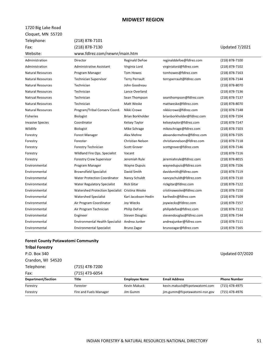| 1720 Big Lake Road       |                                                |                         |                            |                  |  |  |
|--------------------------|------------------------------------------------|-------------------------|----------------------------|------------------|--|--|
| Cloquet, MN 55720        |                                                |                         |                            |                  |  |  |
| Telephone:               | $(218)$ 878-7101                               |                         |                            |                  |  |  |
| Fax:                     | (218) 878-7130                                 |                         | <b>Updated 7/2021</b>      |                  |  |  |
| Website:                 | www.fdlrez.com/newnr/main.htm                  |                         |                            |                  |  |  |
| Administration           | Director                                       | Reginald DeFoe          | reginalddefoe@fdlrez.com   | (218) 878-7100   |  |  |
| Administration           | <b>Administrative Assistant</b>                | Virginia Lord           | virginialord@fdlrez.com    | (218) 878-7102   |  |  |
| <b>Natural Resources</b> | Program Manager                                | Tom Howes               | tomhowes@fdlrez.com        | (218) 878-7163   |  |  |
| <b>Natural Resources</b> | <b>Technician Supervisor</b>                   | <b>Terry Perrault</b>   | terryperrault@fdlrez.com   | (218) 878-7144   |  |  |
| <b>Natural Resources</b> | Technician                                     | John Goodreau           |                            | (218) 878-8070   |  |  |
| <b>Natural Resources</b> | Technician                                     | Lance Overland          |                            | (218) 878-7136   |  |  |
| <b>Natrual Resources</b> | Technician                                     | Sean Thompson           | seanthompson@fdlrez.com    | (218) 878-7137   |  |  |
| <b>Natural Resources</b> | Technician                                     | Matt Weske              | mattweske@fdlrez.com       | (218) 878-8070   |  |  |
| <b>Natural Resources</b> | Program/Tribal Conserv Coord.                  | Nikki Crowe             | nikkicrowe@fdlrez.com      | (218) 878-7148   |  |  |
| <b>Fisheries</b>         | Biologist                                      | Brian Borkholder        | brianborkholder@fdlrez.com | (218) 878-7104   |  |  |
| <b>Invasive Species</b>  | Coordinator                                    | Kelsey Taylor           | kelseytaylor@fdlrez.com    | (218) 878-7147   |  |  |
| Wildlife                 | Biologist                                      | Mike Schrage            | mikeschrage@fdlrez.com     | (218) 878-7103   |  |  |
| Forestry                 | <b>Forest Manager</b>                          | Alex Mehne              | alexandermehne@fdlrez.com  | (218) 878-7105   |  |  |
| Forestry                 | Forester                                       | <b>Christian Nelson</b> | christiannelson@fdlrez.com | (218) 878-7118   |  |  |
| Forestry                 | Forestry Technician                            | Scott Grover            | scottgrover@fdlrez.com     | (218) 878-7146   |  |  |
| Forestry                 | Wildland Fire Ops. Specialist                  | Vacant                  |                            | (218) 878-7116   |  |  |
| Forestry                 | Forestry Crew Supervisor                       | Jeremiah Rule           | jeremiahrule@fdlrez.com    | (218) 878-8015   |  |  |
| Environmental            | Program Manager                                | <b>Wayne Dupuis</b>     | waynedupuis@fdlrez.com     | (218) 878-7106   |  |  |
| Environmental            | <b>Brownsfield Specialist</b>                  | David Smith             | davidsmith@fdlrez.com      | (218) 878-7119   |  |  |
| Environmental            | <b>Water Protection Coordinator</b>            | Nancy Schuldt           | nancyschuldt@fdlrez.com    | (218) 878-7110   |  |  |
| Environmental            | <b>Water Regulatory Specialist</b>             | <b>Rick Gitar</b>       | rickgitar@fdlrez.com       | (218) 878-7122   |  |  |
| Environmental            | Watershed Protection Specialist Cristina Weske |                         | cristinaweske@fdlrez.com   | (218) 878-7150   |  |  |
| Environmental            | <b>Watershed Specialist</b>                    | Kari Jacobson-Hedin     | karihedin@fdlrez.com       | (218) 878-7109   |  |  |
| Environmental            | Air Program Coordinator                        | Joy Wiecks              | joywiecks@fdlrez.com       | (218) 878-7157   |  |  |
| Environmental            | Air Program Technician                         | Philip DeFoe            | philipdefoe@fdlrez.com     | (218) 878-7112   |  |  |
| Environmental            | Engineer                                       | <b>Steven Douglas</b>   | stevendouglas@fdlrez.com   | (218) 878-7144   |  |  |
| Environmental            | Environmental Health Specialist Andrea Junker  |                         | andreajunker@fdlrez.com    | $(218)$ 878-7111 |  |  |
| Environmental            | <b>Environmental Specialist</b>                | Bruno Zagar             | brunozagar@fdlrez.com      | (218) 878-7165   |  |  |

## **Forest County Potawatomi Community**

| <b>Tribal Forestry</b> |                        |                      |                               |                     |  |
|------------------------|------------------------|----------------------|-------------------------------|---------------------|--|
| P.O. Box 340           | <b>Updated 07/2020</b> |                      |                               |                     |  |
| Crandon, WI 54520      |                        |                      |                               |                     |  |
| Telephone:             | (715) 478-7200         |                      |                               |                     |  |
| Fax:                   | (715) 473-6054         |                      |                               |                     |  |
| Department/Section     | Title                  | <b>Employee Name</b> | <b>Email Address</b>          | <b>Phone Number</b> |  |
| Forestry               | Forester               | Kevin Makuck         | kevin.makuck@fcpotawatomi.com | (715) 478-4975      |  |
| Forestry               | Fire and Fuels Manager | Jim Gumm             | jim.gumm@fcpotawatomi-nsn.gov | (715) 478-4976      |  |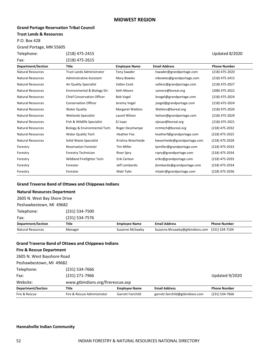**Grand Portage Reservation Tribal Council**

**Trust Lands & Resources** 

P.O. Box 428

Grand Portage, MN 55605

Telephone: (218) 475‐2415 Updated 8/2020

| Fax:                     | (218) 475-2615                    |                      |                             |                     |
|--------------------------|-----------------------------------|----------------------|-----------------------------|---------------------|
| Department/Section       | <b>Title</b>                      | <b>Employee Name</b> | <b>Email Address</b>        | <b>Phone Number</b> |
| <b>Natural Resources</b> | <b>Trust Lands Administrator</b>  | <b>Tony Swader</b>   | tswader@grandportage.com    | (218) 475-2020      |
| <b>Natural Resources</b> | Administrative Assistant          | Mary Bowles          | mbowles@grandportage.com    | (218) 475-2415      |
| <b>Natural Resources</b> | Air Quality Specialist            | Vallen Cook          | vallenc@grandportage.com    | (218) 475-2027      |
| <b>Natural Resources</b> | Environmental & Biology Dir.      | Seth Moore           | samore@boreal.org           | (208) 475-2022      |
| <b>Natural Resources</b> | <b>Chief Conservation Officer</b> | <b>Bob Vogel</b>     | bvogel@grandportage.com     | (218) 475-2024      |
| <b>Natural Resources</b> | <b>Conservation Officer</b>       | Jeremy Vogel         | jvogel@grandportage.com     | (218) 475-2024      |
| <b>Natural Resources</b> | <b>Water Quality</b>              | Margaret Watkins     | Watkins@boreal.org          | (218) 475-2026      |
| <b>Natural Resources</b> | <b>Wetlands Specialist</b>        | Laurel Wilson        | lwilson@grandportage.com    | (218) 475-2029      |
| <b>Natural Resources</b> | Fish & Wildlife Specialist        | EJ Isaac             | ejissac@boreal.org          | (218) 475-2021      |
| <b>Natural Resources</b> | Biology & Environmental Tech.     | Roger Deschampe      | nrmtech@boreal.org          | (218) 475-2032      |
| <b>Natural Resources</b> | Water Quality Tech                | <b>Heather Fox</b>   | heatherf@grandportage.com   | (218) 475-2025      |
| <b>Natural Resources</b> | Solid Waste Specialist            | Krishna Woerheide    | kwoerheide@grandportage.com | (218) 475-2028      |
| Forestry                 | <b>Reservation Forester</b>       | <b>Tim Miller</b>    | tpmiller@grandportage.com   | (218) 475-2033      |
| Forestry                 | Forestry Technician               | <b>River Spry</b>    | rspry@grandportage.com      | (218) 475-2034      |
| Forestry                 | Wildland Firefighter Tech.        | Erik Carlson         | erikc@grandportage.com      | (218) 475-2035      |
| Forestry                 | Forester                          | Jeff Lombardo        | jlombardo@grandportage.com  | (218) 475-2034      |
| Forestry                 | Forester                          | Matt Tyler           | mtyler@grandportage.com     | (218) 475-2036      |

#### **Grand Traverse Band of Ottawa and Chippewa Indians**

#### **Natural Resources Department**

| 2605 N. West Bay Shore Drive |                |                      |                                |                     |
|------------------------------|----------------|----------------------|--------------------------------|---------------------|
| Peshawbestown, MI 49682      |                |                      |                                |                     |
| Telephone:                   | (231) 534-7500 |                      |                                |                     |
| Fax:                         | (231) 534-7576 |                      |                                |                     |
| Department/Section           | Title          | <b>Employee Name</b> | <b>Email Address</b>           | <b>Phone Number</b> |
| <b>Natural Resources</b>     | Manager        | Suzanne McSawby      | Suzanne.Mcsawby@gtbindians.com | (231) 534-7104      |

#### **Grand Traverse Band of Ottawa and Chippewa Indians**

| <b>Fire &amp; Rescue Department</b> |                             |                                   |                                  |                     |  |  |
|-------------------------------------|-----------------------------|-----------------------------------|----------------------------------|---------------------|--|--|
| 2605 N. West Bayshore Road          |                             |                                   |                                  |                     |  |  |
| Peshawbestown, MI 49682             |                             |                                   |                                  |                     |  |  |
| Telephone:                          | (231) 534-7666              |                                   |                                  |                     |  |  |
| Fax:                                | (231) 271-7966              |                                   |                                  | Updated 9/2020      |  |  |
| Website:                            |                             | www.gtbindians.org/firerescue.asp |                                  |                     |  |  |
| Department/Section                  | Title                       | <b>Employee Name</b>              | <b>Email Address</b>             | <b>Phone Number</b> |  |  |
| Fire & Rescue                       | Fire & Rescue Administrator | <b>Garrett Fairchild</b>          | garrett.fairchild@gtbindians.com | (231) 534-7666      |  |  |

#### **Hannahville Indian Community**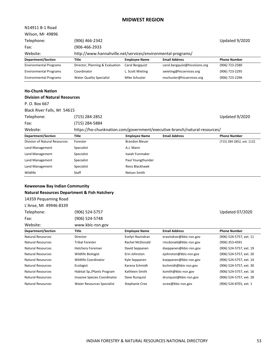| N14911 B-1 Road<br>Wilson, MI 49896 |                                                             |                      |                                |                     |  |
|-------------------------------------|-------------------------------------------------------------|----------------------|--------------------------------|---------------------|--|
| Telephone:                          | (906) 466-2342                                              |                      |                                | Updated 9/2020      |  |
| Fax:                                | (906-466-2933                                               |                      |                                |                     |  |
| Website:                            | http://www.hannahville.net/services/environmental-programs/ |                      |                                |                     |  |
| Department/Section                  | <b>Title</b>                                                | <b>Employee Name</b> | <b>Email Address</b>           | <b>Phone Number</b> |  |
| <b>Environmental Programs</b>       | Director, Planning & Evaluation                             | Carol Bergquist      | carol.bergquist@hicvisions.org | (906) 723-2580      |  |
| <b>Environmental Programs</b>       | Coordinator                                                 | L. Scott Wieting     | swieting@hicservices.org       | (906) 723-2295      |  |
| <b>Environmental Programs</b>       | <b>Water Quality Specialist</b>                             | Mike Schuster        | mschuster@hicservices.org      | (906) 723-2296      |  |

## **Ho‐Chunk Nation**

| <b>Division of Natural Resources</b> |                                                                           |                      |                      |                           |
|--------------------------------------|---------------------------------------------------------------------------|----------------------|----------------------|---------------------------|
| P. O. Box 667                        |                                                                           |                      |                      |                           |
| Black River Falls, WI 54615          |                                                                           |                      |                      |                           |
| Telephone:                           | (715) 284-2852                                                            |                      |                      | Updated 9/2020            |
| Fax:                                 | (715) 284-5884                                                            |                      |                      |                           |
| Website:                             | https://ho-chunknation.com/government/executive-branch/natural-resources/ |                      |                      |                           |
| Department/Section                   | <b>Title</b>                                                              | <b>Employee Name</b> | <b>Email Address</b> | <b>Phone Number</b>       |
| Division of Natural Resources        | Forester                                                                  | Brandon Bleuer       |                      | (715) 284-2852, ext. 1122 |
| Land Management                      | Specialist                                                                | A.J. Mann            |                      |                           |
| Land Management                      | Specialist                                                                | Isaiah Funmaker      |                      |                           |
|                                      |                                                                           |                      |                      |                           |
| Land Management                      | Specialist                                                                | Paul Youngthunder    |                      |                           |
| Land Management                      | Specialist                                                                | Reiss Blackhawk      |                      |                           |

#### **Keweenaw Bay Indian Community Natural Resources Department & Fish Hatchery** 14359 Pequaming Road

| 14359 Pequaming Road     |                                     |                      |                         |                         |
|--------------------------|-------------------------------------|----------------------|-------------------------|-------------------------|
| L'Anse, MI 49946-8339    |                                     |                      |                         |                         |
| Telephone:               | (906) 524-5757                      |                      |                         | <b>Updated 07/2020</b>  |
| Fax:                     | (906) 524-5748                      |                      |                         |                         |
| Website:                 | www.kbic-nsn.gov                    |                      |                         |                         |
| Department/Section       | Title                               | <b>Employee Name</b> | <b>Email Address</b>    | <b>Phone Number</b>     |
| <b>Natural Resources</b> | Director                            | Evelyn Ravindran     | eravindran@kbic-nsn.gov | (906) 524-5757, ext. 11 |
| <b>Natural Resources</b> | <b>Tribal Forester</b>              | Rachel McDonald      | rmcdonald@kbic-nsn.gov  | (906) 353-4591          |
| <b>Natural Resources</b> | Hatchery Foreman                    | David Seppanen       | dseppanen@kbic-nsn.gov  | (906) 524-5757, ext. 19 |
| <b>Natural Resources</b> | Wildlife Biologist                  | Erin Johnston        | ejohnston@kbic-nsn.gov  | (906) 524-5757, ext. 20 |
| <b>Natural Resources</b> | Wildlife Coordinator                | Kyle Seppanen        | kseppanen@kbic-nsn.gov  | (906) 524-5757, ext. 14 |
| <b>Natural Resources</b> | Ecologist                           | Karena Schmidt       | kschmidt@kbic-nsn.gov   | (906) 524-5757, ext. 30 |
| <b>Natural Resources</b> | Habitat Sp./Plants Program          | Kathleen Smith       | ksmith@kbic-nsn.gov     | (906) 524-5757, ext. 16 |
| <b>Natural Resources</b> | <b>Invasive Species Coordinator</b> | Dave Runguist        | drunguist@kbic-nsn.gov  | (906) 524-5757, ext. 28 |
| <b>Natural Resources</b> | <b>Water Resources Specialist</b>   | Stephanie Cree       | scree@kbic-nsn.gov      | (906) 524-8701, ext. 1  |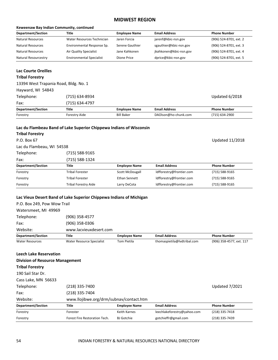#### **Keweenaw Bay Indian Community, continued**

| Department/Section       | Title                           | <b>Employee Name</b> | <b>Email Address</b>   | <b>Phone Number</b>    |
|--------------------------|---------------------------------|----------------------|------------------------|------------------------|
| <b>Natural Resources</b> | Water Resources Technician      | Jaren Forcia         | jarenf@kbic-nsn.gov    | (906) 524-8701, ext. 2 |
| Natural Resources        | Environmental Response Sp.      | Serene Gauthier      | sgauthier@kbic-nsn.gov | (906) 524-8701, ext. 3 |
| <b>Natural Resources</b> | Air Quality Specialist          | Jane Kahkonen        | jkahkonen@kbic-nsn.gov | (906) 524-8701, ext. 4 |
| Natural Resourcestry     | <b>Environmental Specialist</b> | Dione Price          | dprice@kbic-nsn.gov    | (906) 524-8701, ext. 5 |

#### **Lac Courte Oreilles**

# **Tribal Forestry**

| Forestry                              | Forestry Aide  | <b>Bill Baker</b>    | DAOIson@ho-chunk.com | (715) 634-2900      |  |  |
|---------------------------------------|----------------|----------------------|----------------------|---------------------|--|--|
| Department/Section                    | Title          | <b>Employee Name</b> | <b>Email Address</b> | <b>Phone Number</b> |  |  |
| Fax:                                  | (715) 634-4797 |                      |                      |                     |  |  |
| Telephone:                            | (715) 634-8934 |                      |                      | Updated 6/2018      |  |  |
| Hayward, WI 54843                     |                |                      |                      |                     |  |  |
| 13394 West Trapania Road, Bldg. No. 1 |                |                      |                      |                     |  |  |

## **Lac du Flambeau Band of Lake Superior Chippewa Indians of Wisconsin**

| <b>Tribal Forestry</b>    |                        |                      |                          |                     |
|---------------------------|------------------------|----------------------|--------------------------|---------------------|
| P.O. Box 67               | <b>Updated 11/2018</b> |                      |                          |                     |
| Lac du Flambeau, WI 54538 |                        |                      |                          |                     |
| Telephone:                | (715) 588-9165         |                      |                          |                     |
| Fax:                      | (715) 588-1324         |                      |                          |                     |
| Department/Section        | <b>Title</b>           | <b>Employee Name</b> | <b>Email Address</b>     | <b>Phone Number</b> |
| Forestry                  | <b>Tribal Forester</b> | Scott McDougall      | ldfforestry@frontier.com | (715) 588-9165      |
| Forestry                  | <b>Tribal Forester</b> | <b>Ethan Sennett</b> | ldfforestry@frontier.com | (715) 588-9165      |
| Forestry                  | Tribal Forestry Aide   | Larry DeCota         | ldfforestry@frontier.com | (715) 588-9165      |

#### **Lac Vieux Desert Band of Lake Superior Chippewa Indians of Michigan**

| P.O. Box 249, Pow Wow Trail            |                                         |                      |                             |                          |
|----------------------------------------|-----------------------------------------|----------------------|-----------------------------|--------------------------|
| Watersmeet, MI 49969                   |                                         |                      |                             |                          |
| Telephone:                             | (906) 358-4577                          |                      |                             |                          |
| Fax:                                   | (906) 358-0306                          |                      |                             |                          |
| Website:                               | www.lacvieuxdesert.com                  |                      |                             |                          |
| <b>Department/Section</b>              | <b>Title</b>                            | <b>Employee Name</b> | <b>Email Address</b>        | <b>Phone Number</b>      |
| <b>Water Resources</b>                 | Water Resource Specialist               | <b>Tom Pietila</b>   | thomaspietila@lvdtribal.com | (906) 358-4577, ext. 117 |
| <b>Leech Lake Reservation</b>          |                                         |                      |                             |                          |
| <b>Division of Resource Management</b> |                                         |                      |                             |                          |
| Tribal Forestry                        |                                         |                      |                             |                          |
| 190 Sail Star Dr.                      |                                         |                      |                             |                          |
| Cass Lake, MN 56633                    |                                         |                      |                             |                          |
| Telephone:                             | (218) 335-7400                          |                      |                             | <b>Updated 7/2021</b>    |
| Fax:                                   | (218) 335-7404                          |                      |                             |                          |
| Website:                               | www.llojibwe.org/drm/subnav/contact.htm |                      |                             |                          |
| <b>Department/Section</b>              | <b>Title</b>                            | <b>Employee Name</b> | <b>Email Address</b>        | <b>Phone Number</b>      |
| Forestry                               | Forester                                | Keith Karnes         | leechlakeforestry@yahoo.com | (218) 335-7418           |

Forestry **Forest Fire Restoration Tech.** BJ Gotchie gotchieffr@gmail.com (218) 335-7439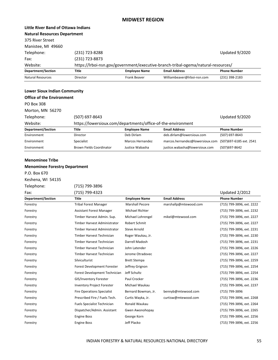## **Little River Band of Ottawa Indians**

| <b>Natural Resources Department</b> |                |                      |                                                                                   |                     |
|-------------------------------------|----------------|----------------------|-----------------------------------------------------------------------------------|---------------------|
| 375 River Street                    |                |                      |                                                                                   |                     |
| Manistee, MI 49660                  |                |                      |                                                                                   |                     |
| Telephone:                          | (231) 723-8288 |                      |                                                                                   | Updated 9/2020      |
| Fax:                                | (231) 723-8873 |                      |                                                                                   |                     |
| Website:                            |                |                      | https://Irboi-nsn.gov/government/executive-branch-tribal-ogema/natural-resources/ |                     |
| <b>Department/Section</b>           | Title          | <b>Employee Name</b> | <b>Email Address</b>                                                              | <b>Phone Number</b> |
| Natural Resources                   | Director       | Frank Beaver         | Williambeaver@Irboi-nsn.com                                                       | (231) 398-2183      |

## **Lower Sioux Indian Community**

| <b>Office of the Environment</b>                                         |                                 |                      |                                 |                         |
|--------------------------------------------------------------------------|---------------------------------|----------------------|---------------------------------|-------------------------|
| PO Box 308                                                               |                                 |                      |                                 |                         |
| Morton, MN 56270                                                         |                                 |                      |                                 |                         |
| Telephone:                                                               | (507) 697-8643                  |                      |                                 | Updated 9/2020          |
| https://lowersioux.com/departments/office-of-the-environment<br>Website: |                                 |                      |                                 |                         |
| Department/Section                                                       | Title                           | <b>Employee Name</b> | <b>Email Address</b>            | <b>Phone Number</b>     |
| Environment                                                              | Director                        | Deb Dirlam           | deb.dirlam@lowersioux.com       | (507) 697-8643          |
| Environment                                                              | Specialist                      | Marcos Hernandez     | marcos.hernandez@lowersioux.com | (507)697-6185 ext. 2541 |
| Environment                                                              | <b>Brown Fields Coordinator</b> | Justice Wabasha      | justice.wabasha@lowersioux.com  | (507)697-8642           |

#### **Menominee Tribe**

#### **Menominee Forestry Department**

P.O. Box 670

| Keshena, WI 54135 |                |
|-------------------|----------------|
| Telephone:        | (715) 799-3896 |

| Fax:               | (715) 799-4323                     |                        |                       | Updated 2/2012            |
|--------------------|------------------------------------|------------------------|-----------------------|---------------------------|
| Department/Section | <b>Title</b>                       | <b>Employee Name</b>   | <b>Email Address</b>  | <b>Phone Number</b>       |
| Forestry           | <b>Tribal Forest Manager</b>       | <b>Marshall Pecore</b> | marshallp@mtewood.com | (715) 799-3896, ext. 2222 |
| Forestry           | <b>Assistant Forest Manager</b>    | Michael Richter        |                       | (715) 799-3896, ext. 2232 |
| Forestry           | Timber Harvest Admin. Sup.         | Michael Lohrengel      | mikel@mtewood.com     | (715) 799-3896, ext. 2227 |
| Forestry           | Timber Harvest Administrator       | Robert Schmit          |                       | (715) 799-3896, ext. 2227 |
| Forestry           | Timber Harvest Administrator       | Steve Arnold           |                       | (715) 799-3896, ext. 2231 |
| Forestry           | Timber Harvest Technician          | Roger Waukau, Jr.      |                       | (715) 799-3896, ext. 2230 |
| Forestry           | Timber Harvest Technician          | Darrell Madosh         |                       | (715) 799-3896, ext. 2231 |
| Forestry           | Timber Harvest Technician          | John Latender          |                       | (715) 799-3896, ext. 2226 |
| Forestry           | Timber Harvest Technician          | Jerome Otradovec       |                       | (715) 799-3896, ext. 2227 |
| Forestry           | Silviculturist                     | <b>Brett Stempa</b>    |                       | (715) 799-3896, ext. 2259 |
| Forestry           | Forest Development Forester        | Jeffrey Grignon        |                       | (715) 799-3896, ext. 2254 |
| Forestry           | Forest Development Technician      | Jeff Schultz           |                       | (715) 799-3896, ext. 2254 |
| Forestry           | GIS/Inventory Forester             | Paul Crocker           |                       | (715) 799-3896, ext. 2236 |
| Forestry           | <b>Inventory Project Forester</b>  | Michael Waukau         |                       | (715) 799-3896, ext. 2237 |
| Forestry           | <b>Fire Operations Specialist</b>  | Bernard Bowman, Jr.    | bennyb@mtewood.com    | (715) 799-3896            |
| Forestry           | Prescribed Fire / Fuels Tech.      | Curtis Wayka, Jr.      | curtisw@mtewood.com   | (715) 799-3896, ext. 2268 |
| Forestry           | <b>Fuels Specialist Technician</b> | Ronald Waukau          |                       | (715) 799-3896, ext. 2264 |
| Forestry           | Dispatcher/Admin. Assistant        | Gwen Awonohopay        |                       | (715) 799-3896, ext. 2265 |
| Forestry           | <b>Engine Boss</b>                 | George Korn            |                       | (715) 799-3896, ext. 2256 |
| Forestry           | <b>Engine Boss</b>                 | Jeff Placko            |                       | (715) 799-3896, ext. 2256 |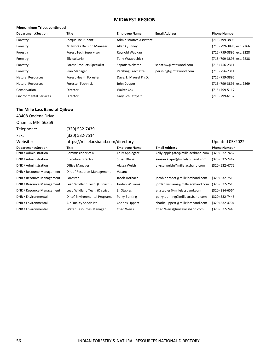#### **Menominee Tribe, continued**

| Department/Section            | Title                             | <b>Employee Name</b>      | <b>Email Address</b>  | <b>Phone Number</b>       |
|-------------------------------|-----------------------------------|---------------------------|-----------------------|---------------------------|
| Forestry                      | Jacqueline Pubanz                 | Administrative Assistant  |                       | (715) 799-3896            |
| Forestry                      | <b>Millworks Division Manager</b> | Allen Quinney             |                       | (715) 799-3896, ext. 2266 |
| Forestry                      | <b>Forest Tech Supervisor</b>     | Reynold Waukau            |                       | (715) 799-3896, ext. 2228 |
| Forestry                      | Silviculturist                    | Tony Waupochick           |                       | (715) 799-3896, ext. 2238 |
| Forestry                      | <b>Forest Products Specialist</b> | Sapatis Webster           | sapatisw@mtewood.com  | (715) 756-2311            |
| Forestry                      | Plan Manager                      | <b>Pershing Frechette</b> | pershingf@mtewood.com | (715) 756-2311            |
| <b>Natural Resources</b>      | <b>Forest Health Forester</b>     | Dave. L. Mausel Ph.D.     |                       | (715) 799-3896            |
| <b>Natural Resources</b>      | Forester Technician               | John Cooper               |                       | (715) 799-3896, ext. 2269 |
| Conservation                  | Director                          | <b>Walter Cox</b>         |                       | (715) 799-5117            |
| <b>Environmental Services</b> | Director                          | Gary Schuettpelz          |                       | (715) 799-6152            |

## **The Mille Lacs Band of Ojibwe**

| 43408 Oodena Drive        |                                     |                      |                                   |                        |
|---------------------------|-------------------------------------|----------------------|-----------------------------------|------------------------|
| Onamia, MN 56359          |                                     |                      |                                   |                        |
| Telephone:                | (320) 532-7439                      |                      |                                   |                        |
| Fax:                      | (320) 532-7514                      |                      |                                   |                        |
| Website:                  | https://millelacsband.com/directory |                      |                                   | <b>Updated 05/2022</b> |
| Department/Section        | <b>Title</b>                        | <b>Employee Name</b> | <b>Email Address</b>              | <b>Phone Number</b>    |
| DNR / Administration      | Commissioner of NR                  | Kelly Applegate      | kelly.applegate@millelacsband.com | (320) 532-7452         |
| DNR / Administration      | <b>Executive Director</b>           | Susan Klapel         | sausan.klapel@millelacsband.com   | (320) 532-7442         |
| DNR / Administration      | Office Manager                      | Alyssa Welsh         | alyssa.welsh@millelacsband.com    | (320) 532-4772         |
| DNR / Resource Management | Dir. of Resource Management         | Vacant               |                                   |                        |
| DNR / Resource Management | Forester                            | Jacob Horbacz        | jacob.horbacz@millelacsband.com   | (320) 532-7513         |
| DNR / Resource Management | Lead Wildland Tech. (District I)    | Jordan Williams      | jordan.williams@millelacsband.com | (320) 532-7513         |
| DNR / Resource Management | Lead Wildland Tech. (District III)  | Eli Staples          | eli.staples@millelacsband.com     | (320) 384-6564         |
| DNR / Environmental       | Dir.of Environmental Programs       | Perry Bunting        | perry.bunting@millelacsband.com   | (320) 532-7446         |
| DNR / Environmental       | Air Quality Specialist              | Charles Lippert      | charlie.lippert@millelacsband.com | (320) 532-4704         |
| DNR / Environmental       | Water Resources Manager             | Chad Weiss           | Chad.Weiss@millelacsband.com      | (320) 532-7445         |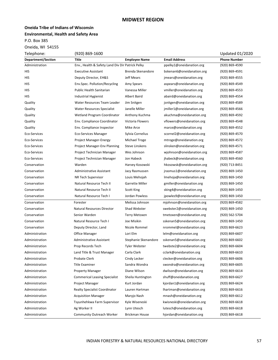## **Oneida Tribe of Indians of Wisconsin Environmental, Health and Safety Area**

P.O. Box 385

Oneida, WI 54155

| Telephone:         | (920) 869-1600                                   |                        |                            | <b>Updated 01/2020</b> |
|--------------------|--------------------------------------------------|------------------------|----------------------------|------------------------|
| Department/Section | Title                                            | <b>Employee Name</b>   | <b>Email Address</b>       | <b>Phone Number</b>    |
| Administration     | Env., Health & Safety Land Div Dir Patrick Pelky |                        | ppelky1@oneidanation.org   | (920) 869-4590         |
| HIS                | <b>Executive Assistant</b>                       | Brenda Skenandore      | bskenan6@oneidanation.org  | (920) 869-4591         |
| HIS                | Deputy Director, EH&S                            | Jeff Mears             | jmears@oneidanation.org    | (920) 869-4555         |
| HIS                | Env.Spec. Pollution/Recycling                    | Amy Spears             | aspears@oneidanation.org   | (920) 869-4549         |
| HIS                | Public Health Sanitarian                         | Vanessa Miller         | vmiller@oneidanation.org   | (920) 869-4553         |
| HIS                | Industrial Hygienist                             | Albert Baird           | abaird@oneidanation.org    | (920) 869-4554         |
| Quality            | Water Resources Team Leader                      | Jim Snitgen            | jsnitgen@oneidanation.org  | (920) 869-4589         |
| Quality            | <b>Water Resources Specialist</b>                | Janelle Miller         | jmiller1@oneidanation.org  | (920) 869-4566         |
| Quality            | <b>Wetland Program Coordinator</b>               | Anthony Kuchma         | akuchma@oneidanation.org   | (920) 869-4592         |
| Quality            | Env. Compliance Coordinator                      | Victoria Flowers       | vflowers@oneidanation.org  | (920) 869-4548         |
| Quality            | Env. Compliance Inspector                        | Mike Arce              | marce@oneidanation.org     | (920) 869-4552         |
| Eco-Services       | Eco-Services Manager                             | Sylvia Cornelius       | scornel2@oneidanation.org  | (920) 869-4570         |
| Eco-Services       | Project Manager-Energy                           | Michael Troge          | mtroge@oneidanation.org    | (920) 869-4572         |
| Eco-Services       | Project Manager-Env Planning                     | <b>Steve Linskens</b>  | slinsken@oneidanation.org  | (920) 869-4571         |
| Eco-Services       | Project Technician Manager                       | Wes Johnson            | wjohnson@oneidanation.org  | (920) 869-4587         |
| Eco-Services       | Project Technician Manager                       | Jon Habeck             | jhabeck@oneidanation.org   | (920) 869-4560         |
| Conservation       | Warden                                           | Harvey Kosowski        | hkosowsk@oneidanation.org  | (920) 713-8451         |
| Conservation       | Administrative Assistant                         | Jacy Rasmussen         | jrasmus1@oneidanation.org  | (920) 869-1450         |
| Conservation       | NR Tech Supervisor                               | Louis Mehojah          | Imehoja@oneidanation.org   | (920) 869-1450         |
| Conservation       | Natural Resource Tech II                         | <b>Garrette Miller</b> | gmiller@oneidanation.org   | (920) 869-1450         |
| Conservation       | Natural Resource Tech II                         | Scott King             | sking4@oneidanation.org    | (920) 869-1450         |
| Conservation       | Natural Resource Tech I                          | Jordan Powless         | jpowles9@oneidanation.org  | (920) 869-1450         |
| Conservation       | Forester                                         | Melissa Johnson        | mjohnson@oneidanation.org  | (920) 869-4582         |
| Conservation       | Natural Resources Director                       | Shad Webster           | swebster2@oneidanation.org | (920) 869-1450         |
| Conservation       | Senior Warden                                    | <b>Terry Metoxen</b>   | tmetoxen@oneidanation.org  | (920) 562-5704         |
| Conservation       | Natural Resource Tech I                          | Joe Misikin            | sskenan5@oneidanation.org  | (920) 869-1450         |
| Conservation       | Deputy Director, Land                            | Nicole Rommel          | nrommel@oneidanation.org   | (920) 869-6623         |
| Administration     | Office Manager                                   | Lori Elm               | lelm@oneidanation.org      | (920) 869-6607         |
| Administration     | Administrative Assistant                         | Stephanie Skenandore   | sskenan5@oneidanation.org  | (920) 869-6602         |
| Administration     | Prop Records Tech                                | Tyler Webster          | twebste2@oneidanation.org  | (920) 869-6604         |
| Administration     | Land Title & Trust Manager                       | Carla Clark            | cclark@oneidanation.org    | (920) 869-6610         |
| Administration     | <b>Probate Clerk</b>                             | Cindy Lecker           | clecker@oneidanation.org   | (920) 869-6606         |
| Administration     | <b>Title Examiner</b>                            | Sandra Wondra          | swondra@oneidanation.org   | (920) 869-6605         |
| Administration     | <b>Property Manager</b>                          | Diane Wilson           | dwilson@oneidanation.org   | (920) 869-6614         |
| Administration     | <b>Commerical Leasing Specialist</b>             | Sheila Huntington      | shuff@oneidanation.org     | (920) 869-6627         |
| Administration     | Project Manager                                  | Kurt Jordan            | kjordan1@oneidanation.org  | (920) 869-6624         |
| Administration     | <b>Realty Specialist Coordinator</b>             | Lauren Hartman         | Ihartman@oneidanation.org  | (920) 869-6616         |
| Administration     | <b>Acquisition Manager</b>                       | Maryjo Nash            | mnash@oneidanation.org     | (920) 869-6612         |
| Administration     | Tsyunhehkwa Farm Supervisor                      | Kyle Wiseneski         | kwisneski@oneidanation.org | (920) 869-6618         |
| Administration     | Ag Worker II                                     | Lynn Utesch            | lutesch@oneidanation.org   | (920) 869-6618         |
| Administration     | <b>Community Outreach Worker</b>                 | <b>Brickman House</b>  | hjordan@oneidanation.org   | (920) 869-6618         |
|                    |                                                  |                        |                            |                        |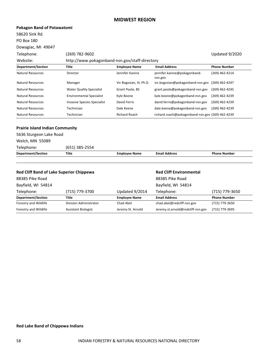| Pokagon Band of Potawatomi                      |                                                |                          |                                                  |                     |
|-------------------------------------------------|------------------------------------------------|--------------------------|--------------------------------------------------|---------------------|
| 58620 Sink Rd.                                  |                                                |                          |                                                  |                     |
| <b>PO Box 180</b>                               |                                                |                          |                                                  |                     |
| Dowagiac, MI 49047                              |                                                |                          |                                                  |                     |
| Telephone:                                      | (269) 782-9602                                 |                          |                                                  | Updated 9/2020      |
| Website:                                        | http://www.pokagonband-nsn.gov/staff-directory |                          |                                                  |                     |
| Department/Section                              | <b>Title</b>                                   | <b>Employee Name</b>     | <b>Email Address</b>                             | <b>Phone Number</b> |
| <b>Natural Resources</b>                        | Director                                       | Jennifer Kanine          | jennifer.kanine@pokagonband-<br>nsn.gov          | (269) 462-4214      |
| <b>Natural Resources</b>                        | Manager                                        | Vic Bogosian, III, Ph.D. | vic.bogosian@pokagonband-nsn.gov                 | (269) 462-4247      |
| <b>Natural Resources</b>                        | <b>Water Quality Specialist</b>                | Grant Poole, BS          | grant.poole@pokagonband-nsn.gov                  | (269) 462-4245      |
| <b>Natural Resources</b>                        | <b>Environmental Specialist</b>                | Kyle Boone               | kyle.boone@pokagonband-nsn.gov                   | (269) 462-4239      |
| <b>Natural Resources</b>                        | <b>Invasive Species Specialist</b>             | David Ferris             | david.ferris@pokagonband-nsn.gov                 | (269) 462-4239      |
| <b>Natural Resources</b>                        | Technician                                     | Dale Keene               | dale.keene@pokagonband-nsn.gov                   | (269) 462-4239      |
| <b>Natural Resources</b>                        | Technician                                     | <b>Richard Roach</b>     | richard.roach@pokagonband-nsn.gov (269) 462-4239 |                     |
|                                                 |                                                |                          |                                                  |                     |
| <b>Prairie Island Indian Community</b>          |                                                |                          |                                                  |                     |
| 5636 Sturgeon Lake Road                         |                                                |                          |                                                  |                     |
| Welch, MN 55089                                 |                                                |                          |                                                  |                     |
| Telephone:                                      | (651) 385-2554                                 |                          |                                                  |                     |
| <b>Department/Section</b>                       | Title                                          | <b>Employee Name</b>     | <b>Email Address</b>                             | <b>Phone Number</b> |
|                                                 |                                                |                          |                                                  |                     |
|                                                 |                                                |                          |                                                  |                     |
| <b>Red Cliff Band of Lake Superior Chippewa</b> |                                                |                          | <b>Red Cliff Environmental</b>                   |                     |
| 88385 Pike Road                                 |                                                |                          | 88385 Pike Road                                  |                     |
| Bayfield, WI 54814                              |                                                |                          | Bayfield, WI 54814                               |                     |
| Telephone:                                      | (715) 779-3700                                 | Updated 9/2014           | Telephone:                                       | (715) 779-3650      |
|                                                 |                                                |                          |                                                  |                     |

# **Department/Section Title Employee Name Email Address Phone Number** Forestry and Wildlife **Division Administrator** Chad Abel chad.abel@redcliff-nsn.gov (715) 779‐3650 Forestry and Wildlife Assistant Biologist Jeremy St. Arnold Jeremy.st.arnold@redcliff‐nsn.gov (715) 779‐3695

#### **Red Lake Band of Chippewa Indians**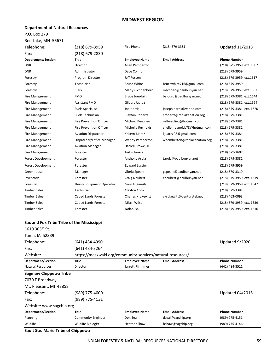### **Department of Natural Resources**

P.O. Box 279

## Red Lake, MN 56671

| Telephone:                | (218) 679-3959                  | Fire Phone:              | (218) 679-3381                | <b>Updated 11/2018</b>    |
|---------------------------|---------------------------------|--------------------------|-------------------------------|---------------------------|
| Fax:                      | (218) 679-2830                  |                          |                               |                           |
| <b>Department/Section</b> | <b>Title</b>                    | <b>Employee Name</b>     | <b>Email Address</b>          | <b>Phone Number</b>       |
| <b>DNR</b>                | Director                        | Allen Pemberton          |                               | (218) 679-3959, ext. 1302 |
| <b>DNR</b>                | Administrator                   | Dave Connor              |                               | (218) 679-3959            |
| Forestry                  | Program Director                | Jeff Fossen              |                               | (218) 679-3959, ext.1617  |
| Forestry                  | Technician                      | <b>Bruce White</b>       | brucewhite716@gmail.com       | (218) 679-3959            |
| Forestry                  | Clerk                           | Marlys Schoenborn        | mschoen@paulbunyan.net        | (218) 679-3959, ext.1637  |
| <b>Fire Management</b>    | <b>FMO</b>                      | <b>Bruce Jourdain</b>    | bajourd@paulbunyan.net        | (218) 679-3381, ext.1644  |
| <b>Fire Management</b>    | <b>Assistant FMO</b>            | Gilbert Juarez           |                               | (218) 679-3381, ext.1624  |
| <b>Fire Management</b>    | <b>Fuels Specialist</b>         | Joe Harris               | josephlharris@yahoo.com       | (218) 679-3381, ext. 1620 |
| Fire Management           | Fuels Technician                | Clayton Roberts          | croberts@redlakenation.org    | (218) 679-3381            |
| <b>Fire Management</b>    | <b>Fire Prevention Officer</b>  | Michael Beaulieu         | mfbeaulieu@hotmail.com        | (218) 679-3381            |
| <b>Fire Management</b>    | <b>Fire Prevention Officer</b>  | Michelle Reynolds        | chelle reynolds78@hotmail.com | (218) 679-3381            |
| <b>Fire Management</b>    | <b>Aviation Dispatcher</b>      | Kristyn Juarez           | kjuarez08@gmail.com           | (218) 679-3381            |
| <b>Fire Management</b>    | Dispatcher/Office Manager       | <b>Wendy Pemberton</b>   | wpemberton@redlakenation.org  | (218) 679-3381            |
| Fire Management           | <b>Aviation Manager</b>         | Darrell Crowe, Jr.       |                               | (218) 679-3381            |
| <b>Fire Management</b>    | Forester                        | Justin Janssen           |                               | $(218)$ 679-1602          |
| Forest Development        | Forester                        | Anthony Arola            | tarola@paulbunyan.net         | (218) 679-3381            |
| Forest Development        | Forester                        | <b>Edward Lussier</b>    |                               | (218) 679-3959            |
| Greenhouse                | Manager                         | Gloria Spears            | gspears@paulbunyan.net        | (218) 679-3310            |
| Inventory                 | Forester                        | <b>Craig Neubert</b>     | cneubert@paulbunyan.net       | (218) 679-3959, ext. 1319 |
| Forestry                  | <b>Heavy Equipment Operator</b> | Gary Auginash            |                               | (218) 679-3959, ext. 1647 |
| <b>Timber Sales</b>       | Technician                      | Clayton Cook             |                               | (218) 679-3381            |
| <b>Timber Sales</b>       | <b>Ceded Lands Forester</b>     | <b>Charles Krukewitt</b> | ckrukewitt@centurytel.net     | (218) 463-0093            |
| <b>Timber Sales</b>       | <b>Ceded Lands Forester</b>     | Mitch Wilson             |                               | (218) 679-3959, ext. 1639 |
| <b>Timber Sales</b>       | Forester                        | Nolan Eck                |                               | (218) 679-3959, ext. 1616 |

| Sac and Fox Tribe Tribe of the Mississippi |                           |                                                            |                      |                        |
|--------------------------------------------|---------------------------|------------------------------------------------------------|----------------------|------------------------|
| 1610 305 <sup>th</sup> St.                 |                           |                                                            |                      |                        |
| Tama, IA 52339                             |                           |                                                            |                      |                        |
| Telephone:                                 | (641) 484-4990            |                                                            |                      | Updated 9/2020         |
| Fax:                                       | (641) 484-3264            |                                                            |                      |                        |
| Website:                                   |                           | https://meskwaki.org/community-services/natural-resources/ |                      |                        |
| Department/Section                         | <b>Title</b>              | <b>Employee Name</b>                                       | <b>Email Address</b> | <b>Phone Number</b>    |
| Natural Resources                          | Director                  | Jarrett Pfrimmer                                           |                      | (641) 484-3511         |
| <b>Saginaw Chippewa Tribe</b>              |                           |                                                            |                      |                        |
| 7070 E Broadway                            |                           |                                                            |                      |                        |
| Mt. Pleasant, MI 48858                     |                           |                                                            |                      |                        |
| Telephone:                                 | (989) 775-4000            |                                                            |                      | <b>Updated 04/2016</b> |
| Fax:                                       | (989) 775-4131            |                                                            |                      |                        |
| Website: www.sagchip.org                   |                           |                                                            |                      |                        |
| Department/Section                         | <b>Title</b>              | <b>Employee Name</b>                                       | <b>Email Address</b> | <b>Phone Number</b>    |
| Planning                                   | <b>Community Engineer</b> | Don Seal                                                   | dseal@sagchip.org    | (989) 775-4151         |
| Wildlife                                   | Wildlife Biologist        | <b>Heather Shaw</b>                                        | hshaw@sagchip.org    | (989) 775-4146         |
|                                            |                           |                                                            |                      |                        |

**Sault Ste. Marie Tribe of Chippewa**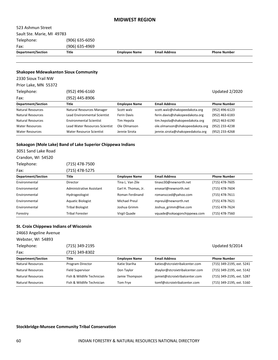## 523 Ashmun Street Sault Ste. Marie, MI 49783 Telephone: (906) 635‐6050 Fax: (906) 635‐4969 **Department/Section Title Employee Name Email Address Phone Number**

#### **Shakopee Mdewakanton Sioux Community**

2330 Sioux Trail NW

| Prior Lake, MN 55372     |                                     |                      |                                  |                     |
|--------------------------|-------------------------------------|----------------------|----------------------------------|---------------------|
| Telephone:               | (952) 496-6160                      |                      |                                  | Updated 2/2020      |
| Fax:                     | (952) 445-8906                      |                      |                                  |                     |
| Department/Section       | Title                               | <b>Employee Name</b> | <b>Email Address</b>             | <b>Phone Number</b> |
| <b>Natural Resources</b> | Natural Resources Manager           | Scott walz           | scott.walz@shakopeedakota.org    | (952) 496-6123      |
| <b>Natural Resources</b> | <b>Lead Environmental Scientist</b> | <b>Ferin Davis</b>   | ferin.davis@shakopeedakota.org   | (952) 463-6183      |
| Natural Resources        | <b>Environmental Scientist</b>      | Tim Hepola           | tim.hepola@shakopeedakota.org    | (952) 463-6190      |
| <b>Water Resources</b>   | Lead Water Resources Scientist      | Ole Olmanson         | ole.olmanson@shakopeedakota.org  | (952) 233-4238      |
| <b>Water Resources</b>   | Water Resource Scientist            | Jennie Sirota        | jennie.sirota@shakopeedakota.org | (952) 233-4268      |

#### **Sokaogon (Mole Lake) Band of Lake Superior Chippewa Indians**

## 3051 Sand Lake Road

| Crandon, WI 54520  |                                 |                      |                             |                     |
|--------------------|---------------------------------|----------------------|-----------------------------|---------------------|
| Telephone:         | (715) 478-7500                  |                      |                             |                     |
| Fax:               | (715) 478-5275                  |                      |                             |                     |
| Department/Section | Title                           | <b>Employee Name</b> | <b>Email Address</b>        | <b>Phone Number</b> |
| Environmental      | Director                        | Tina L. Van Zile     | tinavz30@newnorth.net       | (715) 478-7605      |
| Environmental      | <b>Administrative Assistant</b> | Earl H. Thomas, Jr.  | envearl@newnorth.net        | (715) 478-7604      |
| Environmental      | Hydrogeologist                  | Roman Ferdinand      | romanscced@yahoo.com        | $(715)$ 478-7611    |
| Environmental      | <b>Aquatic Biologist</b>        | Michael Preul        | mpreul@newnorth.net         | (715) 478-7621      |
| Environmental      | <b>Tribal Biologist</b>         | Joshua Grimm         | Joshua grimm@live.com       | (715) 478-7624      |
| Forestry           | <b>Tribal Forester</b>          | Virgil Quade         | vquade@sokaogonchippewa.com | (715) 478-7560      |

#### **St. Croix Chippewa Indians of Wisconsin**

| 24663 Angeline Avenue    |                            |                      |                                 |                           |
|--------------------------|----------------------------|----------------------|---------------------------------|---------------------------|
| Webster, WI 54893        |                            |                      |                                 |                           |
| Telephone:               | (715) 349-2195             |                      |                                 | Updated 9/2014            |
| Fax:                     | (715) 349-8302             |                      |                                 |                           |
| Department/Section       | Title                      | <b>Employee Name</b> | <b>Email Address</b>            | <b>Phone Number</b>       |
| <b>Natural Resources</b> | Program Director           | Katie Stariha        | katies@stcroixtribalcenter.com  | (715) 349-2195, ext. 5241 |
| <b>Natural Resources</b> | <b>Field Supervisor</b>    | Don Taylor           | dtaylor@stcroixtribalcenter.com | (715) 349-2195, ext. 5142 |
| <b>Natural Resources</b> | Fish & Wildlife Technician | Jamie Thompson       | jamiet@stcroixtribalcenter.com  | (715) 349-2195, ext. 5287 |
| Natural Resources        | Fish & Wildlife Technician | Tom Frye             | tomf@stcroixtribalcenter.com    | (715) 349-2195, ext. 5160 |

#### **Stockbridge‐Munsee Community Tribal Conservation**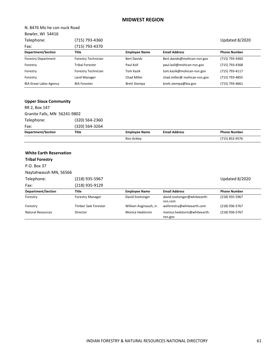## N. 8476 Mo he con nuck Road Bowler, WI 54416 Telephone: (715) 793‐4360 Updated 8/2020 Fax: (715) 793‐4370 **Department/Section Title Employee Name Email Address Phone Number**  Forestry Department Forestry Technician Bert Davids Bert.davids@mohican-nsn.gov (715) 793-4360 Forestry **Tribal Forester** Paul Koll paul.koll@mohican-nsn.gov (715) 793-4368 Forestry Forestry Technician Tom Kazik tom.kazik@mohican‐nsn.gov (715) 793‐4117 Forestry Land Manager Chad Miller chad.miller@ mohican‐nsn.gov (715) 793‐4855 BIA Great Lakes Agency BIA Forester **Brett Stempa** brett.stempa@bia.gov (715) 793-4661 **Upper Sioux Community** RR 2, Box 147 Granite Falls, MN 56241‐9802 Telephone: (320) 564‐2360 Fax: (320) 564‐3264 **Department/Section Title Employee Name Email Address Phone Number**  Ron Ackley (715) 853‐9576 **White Earth Reservation Tribal Forestry**  P.O. Box 37 Naytahwaush MN, 56566 Telephone: (218) 935‐5967 Updated 8/2020 Fax: (218) 935‐9129 **Department/Section Title Employee Name Email Address Phone Number** Forestry 
Forestry Manager

Forestry 
Bavid Snetsinger

david.snetsinger@whiteearthnsn.com (218) 935‐5967 Forestry Timber Sale Forester William Auginaush, Jr. weforestry@whiteearth.com (218) 936‐5767 Natural Resources Director Director Monica Hedstrom monica.hedstorm@whiteearthnsn.gov (218) 936‐5767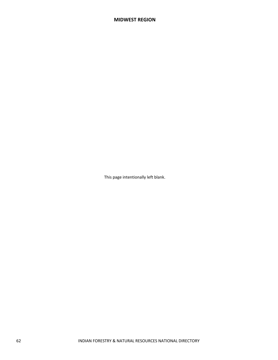This page intentionally left blank.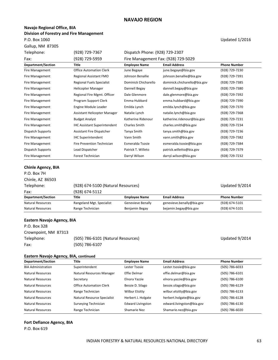## **Navajo Regional Office, BIA Division of Forestry and Fire Management**

Gallup, NM 87305

Telephone: (928) 729‐7367 Dispatch Phone: (928) 729‐2307 Fax: (928) 729‐5959

#### P.O. Box 1060 Updated 1/2016

| <b>Employee Name</b>                | <b>Email Address</b> |
|-------------------------------------|----------------------|
| Fire Management Fax: (928) 729-5029 |                      |
| Dispatch Phone: (928) 729-2307      |                      |

| Department/Section     | Title                               | <b>Employee Name</b> | <b>Email Address</b>         | <b>Phone Number</b> |
|------------------------|-------------------------------------|----------------------|------------------------------|---------------------|
| Fire Management        | <b>Office Automation Clerk</b>      | June Begaye          | june.begaye@bia.gov          | (928) 729-7230      |
| <b>Fire Management</b> | Regional Assistant FMO              | Johnson Benallie     | johnson.benallie@bia.gov     | (928) 729-7391      |
| <b>Fire Management</b> | Regional Fuels Specialist           | Dominick Chicharello | dominick.chicharello@bia.gov | (928) 729-7385      |
| Fire Management        | <b>Helicopter Manager</b>           | Dannell Begay        | dannell.begay@bia.gov        | (928) 729-7380      |
| <b>Fire Management</b> | Regional Fire Mgmt. Officer         | Dale Glenmore        | dale.glenmore@bia.gov        | (928) 729-7392      |
| <b>Fire Management</b> | Program Support Clerk               | Emma Hubbard         | emma.hubbard@bia.gov         | (928) 729-7390      |
| Fire Management        | Engine Module Leader                | Emilda Lynch         | emilda.lynch@bia.gov         | (928) 729-7370      |
| <b>Fire Management</b> | Assistant Helicopter Manager        | Natalie Lynch        | natalie.lynch@bia.gov        | (928) 729-7368      |
| <b>Fire Management</b> | <b>Budget Analyst</b>               | Katherine Ridenour   | katherine.ridenour@bia.gov   | (928) 729-7231      |
| <b>Fire Management</b> | <b>IHC Assistant Superintendent</b> | <b>Charles Smith</b> | charles.smith@bia.gov        | (928) 729-7234      |
| Dispatch Supports      | <b>Assistant Fire Dispatcher</b>    | Tanya Smith          | tanya.smith@bia.gov          | (928) 729-7236      |
| Fire Management        | <b>IHC Superintendent</b>           | Vann Smith           | vann.smith@bia.gov           | (928) 729-7382      |
| <b>Fire Management</b> | Fire Prevention Technician          | Esmeralda Tsosie     | esmeralda.tsosie@bia.gov     | (928) 729-7384      |
| Dispatch Supports      | Lead Dispatcher                     | Patrick T. Willeto   | patrick.willetto@bia.gov     | (928) 729-7379      |
| Fire Management        | Forest Technician                   | Darryl Wilson        | darryl.wilson@bia.gov        | (928) 729-7232      |

#### **Chinle Agency, BIA**

| P.O. Box 7H              |                                    |                      |                           |                     |  |
|--------------------------|------------------------------------|----------------------|---------------------------|---------------------|--|
| Chinle, AZ 86503         |                                    |                      |                           |                     |  |
| Telephone:               | (928) 674-5100 (Natural Resources) |                      |                           |                     |  |
| Fax:                     | (928) 674-5112                     |                      |                           |                     |  |
| Department/Section       | Title                              | <b>Employee Name</b> | <b>Email Address</b>      | <b>Phone Number</b> |  |
| <b>Natural Resources</b> | Rangeland Mgt. Specialist          | Genevieve Benally    | genevieve.benally@bia.gov | (928) 674-5101      |  |
| <b>Natural Resources</b> | Range Technician                   | Benjamin Begay       | bejamin.begay@bia.gov     | (928) 674-5101      |  |

#### **Eastern Navajo Agency, BIA**

| P.O. Box 328         |                                    |                |
|----------------------|------------------------------------|----------------|
| Crownpoint, NM 87313 |                                    |                |
| Telephone:           | (505) 786-6101 (Natural Resources) | Updated 9/2014 |
| Fax:                 | (505) 786-6107                     |                |

#### **Eastern Navajo Agency, BIA, continued**

| Department/Section        | Title                       | <b>Employee Name</b>     | <b>Email Address</b>      | <b>Phone Number</b> |
|---------------------------|-----------------------------|--------------------------|---------------------------|---------------------|
| <b>BIA Administration</b> | Superintendent              | Lester Tsosie            | Lester.tsosie@bia.gov     | (505) 786-6033      |
| Natural Resources         | Natural Resources Manager   | Effie Delmar             | effie.delmar@bia.gov      | (505) 786-6101      |
| <b>Natural Resources</b>  | Secretary                   | Elnora Yazzie            | elnora.vazzie@bia.gov     | (505) 786-6100      |
| Natural Resources         | Office Automation Clerk     | Bessie D. Silago         | bessie.silago@bia.gov     | (505) 786-6129      |
| Natural Resources         | Range Technician            | Wilbur Etsitty           | wilbur.etsitty@bia.gov    | (505) 786-6133      |
| Natural Resources         | Natural Resource Specialist | Herbert J. Holgate       | herbert.holgate@bia.gov   | (505) 786-6128      |
| Natural Resources         | Surveying Technician        | <b>Edward Livingston</b> | edward.livingston@bia.gov | (505) 786-6130      |
| <b>Natural Resources</b>  | Range Technician            | Shamarie Nez             | Shamarie.nez@bia.gov      | (505) 786-6020      |

# **Fort Defiance Agency, BIA**

P.O. Box 619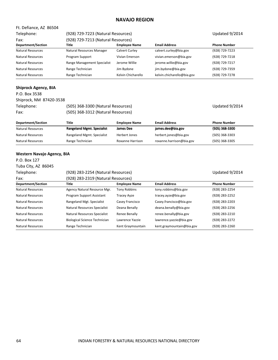| Ft. Defiance, AZ 86504                       |                                    |                                                      |                            |                     |  |  |
|----------------------------------------------|------------------------------------|------------------------------------------------------|----------------------------|---------------------|--|--|
| Telephone:                                   |                                    | (928) 729-7223 (Natural Resources)                   |                            |                     |  |  |
| Fax:                                         | (928) 729-7213 (Natural Resources) |                                                      |                            |                     |  |  |
| <b>Department/Section</b>                    | <b>Title</b>                       | <b>Employee Name</b>                                 | <b>Email Address</b>       | <b>Phone Number</b> |  |  |
| <b>Natural Resources</b>                     | Natural Resources Manager          | <b>Calvert Curley</b>                                | calvert.curley@bia.gov     | (928) 729-7223      |  |  |
| <b>Natural Resources</b>                     | Program Support                    | <b>Vivian Emerson</b>                                | vivian.emerson@bia.gov     | (928) 729-7218      |  |  |
| <b>Natural Resources</b>                     | Range Management Specialist        | Jerome Willie                                        | jerome.willie@bia.gov      | (928) 729-7217      |  |  |
| <b>Natural Resources</b>                     | Range Technician                   | Jim Bydone                                           | jim.bydone@bia.gov         | (928) 729-7359      |  |  |
| <b>Natural Resources</b>                     | Range Technician                   | Kelvin Chicharello                                   | kelvin.chicharello@bia.gov | (928) 729-7278      |  |  |
| <b>Shiprock Agency, BIA</b><br>P.O. Box 3538 |                                    |                                                      |                            |                     |  |  |
| Shiprock, NM 87420-3538                      |                                    |                                                      |                            |                     |  |  |
| Telephone:                                   |                                    | (505) 368-3300 (Natural Resources)                   |                            |                     |  |  |
| Fax:                                         |                                    | Updated 9/2014<br>(505) 368-3312 (Natural Resources) |                            |                     |  |  |
| Department/Section                           | <b>Title</b>                       | <b>Employee Name</b>                                 | <b>Email Address</b>       | <b>Phone Number</b> |  |  |
| <b>Natural Resources</b>                     | <b>Rangeland Mgmt. Specialist</b>  | <b>James Dee</b>                                     | james.dee@bia.gov          | $(505)$ 368-3300    |  |  |
| <b>Natural Resources</b>                     | Rangeland Mgmt. Specialist         | <b>Herbert Jones</b>                                 | herbert.jones@bia.gov      | (505) 368-3303      |  |  |
| <b>Natural Resources</b>                     | Range Technician                   | <b>Roxanne Harrison</b>                              | roxanne.harrison@bia.gov   | (505) 368-3305      |  |  |
| <b>Western Navajo Agency, BIA</b>            |                                    |                                                      |                            |                     |  |  |
| P.O. Box 127                                 |                                    |                                                      |                            |                     |  |  |
| Tuba City, AZ 86045                          |                                    |                                                      |                            |                     |  |  |
| Telephone:                                   |                                    | (928) 283-2254 (Natural Resources)                   |                            |                     |  |  |
| Fax:                                         |                                    | (928) 283-2319 (Natural Resources)                   |                            |                     |  |  |
| Department/Section                           | <b>Title</b>                       | <b>Employee Name</b>                                 | <b>Email Address</b>       | <b>Phone Number</b> |  |  |
| <b>Natural Resources</b>                     | Agency Natural Resource Mgr.       | <b>Tony Robbins</b>                                  | tony.robbins@bia.gov       | (928) 283-2254      |  |  |
| <b>Natural Resources</b>                     | <b>Program Support Assistant</b>   | <b>Tracey Ayze</b>                                   | tracey.ayze@bia.gov        | (928) 283-2252      |  |  |
| <b>Natural Resources</b>                     | Rangeland Mgt. Specialist          | Casey Francisco                                      | Casey.francisco@bia.gov    | (928) 283-2203      |  |  |

Natural Resources Natural Resources Specialist Deana Benally deana.benally@bia.gov (928) 283-2256 Natural Resources Natural Resources Specialist Renee Benally renee.benally@bia.gov (928) 283-2210 Natural Resources Biological Science Technician Lawrence Yazzie lawrence.yazzie@bia.gov (928) 283‐2272 Natural Resources Range Technician Kent Graymountain kent.graymountain@bia.gov (928) 283‐2260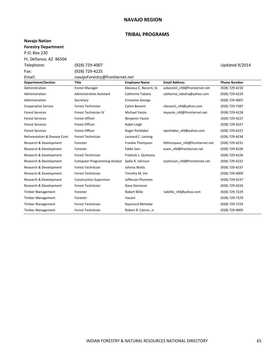## **TRIBAL PROGRAMS**

## **Navajo Nation**

**Forestry Department** 

P.O. Box 230 Ft. Defiance, AZ 86504

Telephone: (928) 729-4007 Fax: (928) 729‐4225

| Updated 9/2014 |  |  |  |
|----------------|--|--|--|
|----------------|--|--|--|

| Email:                        | navajoForestry@frontiernet.net      |                          |                                |                     |  |
|-------------------------------|-------------------------------------|--------------------------|--------------------------------|---------------------|--|
| Department/Section            | <b>Title</b>                        | <b>Employee Name</b>     | <b>Email Address</b>           | <b>Phone Number</b> |  |
| Administration                | Forest Manager                      | Alexious C. Becenti, Sr. | acbecenti nfd@frontiernet.net  | (928) 729-4230      |  |
| Administration                | <b>Administrative Assistant</b>     | Catherine Tabaha         | catherine tabaha@yahoo.com     | (928) 729-4229      |  |
| Administration                | Secretary                           | <b>Ernestine George</b>  |                                | (928) 729-4007      |  |
| Cooperative Service           | <b>Forest Technician</b>            | Calvin Becenti           | cbecenti nfd@yahoo.com         | (928) 729-7387      |  |
| <b>Forest Services</b>        | <b>Forest Technician IV</b>         | Michael Yazzie           | myazzie nfd@frontiernet.net    | (928) 729-4228      |  |
| <b>Forest Services</b>        | Forest Officer                      | Benjamin Yazzie          |                                | (928) 729-4227      |  |
| <b>Forest Services</b>        | Forest Officer                      | Ralph Leigh              |                                | (928) 729-4227      |  |
| <b>Forest Services</b>        | Forest Officer                      | Roger Peshlakai          | rpeshlakai nfd@yahoo.com       | (928) 729-4227      |  |
| ReForestation & Disease Cont. | <b>Forest Technician</b>            | Leonard C. Lansing       |                                | (928) 729-4236      |  |
| Research & Development        | Forester                            | Frankie Thompson         | fdthompson nfd@frontiernet.net | (928) 729-4231      |  |
| Research & Development        | Forester                            | Eddie Sam                | esam nfd@frontiernet.net       | (928) 729-4226      |  |
| Research & Development        | Forest Technician                   | Fredrick L. Quintana     |                                | (928) 729-4226      |  |
| Research & Development        | <b>Computer Programming Analyst</b> | Sadie R. Johnson         | srjohnson nfd@frontiernet.net  | (928) 729-4232      |  |
| Research & Development        | Forest Technician                   | Johnny Watts             |                                | (928) 729-4237      |  |
| Research & Development        | Forest Technician                   | Timothy M. Jim           |                                | (928) 729-4009      |  |
| Research & Development        | <b>Construction Supervisor</b>      | Jefferson Plummer        |                                | (928) 729-4237      |  |
| Research & Development        | Forest Technician                   | Dave Dennison            |                                | (928) 729-4226      |  |
| <b>Timber Management</b>      | Forester                            | <b>Robert Billie</b>     | rwbillie nfd@yahoo.com         | (928) 729-7229      |  |
| <b>Timber Management</b>      | Forester                            | Vacant                   |                                | (928) 729-7370      |  |
| <b>Timber Management</b>      | Forest Technician                   | Raymond Metteba          |                                | (928) 729-7229      |  |
| <b>Timber Management</b>      | Forest Technician                   | Robert R. Catron, Jr.    |                                | (928) 729-4009      |  |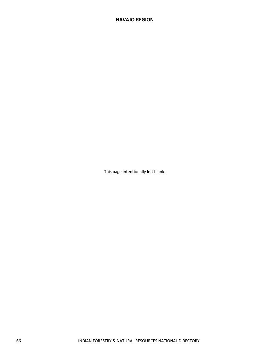This page intentionally left blank.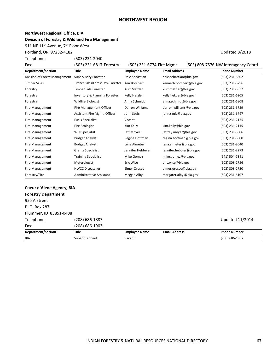# **Northwest Regional Office, BIA Division of Forestry & Wildland Fire Management**

911 NE 11<sup>th</sup> Avenue, 7<sup>th</sup> Floor West

Portland, OR 97232-4182 Updated 8/2018

Telephone: (503) 231‐2040

| Fax:                          | (503) 231-6817-Forestry           | (503) 231-6774-Fire Mgmt. |                          | (503) 808-7576-NW Interagency Coord. |
|-------------------------------|-----------------------------------|---------------------------|--------------------------|--------------------------------------|
| <b>Department/Section</b>     | <b>Title</b>                      | <b>Employee Name</b>      | <b>Email Address</b>     | <b>Phone Number</b>                  |
| Division of Forest Management | <b>Supervisory Forester</b>       | Dale Sebastian            | dale.sebastian@bia.gov   | (503) 231-6802                       |
| <b>Timber Sales</b>           | Timber Sales/Forest Dev. Forester | Ken Borchert              | kenneth.borchert@bia.gov | (503) 231-6296                       |
| Forestry                      | <b>Timber Sale Forester</b>       | Kurt Mettler              | kurt.mettler@bia.gov     | (503) 231-6932                       |
| Forestry                      | Inventory & Planning Forester     | Kelly Hetzler             | kelly.hetzler@bia.gov    | (503) 231-6205                       |
| Forestry                      | Wildlife Biologist                | Anna Schmidt              | anna.schmidt@bia.gov     | (503) 231-6808                       |
| Fire Management               | Fire Management Officer           | Darron Williams           | darron.williams@bia.gov  | (503) 231-6759                       |
| Fire Management               | Assistant Fire Mgmt. Officer      | John Szuic                | john.szulc@bia.gov       | (503) 231-6797                       |
| <b>Fire Management</b>        | <b>Fuels Specialist</b>           | Vacant                    |                          | (503) 231-2175                       |
| Fire Management               | Fire Ecologist                    | Kim Kelly                 | kim.kelly@bia.gov        | (503) 231-2115                       |
| Fire Management               | <b>WUI Specialist</b>             | Jeff Moyer                | jeffrey.moyer@bia.gov    | (503) 231-6806                       |
| <b>Fire Management</b>        | <b>Budget Analyst</b>             | Regina Hoffman            | regina.hoffman@bia.gov   | (503) 231-6800                       |
| <b>Fire Management</b>        | <b>Budget Analyst</b>             | Lena Almeter              | lena.almeter@bia.gov     | (503) 231-2040                       |
| <b>Fire Management</b>        | <b>Grants Specialist</b>          | Jennifer Hebbeler         | jennifer.hebbler@bia.gov | (503) 231-2273                       |
| Fire Management               | <b>Training Specialist</b>        | Mike Gomez                | mike.gomez@bia.gov       | (541) 504-7341                       |
| Fire Management               | Meterologist                      | Eric Wise                 | eric.wise@bia.gov        | (503) 808-2756                       |
| Fire Management               | NWCC Dispatcher                   | Elmer Orosco              | elmer.orosco@bia.gov     | (503) 808-2720                       |
| Forestry/Fire                 | <b>Administrative Assistant</b>   | Maggie Alby               | margaret.alby @bia.gov   | (503) 231-6107                       |

| (208) 686-1887 |                                                                                   |                      | Updated 11/2014     |
|----------------|-----------------------------------------------------------------------------------|----------------------|---------------------|
| (208) 686-1903 |                                                                                   |                      |                     |
| <b>Title</b>   | <b>Employee Name</b>                                                              | <b>Email Address</b> | <b>Phone Number</b> |
| Superintendent | Vacant                                                                            |                      | $(208) 686 - 1887$  |
|                | Coeur d'Alene Agency, BIA<br><b>Forestry Department</b><br>Plummer, ID 83851-0408 |                      |                     |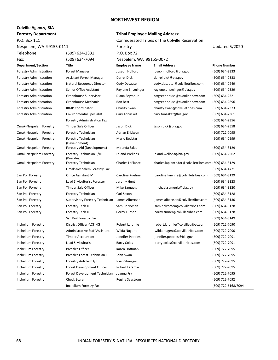# **Colville Agency, BIA**

# **Forestry Department Tribal Employee Mailing Address:**

| P.O. Box 111            |                | Confederated Tribes of the Colville Reservation |                |  |
|-------------------------|----------------|-------------------------------------------------|----------------|--|
| Nespelem, WA 99155-0111 |                | Forestry                                        | Updated 5/2020 |  |
| Telephone:              | (509) 634-2331 | P.O. Box 72                                     |                |  |
| Fax:                    | (509) 634-7094 | Nespelem, WA 99155-0072                         |                |  |

| Fax:                           | (509) 634-7094                           | Nespelem, WA 99155-0072 |                                                        |                     |  |
|--------------------------------|------------------------------------------|-------------------------|--------------------------------------------------------|---------------------|--|
| <b>Department/Section</b>      | <b>Title</b>                             | <b>Employee Name</b>    | <b>Email Address</b>                                   | <b>Phone Number</b> |  |
| <b>Forestry Administration</b> | <b>Forest Manager</b>                    | Joseph Holford          | joseph.holford@bia.gov                                 | (509) 634-2333      |  |
| <b>Forestry Administration</b> | <b>Assistant Forest Manager</b>          | Darrel Dick             | darrel.dick@bia.gov                                    | (509) 634-2333      |  |
| <b>Forestry Administration</b> | Natural Resources Director               | Cody Desautel           | cody.desautel@colvilletribes.com                       | (509) 634-2249      |  |
| <b>Forestry Administration</b> | Senior Office Assistant                  | Raylene Ensminger       | raylene.ensminger@bia.gov                              | (509) 634-2329      |  |
| <b>Forestry Administration</b> | Greenhouse Supervisor                    | Diana Seymour           | cctgreenhouse@cuonlinenow.com                          | (509) 634-2321      |  |
| <b>Forestry Administration</b> | Greenhouse Mechanic                      | Ron Best                | cctgreenhouse@cuonlinenow.com                          | (509) 634-2896      |  |
| <b>Forestry Administration</b> | <b>IRMP Coordinator</b>                  | Chasity Swan            | chaisty.swan@colvilletribes.com                        | (509) 634-2323      |  |
| <b>Forestry Administration</b> | <b>Environmental Specialist</b>          | Cary Tonasket           | cary.tonasket@bia.gov                                  | (509) 634-2361      |  |
|                                | <b>Forestry Administration Fax</b>       |                         |                                                        | (509) 634-2356      |  |
| Omak-Nespelem Forestry         | Timber Sale Officer                      | Jason Dick              | jason.dick@bia.gov                                     | (509) 634-2558      |  |
| Omak-Nespelem Forestry         | Forestry Technician I                    | Adrian Erickson         |                                                        | (509) 722-7095      |  |
| Omak-Nespelem Forestry         | Forestry Technician I<br>(Development)   | Mario Redstar           |                                                        | (509) 634-2599      |  |
| Omak-Nespelem Forestry         | Forestry Aid (Development)               | Miranda Salas           |                                                        | (509) 634-3129      |  |
| Omak-Nespelem Forestry         | Forestry Technician II/III<br>(Presales) | Leland Wellons          | leland.wellons@bia.gov<br>(509) 634-2562               |                     |  |
| Omak-Nespelem Forestry         | Forestry Technician II                   | Charles LaPlante        | charles.laplante.for@colvilletribes.com (509) 634-3129 |                     |  |
|                                | Omak-Nespelem Forestry Fax               |                         |                                                        | (509) 634-4721      |  |
| San Poil Forestry              | Office Assistant IV                      | Caroline Kuehne         | caroline.kuehne@colvilletribes.com                     | (509) 634-3129      |  |
| San Poil Forestry              | Lead Silviculturist Forester             | Jeremy Hunt             |                                                        | (509) 634-3123      |  |
| San Poil Forestry              | Timber Sale Officer                      | Mike Samuels            | michael.samuels@bia.gov                                | (509) 634-3120      |  |
| San Poil Forestry              | Forestry Technician I                    | Carl Saxon              |                                                        | (509) 634-3128      |  |
| San Poil Forestry              | Supervisory Forestry Technician          | James Albertsen         | james.albertsen@colvilletribes.com                     | (509) 634-3130      |  |
| San Poil Forestry              | Forestry Tech II                         | Sam Halvorsen           | sam.halvorsen@colvilletribes.com                       | (509) 634-3128      |  |
| San Poil Forestry              | Forestry Tech II                         | Corby Turner            | corby.turner@colvilletribes.com                        | (509) 634-3128      |  |
|                                | San Poil Forestry Fax                    |                         |                                                        | (509) 634-3149      |  |
| Inchelium Forestry             | District Officer-ACTING                  | Robert Laramie          | robert.laramie@colvilletribes.com                      | (509) 722-7090      |  |
| Inchelium Forestry             | Administrative Staff Assistant           | Wilda Nugent            | wilda.nugent@colvilletribes.com                        | (509) 722-7090      |  |
| Inchelium Forestry             | <b>Timber Accountant</b>                 | Jennifer Peoples        | jennifer.peoples@bia.gov                               | (509) 722-7091      |  |
| Inchelium Forestry             | Lead Silviculturist                      | <b>Barry Coles</b>      | barry.coles@colvilletribes.com                         | (509) 722-7091      |  |
| Inchelium Forestry             | Presales Officer                         | Karen Hoffman           |                                                        | (509) 722-7095      |  |
| Inchelium Forestry             | Presales Forest Technician I             | John Swan               |                                                        | (509) 722-7095      |  |
| Inchelium Forestry             | Forestry Aid/Tech I/II                   | Ryan Stensgar           |                                                        | (509) 722-7095      |  |
| Inchelium Forestry             | Forest Development Officer               | Robert Laramie          |                                                        | (509) 722-7095      |  |
| Inchelium Forestry             | Forest Development Technician            | Joanna Fry              |                                                        | (509) 722-7095      |  |
| Inchelium Forestry             | <b>Check Scaler</b>                      | Regina Seastrom         |                                                        | (509) 722-7092      |  |
|                                | Inchelium Forestry Fax                   |                         |                                                        | (509) 722-6168/7094 |  |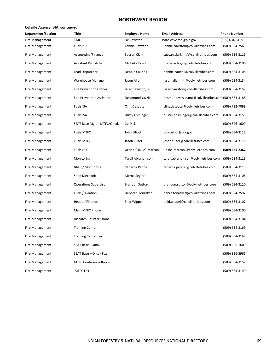#### **Colville Agency, BIA, continued**

| <b>Department/Section</b> | Title                        | <b>Employee Name</b>   | <b>Email Address</b>                                 | <b>Phone Number</b> |
|---------------------------|------------------------------|------------------------|------------------------------------------------------|---------------------|
| <b>Fire Management</b>    | <b>FMO</b>                   | Ike Cawston            | Isaac.cawston@bia.gov                                | (509) 634-3109      |
| Fire Management           | <b>Fuels NFC</b>             | Lonnie Cawston         | lonnie.cawston@colvilletribes.com                    | (509) 634-2563      |
| Fire Management           | Accounting/Finance           | Suesan Clark           | suesan.clark.mtf@colvilletribes.com                  | (509) 634-3115      |
| <b>Fire Management</b>    | Assistant Dispatcher         | Michelle Boyd          | michelle.boyd@colvilletribes.com                     | (509) 634-3106      |
| Fire Management           | Lead Dispatcher              | Debbie Caudell         | debbie.caudell@colvilletribes.com                    | (509) 634-3105      |
| <b>Fire Management</b>    | Warehouse Manager            | Jason Allen            | jason.allen.mtf@colvilletribes.com                   | (509) 634-3134      |
| Fire Management           | Fire Prevention Officer.     | Issac Cawston, Jr.     | isaac.cawston@colvilletribes.com                     | (509) 634-3157      |
| Fire Management           | Fire Prevention Assistant.   | Desomond Yazzie        | desmond.yazzie.mtf@colvilletribes.com (509) 634-3188 |                     |
| Fire Management           | <b>Fuels ISA</b>             | <b>Clint Desautel</b>  | clint.desautel@colvilletribes.com                    | (509) 722-7099      |
| <b>Fire Management</b>    | Fuels ISA                    | <b>Dusty Enminger</b>  | dustin.ensminger@colvilletribes.com                  | (509) 634-3153      |
| Fire Management           | SEAT Base Mgr. - MTFC/Omak   | Liz Dick               |                                                      | (509) 826-1609      |
| Fire Management           | Fuels MTFC                   | John Elliott           | john.elliot@bia.gov                                  | (509) 634-3118      |
| <b>Fire Management</b>    | Fuels MTFC                   | Jason Fulfer           | jason.fulfer@colvilletribes.com                      | (509) 634-3179      |
| Fire Management           | <b>Fuels NFC</b>             | Urisha "Oakie" Marconi | urisha.marconi@colvilletribes.com                    | (509) 634-2362      |
| Fire Management           | Monitoring                   | Tyrell Abrahamson      | tyrell.abrahamson@colvilletribes.com                 | (509) 634-3113      |
| Fire Management           | BAER / Monitoring            | Rebecca Peone          | rebecca.peone.@colvilletribes.com                    | (509) 634-3113      |
| Fire Management           | Shop Mechanic                | Merna Seylor           |                                                      | (509) 634-3108      |
| Fire Management           | <b>Operations Supervisor</b> | <b>Brandon Sutton</b>  | brandon.sutton@colvilletribes.com                    | (509) 634-3110      |
| Fire Management           | Fuels / Aviation             | Deborah Tonasket       | debra.tonasket@colvilletribes.com                    | (509) 634-2592      |
| Fire Management           | Head of Finance              | Enid Wippel            | enid.wippel@colvilletribes.com                       | (509) 634-3107      |
| <b>Fire Management</b>    | Main MTFC Phone              |                        |                                                      | (509) 634-3100      |
| Fire Management           | Dispatch Counter Phone       |                        |                                                      | (509) 634-3104      |
| <b>Fire Management</b>    | <b>Training Center</b>       |                        |                                                      | (509) 634-3169      |
| Fire Management           | <b>Training Center Fax</b>   |                        |                                                      | (509) 634-3167      |
| <b>Fire Management</b>    | SEAT Base - Omak             |                        |                                                      | (509) 826-1609      |
| Fire Management           | SEAT Base - Omak Fax         |                        |                                                      | (509) 826-5966      |
| <b>Fire Management</b>    | MTFC Conference Room         |                        |                                                      | (509) 634-3152      |
| Fire Management           | MTFC Fax                     |                        |                                                      | (509) 634-3149      |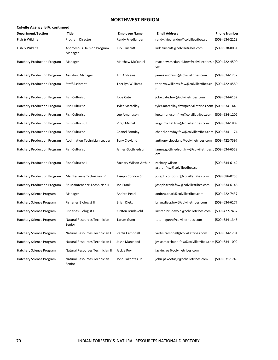| Colville Agency, BIA, continued    |                                              |                         |                                                              |                     |  |  |
|------------------------------------|----------------------------------------------|-------------------------|--------------------------------------------------------------|---------------------|--|--|
| <b>Department/Section</b>          | Title                                        | <b>Employee Name</b>    | <b>Email Address</b>                                         | <b>Phone Number</b> |  |  |
| Fish & Wildlife                    | Program Director                             | Randy Friedlander       | randy.friedlander@colvilletribes.com                         | (509) 634-2113      |  |  |
| Fish & Wildlife                    | <b>Andromous Division Program</b><br>Manager | Kirk Truscott           | kirk.truscott@colvilletribes.com                             | (509) 978-8031      |  |  |
| <b>Hatchery Production Program</b> | Manager                                      | <b>Matthew McDaniel</b> | matthew.mcdaniel.fnw@colvilletribes.c (509) 422-4590<br>om   |                     |  |  |
| <b>Hatchery Production Program</b> | <b>Assistant Manager</b>                     | Jim Andrews             | james.andrews@colvilletribes.com                             | (509) 634-1232      |  |  |
| <b>Hatchery Production Program</b> | <b>Staff Assistant</b>                       | Therilyn Williams       | therilyn.williams.fnw@colvilletribes.co<br>m                 | (509) 422-4580      |  |  |
| <b>Hatchery Production Program</b> | Fish Culturist I                             | Jobe Cate               | jobe.cate.fnw@colvilletribes.com                             | (509) 634-6152      |  |  |
| Hatchery Production Program        | Fish Culturist II                            | <b>Tyler Marcellay</b>  | tyler.marcellay.fnw@colvilletribes.com                       | (509) 634-1445      |  |  |
| <b>Hatchery Production Program</b> | Fish Culturist I                             | Leo Amundson            | leo.amundson.fnw@colvilletribes.com                          | (509) 634-1202      |  |  |
| <b>Hatchery Production Program</b> | Fish Culturist I                             | Virgil Michel           | virgil.michel.fnw@colvilletribes.com                         | (509) 634-1809      |  |  |
| <b>Hatchery Production Program</b> | Fish Culturist I                             | Chanel Somday           | chanel.somday.fnw@colvilletribes.com (509) 634-1174          |                     |  |  |
| <b>Hatchery Production Program</b> | <b>Acclimation Technician Leader</b>         | <b>Tony Clevland</b>    | anthony.cleveland@colvilletribes.com (509) 422-7597          |                     |  |  |
| <b>Hatchery Production Program</b> | Fish Culturist I                             | James Gottfriedson      | james.gottfriedson.fnw@colvilletribes.c (509) 634-6558<br>om |                     |  |  |
| <b>Hatchery Production Program</b> | Fish Culturist I                             | Zachary Wilson-Arthur   | zachary.wilson-<br>arthur.fnw@colvilletribes.com             | (509) 634-6142      |  |  |
| <b>Hatchery Production Program</b> | Maintenance Technician IV                    | Joseph Condon Sr.       | joseph.condonsr@colvilletribes.com                           | (509) 686-0253      |  |  |
| <b>Hatchery Production Program</b> | Sr. Maintenance Technician II                | Joe Frank               | joseph.frank.fnw@colvilletribes.com                          | (509) 634-6148      |  |  |
| Hatchery Science Program           | Manager                                      | Andrea Pearl            | andrea.pearl@colvilletribes.com                              | (509) 422-7437      |  |  |
| Hatchery Science Program           | <b>Fisheries Biologist II</b>                | <b>Brian Dietz</b>      | brian.dietz.fnw@colvilletribes.com                           | (509) 634-6177      |  |  |
| Hatchery Science Program           | Fisheries Biologist I                        | Kirsten Brudevold       | kirsten.brudevold@colvilletribes.com                         | (509) 422-7437      |  |  |
| Hatchery Science Program           | Natural Resources Technician<br>Senior       | <b>Tatum Gunn</b>       | tatum.gunn@colvilletribes.com                                | (509) 634-1345      |  |  |
| Hatchery Science Program           | Natural Resources Technician I               | <b>Vertis Campbell</b>  | vertis.campbell@colvilletribes.com                           | (509) 634-1201      |  |  |
| Hatchery Science Program           | Natural Resources Technician I               | Jesse Marchand          | jesse.marchand.fnw@colvilletribes.com (509) 634-1092         |                     |  |  |
| Hatchery Science Program           | Natural Resources Technician II              | Jackie Roy              | jackie.roy@colvilletribes.com                                |                     |  |  |
| Hatchery Science Program           | Natural Resources Technician<br>Senior       | John Pakootas, Jr.      | john.pakootasjr@colvilletribes.com                           | (509) 631-1749      |  |  |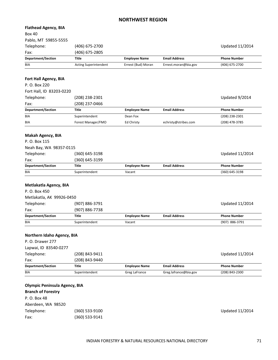| <b>Flathead Agency, BIA</b> |                                  |                      |                      |                        |
|-----------------------------|----------------------------------|----------------------|----------------------|------------------------|
| <b>Box 40</b>               |                                  |                      |                      |                        |
| Pablo, MT 59855-5555        |                                  |                      |                      |                        |
| Telephone:                  | (406) 675-2700                   |                      |                      | <b>Updated 11/2014</b> |
| Fax:                        | (406) 675-2805                   |                      |                      |                        |
| <b>Department/Section</b>   | Title                            | <b>Employee Name</b> | <b>Email Address</b> | <b>Phone Number</b>    |
| BIA                         | <b>Acting Superintendent</b>     | Ernest (Bud) Moran   | Ernest.moran@bia.gov | (406) 675-2700         |
| Fort Hall Agency, BIA       |                                  |                      |                      |                        |
| P. O. Box 220               |                                  |                      |                      |                        |
| Fort Hall, ID 83203-0220    |                                  |                      |                      |                        |
| Telephone:                  | (208) 238-2301                   |                      |                      | Updated 9/2014         |
| Fax:                        | (208) 237-0466                   |                      |                      |                        |
| <b>Department/Section</b>   | Title                            | <b>Employee Name</b> | <b>Email Address</b> | <b>Phone Number</b>    |
| BIA                         | Superintendent                   | Dean Fox             |                      | (208) 238-2301         |
| BIA                         | Forest Manager/FMO               | <b>Ed Christy</b>    | echristy@stribes.com | (208) 478-3785         |
|                             |                                  |                      |                      |                        |
| <b>Makah Agency, BIA</b>    |                                  |                      |                      |                        |
| P.O. Box 115                |                                  |                      |                      |                        |
| Neah Bay, WA 98357-0115     |                                  |                      |                      |                        |
| Telephone:                  | (360) 645-3198                   |                      |                      | <b>Updated 11/2014</b> |
| Fax:                        | (360) 645-3199                   |                      |                      |                        |
| <b>Department/Section</b>   | Title                            | <b>Employee Name</b> | <b>Email Address</b> | <b>Phone Number</b>    |
| BIA                         | Superintendent                   | Vacant               |                      | (360) 645-3198         |
| Metlakatla Agency, BIA      |                                  |                      |                      |                        |
| P. O. Box 450               |                                  |                      |                      |                        |
| Metlakatla, AK 99926-0450   |                                  |                      |                      |                        |
|                             |                                  |                      |                      |                        |
| Telephone:<br>Fax:          | (907) 886-3791<br>(907) 886-7738 |                      |                      | <b>Updated 11/2014</b> |
| <b>Department/Section</b>   | Title                            | <b>Employee Name</b> | <b>Email Address</b> | <b>Phone Number</b>    |
| BIA                         | Superintendent                   | Vacant               |                      | (907) 886-3791         |
|                             |                                  |                      |                      |                        |
| Northern Idaho Agency, BIA  |                                  |                      |                      |                        |
| P. O. Drawer 277            |                                  |                      |                      |                        |
| Lapwai, ID 83540-0277       |                                  |                      |                      |                        |
| Telephone:                  | (208) 843-9411                   |                      |                      | <b>Updated 11/2014</b> |
| Fax:                        | (208) 843-9440                   |                      |                      |                        |
|                             |                                  | <b>Employee Name</b> | <b>Email Address</b> | <b>Phone Number</b>    |
| Department/Section          | <b>Title</b>                     |                      |                      |                        |

Aberdeen, WA 98520 Telephone: (360) 533‐9100 Updated 11/2014 Fax: (360) 533‐9141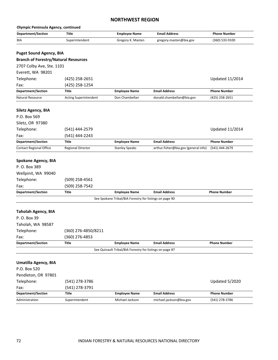| Olympic Peninsula Agency, continued         |                              |                                                          |                                      |                        |
|---------------------------------------------|------------------------------|----------------------------------------------------------|--------------------------------------|------------------------|
| <b>Department/Section</b>                   | <b>Title</b>                 | <b>Employee Name</b>                                     | <b>Email Address</b>                 | <b>Phone Number</b>    |
| BIA                                         | Superintendent               | Gregory K. Masten                                        | gregory.masten@bia.gov               | (360) 533-9100         |
| <b>Puget Sound Agency, BIA</b>              |                              |                                                          |                                      |                        |
| <b>Branch of Forestry/Natural Resources</b> |                              |                                                          |                                      |                        |
| 2707 Colby Ave, Ste. 1101                   |                              |                                                          |                                      |                        |
| Everett, WA 98201                           |                              |                                                          |                                      |                        |
| Telephone:                                  | (425) 258-2651               |                                                          |                                      | <b>Updated 11/2014</b> |
| Fax:                                        | (425) 258-1254               |                                                          |                                      |                        |
| Department/Section                          | Title                        | <b>Employee Name</b>                                     | <b>Email Address</b>                 | <b>Phone Number</b>    |
| Natural Resource                            | <b>Acting Superintendent</b> | Don Chambellan                                           | donald.chambellan@bia.gov            | (425) 258-2651         |
| <b>Siletz Agency, BIA</b>                   |                              |                                                          |                                      |                        |
| P.O. Box 569                                |                              |                                                          |                                      |                        |
| Siletz, OR 97380                            |                              |                                                          |                                      |                        |
| Telephone:                                  | (541) 444-2579               |                                                          |                                      | <b>Updated 11/2014</b> |
| Fax:                                        | (541) 444-2243               |                                                          |                                      |                        |
| <b>Department/Section</b>                   | <b>Title</b>                 | <b>Employee Name</b>                                     | <b>Email Address</b>                 | <b>Phone Number</b>    |
| <b>Contact Regional Office</b>              | <b>Regional Director</b>     | <b>Stanley Speaks</b>                                    | arthur.fisher@bia.gov (general info) | (541) 444-2679         |
|                                             |                              |                                                          |                                      |                        |
| <b>Spokane Agency, BIA</b>                  |                              |                                                          |                                      |                        |
| P.O. Box 389                                |                              |                                                          |                                      |                        |
| Wellpinit, WA 99040                         |                              |                                                          |                                      |                        |
| Telephone:                                  | (509) 258-4561               |                                                          |                                      |                        |
| Fax:                                        | (509) 258-7542               |                                                          |                                      |                        |
| <b>Department/Section</b>                   | <b>Title</b>                 | <b>Employee Name</b>                                     | <b>Email Address</b>                 | <b>Phone Number</b>    |
|                                             |                              | See Spokane Tribal/BIA Forestry for listings on page 90  |                                      |                        |
| <b>Taholah Agency, BIA</b>                  |                              |                                                          |                                      |                        |
| P. O. Box 39                                |                              |                                                          |                                      |                        |
| Taholah, WA 98587                           |                              |                                                          |                                      |                        |
| Telephone:                                  | (360) 276-4850/8211          |                                                          |                                      |                        |
| Fax:                                        | (360) 276-4853               |                                                          |                                      |                        |
| <b>Department/Section</b>                   | <b>Title</b>                 | <b>Employee Name</b>                                     | <b>Email Address</b>                 | <b>Phone Number</b>    |
|                                             |                              | See Quinault Tribal/BIA Forestry for listings on page 87 |                                      |                        |
| <b>Umatilla Agency, BIA</b>                 |                              |                                                          |                                      |                        |
| P.O. Box 520                                |                              |                                                          |                                      |                        |
| Pendleton, OR 97801                         |                              |                                                          |                                      |                        |
| Telephone:                                  | (541) 278-3786               |                                                          |                                      | Updated 5/2020         |
| Fax:                                        | (541) 278-3791               |                                                          |                                      |                        |
| <b>Department/Section</b>                   | <b>Title</b>                 | <b>Employee Name</b>                                     | <b>Email Address</b>                 | <b>Phone Number</b>    |
| Administration                              | Superintendent               | Michael Jackson                                          | michael.jackson@bia.gov              | (541) 278-3786         |
|                                             |                              |                                                          |                                      |                        |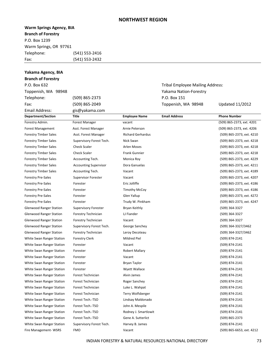# **Warm Springs Agency, BIA Branch of Forestry**  P.O. Box 1239 Warm Springs, OR 97761 Telephone: (541) 553-2416 Fax: (541) 553‐2432

**Yakama Agency, BIA**

| <b>Branch of Forestry</b>      |                              |                          |                                         |                           |  |
|--------------------------------|------------------------------|--------------------------|-----------------------------------------|---------------------------|--|
| P.O. Box 632                   |                              |                          | <b>Tribal Employee Mailing Address:</b> |                           |  |
| Toppenish, WA 98948            |                              |                          | Yakama Nation-Forestry                  |                           |  |
| Telephone:                     | (509) 865-2373               |                          | P.O. Box 151                            |                           |  |
| Fax:                           | (509) 865-2049               |                          | Toppenish, WA 98948                     | <b>Updated 11/2012</b>    |  |
| <b>Email Address:</b>          | gis@yakama.com               |                          |                                         |                           |  |
| <b>Department/Section</b>      | Title                        | <b>Employee Name</b>     | <b>Email Address</b>                    | <b>Phone Number</b>       |  |
| Forestry Admin.                | <b>Forest Manager</b>        | vacant                   |                                         | (509) 865-2373, ext. 4201 |  |
| <b>Forest Management</b>       | Asst. Forest Manager         | Arnie Peterson           |                                         | (509) 865-2373, ext. 4206 |  |
| <b>Forestry Timber Sales</b>   | Asst. Forest Manager         | <b>Richard Gerhardus</b> |                                         | (509) 865-2373, ext. 4210 |  |
| <b>Forestry Timber Sales</b>   | Supervisory Forest Tech.     | Nick Swan                |                                         | (509) 865-2373, ext. 4218 |  |
| <b>Forestry Timber Sales</b>   | <b>Check Scaler</b>          | <b>Arlen Moses</b>       |                                         | (509) 865-2373, ext. 4218 |  |
| <b>Forestry Timber Sales</b>   | <b>Check Scaler</b>          | <b>Frank Gunnier</b>     |                                         | (509) 865-2373, ext. 4218 |  |
| <b>Forestry Timber Sales</b>   | Accounting Tech.             | Monica Roy               |                                         | (509) 865-2373, ext. 4229 |  |
| <b>Forestry Timber Sales</b>   | <b>Accounting Supervisor</b> | Dora Ganuelas            |                                         | (509) 865-2373, ext. 4211 |  |
| <b>Forestry Timber Sales</b>   | Accounting Tech.             | Vacant                   |                                         | (509) 865-2373, ext. 4189 |  |
| <b>Forestry Pre-Sales</b>      | <b>Supervisor Forester</b>   | Vacant                   |                                         | (509) 865-2373, ext. 4207 |  |
| <b>Forestry Pre-Sales</b>      | Forester                     | Eric Jolliffe            |                                         | (509) 865-2373, ext. 4186 |  |
| <b>Forestry Pre-Sales</b>      | Forester                     | <b>Timothy McCoy</b>     |                                         | (509) 865-2373, ext. 4186 |  |
| <b>Forestry Pre-Sales</b>      | Forester                     | Glen Yallup              |                                         | (509) 865-2373, ext. 4272 |  |
| <b>Forestry Pre-Sales</b>      | Forester                     | Trudy W. Pinkham         |                                         | (509) 865-2373, ext. 4247 |  |
| <b>Glenwood Ranger Station</b> | Supervisory Forester         | Bryan Keithly            |                                         | (509) 364-3327            |  |
| <b>Glenwood Ranger Station</b> | Forestry Technician          | LJ Fiander               |                                         | (509) 364-3327            |  |
| <b>Glenwood Ranger Station</b> | Forestry Technician          | Vacant                   |                                         | (509) 364-3327            |  |
| <b>Glenwood Ranger Station</b> | Supervisory Forest Tech.     | George Sanchey           |                                         | (509) 364-3327/3462       |  |
| <b>Glenwood Ranger Station</b> | Forestry Technician          | Leroy Decoteau           |                                         | (509) 364-3327/3462       |  |
| White Swan Ranger Station      | <b>Forestry Clerk</b>        | <b>Mildred Piel</b>      |                                         | (509) 874-2141            |  |
| White Swan Ranger Station      | Forester                     | Vacant                   |                                         | (509) 874-2141            |  |
| White Swan Ranger Station      | Forester                     | <b>Robert Mallary</b>    |                                         | (509) 874-2141            |  |
| White Swan Ranger Station      | Forester                     | Vacant                   |                                         | (509) 874-2141            |  |
| White Swan Ranger Station      | Forester                     | Bryan Taylor             |                                         | (509) 874-2141            |  |
| White Swan Ranger Station      | Forester                     | <b>Wyett Wallace</b>     |                                         | (509) 874-2141            |  |
| White Swan Ranger Station      | Forest Technician            | Alvin James              |                                         | (509) 874-2141            |  |
| White Swan Ranger Station      | Forest Technician            | Roger Sanchey            |                                         | (509) 874-2141            |  |
| White Swan Ranger Station      | Forest Technician            | Luke L. Wahpat           |                                         | (509) 874-2141            |  |
| White Swan Ranger Station      | Forest Technician            | Terry Wolfsberger        |                                         | (509) 874-2141            |  |
| White Swan Ranger Station      | Forest Tech.-TSO             | Lindsay Maldonado        |                                         | (509) 874-2141            |  |
| White Swan Ranger Station      | Forest Tech.-TSO             | John A. Mespile          |                                         | (509) 874-2141            |  |
| White Swan Ranger Station      | Forest Tech.-TSO             | Rodney J. Smartlowit     |                                         | (509) 874-2141            |  |
| White Swan Ranger Station      | Forest Tech.-TSO             | Gene A. Sutterlict       |                                         | (509) 865-2373            |  |
| White Swan Ranger Station      | Supervisory Forest Tech.     | Harvey B. James          |                                         | (509) 874-2141            |  |
| Fire Management-WSRS           | <b>FMO</b>                   | Vacant                   |                                         | (509) 865-6653, ext. 4212 |  |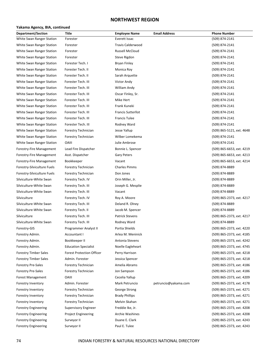#### **Yakama Agency, BIA, continued**

| Department/Section           | Title                            | <b>Employee Name</b>      | <b>Email Address</b> | <b>Phone Number</b>       |
|------------------------------|----------------------------------|---------------------------|----------------------|---------------------------|
| White Swan Ranger Station    | Forester                         | Everett Issac             |                      | (509) 874-2141            |
| White Swan Ranger Station    | Forester                         | <b>Travis Calderwood</b>  |                      | (509) 874-2141            |
| White Swan Ranger Station    | Forester                         | <b>Russell McCloud</b>    |                      | (509) 874-2141            |
| White Swan Ranger Station    | Forester                         | Steve Rigdon              |                      | (509) 874-2141            |
| White Swan Ranger Station    | Forester Tech. I                 | Bryan Finley              |                      | (509) 874-2141            |
| White Swan Ranger Station    | Forester Tech. II                | Monica Roy                |                      | (509) 874-2141            |
| White Swan Ranger Station    | Forester Tech. II                | Sarah Arquette            |                      | (509) 874-2141            |
| White Swan Ranger Station    | Forester Tech. III               | Victor Andy               |                      | (509) 874-2141            |
| White Swan Ranger Station    | Forester Tech. III               | William Andy              |                      | (509) 874-2141            |
| White Swan Ranger Station    | Forester Tech. III               | Oscar Finley, Sr.         |                      | (509) 874-2141            |
| White Swan Ranger Station    | Forester Tech. III               | Mike Hert                 |                      | (509) 874-2141            |
| White Swan Ranger Station    | Forester Tech. III               | Frank Kuneki              |                      | (509) 874-2141            |
| White Swan Ranger Station    | Forester Tech. III               | <b>Francis Sutterllot</b> |                      | (509) 874-2141            |
| White Swan Ranger Station    | Forester Tech. III               | <b>Francis Tulee</b>      |                      | (509) 874-2141            |
| White Swan Ranger Station    | Forester Tech. III               | Rodney Ward               |                      | (509) 874-2141            |
| White Swan Ranger Station    | Forestry Technician              | Jesse Yallup              |                      | (509) 865-5121, ext. 4648 |
| White Swan Ranger Station    | Forestry Technician              | Wilber Lomekema           |                      | (509) 874-2141            |
| White Swan Ranger Station    | <b>OAIII</b>                     | Julie Ambrose             |                      | (509) 874-2141            |
| Forestry-Fire Management     | Lead Fire Dispatcher             | Bonnie L. Spencer         |                      | (509) 865-6653, ext. 4219 |
| Forestry-Fire Management     | Asst. Dispatcher                 | <b>Gary Peters</b>        |                      | (509) 865-6653, ext. 4213 |
| Forestry-Fire Management     | Bookkeeper                       | Vacant                    |                      | (509) 865-6653, ext. 4214 |
| Forestry-Silviculture Fuels  | Forestry Technician              | <b>Charles Pimms</b>      |                      | (509) 874-8889            |
| Forestry-Silviculture Fuels  | Forestry Technician              | Don Jones                 |                      | (509) 874-8889            |
| Silviculture-White Swan      | Forestry Tech. IV                | Orin Miller, Jr.          |                      | (509) 874-8889            |
| Silviculture-White Swan      | Forestry Tech. III               | Joseph G. Mesplie         |                      | (509) 874-8889            |
| Silviculture-White Swan      | Forestry Tech. III               | Vacant                    |                      | (509) 874-8889            |
| Silviculture                 | Forestry Tech. IV                | Roy A. Moore              |                      | (509) 865-2373, ext. 4217 |
| Silviculture-White Swan      | Forestry Tech. III               | Deland R. Olney           |                      | (509) 874-8889            |
| Silviculture-White Swan      | Forestry Tech. II                | Jacob M. Spencer          |                      | (509) 874-8889            |
| Silviculture                 | Forestry Tech. III               | <b>Patrick Stevens</b>    |                      | (509) 865-2373, ext. 4217 |
| Silviculture-White Swan      | Forestry Tech. III               | Rodney Ward               |                      | (509) 874-8889            |
| Forestry-GIS                 | Programmer Analyst II            | Portia Shields            |                      | (509) 865-2373, ext. 4220 |
| Forestry Admin.              | Accountant I                     | Arlea M. Meninick         |                      | (509) 865-2373, ext. 4185 |
| Forestry Admin.              | Bookkeeper II                    | Antonia Stevens           |                      | (509) 865-2373, ext. 4242 |
| Forestry Admin.              | <b>Education Specialist</b>      | Noelle Eagleheart         |                      | (509) 865-2373, ext. 4745 |
| <b>Forestry Timber Sales</b> | <b>Forest Protection Officer</b> | Perry Harrison            |                      | (509) 865-2373, ext. 4218 |
| <b>Forestry Timber Sales</b> | Admin. Forester                  | Jessica Spencer           |                      | (509) 865-2373, ext. 4218 |
| <b>Forestry Pre-Sales</b>    | Forestry Technician              | Amelia Abrams             |                      | (509) 865-2373, ext. 4186 |
| <b>Forestry Pre-Sales</b>    | Forestry Technician              | Jon Sampson               |                      | (509) 865-2373, ext. 4186 |
| <b>Forest Management</b>     | OAIII                            | Cecelia Yallup            |                      | (509) 865-2373, ext. 4209 |
| Forestry Inventory           | Admin. Forester                  | Mark Petruncio            | petruncio@yakama.com | (509) 865-2373, ext. 4178 |
| Forestry Inventory           | Forestry Technician              | George Strong             |                      | (509) 865-2373, ext. 4271 |
| Forestry Inventory           | Forestry Technician              | <b>Brady Phillips</b>     |                      | (509) 865-2373, ext. 4271 |
| Forestry Inventory           | Forestry Technician              | Melvin Skahan             |                      | (509) 865-2373, ext. 4271 |
| <b>Forestry Engineering</b>  | Supervisory Engineer             | Freddie Ike, Jr.          |                      | (509) 865-2373, ext. 4208 |
| <b>Forestry Engineering</b>  | <b>Project Engineering</b>       | <b>Archie Washines</b>    |                      | (509) 865-2373, ext. 4208 |
| <b>Forestry Engineering</b>  | Surveyor II                      | Duane E. Clark            |                      | (509) 865-2373, ext. 4243 |
| <b>Forestry Engineering</b>  | Surveyor II                      | Paul E. Tulee             |                      | (509) 865-2373, ext. 4243 |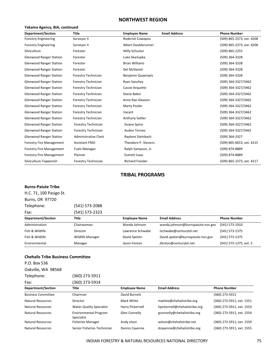#### **Yakama Agency, BIA, continued**

| Department/Section              | <b>Title</b>                | <b>Employee Name</b>     | <b>Email Address</b> | <b>Phone Number</b>       |
|---------------------------------|-----------------------------|--------------------------|----------------------|---------------------------|
| <b>Forestry Engineering</b>     | Surveyor II                 | Roderick Cowapoo         |                      | (509) 865-2373, ext. 4208 |
| <b>Forestry Engineering</b>     | Surveyor II                 | Albert Doublerunner      |                      | (509) 865-2373, ext. 4208 |
| Silviculture                    | Forester                    | Willy Schuster           |                      | (509) 865-2255            |
| <b>Glenwood Ranger Station</b>  | Forester                    | Luke Skarlupka           |                      | (509) 364-3328            |
| <b>Glenwood Ranger Station</b>  | Forester                    | <b>Brian Williams</b>    |                      | (509) 364-3328            |
| <b>Glenwood Ranger Station</b>  | Forester                    | Del McDaniel             |                      | (509) 364-3328            |
| <b>Glenwood Ranger Station</b>  | Forestry Technician         | <b>Benjamin Quaempts</b> |                      | (509) 364-3328            |
| <b>Glenwood Ranger Station</b>  | Forestry Technician         | Ryan Sanchey             |                      | (509) 364-3327/3462       |
| <b>Glenwood Ranger Station</b>  | Forestry Technician         | Cassie Arguette          |                      | (509) 364-3327/3462       |
| <b>Glenwood Ranger Station</b>  | Forestry Technician         | Stacie Baker             |                      | (509) 364-3327/3462       |
| <b>Glenwood Ranger Station</b>  | Forestry Technician         | Anne Rae Gleason         |                      | (509) 364-3327/3462       |
| <b>Glenwood Ranger Station</b>  | Forestry Technician         | Marty Pooler             |                      | (509) 364-3327/3462       |
| <b>Glenwood Ranger Station</b>  | Forestry Technician         | Vacant                   |                      | (509) 364-3327/3462       |
| <b>Glenwood Ranger Station</b>  | Forestry Technician         | Anthony Setller          |                      | (509) 364-3327/3462       |
| <b>Glenwood Ranger Station</b>  | Forestry Technician         | Duane Spino              |                      | (509) 364-3327/3462       |
| <b>Glenwood Ranger Station</b>  | Forestry Technician         | Audon Torneo             |                      | (509) 364-3327/3462       |
| <b>Glenwood Ranger Station</b>  | <b>Administrative Clerk</b> | Raylene Steinbach        |                      | (509) 364-3327            |
| <b>Forestry Fire Management</b> | <b>Assistant FMO</b>        | Theodore P. Stevens      |                      | (509) 865-6653, ext. 4215 |
| <b>Forestry Fire Management</b> | <b>Fuels Manager</b>        | Ralph Sampson, Jr.       |                      | (509) 874-8889            |
| <b>Forestry Fire Management</b> | Planner                     | Everett Isaac            |                      | (509) 874-8889            |
| Silviculture-Toppenish          | Forestry Technician         | Richard Fiander          |                      | (509) 865-2373, ext. 4217 |

# **TRIBAL PROGRAMS**

#### **Burns‐Paiute Tribe**

| H.C. 71, 100 Pasigo St. |                  |                      |                                   |                        |
|-------------------------|------------------|----------------------|-----------------------------------|------------------------|
| Burns, OR 97720         |                  |                      |                                   |                        |
| Telephone:              | (541) 573-2088   |                      |                                   |                        |
| Fax:                    | (541) 573-2323   |                      |                                   |                        |
| Department/Section      | Title            | <b>Employee Name</b> | <b>Email Address</b>              | <b>Phone Number</b>    |
| Administration          | Chairwoman       | Wanda Johnson        | wanda.johnson@burnspaiute-nsn.gov | (541) 573-1910         |
| Fish & Wildlife         | Director         | Lawrence Schwabe     | lschwabe@centurytel.net           | (541) 573-1375         |
| Fish & Wildlife         | Wildlife Manager | David Speten         | David.speten@burnspaiute-nsn.gov  | (541) 573-1375         |
| Environmental           | Manager          | Jason Fenton         | ifenton@centurytel.net            | (541) 573-1375, ext. 5 |

#### **Chehalis Tribe Business Committee**

P.O. Box 536

| Oakville, WA 98568 |                |  |  |
|--------------------|----------------|--|--|
| Telephone:         | (360) 273-5911 |  |  |
| Fax:               | (360) 273-5914 |  |  |

| Department/Section        | Title                                      | <b>Employee Name</b> | <b>Email Address</b>          | <b>Phone Number</b>       |
|---------------------------|--------------------------------------------|----------------------|-------------------------------|---------------------------|
| <b>Business Committee</b> | Chairman                                   | David Burnett        |                               | (360) 273-5911            |
| Natural Resources         | Director                                   | Mark White           | mwhite@chehalistribe.org      | (360) 273-5911, ext. 1551 |
| <b>Natural Resources</b>  | <b>Water Quality Specialist</b>            | Harry Pickernell     | hpickernell@chehalistribe.org | (360) 273-5911, ext. 1553 |
| <b>Natural Resources</b>  | <b>Environmental Program</b><br>Specialist | Glen Connelly        | gconnelly@chehalistribe.org   | (360) 273-5911, ext. 1554 |
| <b>Natural Resources</b>  | <b>Fisheries Manager</b>                   | Andy olson           | aolson@chehalistribe.net      | (360) 273-5911, ext. 1559 |
| Natural Resources         | Senior Fisheries Technician                | Dennis Cayenne       | dcayenne@chehalistribe.org    | (360) 273-5911, ext. 1555 |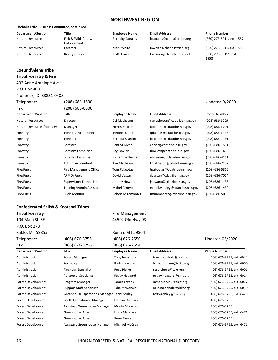|                                                  | <b>Chehalis Tribe Business Committee, continued</b> |                         |                               |                               |  |  |
|--------------------------------------------------|-----------------------------------------------------|-------------------------|-------------------------------|-------------------------------|--|--|
| Department/Section                               | Title                                               | <b>Employee Name</b>    | <b>Email Address</b>          | <b>Phone Number</b>           |  |  |
| <b>Natural Resources</b>                         | Fish & Wildlife Law<br>Enforcement                  | <b>Barnaby Canales</b>  | bcanales@chehalistribe.org    | (360) 273-5911, ext. 1557     |  |  |
| <b>Natural Resources</b>                         | Forester                                            | Mark White              | mwhite@chehalistribe.org      | (360) 273-5911, ext. 1551     |  |  |
| <b>Natural Resources</b>                         | Realty Officer                                      | Keith Kramer            | kkramer@chehalistribe.net     | (360) 273-59111, ext.<br>1558 |  |  |
| <b>Coeur d'Alene Tribe</b>                       |                                                     |                         |                               |                               |  |  |
| <b>Tribal Forestry &amp; Fire</b>                |                                                     |                         |                               |                               |  |  |
| 402 Anne Antelope Ave                            |                                                     |                         |                               |                               |  |  |
| P.O. Box 408                                     |                                                     |                         |                               |                               |  |  |
| Plummer, ID 83851-0408                           |                                                     |                         |                               |                               |  |  |
| Telephone:                                       | (208) 686-1800                                      |                         |                               | Updated 9/2020                |  |  |
| Fax:                                             | $(208) 686 - 8600$                                  |                         |                               |                               |  |  |
| <b>Department/Section</b>                        | <b>Title</b>                                        | <b>Employee Name</b>    | <b>Email Address</b>          | <b>Phone Number</b>           |  |  |
| <b>Natural Resources</b>                         | Director                                            | Caj Matheson            | camatheson@cdatribe-nsn.gov   | (208) 686-1009                |  |  |
| Natural Resources/Forestry                       | Manager                                             | Norris Boothe           | njboothe@cdatribe-nsn.gov     | (208) 686-1704                |  |  |
| Forestry                                         | <b>Forest Development</b>                           | <b>Tyrone Daniels</b>   | tjdaniels@cdatribe-nsn.gov    | (208) 686-1227                |  |  |
| Forestry                                         | Forester                                            | Barbara Scaroni         | bjscaroni@cdatribe-nsn.gov    | (208) 686-2074                |  |  |
| Forestry                                         | Forester                                            | <b>Conrad Niver</b>     | cniver@cdatribe-nsn.gov       | (208) 686-1501                |  |  |
| Forestry                                         | Forestry Technician                                 | Ray Lowley              | rlowley@cdatribe-nsn.gov      | (208) 686-1468                |  |  |
| Forestry                                         | Forestry Technician                                 | <b>Richard Williams</b> | rwilliams@cdatribe-nsn.gov    | (208) 686-4161                |  |  |
| Forestry                                         | Admin. Accountant                                   | Kim Matheson            | kmatheson@cdatribe-nsn.gov    | (208) 686-2102                |  |  |
| Fire/Fuels                                       | Fire Management Officer                             | Tom Pakootas            | tpakootas@cdatribe-nsn.gov    | (208) 686-5306                |  |  |
| Fire/Fuels                                       | AFMO/Fuels                                          | David Vassar            | dvassar@cdatribe-nsn.gov      | (208) 686-7004                |  |  |
| Fire/Fuels                                       | Supervisory Technician                              | Jeremy Howard           | jhoward@cdatribe-nsn.gov      | (208) 686-1133                |  |  |
| Fire/Fuels                                       | Training/Admin Assistant                            | Mabel Arroyo            | mabel.whaley@cdatribe.nsn.gov | (208) 686-1430                |  |  |
| Fire/Fuels                                       | <b>Fuels Monitor</b>                                | Robert Miramontez       | rmiramontez@cdatribe-nsn.gov  | (208) 686-5030                |  |  |
| <b>Confederated Salish &amp; Kootenai Tribes</b> |                                                     |                         |                               |                               |  |  |
| <b>Tribal Forestry</b>                           |                                                     | <b>Fire Management</b>  |                               |                               |  |  |
| 104 Main St. SE                                  |                                                     | 44592 Old Hwy 93        |                               |                               |  |  |
| P.O. Box 278                                     |                                                     |                         |                               |                               |  |  |
| Pablo, MT 59855                                  |                                                     | Ronan, MT 59864         |                               |                               |  |  |
| Telephone:                                       | (406) 676-3755                                      | (406) 676-2550          |                               | <b>Updated 05/2020</b>        |  |  |
| Fax:                                             | (406) 676-3756                                      | (406) 676-2554          |                               |                               |  |  |
| <b>Department/Section</b>                        | Title                                               | <b>Employee Name</b>    | <b>Email Address</b>          | <b>Phone Number</b>           |  |  |
| Administration                                   | <b>Forest Manager</b>                               | Tony Incashola          | tony.incashola@cskt.org       | (406) 676-3755, ext. 6044     |  |  |
| Administration                                   | Secretary                                           | Barbara Mann            | barbara.mann@cskt.org         | (406) 676-3755, ext. 6000     |  |  |
| Administration                                   | <b>Financial Specialist</b>                         | <b>Rose Pierre</b>      | rose.pierre@cskt.org          | (406) 676-3755, ext. 6001     |  |  |
| Administration                                   | Personnel Specialist                                | Peggy Haggard           | peggy.haggard@cskt.org        | (406) 676-3755, ext. 6014     |  |  |
| Forest Development                               | Program Manager                                     | James Lozeau            | James.lozeau@cskt.org         | (406) 676-3755, ext. 6027     |  |  |
| Forest Development                               | <b>Support Staff Specialist</b>                     | Julie McDonald          | julie.mcdonald@cskt.org       | (406) 676-3755, ext. 6030     |  |  |
| Forest Development                               | Greenhouse Operations Manager Terry Ashley          |                         | terry.ashley@cskt.org         | (406) 676-3755, ext. 6470     |  |  |
| Forest Development                               | South Greenhouse Manager                            | <b>Leonard Grenier</b>  |                               | (406) 676-3755                |  |  |
| Forest Development                               | Assistant Greenhouse Manager                        | <b>Monty Morengo</b>    |                               | (406) 676-3755                |  |  |
| <b>Forest Development</b>                        | Greenhouse Aide                                     | Linda Malatare          |                               | (406) 676-3755, ext. 6471     |  |  |
| Forest Development                               | Greenhouse Aide                                     | <b>Rene Pierre</b>      |                               | (406) 676-3755                |  |  |
| Forest Development                               | Assistant Greenhouse Manager                        | Michael McCrea          |                               | (406) 676-3755, ext. 6471     |  |  |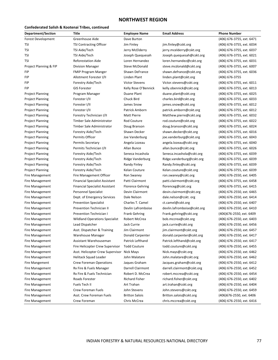#### **Confederated Salish & Kootenai Tribes, continued**

| <b>Department/Section</b> | Title                                      | <b>Employee Name</b>    | <b>Email Address</b>        | <b>Phone Number</b>       |
|---------------------------|--------------------------------------------|-------------------------|-----------------------------|---------------------------|
| <b>Forest Development</b> | Greenhouse Aide                            | Dave Burton             |                             | (406) 676-3755, ext. 6471 |
| TSI                       | <b>TSI Contracting Officer</b>             | Jim Finley              | jim.finley@cskt.org         | (406) 676-3755, ext. 6034 |
| <b>TSI</b>                | TSI Aide/Tech                              | Jerry McElderry         | jerry.mcelderry@cskt.org    | (406) 676-3755, ext. 6037 |
| <b>TSI</b>                | TSI Aide/Tech                              | Joseph Quequesah        | Joseph.quequesah@cskt.org   | (406) 676-3755, ext. 6021 |
| TSI                       | <b>Reforestation Aide</b>                  | Loren Hernandez         | loren.hernandez@cskt.org    | (406) 676-3755, ext. 6031 |
| Project Planning & FIP    | <b>Division Manager</b>                    | <b>Steve McDonald</b>   | steve.mcdonald@cskt.org     | (406) 676-3755, ext. 6007 |
| FIP                       | <b>FMIP Program Manger</b>                 | Shawn DeFrance          | shawn.defrance@cskt.org     | (406) 676-3755, ext. 6036 |
| FIP                       | Allotment Forester I/II                    | Linden Plant            | linden.plant@cskt.org       | (406) 676-3755            |
| <b>FIP</b>                | Forestry Aide/Tech                         | <b>Victor Stevens</b>   | Victor.stevens@cskt.org     | (406) 676-3755, ext. 6011 |
| FIP                       | <b>GIS Forester</b>                        | Kelly Rose O'Bennick    | kelly.obennick@cskt.org     | (406) 676-3755, ext. 6013 |
| Project Planning          | Program Manager                            | Duane Plant             | duane.plant@cskt.org        | (406) 676-3755, ext. 6025 |
| Project Planning          | Forester I/II                              | Chuck Bird              | charles.bird@cskt.org       | (406) 676-3755, ext. 6033 |
| Project Planning          | Forester I/II                              | James Snow              | james.snow@cskt.org         | (406) 676-3755, ext. 6012 |
| Project Planning          | Forester I/II                              | Patrick Amborn          | patrick.amborn@cskt.org     | (406) 676-3755, ext. 6012 |
| Project Planning          | Forestry Technician I/II                   | Matt Pierre             | Matthew.pierre@cskt.org     | (406) 676-3755, ext. 6032 |
| <b>Project Planning</b>   | Timber Sale Administrator                  | Rod Couture             | rod.couture@cskt.org        | (406) 676-3755, ext. 6022 |
| Project Planning          | Timber Sale Administrator                  | Doug Branson            | doug.branson@cskt.org       | (406) 676-3755, ext. 6024 |
| Project Planning          | Forestry Aide/Tech                         | Shawn Decker            | shawn.decker@cskt.org       | (406) 676-3755, ext. 6016 |
| Project Planning          | Permits Officer                            | Joe Vanderburg          | joe.vanderburg@cskt.org     | (406) 676-3755, ext. 6043 |
| Project Planning          | <b>Permits Secretary</b>                   | Angela Lozeau           | angela.lozeau@cskt.org      | (406) 676-3755, ext. 6040 |
| Project Planning          | Permits Technician I/II                    | Allan Bunce             | allan.bunce@cskt.org        | (406) 676-3755, ext. 6026 |
| <b>Project Planning</b>   | Forestry Aide/Tech                         | Seneca Incashola        | Seneca.incashola@cskt.org   | (406) 676-3755, ext. 6039 |
| Project Planning          | Forestry Aide/Tech                         | <b>Ridge Vanderburg</b> | Ridge.vanderburg@cskt.org   | (406) 676-3755, ext. 6039 |
| Project Planning          | Forestry Aide/Tech                         | Randy Finley            | Randy.finley@cskt.org       | (406) 676-3755, ext. 6039 |
| <b>Project Planning</b>   | Forestry Aide/Tech                         | Kelan Couture           | Kelan.couture@cskt.org      | (406) 676-3755, ext. 6039 |
| Fire Management           | Fire Management Officer                    | Ron Swaney              | ron.swaney@cskt.org         | (406) 676-2550, ext. 6405 |
| <b>Fire Management</b>    | <b>Financial Specialist Assistant</b>      | Patti Clairmont         | patti.clairmont@cskt.org    | (406) 676-3755, ext. 6458 |
| <b>Fire Management</b>    | <b>Financial Specialist Assistant</b>      | <b>Florence Gehring</b> | florenceg@cskt.org          | (406) 676-3755, ext. 6415 |
| <b>Fire Management</b>    | Personnel Specialist                       | Devin Clairmont         | devin.clairmont@cskt.org    | (406) 676-2550, ext. 6465 |
| <b>Fire Management</b>    | Dept. of Emergency Services                | Dale Nelson             | dale.nelson@cskt.org        | (406) 676-2550, ext. 6414 |
| <b>Fire Management</b>    | <b>Prevention Specialist</b>               | Charles T. Camel        | ct.camel@cskt.org           | (406) 676-2550, ext. 6407 |
| <b>Fire Management</b>    | Prevention Technician II                   | Devlin Lafromboise      | devlin.lafromboise@cskt.org | (406) 676-2550, ext. 6410 |
| <b>Fire Management</b>    | Prevention Technician I                    | Frank Gehring           | Frank.gehring@cskt.org      | (406) 676-2550, ext. 6409 |
| <b>Fire Management</b>    | <b>Wildland Operations Specialist</b>      | Robert McCrea           | bob.mccrea@cskt.org         | (406) 676-2550, ext. 6403 |
| <b>Fire Management</b>    | Lead Dispatcher                            | Jack Currie             | jack.currie@cskt.org        | (406) 676-2550, ext. 6456 |
| <b>Fire Management</b>    | Asst. Dispatcher & Training                | Jim Clairmont           | jim.clairmont@cskt.org      | (406) 676-2550, ext. 6457 |
| Fire Management           | Warehouse Manager                          | Donald Carpenter        | donald.carpenter@cskt.org   | (406) 676-2550, ext. 6417 |
| <b>Fire Management</b>    | Assistant Warehouseman                     | Patrick Lefthand        | Patrick.lefthand@cskt.org   | (406) 676-2550, ext. 6417 |
| Fire Management           | Fire Helicopter Crew Supervisor            | <b>Todd Couture</b>     | todd.couture@cskt.org       | (406) 676-2550, ext. 6455 |
| <b>Fire Management</b>    | Asst. Helicopter Crew Supervisor Nick Mays |                         | Nick.mays@cskt.org          | (406) 676-2550, ext. 6462 |
| Fire Management           | Helitack Squad Leader                      | John Malatare           | John.malatare@cskt.org      | (406) 676-2550, ext. 6462 |
| Fire Mangement            | <b>Crew Foreman Operations</b>             | Jaques Graham           | Jacques.graham@cskt.org     | (406) 676-2550, ext. 6412 |
| Fire Management           | Rx Fire & Fuels Manager                    | Darrell Clairmont       | darrell.clairmont@cskt.org  | (406) 676-2550, ext. 6452 |
| Fire Management           | Rx Fire & Fuels Technician                 | Robert D. McCrea        | robert.mccrea@cskt.org      | (406) 676-2550, ext. 6454 |
| Fire Management           | Roads Forester                             | Richard Fisher          | richard.fisher@cskt.org     | (406) 676-2550, ext. 6402 |
| Fire Management           | Fuels Tech II                              | Art Trahan              | art.trahan@cskt.org         | (406) 676-2550, ext. 6404 |
| <b>Fire Management</b>    | Crew Foreman Fuels                         | John Stevens            | John.stevens@cskt.org       | (406) 676-2550, ext. 6459 |
| Fire Management           | Asst. Crew Foreman Fuels                   | <b>Britton Salois</b>   | Britton.salois@cskt.org     | (406)676-2550, ext. 6406  |
| <b>Fire Management</b>    | Crew Foreman                               | Chris McCrea            | chris.mccrea@cskt.org       | (406) 676-2550, ext. 6416 |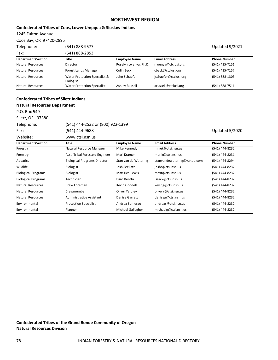#### **Confederated Tribes of Coos, Lower Umpqua & Siuslaw Indians**

#### 1245 Fulton Avenue

| Coos Bay, OR 97420-2895  |                                            |                       |                       |                     |  |
|--------------------------|--------------------------------------------|-----------------------|-----------------------|---------------------|--|
| Telephone:               | (541) 888-9577                             |                       |                       | Updated 9/2021      |  |
| Fax:                     | (541) 888-2853                             |                       |                       |                     |  |
| Department/Section       | Title                                      | <b>Employee Name</b>  | <b>Email Address</b>  | <b>Phone Number</b> |  |
| <b>Natural Resources</b> | Director                                   | Roselyn Lwenya, Ph.D. | rlwenya@ctclusi.org   | (541) 435-7151      |  |
| <b>Natural Resources</b> | <b>Forest Lands Manager</b>                | Colin Beck            | cbeck@ctclusi.org     | (541) 435-7157      |  |
| <b>Natural Resources</b> | Water Protection Specialist &<br>Biologist | John Schaefer         | jschaefer@ctclusi.org | (541) 888-1303      |  |
| <b>Natural Resources</b> | <b>Water Protection Specialist</b>         | <b>Ashley Russell</b> | arussell@ctclusi.org  | (541) 888-7511      |  |

#### **Confederated Tribes of Siletz Indians**

# **Natural Resources Department**

P.O. Box 549 Siletz, OR 97380

#### Telephone: (541) 444‐2532 or (800) 922‐1399

| Fax:                       | (541) 444-9688                      |                      |                             | Updated 5/2020      |  |  |
|----------------------------|-------------------------------------|----------------------|-----------------------------|---------------------|--|--|
| Website:                   | www.ctsi.nsn.us                     |                      |                             |                     |  |  |
| <b>Department/Section</b>  | Title                               | <b>Employee Name</b> | <b>Email Address</b>        | <b>Phone Number</b> |  |  |
| Forestry                   | Natural Resource Manager            | Mike Kennedy         | mikek@ctsi.nsn.us           | (541) 444-8232      |  |  |
| Forestry                   | Asst. Tribal Forester/ Engineer     | Mari Kramer          | marik@ctsi.nsn.us           | (541) 444-8231      |  |  |
| Aquatics                   | <b>Biological Programs Director</b> | Stan van de Wetering | stanvandewetering@yahoo.com | (541) 444-8294      |  |  |
| Wildlife                   | <b>Biologist</b>                    | Josh Seekatz         | joshs@ctsi.nsn.us           | (541) 444-8232      |  |  |
| <b>Biological Programs</b> | <b>Biologist</b>                    | Max Tice-Lewis       | maxt@ctsi.nsn.us            | (541) 444-8232      |  |  |
| <b>Biological Programs</b> | Technician                          | Issac Kentta         | issack@ctsi.nsn.us          | (541) 444-8232      |  |  |
| Natural Resources          | Crew Foreman                        | Kevin Goodell        | keving@ctsi.nsn.us          | (541) 444-8232      |  |  |
| <b>Natural Resources</b>   | Crewmember                          | Oliver Yardley       | olivery@ctsi.nsn.us         | (541) 444-8232      |  |  |
| <b>Natural Resources</b>   | Administrative Assistant            | Denise Garrett       | deniseg@ctsi.nsn.us         | (541) 444-8232      |  |  |
| Environmental              | <b>Protection Specialist</b>        | Andrea Sumerau       | andreas@ctsi.nsn.us         | (541) 444-8232      |  |  |
| Environmental              | Planner                             | Michael Gallagher    | michaelg@ctsi.nsn.us        | (541) 444-8232      |  |  |

**Confederated Tribes of the Grand Ronde Community of Oregon Natural Resources Division**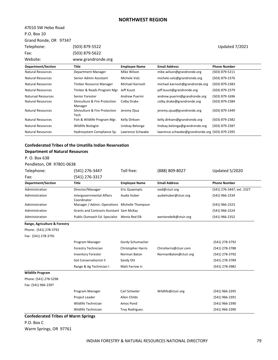|                               |                                               | ווטוניא ו השיח ו השיח     |                                                |                           |
|-------------------------------|-----------------------------------------------|---------------------------|------------------------------------------------|---------------------------|
| 47010 SW Hebo Road            |                                               |                           |                                                |                           |
| P.O. Box 10                   |                                               |                           |                                                |                           |
| Grand Ronde, OR 97347         |                                               |                           |                                                |                           |
| Telephone:                    | (503) 879-5522                                |                           |                                                | <b>Updated 7/2021</b>     |
| Fax:                          | (503) 879-5622                                |                           |                                                |                           |
| Website:                      | www.grandronde.org                            |                           |                                                |                           |
| <b>Department/Section</b>     | <b>Title</b>                                  | <b>Employee Name</b>      | <b>Email Address</b>                           | <b>Phone Number</b>       |
| <b>Natural Resources</b>      | Department Manager                            | Mike Wilson               | mike.wilson@grandronde.org                     | (503) 879-5211            |
| <b>Natural Resources</b>      | Senior Admin Assistant                        | Michele Volz              | michele.volz@grandronde.org                    | (503) 879-2376            |
| <b>Natural Resources</b>      | Timber Resource Manager                       | Michael Karnosh           | michael.karnosh@grandronde.org                 | (503) 879-2383            |
| <b>Natural Resources</b>      | Timber & Roads Program Mgr. Jeff Kuust        |                           | jeff.kuust@grandronde.org                      | (503) 879-2379            |
| <b>Naturual Resources</b>     | Senior Forester                               | Andrew Puerini            | andrew.puerini@grandronde.org                  | (503) 879-1696            |
| Natural Resources             | Silviculture & Fire Protection<br>Manager     | Colby Drake               | colby.drake@grandronde.org                     | (503) 879-2384            |
| <b>Natural Resources</b>      | Silvivulture & Fire Protection<br>Tech        | Jeremy Ojua               | jeremy.ojua@grandronde.org                     | (503) 879-1449            |
| <b>Natural Resources</b>      | Fish & Wildlife Program Mgr.                  | Kelly Dirksen             | kelly.dirksen@grandronde.org                   | (503) 879-2382            |
| <b>Natural Resources</b>      | Wildlife Biologist                            | Lindsay Belonga           | lindsay.belonga@grandronde.org                 | (503) 879-2387            |
| <b>Natural Resources</b>      | Hydrosystem Compliance Sp.                    | Lawrence Schwabe          | lawrence.schwabe@grandronde.org (503) 879-2395 |                           |
| Telephone:                    | (541) 276-3447                                | Toll free:                | (888) 809-8027                                 | Updated 5/2020            |
| Fax:                          | (541) 276-3317                                |                           |                                                |                           |
| <b>Department/Section</b>     | <b>Title</b>                                  | <b>Employee Name</b>      | <b>Email Address</b>                           | <b>Phone Number</b>       |
| Administration                | Director/Manager                              | Eric Quaempts             | oed@ctuir.org                                  | (541) 276-3447, ext. 2327 |
| Administration                | Intergovernmental Affairs<br>Coordinator      | Audie Huber               | audiehuber@ctuir.org                           | (541) 966-2334            |
| Administration                | Manager / Admin. Operations Michelle Thompson |                           |                                                | (541) 966-2323            |
| Administration                | Grants and Contracts Assistant Sam McKay      |                           |                                                | (541) 966-2324            |
| Administration                | Public Outreach Ed. Specialist Wenix Red Elk  |                           | wenixredelk@ctuir.org                          | (541) 966-2352            |
| Range, Agriculture & Forestry |                                               |                           |                                                |                           |
| Phone: (541) 278-3792         |                                               |                           |                                                |                           |
| Fax: (541) 278-3791           |                                               |                           |                                                |                           |
|                               | Program Manager                               | Gordy Schumacher          |                                                | (541) 278-3792            |
|                               | Forestry Technician                           | <b>Christopher Harris</b> | ChrisHarris@ctuir.com                          | (541) 278-3788            |
|                               | <b>Inventory Forester</b>                     | Norman Baton              | NormanBaton@ctuir.org                          | (541) 278-3792            |
|                               | Soil Conservationist II                       | Sandy Ott                 |                                                | (541) 278-3789            |
|                               | Range & Ag Technician I                       | Matt Farrow Jr.           |                                                | (541) 278-3982            |
| <b>Wildlife Program</b>       |                                               |                           |                                                |                           |
| Phone: (541) 278-5298         |                                               |                           |                                                |                           |
| Fax: (541) 966-2397           |                                               |                           |                                                |                           |
|                               | Program Manager                               | Carl Scheeler             | Wildlife@ctuir.org                             | (541) 966-2395            |
|                               | Project Leader                                | Allen Childs              |                                                | (541) 966-2391            |

#### **Confederated Tribes of Warm Springs**

P.O. Box C Warm Springs, OR 97761

Wildlife Technician Amos Pond Company Amos Pond CS41) 966-2390 Wildlife Technician Troy Rodriguez. (541) 966-2390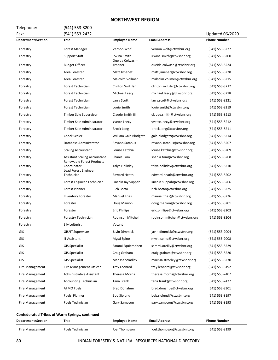| Telephone:                | (541) 553-8200                                                   |                            |                               |                        |
|---------------------------|------------------------------------------------------------------|----------------------------|-------------------------------|------------------------|
| Fax:                      | (541) 553-2432                                                   |                            |                               | <b>Updated 06/2020</b> |
| <b>Department/Section</b> | Title                                                            | <b>Employee Name</b>       | <b>Email Address</b>          | <b>Phone Number</b>    |
| Forestry                  | Forest Manager                                                   | Vernon Wolf                | vernon.wolf@ctwsbnr.org       | (541) 553-8227         |
| Forestry                  | Support Staff                                                    | Irwina Smith               | irwina.smith@ctwsbnr.org      | (541) 553-8200         |
| Forestry                  | <b>Budget Officer</b>                                            | Oueida Colwash-<br>Jimenez | oueida.colwash@ctwsbnr.org    | (541) 553-8224         |
| Forestry                  | Area Forester                                                    | Matt Jimenez               | matt.jimenez@ctwsbnr.org      | (541) 553-8228         |
| Forestry                  | Area Forester                                                    | Malcolm Vollmer            | malcolm.vollmer@ctwsbnr.org   | (541) 553-8215         |
| Forestry                  | Forest Technician                                                | <b>Clinton Switzler</b>    | clinton.switzler@ctwsbnr.org  | (541) 553-8217         |
| Forestry                  | Forest Technician                                                | Michael Leecy              | michael.leecy@ctwsbnr.org     | (541) 553-8218         |
| Forestry                  | Forest Technician                                                | Larry Scott                | larry.scott@ctwsbnr.org       | (541) 553-8221         |
| Forestry                  | Forest Technician                                                | Louie Smith                | louie.smith@ctwsbnr.org       | (541) 553-8219         |
| Forestry                  | Timber Sale Supervisor                                           | Claude Smith III           | claude.smith@ctwsbnr.org      | (541) 553-8213         |
| Forestry                  | Timber Sale Administrator                                        | <b>Yvette Leecy</b>        | yvette.leecy@ctwsbnr.org      | (541) 553-8212         |
| Forestry                  | Timber Sale Administrator                                        | <b>Brock Long</b>          | brock.long@ctwsbnr.org        | (541) 553-8211         |
| Forestry                  | <b>Check Scaler</b>                                              | William Gale Blodgett      | gale.blodgett@ctwsbnr.org     | (541) 553-8214         |
| Forestry                  | Database Administrator                                           | Rayann Satanus             | rayann.satanus@ctwsbnr.org    | (541) 553-8207         |
| Forestry                  | <b>Scaling Accountant</b>                                        | Louise Katchia             | louise.katchia@ctwsbnr.org    | (541) 553-8209         |
| Forestry                  | <b>Assistant Scaling Accountant</b>                              | Shania Tom                 | shania.tom@ctwsbnr.org        | (541) 553-8208         |
| Forestry                  | Renewable Forest Products<br>Coordinator<br>Lead Forest Engineer | Talya Holliday             | talya.holliday@ctwsbnr.org    | (541) 553-8210         |
| Forestry                  | Technician                                                       | Edward Heath               | edward.heath@ctwsbnr.org      | (541) 553-8202         |
| Forestry                  | Forest Engineer Technician                                       | Lincoln Jay Suppah         | lincoln.suppah@ctwsbnr.org    | (541) 553-8206         |
| Forestry                  | <b>Forest Planner</b>                                            | <b>Rich Botto</b>          | rich.botto@ctwsbnr.org        | (541) 553-8225         |
| Forestry                  | <b>Inventory Forester</b>                                        | <b>Manuel Frias</b>        | manuel.frias@ctwsbnr.org      | (541) 553-8226         |
| Forestry                  | Forester                                                         | Doug Manion                | doug.manion@ctwsbnr.org       | (541) 553-8201         |
| Forestry                  | Forester                                                         | <b>Eric Phillips</b>       | eric.phillips@ctwsbnr.org     | (541) 553-8203         |
| Forestry                  | Forestry Technician                                              | <b>Robinson Mitchell</b>   | robinson.mitchell@ctwsbnr.org | (541) 553-8204         |
| Forestry                  | Silviculturist                                                   | Vacant                     |                               |                        |
| GIS                       | GIS/IT Supervisor                                                | Javin Dimmick              | javin.dimmick@ctwsbnr.org     | (541) 553-2004         |
| GIS                       | IT Assistant                                                     | Mysti Spino                | mysti.spino@ctwsbnr.org       | (541) 553-2008         |
| GIS                       | <b>GIS Specialist</b>                                            | Sammi Squiemphen           | sammi.oreilly@ctwsbnr.org     | (541) 553-8229         |
| GIS                       | <b>GIS Specialist</b>                                            | Craig Graham               | craig.graham@ctwsbnr.org      | (541) 553-8220         |
| GIS                       | <b>GIS Specialist</b>                                            | Marissa Stradley           | marissa.stradley@ctwsbnr.org  | (541) 553-8230         |
| Fire Management           | Fire Management Officer                                          | <b>Trey Leonard</b>        | trey.leonard@ctwsbnr.org      | (541) 553-8192         |
| <b>Fire Management</b>    | <b>Administrative Assistant</b>                                  | <b>Theresa Morris</b>      | theresa.morris@ctwsbnr.org    | (541) 553-2407         |
| Fire Management           | <b>Accounting Technician</b>                                     | Tana Frank                 | tana.frank@ctwsbnr.org        | (541) 553-2427         |
| Fire Management           | AFMO Fuels                                                       | <b>Brad Donahue</b>        | brad.donahue@ctwsbnr.org      | (541) 553-8301         |
| Fire Management           | Fuels Planner                                                    | Bob Sjolund                | bob.sjolund@ctwsbnr.org       | (541) 553-8197         |
| Fire Management           | <b>Fuels Technician</b>                                          | Gary Sampson               | gary.sampson@ctwsbnr.org      | (541) 553-8193         |

#### **Confederated Tribes of Warm Springs, continued**

| Department/Section     | Title            | <b>Employee Name</b> | <b>Email Address</b>      | <b>Phone Number</b> |
|------------------------|------------------|----------------------|---------------------------|---------------------|
| <b>Fire Management</b> | Fuels Technician | Joel Thompson        | joel.thompson@ctwsbnr.org | (541) 553-8199      |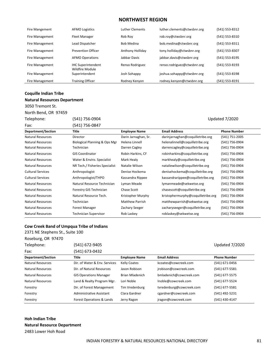| <b>Fire Mangement</b>  | <b>AFMO Logistics</b>                        | Luther Clements   | luther.clements@ctwsbnr.org | (541) 553-8312 |
|------------------------|----------------------------------------------|-------------------|-----------------------------|----------------|
| Fire Management        | <b>Fleet Manager</b>                         | Rob Rov           | rob.roy@ctwsbnr.org         | (541) 553-8310 |
| <b>Fire Management</b> | Lead Dispatcher                              | <b>Bob Medina</b> | bob.medina@ctwsbnr.org      | (541) 553-8311 |
| Fire Management        | <b>Prevention Officer</b>                    | Anthony Holliday  | tony.holliday@ctwsbnr.org   | (541) 553-8307 |
| Fire Management        | <b>AFMO Operations</b>                       | Jabbar Davis      | jabbar.davis@ctwsbnr.org    | (541) 553-8195 |
| Fire Management        | <b>IHC Superintendent</b><br>Wildfire Module | Renso Rodriguez   | renso.rodriguez@ctwsbnr.org | (541) 553-8193 |
| Fire Management        | Superintendent                               | Josh Sohappy      | joshua.sohappy@ctwsbnr.org  | (541) 553-8198 |
| Fire Management        | <b>Training Officer</b>                      | Rodney Kenyon     | rodney.kenyon@ctwsbnr.org   | (541) 553-8191 |

#### **Coquille Indian Tribe Natural Resources Department**

3050 Tremont St.

North Bend, OR 97459

Telephone: (541) 756‐0904 Updated 7/2020 Fax: (541) 756‐0847

| тал.                     | , טריטטי וב <del>ד</del> ע     |                        |                                    |                     |  |  |
|--------------------------|--------------------------------|------------------------|------------------------------------|---------------------|--|--|
| Department/Section       | Title                          | <b>Employee Name</b>   | <b>Email Address</b>               | <b>Phone Number</b> |  |  |
| <b>Natural Resources</b> | Director                       | Darin Jarnaghan, Sr.   | darinjarnaghan@coquilletribe.org   | (541) 751-2005      |  |  |
| <b>Natural Resources</b> | Biological Planning & Ops Mgr  | Helena Linnell         | helenalinnell@coquilletribe.org    | (541) 756-0904      |  |  |
| <b>Natural Resources</b> | Technician                     | Darren Cagley          | darrencagley@coquilletribe.org     | (541) 756-0904      |  |  |
| <b>Natural Resources</b> | <b>GIS Coordinator</b>         | Robin Harkins, CF      | robinharkins@coquilletribe.org     | (541) 756-0904      |  |  |
| <b>Natural Resources</b> | Water & Enviro. Specialist     | Mark Healy             | markhealy@coquilletribe.org        | (541) 756-0904      |  |  |
| <b>Natural Resources</b> | NR Tech./ Fisheries Specialist | Natalie Wilson         | nataliewilson@coquilletribe.org    | (541) 756-0904      |  |  |
| <b>Cultural Services</b> | Anthropologist                 | Denise Hockema         | denisehockema@coquilletribe.org    | (541) 756-0904      |  |  |
| <b>Cultural Services</b> | Anthropologist/THPO            | Kassandra Rippee       | kassandrarippee@coquilletribe.org  | (541) 756-0904      |  |  |
| <b>Natural Resources</b> | Natural Resource Technician    | Lyman Meade            | lymanmeade@sekwetse.org            | (541) 756-0904      |  |  |
| <b>Natural Resources</b> | Forestry GIS Technician        | Chase Scott            | chasescott@coquilletribe.org       | (541) 756-0904      |  |  |
| <b>Natural Resources</b> | Natural Resource Tech.         | Kristopher Murphy      | kristophermurphy@coquilletribe.org | (541) 756-0904      |  |  |
| <b>Natural Resources</b> | Technician                     | <b>Matthew Parrish</b> | matthewparrish@sekwetse.org        | (541) 756-0904      |  |  |
| <b>Natural Resources</b> | <b>Forest Manager</b>          | Zachary Seeger         | zacharyseeger@coquilletribe.org    | (541) 756-0904      |  |  |
| <b>Natural Resources</b> | Technician Supervisor          | Rob Laskey             | roblaskey@sekwetse.org             | (541) 756-0904      |  |  |

# **Cow Creek Band of Umpqua Tribe of Indians**

2371 NE Stephens St., Suite 100  $\overline{R}$ 

| Roseburg, OR 97470       |                               |                        |                          |                       |
|--------------------------|-------------------------------|------------------------|--------------------------|-----------------------|
| Telephone:               | (541) 672-9405                |                        |                          | <b>Updated 7/2020</b> |
| Fax:                     | (541) 673-0432                |                        |                          |                       |
| Department/Section       | <b>Title</b>                  | <b>Employee Name</b>   | <b>Email Address</b>     | <b>Phone Number</b>   |
| <b>Natural Resources</b> | Dir. of Water & Env. Services | <b>Kelly Coates</b>    | kcoates@cowcreek.com     | (541) 671-0456        |
| <b>Natural Resources</b> | Dir. of Natural Resources     | Jason Robison          | jrobison@cowcreek.com    | (541) 677-5581        |
| Natural Resources        | <b>GIS Operations Manager</b> | <b>Brian Mladenich</b> | bmladenich@cowcreek.com  | (541) 677-5575        |
| Natural Resources        | Land & Realty Program Mgr.    | Lori Noble             | Inoble@cowcreek.com      | (541) 677-5524        |
| Forestry                 | Dir. of Forest Management     | Tim Vredenburg         | tvredenburg@cowcreek.com | (541) 677-5581        |
| Forestry                 | Administrative Assistant      | Clara Gardner          | cgardner@cowcreek.com    | (541) 492-5231        |
| Forestry                 | Forest Operations & Lands     | Jerry Ragon            | jragon@cowcreek.com      | (541) 430-4147        |

# **Hoh Indian Tribe Natural Resource Department**  2483 Lower Hoh Road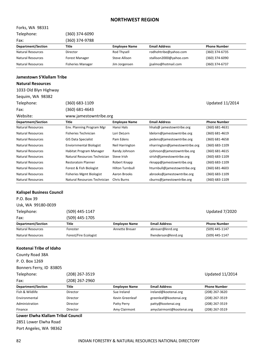| Forks, WA 98331                                                                         |                                 |                      |                                |                        |
|-----------------------------------------------------------------------------------------|---------------------------------|----------------------|--------------------------------|------------------------|
| Telephone:                                                                              | $(360)$ 374-6090                |                      |                                |                        |
| Fax:                                                                                    | (360) 374-9788                  |                      |                                |                        |
| <b>Department/Section</b>                                                               | Title                           | <b>Employee Name</b> | <b>Email Address</b>           | <b>Phone Number</b>    |
| <b>Natural Resources</b>                                                                | Director                        | Rod Thysell          | rodhohtribe@yahoo.com          | (360) 374-6735         |
| <b>Natural Resources</b>                                                                | Forest Manager                  | <b>Steve Allison</b> | stallison2000@yahoo.com        | (360) 374-6090         |
| <b>Natural Resources</b>                                                                | <b>Fisheries Manager</b>        | Jim Jorgensen        | jjsalmo@hotmail.com            | (360) 374-6737         |
|                                                                                         |                                 |                      |                                |                        |
| <b>Jamestown S'Klallam Tribe</b>                                                        |                                 |                      |                                |                        |
| <b>Natural Resources</b>                                                                |                                 |                      |                                |                        |
| 1033 Old Blyn Highway                                                                   |                                 |                      |                                |                        |
| Sequim, WA 98382                                                                        |                                 |                      |                                |                        |
| Telephone:                                                                              | (360) 683-1109                  |                      |                                | <b>Updated 11/2014</b> |
| Fax:                                                                                    | $(360) 681 - 4643$              |                      |                                |                        |
| Website:                                                                                | www.jamestowntribe.org          |                      |                                |                        |
| Department/Section                                                                      | Title                           | <b>Employee Name</b> | <b>Email Address</b>           | <b>Phone Number</b>    |
| <b>Natural Resources</b>                                                                | Env. Planning Program Mgr       | Hansi Hals           | hhals@ jamestowntribe.org      | (360) 681-4631         |
| <b>Natural Resources</b>                                                                | Fisheries Technician            | Lori DeLorn          | ldelorn@jamestowntribe.org     | (360) 681-4619         |
| <b>Natural Resources</b>                                                                | <b>GIS Data Specialist</b>      | Pam Edens            | pedens@jamestowntribe.org      | (360) 681-4658         |
| <b>Natural Resources</b>                                                                | <b>Enviornmental Biologist</b>  | Neil Harrington      | nharrington@jamestowntribe.org | (360) 683-1109         |
| <b>Natural Resources</b>                                                                | Habitat Program Manager         | Randy Johnson        | rjohnson@jamestowntribe.org    | (360) 681-4615         |
| <b>Natural Resources</b>                                                                | Natural Resources Technician    | Steve Irish          | sirish@jamestowntribe.org      | (360) 683-1109         |
| <b>Natural Resources</b>                                                                | Restoratoin Planner             | Robert Knapp         | rknapp@jamestowntribe.org      | (360) 683-1109         |
| <b>Natural Resources</b>                                                                | Forest & Fish Biologist         | Hilton Turnbull      | hturnbull@jamestowntribe.org   | (360) 681-4603         |
| <b>Natural Resources</b>                                                                | <b>Fisheries Mgmt Biologist</b> | Aaron Brooks         | abrooks@jamestowntribe.org     | (360) 683-1109         |
| Natural Resources                                                                       | Natural Resources Technician    | Chris Burns          | cburns@jamestowntribe.org      | (360) 683-1109         |
|                                                                                         |                                 |                      |                                |                        |
| <b>Kalispel Business Council</b>                                                        |                                 |                      |                                |                        |
| P.O. Box 39                                                                             |                                 |                      |                                |                        |
| Usk, WA 99180-0039                                                                      |                                 |                      |                                |                        |
| Telephone:                                                                              | (509) 445-1147                  |                      |                                | Updated 7/2020         |
| Fax:                                                                                    | (509) 445-1705                  |                      |                                |                        |
| Department/Section                                                                      | Title                           | <b>Employee Name</b> | <b>Email Address</b>           | <b>Phone Number</b>    |
| Natural Resources                                                                       | Forester                        | Annette Breuer       | abreuer@knrd.org               | (509) 445-1147         |
| <b>Natural Resources</b>                                                                | Forest/Fire Ecologist           |                      | lhenderson@knrd.org            | (509) 445-1147         |
| Kootenai Tribe of Idaho                                                                 |                                 |                      |                                |                        |
| County Road 38A                                                                         |                                 |                      |                                |                        |
| P. O. Box 1269                                                                          |                                 |                      |                                |                        |
|                                                                                         |                                 |                      |                                |                        |
| Bonners Ferry, ID 83805                                                                 |                                 |                      |                                |                        |
| Telephone:                                                                              | (208) 267-3519                  |                      |                                | <b>Updated 11/2014</b> |
|                                                                                         | (208) 267-2960                  |                      |                                |                        |
|                                                                                         |                                 | <b>Employee Name</b> | <b>Email Address</b>           | <b>Phone Number</b>    |
|                                                                                         | <b>Title</b>                    |                      |                                |                        |
|                                                                                         | Director                        | Sue Ireland          | ireland@kootenai.org           | (208) 267-3620         |
|                                                                                         | Director                        | Kevin Greenleaf      | greenleaf@kootenai.org         | (208) 267-3519         |
| Fax:<br><b>Department/Section</b><br>Fish & Wildlife<br>Environmental<br>Administration | Director                        | Patty Perry          | patty@kootenai.org             | (208) 267-3519         |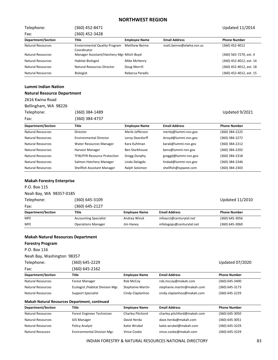| Telephone:               | (360) 452-8471                                      |                       |                          | <b>Updated 11/2014</b>  |
|--------------------------|-----------------------------------------------------|-----------------------|--------------------------|-------------------------|
| Fax:                     | (360) 452-3428                                      |                       |                          |                         |
| Department/Section       | Title                                               | <b>Employee Name</b>  | <b>Email Address</b>     | <b>Phone Number</b>     |
| <b>Natural Resources</b> | <b>Enviornmental Quality Program</b><br>Coordinator | <b>Matthew Beirne</b> | matt.beirne@elwha.nsn.us | (360) 452-4012          |
| <b>Natural Resources</b> | Manager Assistant/Hatchery Mgr Mitch Boyd           |                       |                          | (360) 565-7270, ext. 4  |
| <b>Natural Resources</b> | Habitat Biologist                                   | Mike McHenry          |                          | (360) 452-4012, ext. 14 |
| Natural Resources        | Natural Resources Director                          | Doug Morrill          |                          | (360) 452-4012, ext. 18 |
| <b>Natural Resources</b> | <b>Biologist</b>                                    | Rebecca Paradis       |                          | (360) 452-4012, ext. 15 |
|                          |                                                     |                       |                          |                         |

#### **Lummi Indian Nation**

**Natural Resource Department**

| 2616 Kwina Road          |                                    |                      |                       |                     |
|--------------------------|------------------------------------|----------------------|-----------------------|---------------------|
| Bellingham, WA 98226     |                                    |                      |                       |                     |
| Telephone:               | (360) 384-1489                     |                      |                       | Updated 9/2021      |
| Fax:                     | (360) 384-4737                     |                      |                       |                     |
| Department/Section       | <b>Title</b>                       | <b>Employee Name</b> | <b>Email Address</b>  | <b>Phone Number</b> |
| Natural Resources        | Director                           | Merle Jefferson      | merlej@lummi-nsn.gov  | (360) 384-2225      |
| <b>Natural Resources</b> | <b>Environmental Director</b>      | Leroy Deardorff      | leroyd@lummi-nsn.gov  | (360) 384-2272      |
| Natural Resources        | Water Resources Manager            | Kara Kuhlman         | karak@lummi-nsn.gov   | (360) 384-2212      |
| <b>Natural Resources</b> | Harvest Manager                    | Ben Starkhouse       | bens@lummi-nsn.gov    | (360) 384-2202      |
| <b>Natural Resources</b> | <b>TFW/FFR Resource Protection</b> | Gregg Dunphy         | greggd@lummi-nsn.gov  | (360) 384-2318      |
| <b>Natural Resources</b> | Salmon Hatchery Manager            | Linda Delagdo        | lindad@lummi-nsn.gov  | (360) 384-2346      |
| <b>Natural Resources</b> | Shellfish Assistant Manager        | Ralph Solomon        | shellfish@ispwest.com | (360) 384-2303      |

| <b>Makah Forestry Enterprise</b> |                              |                      |                          |                     |
|----------------------------------|------------------------------|----------------------|--------------------------|---------------------|
| P.O. Box 115                     |                              |                      |                          |                     |
| Neah Bay, WA 98357-0185          |                              |                      |                          |                     |
| Telephone:                       | (360) 645-3109               |                      |                          | Updated 11/2010     |
| Fax:                             | (360) 645-2127               |                      |                          |                     |
| Department/Section               | Title                        | <b>Employee Name</b> | <b>Email Address</b>     | <b>Phone Number</b> |
| <b>MFE</b>                       | <b>Accounting Specialist</b> | Andrea Winck         | mfeacct@centurytel.net   | (360) 645-3056      |
| <b>MFE</b>                       | <b>Operations Manager</b>    | Jim Haney            | mfelogops@centurytel.net | (360) 645-3060      |
|                                  |                              |                      |                          |                     |

# **Makah Natural Resources Department**

# **Forestry Program**

#### P.O. Box 116

| Neah Bay, Washington 98357 |  |
|----------------------------|--|
|----------------------------|--|

| Telephone:               | (360) 645-2229                    |                      |                            | <b>Updated 07/2020</b> |
|--------------------------|-----------------------------------|----------------------|----------------------------|------------------------|
| Fax:                     | (360) 645-2162                    |                      |                            |                        |
| Department/Section       | Title                             | <b>Employee Name</b> | <b>Email Address</b>       | <b>Phone Number</b>    |
| <b>Natural Resources</b> | Forest Manager                    | Rob McCoy            | rob.mccoy@makah.com        | (360) 645-3400         |
| <b>Natural Resources</b> | Ecologist / Habitat Division Mgr. | Stephanie-Martin     | stephanie.martin@makah.com | (360) 645-3173         |
| <b>Natural Resources</b> | <b>Support Specialist</b>         | Cindy Claplanhoo     | cindy.claplanhoo@makah.com | (360) 645-2229         |

#### **Makah Natural Resources Department, continued**

| Department/Section       | Title                              | <b>Employee Name</b> | <b>Email Address</b>        | <b>Phone Number</b> |
|--------------------------|------------------------------------|----------------------|-----------------------------|---------------------|
| <b>Natural Resources</b> | Forest Engineer Technician         | Charley Pitchord     | charley.pitchford@makah.com | (360) 645-3050      |
| <b>Natural Resources</b> | <b>GIS Manager</b>                 | David Herda          | dave.herda@makah.com        | (360) 645-3051      |
| <b>Natural Resources</b> | <b>Policy Analyst</b>              | Katie Wrubel         | katie.wrubel@makah.com      | (360) 645-3229      |
| <b>Natural Resouces</b>  | <b>Environmental Division Mgr.</b> | Vince Cooke          | vince.cooke@makah.com       | (360) 645-3229      |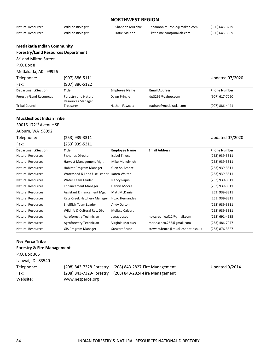| Natural Resources | Wildlife Biologist | Shannon Murphie | shannon.murphie@makah.com | (360) 645-3229 |
|-------------------|--------------------|-----------------|---------------------------|----------------|
| Natural Resources | Wildlife Biologist | Katie McLean    | katie.mclean@makah.com    | (360) 645-3069 |
|                   |                    |                 |                           |                |

#### **Metlakatla Indian Community**

# **Forestry/Land Resources Department**

| 8 <sup>th</sup> and Milton Street |  |
|-----------------------------------|--|
| P.O. Box 8                        |  |

Metlakatla, AK 99926

| 907) 886-5111 |  |
|---------------|--|
| 907) 886-5122 |  |
| 79. L         |  |

| Donautusaut (Castiau   | <b>Titla</b>   | Ferniausa Nama | Fersil Adduses | Dhana Number           |
|------------------------|----------------|----------------|----------------|------------------------|
| Fax:                   | (907) 886-5122 |                |                |                        |
| Telephone:             | (907) 886-5111 |                |                | <b>Updated 07/2020</b> |
| IVICLIANALIA, AN JJJZU |                |                |                |                        |

Treasurer Nathan Fawcett nathan@metlakatla.com (907) 886-4441

| <b>ICICNIIOIIC.</b>     | , 1997 UUU JIII      |                      |                      | Opuuttu VII         |
|-------------------------|----------------------|----------------------|----------------------|---------------------|
| Fax:                    | (907) 886-5122       |                      |                      |                     |
| Department/Section      | Title                | <b>Employee Name</b> | <b>Email Address</b> | <b>Phone Number</b> |
| Forestry/Land Resources | Forestry and Natural | Dawn Pringle         | dp3296@yahoo.com     | (907) 617-7290      |

| Title                       |
|-----------------------------|
| <b>Forestry and Natural</b> |
| Resources Manager           |

| Forestry/Land Resources | Fore       |
|-------------------------|------------|
|                         | <b>Res</b> |

#### **Muckleshoot Indian Tribe**

39015 172nd Avenue SE

| Auburn, WA 98092         |                               |                      |                                  |                        |
|--------------------------|-------------------------------|----------------------|----------------------------------|------------------------|
| Telephone:               | (253) 939-3311                |                      |                                  | <b>Updated 07/2020</b> |
| Fax:                     | (253) 939-5311                |                      |                                  |                        |
| Department/Section       | <b>Title</b>                  | <b>Employee Name</b> | <b>Email Address</b>             | <b>Phone Number</b>    |
| <b>Natural Resources</b> | <b>Fisheries Director</b>     | <b>Isabel Tinoco</b> |                                  | (253) 939-3311         |
| <b>Natural Resources</b> | Harvest Management Mgr.       | Mike Maholylich      |                                  | (253) 939-3311         |
| <b>Natural Resources</b> | Habitat Program Manager       | Glen St. Amant       |                                  | (253) 939-3311         |
| <b>Natural Resources</b> | Watershed & Land Use Leader   | Karen Walter         |                                  | (253) 939-3311         |
| <b>Natural Resources</b> | Water Team Leader             | Nancy Rapin          |                                  | (253) 939-3311         |
| <b>Natural Resources</b> | <b>Enhancement Manager</b>    | Dennis Moore         |                                  | (253) 939-3311         |
| <b>Natural Resources</b> | Assistant Enhancement Mgr.    | Matt McDaniel        |                                  | (253) 939-3311         |
| <b>Natural Resources</b> | Keta Creek Hatchery Manager   | Hugo Hernandez       |                                  | (253) 939-3311         |
| <b>Natural Resources</b> | Shellfish Team Leader         | Andy Dalton          |                                  | (253) 939-3311         |
| <b>Natural Resources</b> | Wildlife & Cultural Res. Dir. | Melissa Calvert      |                                  | (253) 939-3311         |
| <b>Natural Resources</b> | Agroforestry Technician       | Janay Joseph         | nay.greenleaf12@gmail.com        | (253) 691-4535         |
| <b>Natural Resources</b> | Agroforestry Technician       | Virginia Marquez     | marie.cinco.253@gmail.com        | (253) 486-7077         |
| <b>Natural Resources</b> | <b>GIS Program Manager</b>    | <b>Stewart Bruce</b> | stewart.bruce@muckleshoot.nsn.us | (253) 876-3327         |

#### **Nez Perce Tribe**

| <b>Forestry &amp; Fire Management</b> |                         |                                |                |
|---------------------------------------|-------------------------|--------------------------------|----------------|
| P.O. Box 365                          |                         |                                |                |
| Lapwai, ID 83540                      |                         |                                |                |
| Telephone:                            | (208) 843-7328-Forestry | (208) 843-2827-Fire Management | Updated 9/2014 |
| Fax:                                  | (208) 843-7329-Forestry | (208) 843-2824-Fire Management |                |
| Website:                              | www.nezperce.org        |                                |                |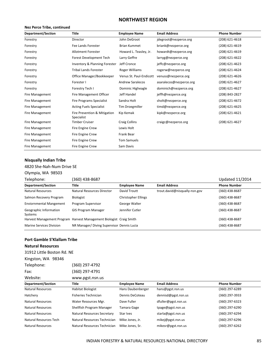#### **Nez Perce Tribe, continued**

| Department/Section     | <b>Title</b>                               | <b>Employee Name</b>    | <b>Email Address</b>    | <b>Phone Number</b> |
|------------------------|--------------------------------------------|-------------------------|-------------------------|---------------------|
| Forestry               | Director                                   | John DeGroot            | jdegroot@nezperce.org   | (208) 621-4618      |
| Forestry               | Fee Lands Forester                         | <b>Brian Kummet</b>     | briank@nezperce.org     | (208) 621-4619      |
| Forestry               | <b>Allotment Forester</b>                  | Howard L. Teasley, Jr.  | howardt@nezperce.org    | (208) 621-4619      |
| Forestry               | Forest Development Tech                    | Larry Geffre            | larryg@nezperce.org     | (208) 621-4622      |
| Forestry               | Inventory & Planning Forester              | Jeff Cronce             | jeffc@nezperce.org      | (208) 621-4623      |
| Forestry               | <b>Tribal Lands Forester</b>               | Roger Williams          | rogerw@nezperce.org     | (208) 621-4624      |
| Forestry               | Office Manager/Bookkeeper                  | Venus St. Paul-Endicott | venuss@nezperce.org     | (208) 621-4626      |
| Forestry               | Forester I                                 | <b>Andrew Saralecos</b> | asaralecos@nezperce.org | (208) 621-4627      |
| Forestry               | Forestry Tech I                            | Dominic Higheagle       | dominich@nezperce.org   | (208) 621-4627      |
| <b>Fire Management</b> | Fire Management Officer                    | Jeff Handel             | jeffh@nezperce.org      | (208) 843-2827      |
| Fire Management        | <b>Fire Programs Specialist</b>            | Sandra Holt             | sholt@nezperce.org      | (208) 621-4672      |
| Fire Management        | <b>Acting Fuels Specialist</b>             | Tim Droegmiller         | timd@nezperce.org       | (208) 621-4625      |
| <b>Fire Management</b> | Fire Prevention & Mitigation<br>Specialist | Kip Kemak               | kipk@nezperce.org       | (208) 621-4621      |
| <b>Fire Management</b> | <b>Timber Cruiser</b>                      | <b>Craig Collins</b>    | craigc@nezperce.org     | (208) 621-4627      |
| <b>Fire Management</b> | Fire Engine Crew                           | Lewis Holt              |                         |                     |
| <b>Fire Management</b> | Fire Engine Crew                           | Frank Bear              |                         |                     |
| <b>Fire Management</b> | Fire Engine Crew                           | <b>Tom Samuels</b>      |                         |                     |
| <b>Fire Management</b> | Fire Engine Crew                           | Sam Davis               |                         |                     |

# **Nisqually Indian Tribe**

#### 4820 She‐Nah‐Num Drive SE

| Olympia, WA 98503      |  |
|------------------------|--|
| Tolonhono <sup>.</sup> |  |

| Telephone:                        | (360) 438-8687                                                      |                            |                               | <b>Updated 11/2014</b> |
|-----------------------------------|---------------------------------------------------------------------|----------------------------|-------------------------------|------------------------|
| Department/Section                | Title                                                               | <b>Employee Name</b>       | <b>Email Address</b>          | <b>Phone Number</b>    |
| <b>Natural Resources</b>          | Natural Resources Director                                          | David Troutt               | trout.david@nisqually-nsn.gov | (360) 438-8687         |
| Salmon Recovery Program           | <b>Biologist</b>                                                    | <b>Christopher Ellings</b> |                               | (360) 438-8687         |
| <b>Enviornmental Mangement</b>    | Program Supervisor                                                  | George Walter              |                               | (360) 438-8687         |
| Geographic Information<br>Systems | <b>GIS Program Manager</b>                                          | Jennifer Cutler            |                               | (360) 438-8687         |
|                                   | Harvest Management Program Harvest Management Biologist Craig Smith |                            |                               | (360) 438-8687         |
| Marine Services Division          | NR Manager/Diving Supervisor Dennis Lucia                           |                            |                               | (360) 438-8687         |

#### **Port Gamble S'Klallam Tribe**

#### **Natural Resources**

| 31912 Little Boston Rd. NE |                |  |
|----------------------------|----------------|--|
| Kingston, WA 98346         |                |  |
| Telephone:                 | (360) 297-4792 |  |

| Fax:     | (360) 297-4791  |
|----------|-----------------|
| Website: | www.pgst.nsn.us |

| Department/Section       | Title                              | <b>Employee Name</b> | <b>Email Address</b> | <b>Phone Number</b> |  |
|--------------------------|------------------------------------|----------------------|----------------------|---------------------|--|
| <b>Natural Resources</b> | <b>Habitat Biologist</b>           | Hans Daubenberger    | hans@pgst.nsn.us     | (360) 297-6289      |  |
| Hatchery                 | <b>Fisheries Technician</b>        | Dennis DeCoteau      | dennisd@pgst.nsn.us  | (360) 297-3933      |  |
| <b>Natural Resources</b> | Water Resources Mgr.               | Dave Fuller          | dfuller@pgst.nsn.us  | (360) 297-6323      |  |
| <b>Natural Resources</b> | Shellfish Program Manager          | Tamara Gage          | tpage@pgst.nsn.us    | (360) 297-6290      |  |
| Natural Resources        | <b>Natural Resources Secretary</b> | Star Ives            | starla@pgst.nsn.us   | (360) 297-6294      |  |
| Natural Resources Tech   | Natural Resources Technician       | Mike Jones, Jr.      | $mikei$ @pgst.nsn.us | (360) 297-6296      |  |
| <b>Natural Resources</b> | Natural Resources Technician       | Mike Jones, Sr.      | mikesr@pgst.nsn.us   | (360) 297-6262      |  |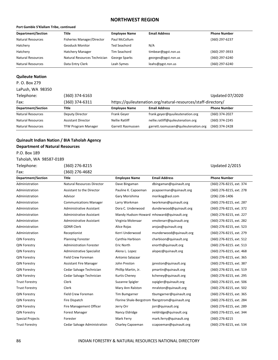#### **Port Gamble S'Klallam Tribe, continued**

| Department/Section       | Title                             | <b>Employee Name</b> | <b>Email Address</b> | <b>Phone Number</b> |
|--------------------------|-----------------------------------|----------------------|----------------------|---------------------|
| <b>Natural Resources</b> | <b>Fisheries Manager/Director</b> | Paul McCollum        |                      | (360) 297-6237      |
| Hatchery                 | <b>Geoduck Monitor</b>            | Ted Seachord         | N/A                  |                     |
| Hatchery                 | <b>Hatchery Manager</b>           | Tim Seachord         | timbear@pgst.nsn.us  | (360) 297-3933      |
| <b>Natural Resources</b> | Natural Resources Technician      | George Sparks        | georges@pgst.nsn.us  | (360) 297-6240      |
| <b>Natural Resources</b> | Data Entry Clerk                  | Leah Symes           | leahs@pgst.nsn.us    | (360) 297-6240      |

#### **Quileute Nation**

| P. O. Box 279            |                           |                      |                                                               |                        |
|--------------------------|---------------------------|----------------------|---------------------------------------------------------------|------------------------|
| LaPush, WA 98350         |                           |                      |                                                               |                        |
| Telephone:               | (360) 374-6163            |                      |                                                               | <b>Updated 07/2020</b> |
| Fax:                     | (360) 374-6311            |                      | https://quileutenation.org/natural-resources/staff-directory/ |                        |
| Department/Section       | Title                     | <b>Employee Name</b> | <b>Email Address</b>                                          | <b>Phone Number</b>    |
|                          |                           |                      |                                                               |                        |
| <b>Natural Resources</b> | Deputy Director           | Frank Gever          | frank.gever@quuileutenation.org                               | (360) 374-2027         |
| <b>Natural Resources</b> | <b>Assistant Director</b> | Nellie Ratliff       | nellie.ratliff@quileutenation.org                             | (360) 374-2245         |

# **Quinault Indian Nation / BIA Taholah Agency**

# **Department of Natural Resources**

P.O. Box 189

Taholah, WA 98587‐0189 Telephone: (360) 276‐8215 Updated 2/2015

Fax: (360) 276‐4682

# **Department/Section Title Employee Name Email Address Phone Number**  Administration Natural Resources Director Dave Bingaman dbingaman@quinault.org (360) 276-8215, ext. 374 Administration **Assistant to the Director** Pauline K. Capoeman pcapoerman@quinault.org (360) 276-8215, ext. 278 Administration Advisor Gary Morishima morikog@aol.com (206) 236-1406 Administration Communications Manager Larry Workman lworkman@quinault.org (360) 276‐8215, ext. 287 Administration Administrative Assistant Dora C. Underwood dunderwood@quinault.org (360) 276-8215, ext. 372 Administration Administrative Assistant Mandy Hudson‐Howard mhoward@quinault.org (360) 276‐8215, ext. 227 Administration Administrative Assistant Virginia Molenaar vmolenarr@quinault.org (360) 276‐8215, ext. 282 Administration QDNR Clerk Alice Rojas arojas@quinault.org (360) 276-8215, ext. 523 Administration Receptionist Kerri Underwood munderwood@quinault.org (360) 276‐8215, ext. 279 QIN Forestry Planning Forester Cynthia Harbison charbison@quinault.org (360) 276‐8215, ext. 512 QIN Forestry Administration Forester Eric North enorth@quinault.org (360) 276‐8215. ext. 513 QIN Forestry **Multicum** Administrative Specialist Alena L. Lopez alopez@quinault.org (360) 276-8215, ext. 468 QIN Forestry Field Crew Foreman Antonio Salazaar (360) 276‐8215, ext. 365 QIN Forestry **Many Assistant Fire Manager** John Preston jpreston@quinault.org (360) 276-8215, ext. 387 QIN Forestry Cedar Salvage Technician Phillip Martin, Jr. pmartin@quinault.org (360) 276‐8215, ext. 519 QIN Forestry Cedar Salvage Technician Kurtis Cheney kcheney@quinault.org (360) 276-8215, ext. 295 Trust Forestry Clerk Suzanne Spigler sspigler@quinault.org (360) 276‐8215, ext. 506 Trust Forestry **Clerk** Clerk Mary Ann Ralston mralston@quinault.org (360) 276‐8215, ext. 502 QIN Forestry Field Crew Foreman Tim Bumgarner tbumgarner@quinault.org (360) 276‐8215, ext. 365 QIN Forestry Fire Dispatch Florine Shale‐Bergstrom fbergstrom@quinault.org (360) 276‐8215, ext. 284 QIN Forestry Fire Management Officer Jerry Orr jorr@quinault.org (360) 276‐8215, ext. 289 QIN Forestry **Forest Manager** Nancy Eldridge neldridge@quinault.org (360) 276-8215, ext. 344 Special Projects Forester Mark Ferry mark.ferry@quinault.org (360) 276‐8215 Trust Forestry **Cedar Salvage Administration** Charley Capoeman ccapoeman@quinault.org (360) 276-8215, ext. 534

86 INDIAN FORESTRY & NATURAL RESOURCES NATIONAL DIRECTORY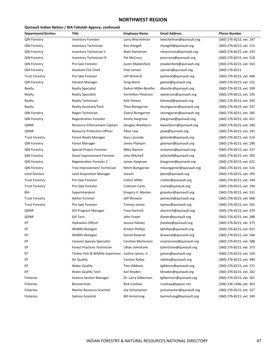#### **Quinault Indian Nation / BIA Taholah Agency, continued**

| <b>Department/Section</b> | Title                                                | <b>Employee Name</b>  | <b>Email Address</b>     | <b>Phone Number</b>      |
|---------------------------|------------------------------------------------------|-----------------------|--------------------------|--------------------------|
| <b>QIN Forestry</b>       | <b>Inventory Forester</b>                            | Larry Wiechelman      | lwiechelman@quinault.org | (360) 276-8215, ext. 247 |
| <b>QIN Forestry</b>       | Inventory Technician                                 | Ron Hongell           | rhongell@quinault.org    | (360) 276-8215, ext. 213 |
| <b>QIN Forestry</b>       | Inventory Technician II                              | Matt Hartstrom        | mharstrom@quinault.org   | (360) 276-8215, ext. 233 |
| <b>QIN Forestry</b>       | Inventory Technician IV                              | Pat McCrory           | pmccrory@quinault.org    | (360) 276-8215, ext. 518 |
| <b>QIN Forestry</b>       | Pre-Sale Forester                                    | Justin Madanifard     | jmadanifard@quinault.org | (360) 276-8215, ext. 563 |
| <b>QIN Forestry</b>       | <b>Assistant Fire Chief</b>                          | Chet Jensen           | cjensen@quinault.org     | (360) 276-8211           |
| <b>Trust Forestry</b>     | Pre-Sale Forester                                    | Jeff Winiecki         | jwiniecki@quinault.org   | (360) 276-8215, ext. 668 |
| <b>QIN Forestry</b>       | Harvest Manager                                      | Greg Weist            | gweist@quinault.org      | (360) 276-8215, ext. 522 |
| Realty                    | <b>Realty Specialist</b>                             | DeAnn Miller-Bonifer  | dbonifer@quinault.org    | (360) 276-8215, ext. 509 |
| Realty                    | <b>Realty Specialist</b>                             | Vermillion Peterson   | vpeterson@quinault.org   | (360) 276-8215, ext. 535 |
| Realty                    | Realty Technician                                    | Kelli Dineen          | kdineed@quinault.org     | (360) 276-8215, ext. 545 |
| Realty                    | Realty Assistant/Tech                                | Thea Bumgarner        | tbumgarner@quinault.org  | (360) 276-8215, ext. 537 |
| <b>QIN Forestry</b>       | Regen Technician                                     | Cheryl Bumgarner      | cbumgarner@quinault.org  | (360) 276-8215, ext. 285 |
| <b>QIN Forestry</b>       | <b>Regeneration Forester</b>                         | Jimmy Hargrove        | jhargrove@quinault.org   | (360) 276-8215, ext. 621 |
| QDNR                      | Resource Enforcement Captain                         | Douglas Washburn      | dwashburn@quinault.org   | (360) 276-8215, ext. 540 |
| QDNR                      | <b>Resource Protection Officer</b>                   | Peter Law             | plaw@quinault.org        | (360) 276-8215, ext. 335 |
| <b>Trust Forestry</b>     | Forest Roads Manager                                 | Gary LaLonde          | glalonde@quinault.org    | (360) 276-8215, ext. 514 |
| <b>QIN Forestry</b>       | Forest Manager                                       | James Plampin         | jplampin@quinault.org    | (360) 276-8215, ext. 290 |
| <b>QIN Forestry</b>       | Special Project Forester                             | Mike Stamon           | mstamon@quinault.org     | (360) 276-8215, ext. 527 |
| <b>QIN Forestry</b>       | Stand Improvement Forester                           | John Mitchell         | jmitchell@quinault.org   | (360) 276-8215, ext. 505 |
| <b>QIN Forestry</b>       | <b>Regeneration Forester 2</b>                       | James Hargrove        | jhargrove@quinault.org   | (360) 276-8215, ext. 621 |
| <b>QIN Forestry</b>       | Tree Improvement Technician                          | Mitch Bumgarner       | mbumgarner@quinault.org  | (360) 276-8215, ext. 516 |
| Land Division             | Land Acquisition Manager                             | Vacant                | jbeck@quinault.org       | (360) 276-8215, ext. 291 |
| <b>Trust Forestry</b>     | Pre-Sale Forester                                    | <b>Colton Miller</b>  | cmiller@quinault.org     | (360) 276-8215, ext. 244 |
| <b>Trust Forestry</b>     | Pre-Sale Forester                                    | Coleman Carle         | ccarle@quinault.org      | (360) 276-8215, ext. 294 |
| BIA                       | Superintendent                                       | Gregory K. Masten     | gmasten@quinault.org     | (360) 276-8215, ext. 531 |
| <b>Trust Forestry</b>     | Admin Forester                                       | Jeff Winiecki         | jwiniecki@quinault.org   | (360) 276-8215, ext. 668 |
| <b>Trust Forestry</b>     | Pre-Sale Forester                                    | Tommy James           | tjames@quinault.org      | (360) 276-8215, ext. 501 |
| QDNR                      | GIS Program Manager                                  | <b>Tony Hartrich</b>  | ahartrich@quinault.org   | (360) 276-8215, ext. 479 |
| QDNR                      | GIS Tech                                             | John Foster           | jfoster@quinault.org     | (360) 276-8215, ext. 288 |
| EР                        | <b>Hydraulics Officer</b>                            | Jessica Halsley       | jhelsley@quinault.org    | (360) 276-8215, ext. 375 |
| EР                        | Wildlife Biologist                                   | Kristen Phillips      | kphillips@quinault.org   | (360) 276-8215, ext. 637 |
| EР                        | Wildlife Biologist                                   | Daniel Ravenal        | dravenal@quinault.org    | (360) 276-8215, ext. 546 |
| EР                        | <b>Invasive Species Specialist</b>                   | Caroline Martorano    | cmartorano@quinault.org  | (360) 276-8215, ext. 588 |
| EР                        | <b>Forest Practices Technician</b>                   | Lillian Johnstone     | ljohnstone@quinault.org  | (360) 276-8215, ext. 373 |
| EР                        | Timber Fish & Wildlife Supervisor Justine James, Jr. |                       | jjames@quinault.org      | (360) 276-8215, ext. 520 |
| EР                        | Air Quality                                          | Carolyn Kelley        | ckelley@quinault.org     | (360) 276-8215, ext. 484 |
| EР                        | <b>Water Quality</b>                                 | Tom Gibbons           | tgibbons@quinault.org    | (360) 276-8215, ext. 371 |
| EР                        | <b>Water Quality Tech</b>                            | Karl Braden           | kbraden@quinault.org     | (360) 276-8215, ext. 262 |
| <b>Fisheries</b>          | <b>Science Section Manager</b>                       | Dr. Larry Gilbertson  | lgilbertson@quinault.org | (360) 276-8215, ext. 261 |
| <b>Fisheries</b>          | Biometrician                                         | <b>Rick Coshow</b>    | rcoshow@qwest.net        | (206) 236-1406, ext. 363 |
| Fisheries                 | <b>Marine Resource Scientist</b>                     | Joe Schumacker        | jschumacker@quinault.org | (360) 276-8215, ext. 327 |
| Fisheries                 | Salmon Scientist                                     | <b>Bill Armstrong</b> | barmstrong@quinault.org  | (360) 276-8215, ext. 240 |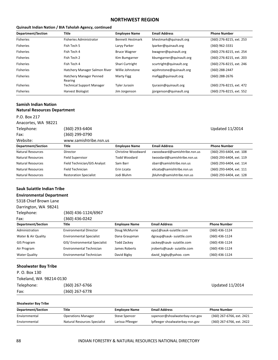#### **Quinault Indian Nation / BIA Taholah Agency, continued**

| Department/Section | Title                                     | <b>Employee Name</b>    | <b>Email Address</b>    | <b>Phone Number</b>      |
|--------------------|-------------------------------------------|-------------------------|-------------------------|--------------------------|
| <b>Fisheries</b>   | <b>Fisheries Administrator</b>            | <b>Bennett Hestmark</b> | bhestmark@quinault.org  | (360) 276-8215, ext. 253 |
| <b>Fisheries</b>   | Fish Tech 5                               | Laryy Parker            | lparker@quinault.org    | (360) 962-3331           |
| <b>Fisheries</b>   | Fish Tech 4                               | <b>Bruce Wagner</b>     | bwagner@quinault.org    | (360) 276-8215, ext. 254 |
| <b>Fisheries</b>   | Fish Tech 2                               | Kim Bumgarner           | kbumgarner@guinault.org | (360) 276-8215, ext. 203 |
| <b>Fisheries</b>   | Fish Tech 4                               | Shari Curtright         | scurtright@quinault.org | (360) 276-8215, ext. 246 |
| <b>Fisheries</b>   | Hatchery Manager Salmon River             | Willie Johnstone        | wiohnstone@guinault.org | (360) 288-2447           |
| <b>Fisheries</b>   | <b>Hatchery Manager Penned</b><br>Rearing | Marty Figg              | mafigg@quinault.org     | (360) 288-2676           |
| <b>Fisheries</b>   | <b>Technical Support Manager</b>          | <b>Tyler Jurasin</b>    | tjurasin@quinault.org   | (360) 276-8215, ext. 472 |
| <b>Fisheries</b>   | Harvest Biologist                         | Jim Jorgenson           | jjorgenson@quinault.org | (360) 276-8215, ext. 552 |

#### **Samish Indian Nation Natural Resources Department**

| P.O. Box 217             |                               |                      |                              |                          |
|--------------------------|-------------------------------|----------------------|------------------------------|--------------------------|
| Anacortes, WA 98221      |                               |                      |                              |                          |
| Telephone:               | (360) 293-6404                |                      |                              | <b>Updated 11/2014</b>   |
| Fax:                     | (360) 299-0790                |                      |                              |                          |
| Website:                 | www.samishtribe.nsn.us        |                      |                              |                          |
| Department/Section       | Title                         | <b>Employee Name</b> | <b>Email Address</b>         | <b>Phone Number</b>      |
| <b>Natural Resources</b> | <b>Director</b>               | Christine Woodward   | cwoodward@samishtribe.nsn.us | (360) 293-6404, ext. 108 |
| Natural Resources        | Field Supervisor              | Todd Woodard         | twoodard@samishtribe.nsn.us  | (360) 293-6404, ext. 119 |
| <b>Natural Resources</b> | Field Technician/GIS Analyst  | Sam Barr             | sbarr@samishtribe.nsn.us     | (360) 293-6404, ext. 114 |
| Natural Resources        | Field Technician              | Erin Licata          | elicata@samishtribe.nsn.us   | (360) 293-6404, ext. 111 |
| Natural Resources        | <b>Restoration Specialist</b> | Jodi Bluhm           | jbluhm@samishtribe.nsn.us    | (360) 293-6404. ext. 128 |

#### **Sauk Suiattle Indian Tribe**

#### **Environmental Department**

| 5318 Chief Brown Lane |                                 |                      |                            |                     |
|-----------------------|---------------------------------|----------------------|----------------------------|---------------------|
| Darrington, WA 98241  |                                 |                      |                            |                     |
| Telephone:            | (360) 436-1124/6967             |                      |                            |                     |
| Fax:                  | (360) 436-0242                  |                      |                            |                     |
| Department/Section    | Title                           | <b>Employee Name</b> | <b>Email Address</b>       | <b>Phone Number</b> |
| Administration        | <b>Environmental Director</b>   | Doug McMurrie        | epa1@sauk-suiattle.com     | (360) 436-1124      |
| Water & Air Quality   | <b>Environmental Specialist</b> | Dana Graupman        | dgraup@sauk-suiattle.com   | (360) 436-1124      |
| <b>GIS Program</b>    | GIS/Environmental Specialist    | Todd Zackey          | zackey@sauk-suiattle.com   | (360) 436-1124      |
| Air Program           | Environmental Technician        | James Roberts        | jroberts@sauk-suiattle.com | (360) 436-1124      |
| <b>Water Quality</b>  | <b>Environmental Technician</b> | David Bigby          | david bigby@yahoo.com      | (360) 436-1124      |

#### **Shoalwater Bay Tribe**

| P. O. Box 130           |                |                        |
|-------------------------|----------------|------------------------|
| Tokeland, WA 98214-0130 |                |                        |
| Telephone:              | (360) 267-6766 | <b>Updated 11/2014</b> |
| Fax:                    | (360) 267-6778 |                        |

#### **Shoalwater Bay Tribe**

| Department/Section | Title                        | <b>Employee Name</b> | <b>Email Address</b>            | <b>Phone Number</b>       |
|--------------------|------------------------------|----------------------|---------------------------------|---------------------------|
| Enviornmental      | <b>Operations Manager</b>    | Steve Spencer        | sspencer@shoalwaterbay-nsn.gov  | (360) 267-6766, ext. 2421 |
| Enviornmental      | Natural Resources Specialist | Larissa Pfleeger     | lpfleeger shoalwaterbay-nsn.gov | (360) 267-6766, ext. 2422 |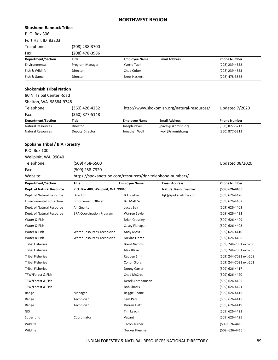|                                                    |                                                           | <b>NORTHWEST REGION</b> |                                             |                        |
|----------------------------------------------------|-----------------------------------------------------------|-------------------------|---------------------------------------------|------------------------|
| <b>Shoshone-Bannock Tribes</b>                     |                                                           |                         |                                             |                        |
| P. O. Box 306                                      |                                                           |                         |                                             |                        |
| Fort Hall, ID 83203                                |                                                           |                         |                                             |                        |
| Telephone:                                         | (208) 238-3700                                            |                         |                                             |                        |
| Fax:                                               | (208) 478-3986                                            |                         |                                             |                        |
| <b>Department/Section</b>                          | Title                                                     | <b>Employee Name</b>    | <b>Email Address</b>                        | <b>Phone Number</b>    |
| Environmental                                      | Program Manager                                           | <b>Yvette Tuell</b>     |                                             | (208) 239-4552         |
| Fish & Wildlife                                    | Director                                                  | Chad Colter             |                                             | (208) 239-4553         |
| Fish & Game                                        | Director                                                  | <b>Brett Haskett</b>    |                                             | (208) 478-3868         |
| <b>Skokomish Tribal Nation</b>                     |                                                           |                         |                                             |                        |
| 80 N. Tribal Center Road                           |                                                           |                         |                                             |                        |
| Shelton, WA 98584-9748                             |                                                           |                         |                                             |                        |
| Telephone:                                         | (360) 426-4232                                            |                         | http://www.skokomish.org/natural-resources/ | Updated 7/2020         |
| Fax:                                               | (360) 877-5148                                            |                         |                                             |                        |
| <b>Department/Section</b>                          | Title                                                     | <b>Employee Name</b>    | <b>Email Address</b>                        | <b>Phone Number</b>    |
| <b>Natural Resources</b>                           | Director                                                  | Joseph Pavel            | jpavel@skomish.org                          | (360) 877-5213         |
| <b>Natural Resources</b>                           | <b>Deputy Director</b>                                    | Jonathan Wolf           | jwolf@skomish.org                           | (360) 877-5213         |
| Telephone:<br>Fax:                                 | $(509)$ 458-6500<br>(509) 258-7320                        |                         |                                             | <b>Updated 08/2020</b> |
| Website:                                           | https://spokanetribe.com/resources/dnr-telephone-numbers/ |                         |                                             |                        |
| <b>Department/Section</b>                          | Title                                                     | <b>Employee Name</b>    | <b>Email Address</b>                        | <b>Phone Number</b>    |
| <b>Dept. of Natural Resource</b>                   | P.O. Box 480, Wellpinit, WA 99040                         |                         | <b>Natural Resources Fax</b>                | (509) 626-4400         |
| Dept. of Natural Resource                          | Director                                                  | <b>B.J. Kieffer</b>     | bjk@spokanetribe.com                        | (509) 626-4426         |
| <b>Environmental Protection</b>                    | <b>Enforcement Officer</b>                                | Bill Matt Sr.           |                                             | (509) 626-4407         |
| Dept. of Natural Resource                          | Air Quality                                               | Lucas Bair              |                                             | (509) 626-4403         |
| Dept. of Natural Resource                          | <b>BPA Coordination Program</b>                           | Warren Seyler           |                                             | (509) 626-4422         |
| Water & Fish                                       |                                                           | <b>Brian Crossley</b>   |                                             | (509) 626-4409         |
| Water & Fish                                       |                                                           | Casey Flanagan          |                                             | (509) 626-4408         |
| Water & Fish                                       | Water Resources Technician                                | <b>Andy Moss</b>        |                                             | (509) 626-4410         |
| Water & Fish                                       | Water Resources Technician                                | Nicklas Eldred          |                                             | (509) 626-4406         |
| <b>Tribal Fisheries</b><br><b>Tribal Fisheries</b> |                                                           | <b>Brent Nichols</b>    |                                             | (509) 244-7031 ext-200 |
|                                                    |                                                           | Alex Blake              |                                             | (509) 244-7031 ext-205 |
| <b>Tribal Fisheries</b>                            |                                                           | <b>Reuben Smit</b>      |                                             | (509) 244-7031 ext-208 |
| <b>Tribal Fisheries</b>                            |                                                           | Conor Giorgi            |                                             | (509) 244-7031 ext-202 |
| <b>Tribal Fisheries</b>                            |                                                           | Donny Carter            |                                             | (509) 626-4417         |
| TFW/Forest & Fish                                  |                                                           | Chad McCrea             |                                             | (509) 626-4420         |
| TFW/Forest & Fish                                  |                                                           | Derek Abrahamson        |                                             | (509) 626-4405         |

TFW/Forest & Fish Bob Shadix Bob Shadix Bob Shadix Bob Shadia (509) 626-4421 Range Manager Reggie Peone (509) 626‐4419 Range **Technician** Technician Sam Parr (509) 626-4419 Range Technician Technician Darren Flett Communication Darren Flett (509) 626-4419 GIS GIS GIS GIS Superfund Coordinator Vacant (509) 626‐4425 Wildlife Jacob Turner (509) 626‐4413 Wildlife Tucker Freeman Tucker Freeman (509) 626-4416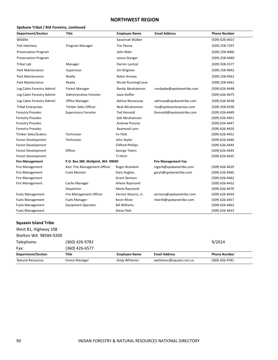#### **Spokane Tribal / BIA Forestry, continued**

| <b>Department/Section</b>   | <b>Title</b>                      | <b>Employee Name</b>     | <b>Email Address</b>       | <b>Phone Number</b> |
|-----------------------------|-----------------------------------|--------------------------|----------------------------|---------------------|
| Wildlife                    |                                   | Savannah Walker          |                            | (509) 626-4415      |
| Fish Hatchery               | Program Manager                   | <b>Tim Peone</b>         |                            | (509) 258-7297      |
| <b>Preservation Program</b> |                                   | John Matt                |                            | (509) 258-4060      |
| Preservation Program        |                                   | Leona Stanger            |                            | (509) 258-4060      |
| <b>Tribal Lab</b>           | Manager                           | Darren Lantzer           |                            | (509) 928-3577      |
| <b>Park Maintenance</b>     | Supervisor                        | Jim Brigman              |                            | (509) 258-9042      |
| Park Maintenance            | Realty                            | Robin Arnoux             |                            | (509) 258-4561      |
| Park Maintenance            | Realty                            | Nicole RunningCrane      |                            | (509) 258-4561      |
| Log Cabin Forestry Adminl   | Forest Manager                    | Randy Abrahamson         | randyabe@spokanetribe.com  | (509) 626-4448      |
| Log Cabin Forestry Adminl   | Administrative Forester           | Josie Kieffer            |                            | (509) 626-4475      |
| Log Cabin Forestry Adminl   | <b>Office Manager</b>             | Adrina Wynecoop          | adrinaw@spokanetribe.com   | (509) 626-4438      |
| <b>Tribal Enterprises</b>   | <b>Timber Sales Officer</b>       | Neal Abrahamson          | tso@spokoenterprises.com   | (509) 458-6590      |
| <b>Forestry Presales</b>    | <b>Supervisory Forester</b>       | <b>Ted Hensold</b>       | thensold@spokanetribe.com  | (509) 626-4449      |
| <b>Forestry Presales</b>    |                                   | Zeb Abrahamson           |                            | (509) 626-4451      |
| <b>Forestry Presales</b>    |                                   | <b>Andrew Presnar</b>    |                            | (509) 626-4447      |
| <b>Forestry Presales</b>    |                                   | Raymond Lynn             |                            | (509) 626-4450      |
| <b>Timber Sales/Scalers</b> | Technician                        | Irv Flett                |                            | (509) 626-4452      |
| Forest Development          | Technician                        | John Seyler              |                            | (509) 626-4446      |
| Forest Development          |                                   | <b>Clifford Phillips</b> |                            | (509) 626-4444      |
| <b>Forest Development</b>   | Officer                           | George Teters            |                            | (509) 626-4445      |
| Forest Development          |                                   | TJ Hitch                 |                            | (509) 626-4435      |
| <b>Fire Management</b>      | P.O. Box 389, Wellpinit, WA 99040 |                          | <b>Fire Management Fax</b> |                     |
| <b>Fire Management</b>      | Asst. Fire Management Officer     | Roger Brandom            | rogerb@spokanetribe.com    | (509) 626-4439      |
| Fire Management             | <b>Fuels Monitor</b>              | <b>Gary Hughes</b>       | garyh@spokanetribe.com     | (509) 626-4465      |
| Fire Management             |                                   | <b>Grant Denison</b>     |                            | (509) 626-4462      |
| <b>Fire Management</b>      | Cache Manager                     | Arlene Raymond           |                            | (509) 626-4432      |
|                             | Dispatcher                        | Marla Raymond            |                            | (509) 626-4470      |
| <b>Fuels Management</b>     | Fire Management Officer           | Vernon Stearns, Jr.      | vernons@spokanetribe.com   | (509) 626-4434      |
| <b>Fuels Management</b>     | <b>Fuels Manager</b>              | Kevin Ritzer             | ritzerkl@spokanetribe.com  | (509) 626-4457      |
| <b>Fuels Management</b>     | <b>Equipment Operator</b>         | <b>Bill Williams</b>     |                            | (509) 626-4463      |
| <b>Fuels Management</b>     |                                   | <b>Steve Flett</b>       |                            | (509) 626-4433      |

# **Squaxin Island Tribe**

| West 81, Highway 108     |                       |                      |                          |                     |
|--------------------------|-----------------------|----------------------|--------------------------|---------------------|
| Shelton WA 98584-9200    |                       |                      |                          |                     |
| Telephone:               | (360) 426-9781        |                      |                          | 9/2014              |
| Fax:                     | (360) 426-6577        |                      |                          |                     |
| Department/Section       | Title                 | <b>Employee Name</b> | <b>Email Address</b>     | <b>Phone Number</b> |
| <b>Natural Resources</b> | <b>Forest Manager</b> | Andy Whitener        | awhitener@squaxin.nsn.us | (360) 426-9781      |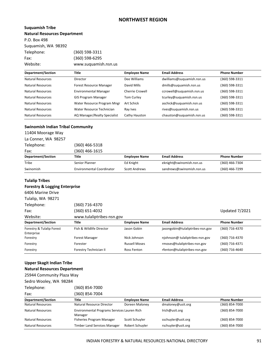#### **Suquamish Tribe Natural Resources Department**

| P.O. Box 498        |                      |  |
|---------------------|----------------------|--|
| Suguamish, WA 98392 |                      |  |
| Telephone:          | (360) 598-3311       |  |
| Fax:                | (360) 598-6295       |  |
| Website:            | www.suquamish.nsn.us |  |

| Department/Section       | Title                          | <b>Employee Name</b> | <b>Email Address</b>       | <b>Phone Number</b> |
|--------------------------|--------------------------------|----------------------|----------------------------|---------------------|
| <b>Natural Resources</b> | Director                       | Dee Williams         | dwilliams@suguamish.nsn.us | (360) 598-3311      |
| <b>Natural Resources</b> | <b>Forest Resource Manager</b> | David Mills          | dmills@suguamish.nsn.us    | (360) 598-3311      |
| <b>Natural Resources</b> | <b>Environmental Manager</b>   | Cherrie Crowell      | ccrowell@suquamish.nsn.us  | (360) 598-3311      |
| <b>Natural Resources</b> | <b>GIS Program Manager</b>     | <b>Tom Curley</b>    | tcurley@suguamish.nsn.us   | (360) 598-3311      |
| <b>Natural Resources</b> | Water Resource Program Mngr    | Art Schick           | aschick@suguamish.nsn.us   | (360) 598-3311      |
| <b>Natural Resources</b> | Water Resource Technician      | Ray Ives             | rives@suguamish.nsn.us     | (360) 598-3311      |
| <b>Natural Resources</b> | AQ Manager/Realty Specialist   | Cathy Hauston        | chauston@suguamish.nsn.us  | (360) 598-3311      |

#### **Swinomish Indian Tribal Community**

| 11404 Moorage Way   |                                  |                      |                           |                     |  |
|---------------------|----------------------------------|----------------------|---------------------------|---------------------|--|
| La Conner, WA 98257 |                                  |                      |                           |                     |  |
| Telephone:          | (360) 466-5318                   |                      |                           |                     |  |
| Fax:                | (360) 466-1615                   |                      |                           |                     |  |
| Department/Section  | Title                            | <b>Employee Name</b> | <b>Email Address</b>      | <b>Phone Number</b> |  |
| Tribe               | Senior Planner                   | Ed Knight            | eknight@swinomish.nsn.us  | (360) 466-7304      |  |
| Swinomish           | <b>Environmental Coordinator</b> | <b>Scott Andrews</b> | sandrews@swinomish.nsn.us | (360) 466-7299      |  |
|                     |                                  |                      |                           |                     |  |

#### **Tulalip Tribes**

#### **Forestry & Logging Enterprise**

| 6406 Marine Drive                       |                           |                      |                                  |                     |
|-----------------------------------------|---------------------------|----------------------|----------------------------------|---------------------|
| Tulalip, WA 98271                       |                           |                      |                                  |                     |
| Telephone:                              | (360) 716-4370            |                      |                                  |                     |
| Fax:                                    | (360) 651-4032            |                      |                                  | Updated 7/2021      |
| Website:                                | www.tulaliptribes-nsn.gov |                      |                                  |                     |
| Department/Section                      | <b>Title</b>              | <b>Employee Name</b> | <b>Email Address</b>             | <b>Phone Number</b> |
|                                         |                           |                      |                                  |                     |
| Forestry & Tulalip Forest<br>Enterprise | Fish & Wildlife Director  | Jason Gobin          | jasongobin@tulaliptribes-nsn.gov | (360) 716-4370      |
| Forestry                                | <b>Forest Manager</b>     | Nick Johnson         | njohnson@ tulaliptribes-nsn.gov  | (360) 716-4370      |
| Forestry                                | Forester                  | <b>Russell Moses</b> | rmoses@tulaliptribes-nsn.gov     | (360) 716-4371      |

# **Upper Skagit Indian Tribe**

| OPPCT SKUSIL INGIBIT TING           |                                                        |                      |                      |  |
|-------------------------------------|--------------------------------------------------------|----------------------|----------------------|--|
| <b>Natural Resources Department</b> |                                                        |                      |                      |  |
| 25944 Community Plaza Way           |                                                        |                      |                      |  |
| Sedro Wooley, WA 98284              |                                                        |                      |                      |  |
| Telephone:                          | (360) 854-7000                                         |                      |                      |  |
| Fax:                                | (360) 854-7004                                         |                      |                      |  |
| Department/Section                  | <b>Title</b>                                           | <b>Employee Name</b> | <b>Email Address</b> |  |
| <b>Natural Resources</b>            | Natural Resource Director                              | Doreen Maloney       | dmaloney@usit.org    |  |
| Natural Resources                   | Environmental Programs Services Lauren Rich<br>Manager |                      | Irich@usit.org       |  |

Natural Resources **Fisheries Program Manager** Scott Schuyler sschuyler@usit.org (360) 854-7000 Natural Resources Timber Land Services Manager Robert Schuyler rschuyler@usit.org (360) 854‐7000

**Phone Number** (360) 854‐7000

(360) 854-7000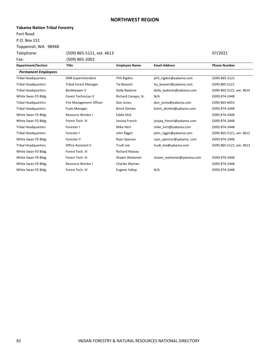| <b>Yakama Nation Tribal Forestry</b> |                              |                       |                          |                           |
|--------------------------------------|------------------------------|-----------------------|--------------------------|---------------------------|
| <b>Fort Road</b>                     |                              |                       |                          |                           |
| P.O. Box 151                         |                              |                       |                          |                           |
| Toppenish, WA 98948                  |                              |                       |                          |                           |
| Telephone:                           | (509) 865-5121, ext. 4613    |                       |                          | 07/2021                   |
| Fax:                                 | (509) 865-2002               |                       |                          |                           |
| Department/Section                   | <b>Title</b>                 | <b>Employee Name</b>  | <b>Email Address</b>     | <b>Phone Number</b>       |
| <b>Permanent Employees</b>           |                              |                       |                          |                           |
| <b>Tribal Headquarters</b>           | <b>DNR Superintendent</b>    | Phil Rigdon           | phil rigdon@yakama.com   | (509) 865-5121            |
| <b>Tribal Headquarters</b>           | <b>Tribal Forest Manager</b> | Tia Beavert           | tia beavert@yakama.com   | (509) 865-5121            |
| <b>Tribal Headquarters</b>           | Bookkeeper V                 | Dolly Badonie         | dolly badonie@yakama.com | (509) 865-5121, ext. 4614 |
| White Swan FD Bldg.                  | <b>Forest Technician II</b>  | Richard Canapo, Sr.   | N/A                      | (509) 874-2448            |
| <b>Tribal Headquarters</b>           | Fire Management Officer      | Don Jones             | don jones@yakama.com     | (509) 865-6653            |
| <b>Tribal Headquarters</b>           | <b>Fuels Manager</b>         | <b>Brent Demko</b>    | brent demko@yakama.com   | (509) 874-2448            |
| White Swan FD Bldg.                  | Resource Worker I            | <b>Eddie Dick</b>     |                          | (509) 874-2448            |
| White Swan FD Bldg.                  | Forest Tech. III             | JonJaq French         | jonjag french@yakama.com | (509) 874-2448            |
| <b>Tribal Headquarters</b>           | Forester I                   | Mike Hert             | mike hert@yakama.com     | (509) 874-2448            |
| <b>Tribal Headquarters</b>           | Forester I                   | John Riggin           | john riggin@yakama.com   | (509) 865-5121, ext. 4612 |
| White Swan FD Bldg.                  | Forester II                  | Ryan Spencer          | ryan spencer@yakama.com  | (509) 874-2448            |
| <b>Tribal Headquarters</b>           | Office Assistant V           | Trudi Lee             | trudi lee@yakama.com     | (509) 865-5121, ext. 4613 |
| White Swan FD Bldg.                  | Forest Tech. III             | <b>Richard Walsey</b> |                          |                           |

White Swan FD Bldg. **Forest Tech. III** Shawn Watlamet shawn\_watlamet@yakama.com (509) 874-2448 White Swan FD Bldg. Resource Worker I Charles Wyman (509) 874-2448 White Swan FD Bldg. Forest Tech. IV Eugene Yallup N/A MSA (509) 874-2448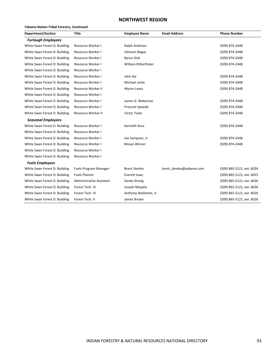#### **Yakama Nation Tribal Forestry, Continued**

| <b>Department/Section</b>     | Title                        | <b>Employee Name</b>        | <b>Email Address</b>   | <b>Phone Number</b>       |
|-------------------------------|------------------------------|-----------------------------|------------------------|---------------------------|
| <b>Furlough Employees</b>     |                              |                             |                        |                           |
| White Swan Forest D. Building | <b>Resource Worker I</b>     | <b>Ralph Andrews</b>        |                        | (509) 874-2448            |
| White Swan Forest D. Building | Resource Worker I            | Johnson Begay               |                        | (509) 874-2448            |
| White Swan Forest D. Building | Resource Worker I            | <b>Byron Dick</b>           |                        | (509) 874-2448            |
| White Swan Forest D. Building | <b>Resource Worker I</b>     | <b>William Dittertholer</b> |                        | (509) 874-2448            |
| White Swan Forest D. Building | Resource Worker I            |                             |                        |                           |
| White Swan Forest D. Building | Resource Worker I            | John Ike                    |                        | (509) 874-2448            |
| White Swan Forest D. Building | Resource Worker I            | Michael Jutila              |                        | (509) 874-2448            |
| White Swan Forest D. Building | Resource Worker II           | Myron Lewis                 |                        | (509) 874-2448            |
| White Swan Forest D. Building | Resource Worker I            |                             |                        |                           |
| White Swan Forest D. Building | Resource Worker I            | James G. Wabarsee           |                        | (509) 874-2448            |
| White Swan Forest D. Building | <b>Resource Worker I</b>     | <b>Prescott Speedis</b>     |                        | (509) 874-2448            |
| White Swan Forest D. Building | Resource Worker II           | Victor Tulee                |                        | (509) 874-2448            |
| <b>Seasonal Employees</b>     |                              |                             |                        |                           |
| White Swan Forest D. Building | Resource Worker I            | Kenneth Kora                |                        | (509) 874-2448            |
| White Swan Forest D. Building | Resource Worker I            |                             |                        |                           |
| White Swan Forest D. Building | Resource Worker I            | Joe Sampson, Jr.            |                        | (509) 874-2448            |
| White Swan Forest D. Building | Resource Worker I            | <b>Moses Winner</b>         |                        | (509) 874-2448            |
| White Swan Forest D. Building | Resource Worker I            |                             |                        |                           |
| White Swan Forest D. Building | Resource Worker I            |                             |                        |                           |
| <b>Fuels Employees</b>        |                              |                             |                        |                           |
| White Swan Forest D. Building | <b>Fuels Program Manager</b> | <b>Brent Demko</b>          | brent demko@yakama.com | (509) 865-5121, ext. 6024 |
| White Swan Forest D. Building | <b>Fuels Planner</b>         | Everett Isaac               |                        | (509) 865-5121, ext. 6025 |
| White Swan Forest D. Building | Administrative Assistant     | Sandy Strong                |                        | (509) 865-5121, ext. 6026 |
| White Swan Forest D. Building | Forest Tech. IV              | Joseph Mesplie              |                        | (509) 865-5121, ext. 6026 |
| White Swan Forest D. Building | Forest Tech. III             | Anthony Watlamet, Jr.       |                        | (509) 865-5121, ext. 6026 |
| White Swan Forest D. Building | Forest Tech. II              | James Brown                 |                        | (509) 865-5121, ext. 6026 |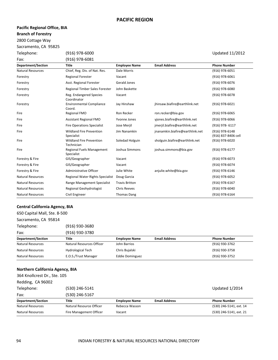# **Pacific Regional Office, BIA**

**Branch of Forestry** 

2800 Cottage Way

Sacramento, CA 95825

Telephone: (916) 978-6000

Fax: (916) 978‐6081

| Department/Section       | <b>Title</b>                                  | <b>Employee Name</b>  | <b>Email Address</b>            | <b>Phone Number</b>                   |
|--------------------------|-----------------------------------------------|-----------------------|---------------------------------|---------------------------------------|
| <b>Natural Resources</b> | Chief, Reg. Div. of Nat. Res.                 | Dale Morris           |                                 | (916) 978-6051                        |
| Forestry                 | <b>Regional Forester</b>                      | Vacant                |                                 | (916) 978-6061                        |
| Forestry                 | Asst. Regional Forester                       | Gerald Jones          |                                 | (916) 978-6076                        |
| Forestry                 | Regional Timber Sales Forester                | John Baskette         |                                 | (916) 978-6080                        |
| Forestry                 | Reg. Endangered Species<br>Coordinator        | Vacant                |                                 | (916) 978-6078                        |
| Forestry                 | <b>Environmental Compliance</b><br>Coord.     | Jay Hinshaw           | jhinsaw.biafire@earthlink.net   | (916) 978-6021                        |
| Fire                     | Regional FMO                                  | Ron Recker            | ron.recker@bia.gov              | (916) 978-6065                        |
| Fire                     | Assistant Regional FMO                        | Yvonne Jones          | yjones.biafire@earthlink.net    | (916) 978-6066                        |
| Fire                     | <b>Fire Operations Specialist</b>             | Jose Merjil           | jmerjil.biafire@earthlink.net   | (916) 978-6117                        |
| Fire                     | <b>Wildland Fire Prevention</b><br>Specialist | Jim Nanamkin          | jnanamkin.biafire@earthlink.net | (916) 978-6148<br>(916) 837-8406 cell |
| Fire                     | <b>Wildland Fire Prevention</b><br>Technician | Soledad Holguin       | sholguin.biafire@earthlink.net  | (916) 978-6020                        |
| Fire                     | Regional Fuels Management<br>Specialist       | Joshua Simmons        | joshua.simmons@bia.gov          | (916) 978-6177                        |
| Forestry & Fire          | GIS/Geographer                                | Vacant                |                                 | (916) 978-6073                        |
| Forestry & Fire          | GIS/Geographer                                | Vacant                |                                 | (916) 978-6074                        |
| Forestry & Fire          | Administrative Officer                        | Julie White           | anjulie.white@bia.gov           | (916) 978-6146                        |
| <b>Natural Resources</b> | Regional Water Rights Specialist              | Doug Garcia           |                                 | (916) 978-6052                        |
| <b>Natural Resources</b> | Range Management Specialist                   | <b>Travis Britton</b> |                                 | (916) 978-6167                        |
| <b>Natural Resources</b> | Regional Geohydrologist                       | <b>Chris Reeves</b>   |                                 | (916) 978-6040                        |
| <b>Natural Resources</b> | Civil Engineer                                | <b>Thomas Dang</b>    |                                 | (916) 978-6164                        |

#### **Central California Agency, BIA**

| 650 Capital Mall, Ste. 8-500 |                           |                        |                      |                     |  |
|------------------------------|---------------------------|------------------------|----------------------|---------------------|--|
| Sacramento, CA 95814         |                           |                        |                      |                     |  |
| Telephone:                   | (916) 930-3680            |                        |                      |                     |  |
| Fax:                         | (916) 930-3780            |                        |                      |                     |  |
| Department/Section           | Title                     | <b>Employee Name</b>   | <b>Email Address</b> | <b>Phone Number</b> |  |
| <b>Natural Resources</b>     | Natural Resources Officer | John Barrios           |                      | (916) 930-3762      |  |
| <b>Natural Resources</b>     | <b>Hydrological Tech</b>  | Chris Bujalski         |                      | (916) 930-3758      |  |
| <b>Natural Resources</b>     | E.O.S./Trust Manager      | <b>Eddie Dominguez</b> |                      | (916) 930-3752      |  |

# **Northern California Agency, BIA**

| <b>NOTURITY CALIFORNIA ARCHIVI, DIA</b> |                          |                      |                      |                         |
|-----------------------------------------|--------------------------|----------------------|----------------------|-------------------------|
| 364 Knollcrest Dr., Ste. 105            |                          |                      |                      |                         |
| Redding, CA 96002                       |                          |                      |                      |                         |
| Telephone:                              | (530) 246-5141           |                      |                      | Updated 1/2014          |
| Fax:                                    | (530) 246-5167           |                      |                      |                         |
| Department/Section                      | Title                    | <b>Employee Name</b> | <b>Email Address</b> | <b>Phone Number</b>     |
| <b>Natural Resources</b>                | Natural Resource Officer | Rebecca Wasson       |                      | (530) 246-5141, ext. 14 |
| <b>Natural Resources</b>                | Fire Management Officer  | Vacant               |                      | (530) 246-5141, ext. 21 |
|                                         |                          |                      |                      |                         |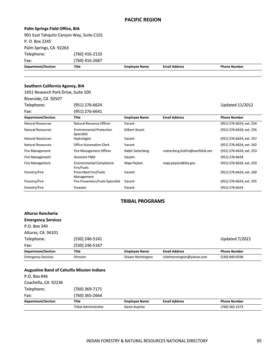#### **Palm Springs Field Office, BIA**

901 East Tahquitz Canyon Way, Suite C101 P. O. Box 2245 Palm Springs, CA 92263 Telephone: (760) 416-2133 Fax: (760) 416‐2687 **Department/Section** Title **Title Employee Name Email Address Phone Number** 

# **Southern California Agency, BIA**

| 1451 Research Park Drive, Suite 100 |                                               |                       |                                   |                          |
|-------------------------------------|-----------------------------------------------|-----------------------|-----------------------------------|--------------------------|
| Riverside, CA 92507                 |                                               |                       |                                   |                          |
| Telephone:                          | (951) 276-6624                                |                       |                                   | Updated 11/2012          |
| Fax:                                | (951) 276-6641                                |                       |                                   |                          |
| Department/Section                  | <b>Title</b>                                  | <b>Employee Name</b>  | <b>Email Address</b>              | <b>Phone Number</b>      |
| Natural Resources                   | Natural Resource Officer                      | Vacant                |                                   | (951) 276-6624, ext. 254 |
| <b>Natural Resources</b>            | <b>Environmental Protection</b><br>Specialist | <b>Gilbert Stuart</b> |                                   | (951) 276-6624, ext. 256 |
| <b>Natural Resources</b>            | Hydrologist                                   | Vacant                |                                   | (951) 276-6624, ext. 257 |
| <b>Natural Resources</b>            | <b>Office Automation Clerk</b>                | Vacant                |                                   | (951) 276-6624, ext. 262 |
| <b>Fire Management</b>              | Fire Management Officer                       | Ralph Satterberg      | rsatterberg.biafire@earthlink.net | (951) 276-6624, ext. 253 |
| <b>Fire Management</b>              | <b>Assistant FMO</b>                          | Vacant                |                                   | (951) 276-6624           |
| <b>Fire Management</b>              | <b>Environmental Compliance</b><br>Fire/Fuels | Maja Pepion           | maja.pepion@bia.gov               | (951) 276-6624, ext. 259 |
| Forestry/Fire                       | Prescribed Fire/Fuels<br>Management           | Vacant                |                                   | (951) 276-6624, ext. 260 |
| Forestry/Fire                       | Fire Prevention/Fuels Specialist              | Vacant                |                                   | (951) 276-6624, ext. 255 |
| Forestry/Fire                       | Forester                                      | Vacant                |                                   | (951) 276-6624           |

# **TRIBAL PROGRAMS**

| <b>Alturas Rancheria</b>  |                |                      |                           |                       |
|---------------------------|----------------|----------------------|---------------------------|-----------------------|
| <b>Emergency Services</b> |                |                      |                           |                       |
| P.O. Box 340              |                |                      |                           |                       |
| Alturas, CA 96101         |                |                      |                           |                       |
| Telephone:                | (530) 246-5141 |                      |                           | <b>Updated 7/2021</b> |
| Fax:                      | (530) 246-5167 |                      |                           |                       |
| Department/Section        | <b>Title</b>   | <b>Employee Name</b> | <b>Email Address</b>      | <b>Phone Number</b>   |
| <b>Emergency Services</b> | Director       | Shawn Normington     | chiefnormington@yahoo.com | (530) 640-0598        |

#### **Augustine Band of Cahuilla Mission Indians**

|                     | <b>Tribal Administrator</b> | Karen Kupcha         |                      | (760) 365-1373      |
|---------------------|-----------------------------|----------------------|----------------------|---------------------|
| Department/Section  | Title                       | <b>Employee Name</b> | <b>Email Address</b> | <b>Phone Number</b> |
| Fax:                | (760) 365-2664              |                      |                      |                     |
| Telephone:          | (760) 369-7171              |                      |                      |                     |
| Coachella, CA 92236 |                             |                      |                      |                     |
| P.O. Box 846        |                             |                      |                      |                     |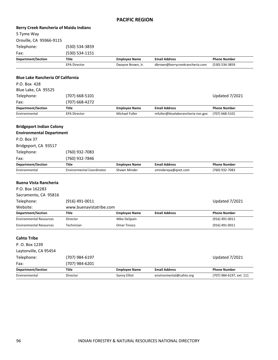# **Berry Creek Rancheria of Maidu Indians**

| <b>Phone Number</b><br>(530) 534-3859<br><b>Updated 7/2021</b><br><b>Phone Number</b><br>(707) 668-5101 |
|---------------------------------------------------------------------------------------------------------|
|                                                                                                         |
|                                                                                                         |
|                                                                                                         |
|                                                                                                         |
|                                                                                                         |
|                                                                                                         |
|                                                                                                         |
|                                                                                                         |
|                                                                                                         |
|                                                                                                         |
|                                                                                                         |
|                                                                                                         |
|                                                                                                         |
|                                                                                                         |
|                                                                                                         |
|                                                                                                         |
|                                                                                                         |
|                                                                                                         |
|                                                                                                         |
| <b>Phone Number</b>                                                                                     |
| (760) 932-7083                                                                                          |
|                                                                                                         |
|                                                                                                         |
|                                                                                                         |
| <b>Updated 7/2021</b>                                                                                   |
|                                                                                                         |
| <b>Phone Number</b>                                                                                     |
| (916) 491-0011                                                                                          |
| (916) 491-0011                                                                                          |
|                                                                                                         |
|                                                                                                         |
|                                                                                                         |
| <b>Updated 7/2021</b>                                                                                   |
|                                                                                                         |
| <b>Phone Number</b>                                                                                     |
| (707) 984-6197, ext. 111                                                                                |
|                                                                                                         |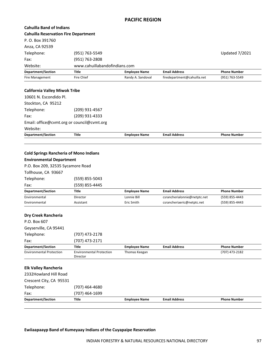| <b>Cahuilla Band of Indians</b>             |
|---------------------------------------------|
| <b>Cahuilla Reservation Fire Department</b> |

| Fire Management    | Fire Chief                    | Randy A. Sandoval    | firedepartment@cahuilla.net | (951) 763-5549      |
|--------------------|-------------------------------|----------------------|-----------------------------|---------------------|
| Department/Section | Title                         | <b>Employee Name</b> | <b>Email Address</b>        | <b>Phone Number</b> |
| Website:           | www.cahuillabandofindians.com |                      |                             |                     |
| Fax:               | (951) 763-2808                |                      |                             |                     |
| Telephone:         | (951) 763-5549                |                      |                             | Updated 7/2021      |
| Anza, CA 92539     |                               |                      |                             |                     |
| P. O. Box 391760   |                               |                      |                             |                     |
|                    |                               |                      |                             |                     |

#### **California Valley Miwok Tribe**

| Department/Section     | <b>Title</b>                               | <b>Employee Name</b> | <b>Email Address</b> | <b>Phone Number</b> |
|------------------------|--------------------------------------------|----------------------|----------------------|---------------------|
|                        |                                            |                      |                      |                     |
| Website:               |                                            |                      |                      |                     |
|                        | Email: office@cvmt.org or council@cvmt.org |                      |                      |                     |
| Fax:                   | (209) 931-4333                             |                      |                      |                     |
|                        |                                            |                      |                      |                     |
| Telephone:             | (209) 931-4567                             |                      |                      |                     |
| Stockton, CA 95212     |                                            |                      |                      |                     |
| 10601 N. Escondido Pl. |                                            |                      |                      |                     |
|                        |                                            |                      |                      |                     |

#### **Cold Springs Rancheria of Mono Indians**

#### **Environmental Department**

P.O. Box 209, 32535 Sycamore Road

#### Tollhouse, CA 93667

Telephone: (559) 855‐5043

| Fax:               | (559) 855-4445 |                      |                              |                     |
|--------------------|----------------|----------------------|------------------------------|---------------------|
| Department/Section | Title          | <b>Employee Name</b> | <b>Email Address</b>         | <b>Phone Number</b> |
| Environmental      | Director       | Lonnie Bill          | csrancherialonnie@netptc.net | (559) 855-4443      |
| Environmental      | Assistant      | Eric Smith           | csrancheriaeric@netptc.net   | (559) 855-4443      |

#### **Dry Creek Rancheria**

|                                 | Director                        |                      |                      |                     |
|---------------------------------|---------------------------------|----------------------|----------------------|---------------------|
| <b>Environmental Protection</b> | <b>Environmental Protection</b> | Thomas Keegan        |                      | (707) 473-2182      |
| Department/Section              | Title                           | <b>Employee Name</b> | <b>Email Address</b> | <b>Phone Number</b> |
| Fax:                            | (707) 473-2171                  |                      |                      |                     |
| Telephone:                      | (707) 473-2178                  |                      |                      |                     |
| Geyserville, CA 95441           |                                 |                      |                      |                     |
| P.O. Box 607                    |                                 |                      |                      |                     |
|                                 |                                 |                      |                      |                     |

# **Elk Valley Rancheria**

| Department/Section      | Title          | <b>Employee Name</b> | <b>Email Address</b> | <b>Phone Number</b> |
|-------------------------|----------------|----------------------|----------------------|---------------------|
| Fax:                    | (707) 464-1699 |                      |                      |                     |
| Telephone:              | (707) 464-4680 |                      |                      |                     |
| Crescent City, CA 95531 |                |                      |                      |                     |
| 2332Howland Hill Road   |                |                      |                      |                     |

**Ewiiaapaayp Band of Kumeyaay Indians of the Cuyapaipe Reservation**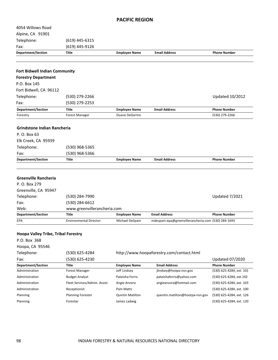| 4054 Willows Road                                                                          |                                  |                         |                                                     |                          |
|--------------------------------------------------------------------------------------------|----------------------------------|-------------------------|-----------------------------------------------------|--------------------------|
| Alpine, CA 91901                                                                           |                                  |                         |                                                     |                          |
| Telephone:                                                                                 | $(619)$ 445-6315                 |                         |                                                     |                          |
| Fax:                                                                                       | (619) 445-9126                   |                         |                                                     |                          |
| <b>Department/Section</b>                                                                  | <b>Title</b>                     | <b>Employee Name</b>    | <b>Email Address</b>                                | <b>Phone Number</b>      |
|                                                                                            |                                  |                         |                                                     |                          |
| <b>Fort Bidwell Indian Community</b>                                                       |                                  |                         |                                                     |                          |
| <b>Forestry Department</b>                                                                 |                                  |                         |                                                     |                          |
| P.O. Box 145                                                                               |                                  |                         |                                                     |                          |
| Fort Bidwell, CA 96112                                                                     |                                  |                         |                                                     |                          |
| Telephone:                                                                                 | (530) 279-2266                   |                         |                                                     | <b>Updated 10/2012</b>   |
| Fax:                                                                                       | (530) 279-2253                   |                         |                                                     |                          |
| <b>Department/Section</b>                                                                  | <b>Title</b>                     | <b>Employee Name</b>    | <b>Email Address</b>                                | <b>Phone Number</b>      |
| Forestry                                                                                   | Forest Manager                   | Duane DeGarmo           |                                                     | (530) 279-2266           |
| <b>Grindstone Indian Rancheria</b>                                                         |                                  |                         |                                                     |                          |
| P. O. Box 63                                                                               |                                  |                         |                                                     |                          |
| Elk Creek, CA 95939                                                                        |                                  |                         |                                                     |                          |
| Telephone:                                                                                 | (530) 968-5365                   |                         |                                                     |                          |
| Fax:                                                                                       | (530) 968-5366                   |                         |                                                     |                          |
| <b>Department/Section</b>                                                                  | Title                            | <b>Employee Name</b>    | <b>Email Address</b>                                | <b>Phone Number</b>      |
| <b>Greenville Rancheria</b><br>P. O. Box 279<br>Greenville, CA 95947<br>Telephone:<br>Fax: | (530) 284-7990<br>(530) 284-6612 |                         |                                                     | <b>Updated 7/2021</b>    |
| Web:                                                                                       | www.greenvillerancheria.com      |                         |                                                     |                          |
| <b>Department/Section</b>                                                                  | <b>Title</b>                     | <b>Employee Name</b>    | <b>Email Address</b>                                | <b>Phone Number</b>      |
| EPA                                                                                        | <b>Environmental Director</b>    | Michael DeSpain         | mdespain.epa@greenvillerancheria.com (530) 284-1693 |                          |
| Hoopa Valley Tribe, Tribal Forestry<br>P.O. Box 368<br>Hoopa, CA 95546                     |                                  |                         |                                                     |                          |
| Telephone:                                                                                 | (530) 625-4284                   |                         | http://www.hoopaforestry.com/contact.html           |                          |
| Fax:                                                                                       | (530) 625-4230                   |                         |                                                     | <b>Updated 07/2020</b>   |
| <b>Department/Section</b>                                                                  | Title                            | <b>Employee Name</b>    | <b>Email Address</b>                                | <b>Phone Number</b>      |
| Administration                                                                             | <b>Forest Manager</b>            | Jeff Lindsey            | jlindsey@hoopa-nsn.gov                              | (530) 625-4284, ext. 101 |
| Administration                                                                             | <b>Budget Analyst</b>            | Pateisha Ferris         | pateishaferris@yahoo.com                            | (530) 625-4284, ext.102  |
| Administration                                                                             | Fleet Services/Admin. Assist.    | Angie Anzora            | angieanzora@hotmail.com                             | (530) 625-4284, ext. 103 |
| Administration                                                                             | Receptionist                     | Pam Mattz               |                                                     | (530) 625-4284, ext. 100 |
| Planning                                                                                   | <b>Planning Forester</b>         | <b>Quintin Matilton</b> | quentin.matilton@hootpa-nsn.gov                     | (530) 625-4284, ext. 126 |
| Planning                                                                                   | Forester                         | James Ladwig            |                                                     | (530) 625-4284, ext. 120 |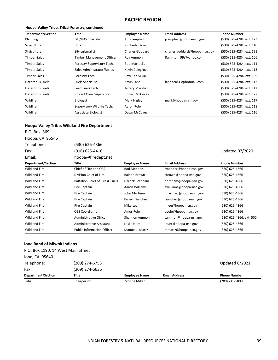#### **Hoopa Valley Tribe, Tribal Forestry, continued**

| Department/Section     | <b>Title</b>               | <b>Employee Name</b>   | <b>Email Address</b>          | <b>Phone Number</b>      |
|------------------------|----------------------------|------------------------|-------------------------------|--------------------------|
| Planning               | GIS/UAS Specialist         | Jim Campbell           | jcampbell@hoopa-nsn.gov       | (530) 625-4284, ext. 123 |
| Silviculture           | <b>Botanist</b>            | Kimberly Davis         |                               | (530) 625-4284, ext. 110 |
| Silviculture           | Silviculturalist           | <b>Charles Goddard</b> | charles.goddard@hoopa-nsn.gov | (530) 625-4284, ext. 121 |
| <b>Timber Sales</b>    | Timber Management Officer  | Roy Ammon              | Rammon 99@yahoo.com           | (530) 625-4284, ext. 106 |
| <b>Timber Sales</b>    | Forestry Supervisory Tech. | <b>Bob Mattocks</b>    |                               | (530) 625-4284, ext. 111 |
| <b>Timber Sales</b>    | Sales Administrator/Roads  | Kevin Colegrove        |                               | (530) 625-4284, ext. 113 |
| <b>Timber Sales</b>    | Forestry Tech.             | Caw-Tep Silvia         |                               | (530) 625-4284, ext. 109 |
| Hazardous Fuels        | <b>Fuels Specialist</b>    | Kevin Lane             | lanebear33@hotmail.com        | (530) 625-4284, ext. 113 |
| <b>Hazardous Fuels</b> | Lead Fuels Tech            | Jeffery Marshall       |                               | (530) 625-4284, ext. 112 |
| Hazardous Fuels        | Project Crew Supervisor    | Robert McCovey         |                               | (530) 625-4284, ext. 127 |
| Wildlife               | <b>Biologist</b>           | Mark Higley            | mark@hoopa-nsn.gov            | (530) 625-4284, ext. 117 |
| Wildlife               | Supervisory Wildlife Tech. | Aaron Pole             |                               | (530) 625-4284, ext. 118 |
| Wildlife               | Associate Biologist        | Dawn McCovey           |                               | (530) 625-4284, ext. 116 |

#### **Hoopa Valley Tribe, Wildland Fire Department**

| P.O. Box 369         |                                   |                      |                         |                          |
|----------------------|-----------------------------------|----------------------|-------------------------|--------------------------|
| Hoopa, CA 95546      |                                   |                      |                         |                          |
| Telephone:           | (530) 625-4366                    |                      |                         |                          |
| Fax:                 | (916) 625-4416                    |                      |                         | Updated 07/2020          |
| Email:               | hoopa@firedept.net                |                      |                         |                          |
| Department/Section   | Title                             | <b>Employee Name</b> | <b>Email Address</b>    | <b>Phone Number</b>      |
| <b>Wildland Fire</b> | Chief of Fire and OES             | Rod Mendez           | rmendez@hoopa-nsn.gov   | (530) 625-4366           |
| <b>Wildland Fire</b> | Division Chief of Fire            | Raldon Brown         | rbrown@hoopa-nsn.gov    | (530) 625-4366           |
| <b>Wildland Fire</b> | Battalion Chief of Fire & Fuels   | Derrick Branham      | dbrnham@hoopa-nsn.gov   | (530) 625-4366           |
| <b>Wildland Fire</b> | <b>Fire Captain</b>               | Aaron Williams       | awilliams@hoopa-nsn.gov | (530) 625-4366           |
| <b>Wildland Fire</b> | Fire Captain                      | John Martinez        | jmartinez@hoopa-nsn.gov | (530) 625-4366           |
| <b>Wildland Fire</b> | Fire Captain                      | Fermin Sanchez       | fsanchez@hoopa-nsn.gov  | (530) 625-4366           |
| <b>Wildland Fire</b> | <b>Fire Captain</b>               | Mike Lee             | mlee@hoopa-nsn.gov      | (530) 625-4366           |
| <b>Wildland Fire</b> | <b>OES Coordiantor</b>            | Amos Pole            | apole@hoopa-nsn.gov     | (530) 625-4366           |
| <b>Wildland Fire</b> | Administrative Officer            | Shannon Ammon        | sammon@hoopa-nsn.gov    | (530) 625-4366, ext. 500 |
| <b>Wildland Fire</b> | Administrative Assistant          | Leslie Hunt          | lhunt@hoopa-nsn.gov     | (530) 625-4366           |
| <b>Wildland Fire</b> | <b>Public Information Officer</b> | Manuel J. Mattz      | mmattz@hoopa-nsn.gov    | (530) 625-4366           |

#### **Ione Band of Miwok Indians**

| Tribal                             | Chairperson    | Yvonne Miller        |                      | (209) 245-5800      |  |  |
|------------------------------------|----------------|----------------------|----------------------|---------------------|--|--|
| Department/Section                 | Title          | <b>Employee Name</b> | <b>Email Address</b> | <b>Phone Number</b> |  |  |
| Fax:                               | (209) 274-6636 |                      |                      |                     |  |  |
| Telephone:                         | (209) 274-6753 |                      |                      | Updated 8/2021      |  |  |
| lone, CA 95640                     |                |                      |                      |                     |  |  |
| P.O. Box 1190, 14 West Main Street |                |                      |                      |                     |  |  |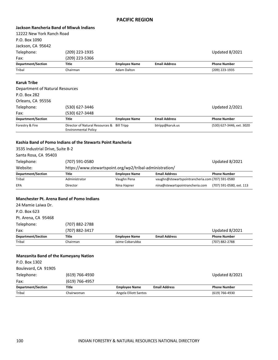#### **Jackson Rancheria Band of Miwuk Indians**

| Tribal                    | Chairman       | Adam Dalton          |                      | (209) 223-1935      |
|---------------------------|----------------|----------------------|----------------------|---------------------|
| Department/Section        | Title          | <b>Employee Name</b> | <b>Email Address</b> | <b>Phone Number</b> |
| Fax:                      | (209) 223-5366 |                      |                      |                     |
| Telephone:                | (209) 223-1935 |                      |                      | Updated 8/2021      |
| Jackson, CA 95642         |                |                      |                      |                     |
| P.O. Box 1090             |                |                      |                      |                     |
| 12222 New York Ranch Road |                |                      |                      |                     |

# **Karuk Tribe**

| Department of Natural Resources |                                            |                      |                      |                           |
|---------------------------------|--------------------------------------------|----------------------|----------------------|---------------------------|
| P.O. Box 282                    |                                            |                      |                      |                           |
| Orleans, CA 95556               |                                            |                      |                      |                           |
| Telephone:                      | (530) 627-3446                             |                      |                      | Updated 2/2021            |
| Fax:                            | (530) 627-3448                             |                      |                      |                           |
| Department/Section              | Title                                      | <b>Employee Name</b> | <b>Email Address</b> | <b>Phone Number</b>       |
| Forestry & Fire                 | Director of Natural Resources & Bill Tripp |                      | btripp@karuk.us      | (530) 627-3446, ext. 3020 |
|                                 | <b>Environmental Policy</b>                |                      |                      |                           |

#### **Kashia Band of Pomo Indians of the Stewarts Point Rancheria**

| 3535 Industrial Drive, Suite B-2 |                                                          |                      |                                                  |                          |
|----------------------------------|----------------------------------------------------------|----------------------|--------------------------------------------------|--------------------------|
| Santa Rosa, CA 95403             |                                                          |                      |                                                  |                          |
| Telephone:                       | (707) 591-0580                                           |                      |                                                  | Updated 8/2021           |
| Website:                         | https://www.stewartspoint.org/wp2/tribal-administration/ |                      |                                                  |                          |
| Department/Section               | Title                                                    | <b>Employee Name</b> | <b>Email Address</b>                             | <b>Phone Number</b>      |
| Tribal                           | Administrator                                            | Vaughn Pena          | vaughn@stewartspointrancheria.com (707) 591-0580 |                          |
| EPA                              | <b>Director</b>                                          | Nina Hapner          | nina@stewartspointrancheria.com                  | (707) 591-0580, ext. 113 |

#### **Manchester Pt. Arena Band of Pomo Indians**

| 24 Mamie Laiwa Dr.  |                |                      |                      |                     |
|---------------------|----------------|----------------------|----------------------|---------------------|
| P.O. Box 623        |                |                      |                      |                     |
| Pt. Arena, CA 95468 |                |                      |                      |                     |
| Telephone:          | (707) 882-2788 |                      |                      |                     |
| Fax:                | (707) 882-3417 |                      |                      | Updated 8/2021      |
| Department/Section  | <b>Title</b>   | <b>Employee Name</b> | <b>Email Address</b> | <b>Phone Number</b> |
| Tribal              | Chairman       | Jaime Cobarubba      |                      | (707) 882-2788      |

#### **Manzanita Band of the Kumeyany Nation**

| Tribal              | Chairwoman     | Angela Elliott Santos |                      | (619) 766-4930      |
|---------------------|----------------|-----------------------|----------------------|---------------------|
| Department/Section  | Title          | <b>Employee Name</b>  | <b>Email Address</b> | <b>Phone Number</b> |
| Fax:                | (619) 766-4957 |                       |                      |                     |
| Telephone:          | (619) 766-4930 |                       |                      | Updated 8/2021      |
| Boulevard, CA 91905 |                |                       |                      |                     |
| P.O. Box 1302       |                |                       |                      |                     |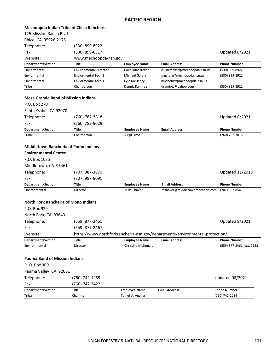#### **Mechoopda Indian Tribe of Chico Rancheria**

| 125 Mission Ranch Blyd                       |                               |                      |                               |                     |
|----------------------------------------------|-------------------------------|----------------------|-------------------------------|---------------------|
| Chico, CA 95926-2175                         |                               |                      |                               |                     |
| Telephone:                                   | (530) 899-8922                |                      |                               |                     |
| Fax:                                         | (530) 899-8517                |                      |                               | Updated 8/2021      |
| Website:                                     | www.mechoopda-nsn.gov         |                      |                               |                     |
| <b>Department/Section</b>                    | Title                         | <b>Employee Name</b> | <b>Email Address</b>          | <b>Phone Number</b> |
|                                              |                               |                      |                               |                     |
|                                              | <b>Environmental Director</b> | Colin Klinesteker    | cklinesteker@mechoopda.nsn.us | (530) 899-8922      |
|                                              | Enviormental Tech 2           | Michael Garcia       | mgarcia@mechoopda.nsn.us      | (530) 899-8922      |
| Enviormental<br>Enviormental<br>Enviormental | <b>Enviormental Tech 1</b>    | Kyle McHenry         | kmchenry@mechoopda.nsn.us     |                     |
| Tribe                                        | Chairperson                   | Dennis Ramirez       | dramirez@yahoo.com            | (530) 899-8922      |

# **Mesa Grande Band of Mission Indians**

| Tribal                 | Chairperson    | Virgil Oyos          |                      | (760) 782-3818      |
|------------------------|----------------|----------------------|----------------------|---------------------|
| Department/Section     | Title          | <b>Employee Name</b> | <b>Email Address</b> | <b>Phone Number</b> |
| Fax:                   | (760) 782-9029 |                      |                      |                     |
| Telephone:             | (760) 782-3818 |                      |                      | Updated 8/2021      |
| Santa Ysabel, CA 92070 |                |                      |                      |                     |
| P.O. Box 270           |                |                      |                      |                     |

#### **Middletown Rancheria of Pomo Indians**

| Environmental               | Director       | Mike Shaver          | mshaver@middletownrancheria.com | (707) 987-8543         |
|-----------------------------|----------------|----------------------|---------------------------------|------------------------|
| Department/Section          | Title          | <b>Employee Name</b> | <b>Email Address</b>            | <b>Phone Number</b>    |
| Fax:                        | (707) 987-9091 |                      |                                 |                        |
| Telephone:                  | (707) 987-3670 |                      |                                 | <b>Updated 11/2018</b> |
| Middletown, CA 95461        |                |                      |                                 |                        |
| P.O. Box 1035               |                |                      |                                 |                        |
| <b>Environmental Center</b> |                |                      |                                 |                        |

#### **North Fork Rancheria of Mono Indians**

| P.O. Box 929         |                |                      |                                                                              |                           |
|----------------------|----------------|----------------------|------------------------------------------------------------------------------|---------------------------|
| North Fork, CA 93643 |                |                      |                                                                              |                           |
| Telephone:           | (559) 877-2461 |                      |                                                                              | Updated 8/2021            |
| Fax:                 | (559) 877-2467 |                      |                                                                              |                           |
| Website:             |                |                      | https://www.northforkrancheria-nsn.gov/departments/environmental-protection/ |                           |
| Department/Section   | Title          | <b>Employee Name</b> | <b>Email Address</b>                                                         | <b>Phone Number</b>       |
| Environmental        | Director       | Christina McDonald   |                                                                              | (559) 877-2461, ext. 2133 |

#### **Pauma Band of Mission Indians**

| P. O. Box 369          |                |                      |                      |                        |
|------------------------|----------------|----------------------|----------------------|------------------------|
| Pauma Valley, CA 92061 |                |                      |                      |                        |
| Telephone:             | (760) 742-1289 |                      |                      | <b>Updated 08/2021</b> |
| Fax:                   | (760) 742-3422 |                      |                      |                        |
| Department/Section     | Title          | <b>Employee Name</b> | <b>Email Address</b> | <b>Phone Number</b>    |
| Tribal                 | Chairman       | Temet A. Aguilar     |                      | (760) 742-1289         |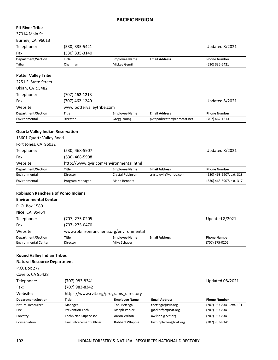| <b>Pit River Tribe</b>                                                                                                                        |                                            |
|-----------------------------------------------------------------------------------------------------------------------------------------------|--------------------------------------------|
| 37014 Main St.                                                                                                                                |                                            |
| Burney, CA 96013                                                                                                                              |                                            |
| Telephone:<br>(530) 335-5421                                                                                                                  | Updated 8/2021                             |
| (530) 335-3140<br>Fax:                                                                                                                        |                                            |
| <b>Department/Section</b><br>Title<br><b>Employee Name</b><br><b>Email Address</b>                                                            | <b>Phone Number</b>                        |
| Chairman<br><b>Mickey Gemill</b><br>Tribal                                                                                                    | (530) 335-5421                             |
|                                                                                                                                               |                                            |
| <b>Potter Valley Tribe</b>                                                                                                                    |                                            |
| 2251 S. State Street                                                                                                                          |                                            |
| Ukiah, CA 95482                                                                                                                               |                                            |
| Telephone:<br>$(707)$ 462-1213                                                                                                                |                                            |
| (707) 462-1240<br>Fax:                                                                                                                        | Updated 8/2021                             |
| Website:<br>www.pottervalleytribe.com                                                                                                         |                                            |
| <b>Department/Section</b><br><b>Title</b><br><b>Email Address</b><br><b>Employee Name</b>                                                     | <b>Phone Number</b>                        |
| Director<br>pvtepadirector@comcast.net<br>Environmental<br>Gregg Young                                                                        | (707) 462-1213                             |
|                                                                                                                                               |                                            |
| <b>Quartz Valley Indian Reservation</b>                                                                                                       |                                            |
| 13601 Quartz Valley Road                                                                                                                      |                                            |
| Fort Jones, CA 96032                                                                                                                          |                                            |
| Telephone:<br>(530) 468-5907                                                                                                                  | Updated 8/2021                             |
| (530) 468-5908<br>Fax:                                                                                                                        |                                            |
| Website:<br>http://www.qvir.com/environmental.html                                                                                            |                                            |
| <b>Department/Section</b><br>Title<br><b>Employee Name</b><br><b>Email Address</b>                                                            | <b>Phone Number</b>                        |
| Environmental<br>Director<br>Crystal Robinson<br>crystalqvir@yahoo.com                                                                        | (530) 468-5907, ext. 318                   |
| Marla Bennett<br>Environmental<br>Program Manager                                                                                             | (530) 468-5907, ext. 317                   |
| <b>Robinson Rancheria of Pomo Indians</b>                                                                                                     |                                            |
| <b>Environmental Center</b>                                                                                                                   |                                            |
| P. O. Box 1580                                                                                                                                |                                            |
|                                                                                                                                               |                                            |
| Nice, CA 95464                                                                                                                                |                                            |
| Telephone:<br>(707) 275-0205                                                                                                                  | Updated 8/2021                             |
| (707) 275-0470<br>Fax:                                                                                                                        |                                            |
| Website:<br>www.robinsonrancheria.org/environmental                                                                                           |                                            |
| <b>Department/Section</b><br>Title<br><b>Employee Name</b><br><b>Email Address</b><br><b>Environmental Center</b><br>Mike Schaver<br>Director | <b>Phone Number</b><br>(707) 275-0205      |
|                                                                                                                                               |                                            |
| <b>Round Valley Indian Tribes</b>                                                                                                             |                                            |
| <b>Natural Resource Department</b>                                                                                                            |                                            |
| P.O. Box 277                                                                                                                                  |                                            |
|                                                                                                                                               |                                            |
| Covelo, CA 95428                                                                                                                              |                                            |
| Telephone:<br>(707) 983-8341                                                                                                                  | <b>Updated 08/2021</b>                     |
|                                                                                                                                               |                                            |
| (707) 983-8342<br>Fax:                                                                                                                        |                                            |
| Website:<br>https://www.rvit.org/programs_directory                                                                                           |                                            |
| <b>Title</b><br><b>Email Address</b><br><b>Department/Section</b><br><b>Employee Name</b>                                                     | <b>Phone Number</b>                        |
| <b>Natural Resources</b><br>Toni Bettega<br>tbettega@rvit.org<br>Manager<br>Prevention Tech I<br>Joseph Parker<br>Fire                        | (707) 983-8341, ext. 101<br>(707) 983-8341 |
| jparkerfpt@rvit.org<br><b>Technician Supervisor</b><br>Aaron Wilson<br>awilson@rvit.org<br>Forestry                                           | (707) 983-8341                             |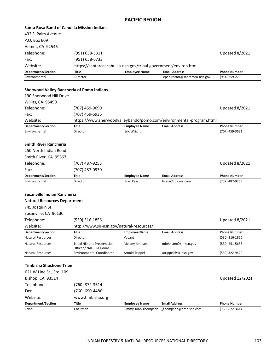### **PACIFIC REGION**

| Santa Rosa Band of Cahuilla Mission Indians |                |                                                                  |                               |                     |
|---------------------------------------------|----------------|------------------------------------------------------------------|-------------------------------|---------------------|
| 432 S. Palm Avenue                          |                |                                                                  |                               |                     |
| P.O. Box 609                                |                |                                                                  |                               |                     |
| Hemet, CA 92546                             |                |                                                                  |                               |                     |
| Telephone:                                  | (951) 658-5311 |                                                                  |                               | Updated 8/2021      |
| Fax:                                        | (951) 658-6733 |                                                                  |                               |                     |
| Website:                                    |                | https://santarosacahuilla-nsn.gov/tribal-government/environ.html |                               |                     |
| Department/Section                          | <b>Title</b>   | <b>Employee Name</b>                                             | <b>Email Address</b>          | <b>Phone Number</b> |
| Environmental                               | Director       |                                                                  | epadirector@santarosa-nsn.gov | (951) 659-2700      |
|                                             |                |                                                                  |                               |                     |

### **Sherwood Valley Rancheria of Pomo Indians**

| 190 Sherwood Hill Drive |                 |                      |                                                                     |                     |
|-------------------------|-----------------|----------------------|---------------------------------------------------------------------|---------------------|
| Willits, CA 95490       |                 |                      |                                                                     |                     |
| Telephone:              | (707) 459-9690  |                      |                                                                     | Updated 8/2021      |
| Fax:                    | (707) 459-6936  |                      |                                                                     |                     |
| Website:                |                 |                      | https://www.sherwoodvalleybandofpomo.com/environmental-program.html |                     |
| Department/Section      | Title           | <b>Employee Name</b> | <b>Email Address</b>                                                | <b>Phone Number</b> |
| Environmental           | <b>Director</b> | Eric Wright          |                                                                     | (707) 459-3631      |
|                         |                 |                      |                                                                     |                     |

#### **Smith River Rancheria**

| 250 North Indian Road |                |                      |                      |                     |
|-----------------------|----------------|----------------------|----------------------|---------------------|
| Smith River, CA 95567 |                |                      |                      |                     |
| Telephone:            | (707) 487-9255 |                      |                      | Updated 8/2021      |
| Fax:                  | (707) 487-0930 |                      |                      |                     |
| Department/Section    | Title          | <b>Employee Name</b> | <b>Email Address</b> | <b>Phone Number</b> |
| Environmental         | Director       | <b>Brad Cass</b>     | bcass@tolowa.com     | (707) 487-9255      |

### **Susanville Indian Rancheria**

### **Natural Resources Department**

Telephone: (760) 872-3614

| 745 Joaquin St.          |                                                         |                      |                      |                        |
|--------------------------|---------------------------------------------------------|----------------------|----------------------|------------------------|
| Susanville, CA 96130     |                                                         |                      |                      |                        |
| Telephone:               | (530) 316-1856                                          |                      |                      | Updated 8/2021         |
| Website:                 | http://www.sir-nsn.gov/natural-resources/               |                      |                      |                        |
| Department/Section       | <b>Title</b>                                            | <b>Employee Name</b> | <b>Email Address</b> | <b>Phone Number</b>    |
| Natural Resources        | Director                                                | Vacant               |                      | (530) 316-1856         |
| Natural Resources        | Tribal Historic Preservation<br>Officer / NAGPRA Coord. | Melany Johnson       | mjohnson@sir-nsn.gov | (530) 251-5633         |
| <b>Natural Resources</b> | Environmental Coordinator                               | Arnold Trippel       | atrippel@sir-nsn.gov | (530) 322-9420         |
| Timbisha Shoshone Tribe  |                                                         |                      |                      |                        |
| 621 W Line St., Ste. 109 |                                                         |                      |                      |                        |
| Bishop, CA 93514         |                                                         |                      |                      | <b>Updated 12/2021</b> |

| Fax:                      | (760) 690-4486   |                      |                      |                     |
|---------------------------|------------------|----------------------|----------------------|---------------------|
| Website:                  | www.timbisha.org |                      |                      |                     |
|                           |                  |                      |                      |                     |
| <b>Department/Section</b> | <b>Title</b>     | <b>Employee Name</b> | <b>Email Address</b> | <b>Phone Number</b> |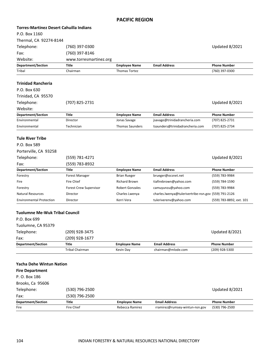## **PACIFIC REGION**

|                                                                                                  |                                | PACIFIC REGIUN         |                                                      |                          |
|--------------------------------------------------------------------------------------------------|--------------------------------|------------------------|------------------------------------------------------|--------------------------|
| <b>Torres-Martinez Desert Cahuilla Indians</b>                                                   |                                |                        |                                                      |                          |
| P.O. Box 1160                                                                                    |                                |                        |                                                      |                          |
| Thermal, CA 92274-8144                                                                           |                                |                        |                                                      |                          |
| Telephone:                                                                                       | (760) 397-0300                 |                        |                                                      | Updated 8/2021           |
| Fax:                                                                                             | (760) 397-8146                 |                        |                                                      |                          |
| Website:                                                                                         | www.torresmartinez.org         |                        |                                                      |                          |
| <b>Department/Section</b>                                                                        | <b>Title</b>                   | <b>Employee Name</b>   | <b>Email Address</b>                                 | <b>Phone Number</b>      |
| Tribal                                                                                           | Chairman                       | <b>Thomas Tortez</b>   |                                                      | (760) 397-0300           |
| <b>Trinidad Rancheria</b>                                                                        |                                |                        |                                                      |                          |
| P.O. Box 630                                                                                     |                                |                        |                                                      |                          |
| Trinidad, CA 95570                                                                               |                                |                        |                                                      |                          |
| Telephone:                                                                                       | (707) 825-2731                 |                        |                                                      | Updated 8/2021           |
| Website:                                                                                         |                                |                        |                                                      |                          |
| <b>Department/Section</b>                                                                        | <b>Title</b>                   | <b>Employee Name</b>   | <b>Email Address</b>                                 | <b>Phone Number</b>      |
| Environmental                                                                                    | Director                       | Jonas Savage           | jsavage@trinidadrancheria.com                        | (707) 825-2731           |
| Environmental                                                                                    | Technician                     | <b>Thomas Saunders</b> | tsaunders@trinidadrancheria.com                      | (707) 825-2734           |
| <b>Tule River Tribe</b>                                                                          |                                |                        |                                                      |                          |
| P.O. Box 589                                                                                     |                                |                        |                                                      |                          |
| Porterville, CA 93258                                                                            |                                |                        |                                                      |                          |
| Telephone:                                                                                       | (559) 781-4271                 |                        |                                                      | Updated 8/2021           |
| Fax:                                                                                             | (559) 783-8932                 |                        |                                                      |                          |
| <b>Department/Section</b>                                                                        | <b>Title</b>                   | <b>Employee Name</b>   | <b>Email Address</b>                                 | <b>Phone Number</b>      |
| Forestry                                                                                         | <b>Forest Manager</b>          | <b>Brian Rueger</b>    | brueger@ocsnet.net                                   | (559) 783-9984           |
| Fire                                                                                             | Fire Chief                     | <b>Richard Brown</b>   | tiafirebrown@yahoo.com                               | (559) 784-1590           |
| Forestry                                                                                         | <b>Forest Crew Supervisor</b>  | <b>Robert Gonzales</b> | camuyunzu@yahoo.com                                  | (559) 783-9984           |
| <b>Natural Resources</b>                                                                         | Director                       |                        | charles.lwenya@tulerivertribe-nsn.gov (559) 791-2126 |                          |
|                                                                                                  |                                | Charles Lwenya         |                                                      |                          |
| <b>Environmental Protection</b>                                                                  | Director                       | Kerri Vera             | tuleriverenv@yahoo.com                               | (559) 783-8892, ext. 101 |
|                                                                                                  |                                |                        |                                                      |                          |
|                                                                                                  |                                |                        |                                                      |                          |
|                                                                                                  |                                |                        |                                                      |                          |
| P.O. Box 699                                                                                     |                                |                        |                                                      |                          |
|                                                                                                  | (209) 928-3475                 |                        |                                                      | Updated 8/2021           |
| Tuolumne Me-Wuk Tribal Council<br>Tuolumne, CA 95379<br>Telephone:<br>Fax:<br>Department/Section | (209) 928-1677<br><b>Title</b> | <b>Employee Name</b>   | <b>Email Address</b>                                 | <b>Phone Number</b>      |

### **Yacha Dehe Wintun Nation**

| (530) 796-2500 |                      |                                | Updated 8/2021      |
|----------------|----------------------|--------------------------------|---------------------|
| (530) 796-2500 |                      |                                |                     |
| Title          | <b>Employee Name</b> | <b>Email Address</b>           | <b>Phone Number</b> |
| Fire Chief     | Rebecca Ramirez      | rramirez@rumsey-wintun-nsn.gov | (530) 796-2500      |
|                |                      |                                |                     |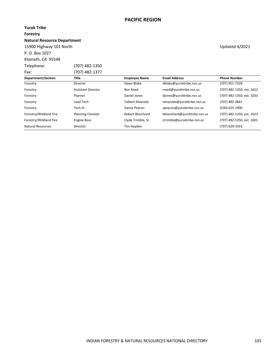### **PACIFIC REGION**

| <b>Yurok Tribe</b>                 |                           |                    |                              |                           |
|------------------------------------|---------------------------|--------------------|------------------------------|---------------------------|
| Forestry                           |                           |                    |                              |                           |
| <b>Natural Resource Department</b> |                           |                    |                              |                           |
| 15900 Highway 101 North            |                           |                    |                              | Updated 4/2021            |
| P. O. Box 1027                     |                           |                    |                              |                           |
| Klamath, CA 95548                  |                           |                    |                              |                           |
| Telephone:                         | (707) 482-1350            |                    |                              |                           |
| Fax:                               | (707) 482-1377            |                    |                              |                           |
| Department/Section                 | Title                     | Employee Name      | <b>Email Address</b>         | <b>Phone Number</b>       |
| Forestry                           | Director                  | Dawn Blake         | dblake@yuroktribe.nsn.us     | (707) 951-7328            |
| Forestry                           | <b>Assistant Director</b> | Ron Reed           | rreed@yuroktribe.nsn.us      | (707) 482-1350, ext. 1622 |
| Forestry                           | Planner                   | Daniel Jones       | djones@yuroktribe.nsn.us     | (707) 482-1350, ext. 1033 |
| Forestry                           | Lead Tech                 | Talbert Alvarado   | talvarado@yuroktribe.nsn.us  | (707) 482-2841            |
| Forestry                           | Tech III                  | Vance Peyron       | vpeyron@yuroktribe.nsn.us    | (530) 625-1900            |
| Forestry/Wildland Fire             | <b>Planning Forester</b>  | Robert Blanchard   | bblanchard@yuroktribe.nsn.us | (707) 482-1350, ext. 1623 |
|                                    |                           |                    |                              |                           |
| Forestry/Wildland Fire             | <b>Engine Boss</b>        | Clyde Trimble, Sr. | ctrimble@yuroktribe.nsn.us   | (707) 482-1350, ext. 1601 |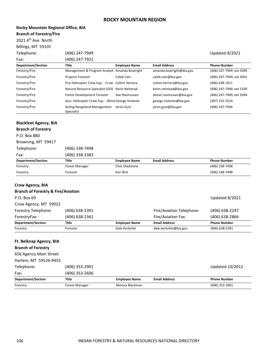## **Rocky Mountain Regional Office, BIA**

### **Branch of Forestry/Fire**

2021 4<sup>th</sup> Ave. North

Billings, MT 59101

| Telephone:                | (406) 247-7949                                    |                      |                          | Updated 8/2021           |
|---------------------------|---------------------------------------------------|----------------------|--------------------------|--------------------------|
| Fax:                      | (406) 247-7921                                    |                      |                          |                          |
| <b>Department/Section</b> | <b>Title</b>                                      | <b>Employee Name</b> | <b>Email Address</b>     | <b>Phone Number</b>      |
| Forestry/Fire             | Management & Program Analyst Amanda Boatright     |                      | amanda.boatright@bia.gov | (406) 247-7949, ext 5099 |
| Forestry/Fire             | <b>Projects Forester</b>                          | Caleb Cain           | caleb.cain@bia.gov       | (406) 247-7949, ext 5091 |
| Forestry/Fire             | Fire Helicopter Crew Sup. - Crow Colton Herrera   |                      | colton.herrera@bia.gov   | (406) 638-1811           |
| Forestry/Fire             | Natural Resource Specialist (GIS)                 | Kevin Nelstead       | kevin.nelstead@bia.gov   | (406) 247-7949, ext 5109 |
| Forestry/Fire             | Forest Development Forester                       | Dan Rasmussen        | daniel.rasmussen@bia.gov | (406) 247-7949, ext 5094 |
| Forestry/Fire             | Asst. Helicopter Crew Sup. - Wind George Violante |                      | george.violante@bia.gov  | (307) 332-3524           |
| Forestry/Fire             | <b>Acting Rangeland Management</b><br>Specialist  | Jarvis Gust          | jarvis.gust@bia.gov      | (406) 247-7946           |

| <b>Branch of Forestry</b> |                       |                       |                      |                     |
|---------------------------|-----------------------|-----------------------|----------------------|---------------------|
| P.O. Box 880              |                       |                       |                      |                     |
| Browning, MT 59417        |                       |                       |                      |                     |
| Telephone:                | (406) 338-7498        |                       |                      |                     |
| Fax:                      | (406) 338-3383        |                       |                      |                     |
| Department/Section        | <b>Title</b>          | <b>Employee Name</b>  | <b>Email Address</b> | <b>Phone Number</b> |
| Forestry                  | <b>Forest Manager</b> | <b>Chet Gladstone</b> |                      | (406) 338-7498      |
| Forestry                  | Forester              | Ken Bird              |                      | (406) 338-7498      |

### **Crow Agency, BIA**

**Blackfeet Agency, BIA**

| <b>Branch of Forestry &amp; Fire/Aviation</b> |                |                      |                          |                     |
|-----------------------------------------------|----------------|----------------------|--------------------------|---------------------|
| P.O. Box 69                                   | Updated 8/2021 |                      |                          |                     |
| Crow Agency, MT 59022                         |                |                      |                          |                     |
| Forestry Telephone:                           | (406) 638-2391 |                      | Fire/Aviation Telephone: | (406) 638-2247      |
| ForestryFax:                                  | (406) 638-2361 |                      | Fire/Aviation Fax:       | (406) 638-2866      |
| Department/Section                            | Title          | <b>Employee Name</b> | <b>Email Address</b>     | <b>Phone Number</b> |
| Forestry                                      | Forester       | Dale Kerkvliet       | dale.kerkvliet@bia.gov   | (406) 638-2391      |

#### **Ft. Belknap Agency, BIA**

| <b>Branch of Forestry</b> |                       |                      |                      |                     |
|---------------------------|-----------------------|----------------------|----------------------|---------------------|
| 656 Agency Main Street    |                       |                      |                      |                     |
| Harlem, MT 59526-9455     |                       |                      |                      |                     |
| Telephone:                | (406) 353-2901        |                      |                      | Updated 10/2012     |
| Fax:                      | (406) 353-2606        |                      |                      |                     |
| Department/Section        | Title                 | <b>Employee Name</b> | <b>Email Address</b> | <b>Phone Number</b> |
| Forestry                  | <b>Forest Manager</b> | Monica Blackman      |                      | (406) 353-2901      |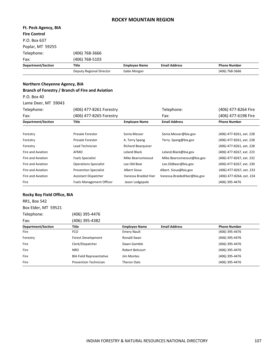| Ft. Peck Agency, BIA |                          |                      |                      |                     |
|----------------------|--------------------------|----------------------|----------------------|---------------------|
| <b>Fire Control</b>  |                          |                      |                      |                     |
| P.O. Box 637         |                          |                      |                      |                     |
| Poplar, MT 59255     |                          |                      |                      |                     |
| Telephone:           | (406) 768-3666           |                      |                      |                     |
| Fax:                 | (406) 768-5103           |                      |                      |                     |
| Department/Section   | <b>Title</b>             | <b>Employee Name</b> | <b>Email Address</b> | <b>Phone Number</b> |
|                      | Deputy Regional Director | Gabe Morgan          |                      | (406) 768-3666      |

### **Northern Cheyenne Agency, BIA**

### **Branch of Forestry / Branch of Fire and Aviation**

P.O. Box 40

Lame Deer, MT 59043

| Telephone:         | (406) 477-8261 Forestry         |                           | Telephone:                  | (406) 477-8264 Fire      |
|--------------------|---------------------------------|---------------------------|-----------------------------|--------------------------|
| Fax:               | (406) 477-8265 Forestry         |                           | Fax:                        | (406) 477-6198 Fire      |
| Department/Section | <b>Title</b>                    | <b>Employee Name</b>      | <b>Email Address</b>        | <b>Phone Number</b>      |
|                    |                                 |                           |                             |                          |
| Forestry           | Presale Forester                | Sonia Messer              | Sonia.Messer@bia.gov        | (406) 477-8261, ext. 228 |
| Forestry           | Presale Forester                | A. Terry Spang            | Terry. Spang@bia.gov        | (406) 477-8261, ext. 228 |
| Forestry           | Lead Technician                 | <b>Richard Bearguiver</b> |                             | (406) 477-8261, ext. 228 |
| Fire and Aviation  | AFMO                            | Leland Black              | Leland.Black@bia.gov        | (406) 477-8267, ext. 223 |
| Fire and Aviation  | <b>Fuels Specialist</b>         | Mike Bearcomesout         | Mike.Bearcomesout@bia.gov   | (406) 477-8267, ext. 232 |
| Fire and Aviation  | <b>Operations Specialist</b>    | Lee Old Bear              | Lee.Oldbear@bia.gov         | (406) 477-8267, ext. 230 |
| Fire and Aviation  | <b>Prevention Specialist</b>    | <b>Albert Sioux</b>       | Albert. Sioux@bia.gov       | (406) 477-8267, ext. 233 |
| Fire and Aviation  | Assistant Dispatcher            | Vanessa Braided Hair      | Vanessa.BraidedHair@bia.gov | (406) 477-8264, ext. 224 |
| Fire               | <b>Fuels Management Officer</b> | Jason Lodgepole           |                             | (406) 395-4476           |

| Rocky Boy Field Office, BIA |                                 |                        |                      |                     |
|-----------------------------|---------------------------------|------------------------|----------------------|---------------------|
| RR1, Box 542                |                                 |                        |                      |                     |
| Box Elder, MT 59521         |                                 |                        |                      |                     |
| Telephone:                  | (406) 395-4476                  |                        |                      |                     |
| Fax:                        | (406) 395-4382                  |                        |                      |                     |
| <b>Department/Section</b>   | Title                           | <b>Employee Name</b>   | <b>Email Address</b> | <b>Phone Number</b> |
| Fire                        | <b>FCO</b>                      | <b>Emery Nault</b>     |                      | (406) 395-4476      |
| Forestry                    | <b>Forest Development</b>       | Ronald Swan            |                      | (406) 395-4476      |
| Fire                        | Clerk/Dispatcher                | Dawn Gamble            |                      | (406) 395-4476      |
| Fire                        | <b>NRO</b>                      | <b>Robert Belcourt</b> |                      | (406) 395-4476      |
| Fire                        | <b>BIA Field Representative</b> | Jim Montes             |                      | (406) 395-4476      |
| Fire                        | <b>Prevention Technician</b>    | <b>Theron Oats</b>     |                      | (406) 395-4476      |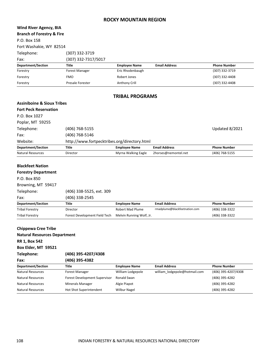# **Wind River Agency, BIA**

## **Branch of Forestry & Fire**

## P.O. Box 158

Fort Washakie, WY 82514

Telephone: (307) 332-3719

Fax: (307) 332‐7317/5017

| Department/Section | Title                 | <b>Employee Name</b> | <b>Email Address</b> | <b>Phone Number</b> |
|--------------------|-----------------------|----------------------|----------------------|---------------------|
| Forestry           | <b>Forest Manager</b> | Eric Rhodenbaugh     |                      | (307) 332-3719      |
| Forestry           | FMO                   | Robert Jones         |                      | (307) 332-4408      |
| Forestry           | Presale Forester      | <b>Anthony Crill</b> |                      | (307) 332-4408      |

### **TRIBAL PROGRAMS**

#### **Assiniboine & Sioux Tribes**

| <b>Fort Peck Reservation</b> |                                              |                      |                      |                     |
|------------------------------|----------------------------------------------|----------------------|----------------------|---------------------|
| P.O. Box 1027                |                                              |                      |                      |                     |
| Poplar, MT 59255             |                                              |                      |                      |                     |
| Telephone:                   | (406) 768-5155                               |                      |                      | Updated 8/2021      |
| Fax:                         | (406) 768-5146                               |                      |                      |                     |
| Website:                     | http://www.fortpecktribes.org/directory.html |                      |                      |                     |
| Department/Section           | <b>Title</b>                                 | <b>Employee Name</b> | <b>Email Address</b> | <b>Phone Number</b> |
| <b>Natural Resources</b>     | Director                                     | Myrna Walking Eagle  | 2horses@nemontel.net | (406) 768-5155      |

### **Blackfeet Nation**

| <b>Forestry Department</b> |                               |                          |                               |                     |  |
|----------------------------|-------------------------------|--------------------------|-------------------------------|---------------------|--|
| P.O. Box 850               |                               |                          |                               |                     |  |
| Browning, MT 59417         |                               |                          |                               |                     |  |
| Telephone:                 | (406) 338-5525, ext. 309      |                          |                               |                     |  |
| Fax:                       | (406) 338-2545                |                          |                               |                     |  |
| Department/Section         | Title                         | <b>Employee Name</b>     | <b>Email Address</b>          | <b>Phone Number</b> |  |
| <b>Tribal Forestry</b>     | Director                      | <b>Robert Mad Plume</b>  | rmadplume@blackfeetnation.com | (406) 338-3322      |  |
| <b>Tribal Forestry</b>     | Forest Development Field Tech | Melvin Running Wolf, Jr. |                               | (406) 338-3322      |  |

#### **Chippewa Cree Tribe**

#### **Natural Resources Department**

**RR 1, Box 542** 

#### **Box Elder, MT 59521**

| Telephone: | (406) 395-4207/4308 |
|------------|---------------------|
|------------|---------------------|

| Fax: | (406) 395-4382 |  |  |
|------|----------------|--|--|
|------|----------------|--|--|

| Department/Section       | Title                                | <b>Employee Name</b> | <b>Email Address</b>          | <b>Phone Number</b> |
|--------------------------|--------------------------------------|----------------------|-------------------------------|---------------------|
| Natural Resources        | <b>Forest Manager</b>                | William Lodgepole    | william lodgepole@hotmail.com | (406) 395-4207/4308 |
| <b>Natural Resources</b> | <b>Forest Development Supervisor</b> | Ronald Swan          |                               | (406) 395-4282      |
| <b>Natural Resources</b> | <b>Minerals Manager</b>              | Algie Piapot         |                               | (406) 395-4282      |
| <b>Natural Resources</b> | Hot Shot Superintendent              | <b>Wilbur Nagel</b>  |                               | (406) 395-4282      |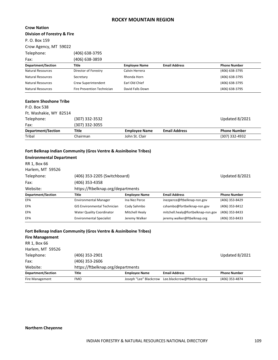| <b>Crow Nation</b>                     |                                                                  |                      |                             |                     |
|----------------------------------------|------------------------------------------------------------------|----------------------|-----------------------------|---------------------|
| <b>Division of Forestry &amp; Fire</b> |                                                                  |                      |                             |                     |
| P. O. Box 159                          |                                                                  |                      |                             |                     |
| Crow Agency, MT 59022                  |                                                                  |                      |                             |                     |
| Telephone:                             | (406) 638-3795                                                   |                      |                             |                     |
| Fax:                                   | (406) 638-3859                                                   |                      |                             |                     |
| Department/Section                     | <b>Title</b>                                                     | <b>Employee Name</b> | <b>Email Address</b>        | <b>Phone Number</b> |
| <b>Natural Resources</b>               | Director of Forestry                                             | Calvin Herrera       |                             | (406) 638-3795      |
| <b>Natural Resources</b>               | Secretary                                                        | Rhonda Horn          |                             | (406) 638-3795      |
| <b>Natural Resources</b>               | Crew Superintendent                                              | Earl Old Chief       |                             | (406) 638-3795      |
| <b>Natural Resources</b>               | Fire Prevention Technician                                       | David Falls Down     |                             | (406) 638-3795      |
|                                        |                                                                  |                      |                             |                     |
| <b>Eastern Shoshone Tribe</b>          |                                                                  |                      |                             |                     |
| P.O. Box 538                           |                                                                  |                      |                             |                     |
| Ft. Washakie, WY 82514                 |                                                                  |                      |                             |                     |
| Telephone:                             | (307) 332-3532                                                   |                      |                             | Updated 8/2021      |
| Fax:                                   | (307) 332-3055                                                   |                      |                             |                     |
| <b>Department/Section</b>              | <b>Title</b>                                                     | <b>Employee Name</b> | <b>Email Address</b>        | <b>Phone Number</b> |
| Tribal                                 | Chairman                                                         | John St. Clair       |                             | (307) 332-4932      |
| <b>Environmental Department</b>        | Fort Belknap Indian Community (Gros Ventre & Assiniboine Tribes) |                      |                             |                     |
| RR 1, Box 66                           |                                                                  |                      |                             |                     |
| Harlem, MT 59526                       |                                                                  |                      |                             |                     |
| Telephone:                             | (406) 353-2205 (Switchboard)                                     |                      |                             | Updated 8/2021      |
| Fax:                                   | (406) 353-4358                                                   |                      |                             |                     |
| Website:                               | https://ftbelknap.org/departments                                |                      |                             |                     |
| <b>Department/Section</b>              | <b>Title</b>                                                     | <b>Employee Name</b> | <b>Email Address</b>        | <b>Phone Number</b> |
| EPA                                    | <b>Environmental Manager</b>                                     | Ina Nez Perce        | inezperce@ftbelknap-nsn.gov | (406) 353-8429      |
| EPA                                    | <b>GIS Environmental Technician</b>                              | Cody Sahmbo          | cshambo@fortbelknap-nsn.gov | (406) 353-8412      |

## **Fort Belknap Indian Community (Gros Ventre & Assiniboine Tribes)**

|                        | Fort Belknap Indian Community (Gros Ventre & Assiniboine Tribes) |                        |                             |                     |
|------------------------|------------------------------------------------------------------|------------------------|-----------------------------|---------------------|
| <b>Fire Management</b> |                                                                  |                        |                             |                     |
| RR 1, Box 66           |                                                                  |                        |                             |                     |
| Harlem, MT 59526       |                                                                  |                        |                             |                     |
| Telephone:             | (406) 353-2901                                                   |                        |                             | Updated 8/2021      |
| Fax:                   | (406) 353-2606                                                   |                        |                             |                     |
| Website:               | https://ftbelknap.org/departments                                |                        |                             |                     |
| Department/Section     | Title                                                            | <b>Employee Name</b>   | <b>Email Address</b>        | <b>Phone Number</b> |
| Fire Management        | <b>FMO</b>                                                       | Joseph "Lee" Blackcrow | Lee.blackcrow@ftbelknap.org | (406) 353-4874      |

EPA Water Quality Coordinator Mitchell Healy mitchell.healy@fortbelknap‐nsn.gov (406) 353‐8433 EPA Environmental Specialist Jeremy Walker jeremy.walker@ftbelknap.org (406) 353‐8433

#### **Northern Cheyenne**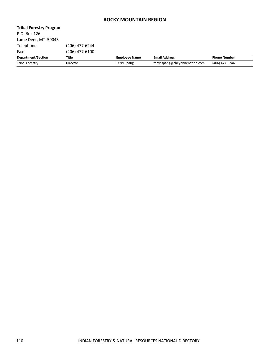| <b>Tribal Forestry Program</b> |                 |                      |                                |                     |
|--------------------------------|-----------------|----------------------|--------------------------------|---------------------|
| P.O. Box 126                   |                 |                      |                                |                     |
| Lame Deer, MT 59043            |                 |                      |                                |                     |
| Telephone:                     | (406) 477-6244  |                      |                                |                     |
| Fax:                           | (406) 477-6100  |                      |                                |                     |
| Department/Section             | <b>Title</b>    | <b>Employee Name</b> | <b>Email Address</b>           | <b>Phone Number</b> |
| <b>Tribal Forestry</b>         | <b>Director</b> | <b>Terry Spang</b>   | terry.spang@cheyennenation.com | (406) 477-6244      |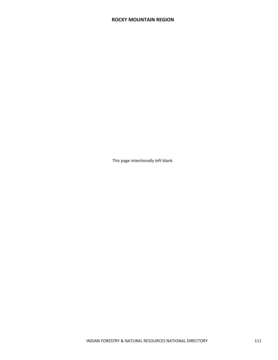This page intentionally left blank.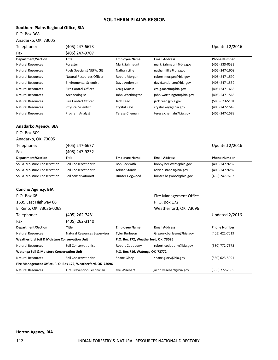### **SOUTHERN PLAINS REGION**

### **Southern Plains Regional Office, BIA**

| P.O. Box 368 |  |
|--------------|--|
|              |  |

Anadarko, OK 73005

| Telephone:               | (405) 247-6673                    |                      |                          | Updated 2/2016      |
|--------------------------|-----------------------------------|----------------------|--------------------------|---------------------|
| Fax:                     | (405) 247-9707                    |                      |                          |                     |
| Department/Section       | <b>Title</b>                      | <b>Employee Name</b> | <b>Email Address</b>     | <b>Phone Number</b> |
| Natural Resources        | Forester                          | Mark Sahmaunt        | mark.Sahmaunt@bia.gov    | (405) 933-0532      |
| Natural Resources        | <b>Fuels Specialist NEPA, GIS</b> | Nathan Lillie        | nathan.lillie@bia.gov    | (405) 247-1609      |
| Natural Resources        | Natural Resources Officer         | Robert Morgan        | robert.morgan@bia.gov    | (405) 247-1590      |
| <b>Natural Resources</b> | <b>Enviromental Scientist</b>     | Dave Anderson        | david.anderson@bia.gov   | (405) 247-1532      |
| Natural Resources        | Fire Control Officer              | <b>Craig Martin</b>  | craig.martin@bia.gov     | (405) 247-1663      |
| Natural Resources        | Archaeologist                     | John Worthington     | john.worthington@bia.gov | (405) 247-1565      |
| Natural Resources        | Fire Control Officer              | Jack Reed            | jack.reed@bia.gov        | (580) 623-5101      |
| <b>Natural Resources</b> | <b>Physical Scientist</b>         | Crystal Keys         | crystal.keys@bia.gov     | (405) 247-1549      |
| <b>Natural Resources</b> | Program Analyst                   | Teresa Chemah        | teresa.chemah@bia.gov    | (405) 247-1588      |

#### **Anadarko Agency, BIA**

| P.O. Box 309                                             |                                                              |                                     |                          |                     |
|----------------------------------------------------------|--------------------------------------------------------------|-------------------------------------|--------------------------|---------------------|
| Anadarko, OK 73005                                       |                                                              |                                     |                          |                     |
| Telephone:                                               | (405) 247-6677                                               |                                     |                          | Updated 2/2016      |
| Fax:                                                     | (405) 247-9232                                               |                                     |                          |                     |
| Department/Section                                       | <b>Title</b>                                                 | <b>Employee Name</b>                | <b>Email Address</b>     | <b>Phone Number</b> |
| Soil & Moisture Conservation                             | Soil Conservationist                                         | <b>Bob Beckwith</b>                 | bobby.beckwith@bia.gov   | (405) 247-9282      |
| Soil & Moisture Conservation                             | Soil Conservationist                                         | <b>Adrian Stands</b>                | adrian.stands@bia.gov    | (405) 247-9282      |
| Soil & Moisture Conservation                             | Soil conservationist                                         | Hunter Hegwood                      | hunter.hegwood@bia.gov   | (405) 247-9282      |
| Concho Agency, BIA                                       |                                                              |                                     |                          |                     |
| P.O. Box 68                                              |                                                              |                                     | Fire Management Office   |                     |
| 1635 East Highway 66                                     |                                                              |                                     | P. O. Box 172            |                     |
| El Reno, OK 73036-0068                                   |                                                              |                                     | Weatherford, OK 73096    |                     |
| Telephone:                                               | (405) 262-7481                                               |                                     |                          | Updated 2/2016      |
| Fax:                                                     | (405) 262-3140                                               |                                     |                          |                     |
| Department/Section                                       | <b>Title</b>                                                 | <b>Employee Name</b>                | <b>Email Address</b>     | <b>Phone Number</b> |
| Natural Resources                                        | Natural Resources Supervisor                                 | <b>Tyler Burleson</b>               | Gregory.burleson@bia.gov | (405) 422-7019      |
| <b>Weatherford Soil &amp; Moisture Conservation Unit</b> |                                                              | P.O. Box 172, Weatherford, OK 73096 |                          |                     |
| <b>Natural Resources</b>                                 | Soil Conservationist                                         | Robert Codopony                     | robert.codopony@bia.gov  | (580) 772-7373      |
| <b>Watonga Soil &amp; Moisture Conservation Unit</b>     |                                                              | P.O. Box 716, Watonga OK 73772      |                          |                     |
| <b>Natural Resources</b>                                 | Soil Conservationist                                         | Shane Glory                         | shane.glory@bia.gov      | (580) 623-5091      |
|                                                          | Fire Management Office, P. O. Box 172, Weatherford, OK 73096 |                                     |                          |                     |
| <b>Natural Resources</b>                                 | Fire Prevention Technician                                   | Jake Wisehart                       | jacob.wisehart@bia.gov   | (580) 772-2635      |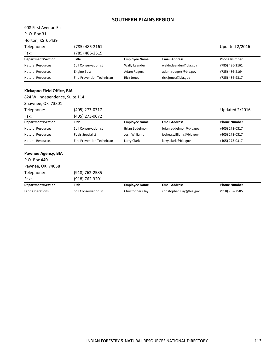### **SOUTHERN PLAINS REGION**

| 908 First Avenue East          |                                   |                       |                          |                     |
|--------------------------------|-----------------------------------|-----------------------|--------------------------|---------------------|
| P. O. Box 31                   |                                   |                       |                          |                     |
| Horton, KS 66439               |                                   |                       |                          |                     |
| Telephone:                     | (785) 486-2161                    |                       |                          | Updated 2/2016      |
| Fax:                           | (785) 486-2515                    |                       |                          |                     |
| <b>Department/Section</b>      | <b>Title</b>                      | <b>Employee Name</b>  | <b>Email Address</b>     | <b>Phone Number</b> |
| <b>Natural Resources</b>       | Soil Conservationist              | <b>Wally Leander</b>  | waldo.leander@bia.gov    | (785) 486-2161      |
| <b>Natural Resources</b>       | <b>Engine Boss</b>                | Adam Rogers           | adam.rodgers@bia.gov     | (785) 486-2164      |
| <b>Natural Resources</b>       | <b>Fire Prevention Technician</b> | <b>Rick Jones</b>     | rick.jones@bia.gov       | (785) 486-9317      |
| Kickapoo Field Office, BIA     |                                   |                       |                          |                     |
| 824 W. Independence, Suite 114 |                                   |                       |                          |                     |
| Shawnee, OK 73801              |                                   |                       |                          |                     |
| Telephone:                     | (405) 273-0317                    |                       |                          | Updated 2/2016      |
| Fax:                           | (405) 273-0072                    |                       |                          |                     |
| <b>Department/Section</b>      | Title                             | <b>Employee Name</b>  | <b>Email Address</b>     | <b>Phone Number</b> |
| <b>Natural Resources</b>       | Soil Conservationist              | <b>Brian Eddelmon</b> | brian.eddelmon@bia.gov   | (405) 273-0317      |
| <b>Natural Resources</b>       | <b>Fuels Specialist</b>           | Josh Williams         | joshua.williams@bia.gov  | (405) 273-0317      |
| Natural Resources              | Fire Prevention Technician        | Larry Clark           | larry.clark@bia.gov      | (405) 273-0317      |
| Pawnee Agency, BIA             |                                   |                       |                          |                     |
| P.O. Box 440                   |                                   |                       |                          |                     |
| Pawnee, OK 74058               |                                   |                       |                          |                     |
| Telephone:                     | (918) 762-2585                    |                       |                          |                     |
| Fax:                           | (918) 762-3201                    |                       |                          |                     |
| <b>Department/Section</b>      | <b>Title</b>                      | <b>Employee Name</b>  | <b>Email Address</b>     | <b>Phone Number</b> |
| Land Operations                | Soil Conservationist              | Christopher Clay      | christopher.clay@bia.gov | (918) 762-2585      |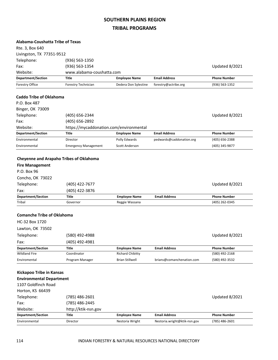## **SOUTHERN PLAINS REGION TRIBAL PROGRAMS**

### **Alabama‐Coushatta Tribe of Texas**

| Rte. 3, Box 640                                |                                         |                         |                              |                     |
|------------------------------------------------|-----------------------------------------|-------------------------|------------------------------|---------------------|
| Livingston, TX 77351-9512                      |                                         |                         |                              |                     |
| Telephone:                                     | (936) 563-1350                          |                         |                              |                     |
| Fax:                                           | (936) 563-1354                          |                         |                              | Updated 8/2021      |
| Website:                                       | www.alabama-coushatta.com               |                         |                              |                     |
| <b>Department/Section</b>                      | <b>Title</b>                            | <b>Employee Name</b>    | <b>Email Address</b>         | <b>Phone Number</b> |
| Forestry Office                                | Forestry Technician                     | Dedera Don Sylestine    | forestry@actribe.org         | (936) 563-1352      |
| <b>Caddo Tribe of Oklahoma</b>                 |                                         |                         |                              |                     |
| P.O. Box 487                                   |                                         |                         |                              |                     |
| Binger, OK 73009                               |                                         |                         |                              |                     |
| Telephone:                                     | (405) 656-2344                          |                         |                              | Updated 8/2021      |
| Fax:                                           | (405) 656-2892                          |                         |                              |                     |
| Website:                                       | https://mycaddonation.com/environmental |                         |                              |                     |
| Department/Section                             | Title                                   | <b>Employee Name</b>    | <b>Email Address</b>         | <b>Phone Number</b> |
| Environmental                                  | Director                                | Polly Edwards           | pedwards@caddonation.org     | (405) 656-2388      |
| Environmental                                  | <b>Emergency Management</b>             | <b>Scott Anderson</b>   |                              | (405) 345-9877      |
| <b>Cheyenne and Arapaho Tribes of Oklahoma</b> |                                         |                         |                              |                     |
| <b>Fire Management</b>                         |                                         |                         |                              |                     |
| P.O. Box 96                                    |                                         |                         |                              |                     |
| Concho, OK 73022                               |                                         |                         |                              |                     |
| Telephone:                                     | (405) 422-7677                          |                         |                              | Updated 8/2021      |
| Fax:                                           | (405) 422-3876                          |                         |                              |                     |
| <b>Department/Section</b>                      | Title                                   | <b>Employee Name</b>    | <b>Email Address</b>         | <b>Phone Number</b> |
| Tribal                                         | Governor                                | Reggie Wassana          |                              | (405) 262-0345      |
| <b>Comanche Tribe of Oklahoma</b>              |                                         |                         |                              |                     |
| HC-32 Box 1720                                 |                                         |                         |                              |                     |
|                                                |                                         |                         |                              |                     |
| Lawton, OK 73502                               |                                         |                         |                              |                     |
| Telephone:                                     | (580) 492-4988                          |                         |                              | Updated 8/2021      |
| Fax:                                           | (405) 492-4981                          |                         |                              |                     |
| <b>Department/Section</b>                      | Title                                   | <b>Employee Name</b>    | <b>Email Address</b>         | <b>Phone Number</b> |
| <b>Wildland Fire</b>                           | Coordinator                             | <b>Richard Chibitty</b> |                              | (580) 492-2168      |
| Enviromental                                   | Program Manager                         | <b>Brian Stillwell</b>  | brians@comanchenation.com    | (580) 492-3532      |
| <b>Kickapoo Tribe in Kansas</b>                |                                         |                         |                              |                     |
| <b>Environmental Department</b>                |                                         |                         |                              |                     |
| 1107 Goldfinch Road                            |                                         |                         |                              |                     |
| Horton, KS 66439                               |                                         |                         |                              |                     |
| Telephone:                                     | (785) 486-2601                          |                         |                              | Updated 8/2021      |
| Fax:                                           | (785) 486-2445                          |                         |                              |                     |
| Website:                                       | http://ktik-nsn.gov                     |                         |                              |                     |
| Department/Section                             | <b>Title</b>                            | <b>Employee Name</b>    | <b>Email Address</b>         | <b>Phone Number</b> |
| Environmental                                  | Director                                | Nestoria Wright         | Nestoria.wright@ktik-nsn.gov | (785) 486-2601      |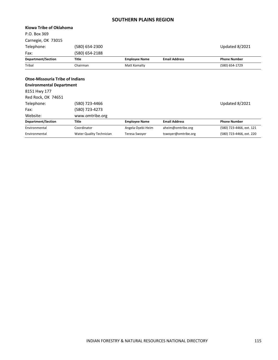### **SOUTHERN PLAINS REGION**

## **Kiowa Tribe of Oklahoma** P.O. Box 369 Carnegie, OK 73015 Telephone: (580) 654‐2300 Updated 8/2021 Fax: (580) 654‐2188 **Department/Section Title Employee Name Email Address Phone Number**  Tribal Chairman Chairman Matt Komalty Chairman Matt Komalty (580) 654-1729 **Otoe‐Missouria Tribe of Indians Environmental Department** 8151 Hwy 177 Red Rock, OK 74651 Telephone: (580) 723‐4466 Updated 8/2021 Fax: (580) 723‐4273 Website: www.omtribe.org **Department/Section Title Employee Name Email Address Phone Number**  Environmental Coordinator Angela Oyebi‐Heim aheim@omtribe.org (580) 723‐4466, ext. 121 Environmental Water Quality Technician Teresa Swoyer tswoyer@omtribe.org (580) 723‐4466, ext. 220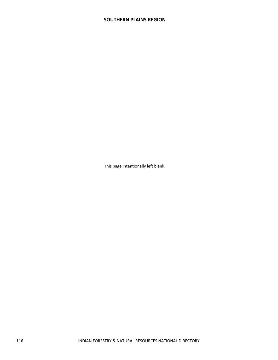### **SOUTHERN PLAINS REGION**

This page intentionally left blank.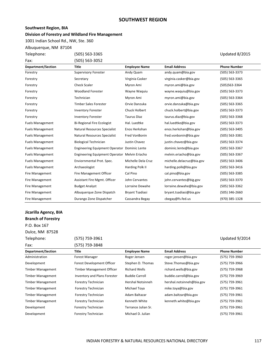### **Southwest Region, BIA**

### **Division of Forestry and Wildland Fire Management**

1001 Indian School Rd., NW, Ste. 360

Albuquerque, NM 87104

| Telephone: | (505) 563-3365 |
|------------|----------------|
|            |                |

Fax: (505) 563‐3052

| <b>Department/Section</b> | <b>Title</b>                                  | <b>Employee Name</b>   | <b>Email Address</b>      | <b>Phone Number</b> |  |  |
|---------------------------|-----------------------------------------------|------------------------|---------------------------|---------------------|--|--|
| Forestry                  | <b>Supervisory Forester</b>                   | Andy Quam              | andy.quam@bia.gov         | (505) 563-3373      |  |  |
| Forestry                  | Secretary                                     | Virginia Casker        | virginia.casker@bia.gov   | (505) 563-3365      |  |  |
| Forestry                  | <b>Check Scaler</b>                           | Myron Ami              | myron.ami@bia.gov         | (505)563-3364       |  |  |
| Forestry                  | <b>Woodland Forester</b>                      | Wayne Waguiu           | wayne.waquiu@bia.gov      | (505) 563-3373      |  |  |
| Forestry                  | Technician                                    | Myron Ami              | myron.ami@bia.gov         | (505) 563-3364      |  |  |
| Forestry                  | <b>Timber Sales Forester</b>                  | Orvie Danzuka          | orvie.danzuka@bia.gov     | (505) 563-3365      |  |  |
| Forestry                  | <b>Inventory Forester</b>                     | Chuck Holbert          | chuck.holbert@bia.gov     | (505) 563-3373      |  |  |
| Forestry                  | <b>Inventory Forester</b>                     | <b>Taurus Diaz</b>     | taurus.diaz@bia.gov       | (505) 563-3368      |  |  |
| <b>Fuels Management</b>   | <b>Bi-Regional Fire Ecologist</b>             | Hal. Luedtke           | hal.luedtke@bia.gov       | (505) 563-3373      |  |  |
| <b>Fuels Management</b>   | Natural Resources Specialist                  | Enos Herkshan          | enos.herkshan@bia.gov     | (505) 563-3405      |  |  |
| <b>Fuels Management</b>   | <b>Natural Resources Specialist</b>           | Fred VonBonin          | fred.vonbonin@bia.gov     | (505) 563-3381      |  |  |
| <b>Fuels Management</b>   | <b>Biological Technician</b>                  | Justin Chavez          | justin.chavez@bia.gov     | (505) 563-3374      |  |  |
| <b>Fuels Management</b>   | Engineering Equipment Operator Dominic Lente  |                        | dominic.lente@bia.gov     | (505) 563-3367      |  |  |
| <b>Fuels Management</b>   | Engineering Equipment Operator Melvin Eriacho |                        | melvin.eriacho@bia.gov    | (505) 563-3367      |  |  |
| <b>Fuels Management</b>   | Enviornmental Prot. Spec.                     | Michelle Dela Cruz     | michelle.delacruz@bia.gov | (505) 563-3406      |  |  |
| <b>Fuels Management</b>   | Archaeologist                                 | Harding Polk II        | harding.polk@bia.gov      | (505) 563-3416      |  |  |
| Fire Management           | Fire Management Officer                       | Cal Pino               | cal.pino@bia.gov          | (505) 563-3385      |  |  |
| <b>Fire Management</b>    | Assistant Fire Mgmt. Officer                  | John Cervantes         | john.cervantes@big.gov    | (505) 563-3370      |  |  |
| Fire Management           | <b>Budget Analyst</b>                         | Lorraine Dewahe        | lorraine.dewahe@bia.gov   | (505) 563-3362      |  |  |
| Fire Management           | Albuquerque Zone Dispatch                     | <b>Bryant Tsadiasi</b> | bryant.tsadiasi@bia.gov   | (505) 346-2660      |  |  |
| <b>Fire Management</b>    | Durango Zone Dispatcher                       | Cassandra Begay        | chegav@fs.fed.us          | (970) 385-1328      |  |  |

### **Jicarilla Agency, BIA Branch of Forestry**

P.O. Box 167 Dulce, NM 87528

## Telephone: (575) 759-3961 Updated 9/2014

Updated 8/2015

| Fax:                     | (575) 759-3848                      |                          |                           |                     |  |  |
|--------------------------|-------------------------------------|--------------------------|---------------------------|---------------------|--|--|
| Department/Section       | Title                               | <b>Employee Name</b>     | <b>Email Address</b>      | <b>Phone Number</b> |  |  |
| Administration           | <b>Forest Manager</b>               | Roger Jensen             | roger.jensen@bia.gov      | (575) 759-3960      |  |  |
| Development              | Forest Development Officer          | Stephen D. Thomas        | Steve.Thomas@bia.gov      | (575) 759-3966      |  |  |
| <b>Timber Management</b> | Timber Management Officer           | <b>Richard Wells</b>     | richard.wells@bia.gov     | (575) 759-3968      |  |  |
| <b>Timber Management</b> | <b>Inventory and Plans Forester</b> | <b>Buddie Carroll</b>    | buddie.carroll@bia.gov    | (575) 759-3969      |  |  |
| <b>Timber Management</b> | Forestry Technician                 | <b>Hershal Notsinneh</b> | hershal.notsinneh@bia.gov | (575) 759-3961      |  |  |
| <b>Timber Management</b> | Forestry Technician                 | Michael Toya             | mike.toya@bia.gov         | (575) 759-3961      |  |  |
| <b>Timber Management</b> | Forestry Technician                 | Adam Baltazar            | adam.baltzar@bia.gov      | (575) 759-3961      |  |  |
| <b>Timber Management</b> | Forestry Technician                 | Kenneth White            | kenneth.white@bia.gov     | (575) 759-3961      |  |  |
| Development              | Forestry Technician                 | Terrance Julian Sr.      |                           | (575) 759-3961      |  |  |
| Development              | Forestry Technician                 | Michael D. Julian        |                           | (575) 759-3961      |  |  |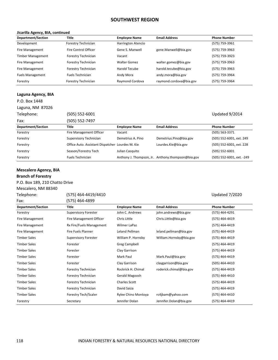#### **Jicarilla Agency, BIA, continued**

| Department/Section       | <b>Title</b>            | <b>Employee Name</b>      | <b>Email Address</b>    | <b>Phone Number</b> |
|--------------------------|-------------------------|---------------------------|-------------------------|---------------------|
| Development              | Forestry Technician     | <b>Harrington Atencio</b> |                         | (575) 759-3961      |
| Fire Management          | Fire Control Officer    | Gene S. Manwell           | gene.Manwell@bia.gov    | (575) 759-3963      |
| <b>Timber Management</b> | Forestry Technician     | Vacant                    |                         | (575) 759-3923      |
| Fire Management          | Forestry Technician     | <b>Walter Gomez</b>       | walter.gomez@bia.gov    | (575) 759-3963      |
| Fire Management          | Forestry Technician     | Harold Tecube             | harold.tecube@bia.gov   | (575) 759-3963      |
| <b>Fuels Management</b>  | <b>Fuels Technician</b> | Andy Mora                 | andy.mora@bia.gov       | (575) 759-3964      |
| Forestry                 | Forestry Technician     | Raymond Cordova           | raymond.cordova@bia.gov | (575) 759-3964      |

#### **Laguna Agency, BIA**

| P.O. Box 1448      |                                                  |                      |                                                   |                           |
|--------------------|--------------------------------------------------|----------------------|---------------------------------------------------|---------------------------|
| Laguna, NM 87026   |                                                  |                      |                                                   |                           |
| Telephone:         | (505) 552-6001                                   |                      |                                                   | Updated 9/2014            |
| Fax:               | (505) 552-7497                                   |                      |                                                   |                           |
| Department/Section | <b>Title</b>                                     | <b>Employee Name</b> | <b>Email Address</b>                              | <b>Phone Number</b>       |
| Forestry           | Fire Management Officer                          | Vacant               |                                                   | (505) 563-3371            |
| Forestry           | Supervisory Technician                           | Demetrius A. Pino    | Demetrius.Pino@bia.gov                            | (505) 552-6001, ext. 249  |
| Forestry           | Office Auto. Assistant Dispatcher Lourdes M. Kie |                      | Lourdes.Kie@bia.gov                               | (505) 552-6001, ext. 228  |
| Forestry           | Season/Forestry Tech                             | Julian Casquito      |                                                   | (505) 552-6001            |
| Forestry           | <b>Fuels Technician</b>                          |                      | Anthony J. Thompson, Jr. Anthony.thompson@bia.gov | (505) 552-6001, ext. -249 |

### **Mescalero Agency, BIA Branch of Forestry**

| P.O. Box 189, 210 Chatto Drive |  |
|--------------------------------|--|
|                                |  |

#### Mescalero, NM 88340

| Telephone:             | (575) 464-4419/4410         |                      |                         | <b>Updated 7/2020</b> |
|------------------------|-----------------------------|----------------------|-------------------------|-----------------------|
| Fax:                   | (575) 464-4899              |                      |                         |                       |
| Department/Section     | Title                       | <b>Employee Name</b> | <b>Email Address</b>    | <b>Phone Number</b>   |
| Forestry               | <b>Supervisory Forester</b> | John C. Andrews      | john.andrews@bia.gov    | (575) 464-4291        |
| Fire Management        | Fire Management Officer     | Chris Little         | Chris.Little@bia.gov    | (575) 464-4419        |
| Fire Management        | Rx Fire/Fuels Management    | Wilmer LaPaz         |                         | (575) 464-4419        |
| <b>Fire Management</b> | Fire Fuels Planner          | Leland Pellman       | leland.pellman@bia.gov  | (575) 464-4419        |
| <b>Timber Sales</b>    | <b>Supervisory Forester</b> | William P. Hornsby   | William.Hornsby@bia.gov | (575) 464-4419        |
| <b>Timber Sales</b>    | Forester                    | <b>Greg Campbell</b> |                         | (575) 464-4419        |
| <b>Timber Sales</b>    | Forester                    | Clay Garrison        |                         | (575) 464-4419        |
| <b>Timber Sales</b>    | Forester                    | Mark Paul            | Mark.Paul@bia.gov       | (575) 464-4419        |
| <b>Timber Sales</b>    | Forester                    | Clay Garrison        | claygarrison@bia.gov    | (505) 464-4410        |
| <b>Timber Sales</b>    | Forestry Technician         | Rockrick H. Chimal   | roderick.chimal@bia.gov | (575) 464-4419        |
| <b>Timber Sales</b>    | Forestry Technician         | Gerald Magoosh       |                         | (575) 464-4410        |
| <b>Timber Sales</b>    | Forestry Technician         | <b>Charles Scott</b> |                         | (575) 464-4419        |
| <b>Timber Sales</b>    | Forestry Technician         | David Saiza          |                         | (575) 464-4419        |
| <b>Timber Sales</b>    | Forestry Tech/Scaler        | Rylee Chino Montoya  | rc4jbam@yahoo.com       | (575) 464-4410        |

Forestry Secretary Jennifer Dolan Jennifer.Dolan@bia.gov (575) 464‐4419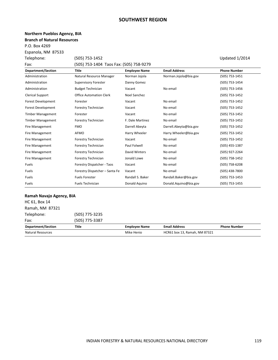### **Northern Pueblos Agency, BIA Branch of Natural Resources**

P.O. Box 4269

Espanola, NM 87533

Telephone: (505) 753-1452 Updated 1/2014

Fax: (505) 753‐1404 Taos Fax: (505) 758‐9279

| Department/Section        | <b>Title</b>                   | <b>Employee Name</b> | <b>Email Address</b>   | <b>Phone Number</b> |  |
|---------------------------|--------------------------------|----------------------|------------------------|---------------------|--|
| Administration            | Natural Resource Manager       | Norman Jojola        | Norman.Jojola@bia.gov  | (505) 753-1451      |  |
| Administration            | <b>Supervisory Forester</b>    | Danny Gomez          |                        | (505) 753-1454      |  |
| Administration            | <b>Budget Technician</b>       | Vacant               | No email               | (505) 753-1456      |  |
| <b>Clerical Support</b>   | <b>Office Automation Clerk</b> | Noel Sanchez         |                        | (505) 753-1452      |  |
| <b>Forest Development</b> | Forester                       | Vacant               | No email               | (505) 753-1452      |  |
| <b>Forest Development</b> | Forestry Technician            | Vacant               | No email               | (505) 753-1452      |  |
| <b>Timber Management</b>  | Forester                       | Vacant               | No email               | (505) 753-1452      |  |
| <b>Timber Management</b>  | Forestry Technician            | F. Dale Martinez     | No email               | (505) 753-1452      |  |
| Fire Management           | <b>FMO</b>                     | Darrell Abeyta       | Darrell.Abeyta@bia.gov | (505) 753-1452      |  |
| Fire Management           | AFMO                           | Harry Wheeler        | Harry. Wheeler@bia.gov | (505) 753-1452      |  |
| <b>Fire Management</b>    | Forestry Technician            | Vacant               | No email               | (505) 753-1452      |  |
| <b>Fire Management</b>    | Forestry Technician            | Paul Folwell         | No email               | (505) 455-1387      |  |
| <b>Fire Management</b>    | Forestry Technician            | David Winters        | No email               | (505) 927-2264      |  |
| <b>Fire Management</b>    | Forestry Technician            | Jonald Lowe          | No email               | (505) 758-1452      |  |
| Fuels                     | Forestry Dispatcher - Taos     | Vacant               | No email               | (505) 758-6208      |  |
| Fuels                     | Forestry Dispatcher - Santa Fe | Vacant               | No email               | (505) 438-7800      |  |
| Fuels                     | <b>Fuels Forester</b>          | Randall S. Baker     | Randall.Baker@bia.gov  | (505) 753-1453      |  |
| Fuels                     | <b>Fuels Technician</b>        | Donald Aquino        | Donald.Aquino@bia.gov  | (505) 753-1455      |  |

### **Ramah Navajo Agency, BIA**

| <b>Natural Resources</b> |                | Mike Henio           | HCR61 box 13, Ramah, NM 87321 |                     |
|--------------------------|----------------|----------------------|-------------------------------|---------------------|
| Department/Section       | Title          | <b>Employee Name</b> | <b>Email Address</b>          | <b>Phone Number</b> |
| Fax:                     | (505) 775-3387 |                      |                               |                     |
| Telephone:               | (505) 775-3235 |                      |                               |                     |
| Ramah, NM 87321          |                |                      |                               |                     |
| HC 61, Box 14            |                |                      |                               |                     |
|                          |                |                      |                               |                     |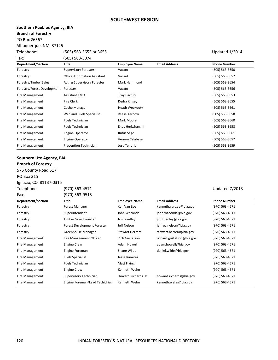### **Southern Pueblos Agency, BIA**

**Branch of Forestry** 

PO Box 26567

Albuquerque, NM 87125

Telephone: (505) 563‐3652 or 3655 Updated 1/2014

| Fax:                        | (505) 563-3074                     |                      |                      |                     |
|-----------------------------|------------------------------------|----------------------|----------------------|---------------------|
| Department/Section          | Title                              | <b>Employee Name</b> | <b>Email Address</b> | <b>Phone Number</b> |
| Forestry                    | <b>Supervisory Forester</b>        | Vacant               |                      | (505) 563-3650      |
| Forestry                    | <b>Office Automation Assistant</b> | Vacant               |                      | (505) 563-3652      |
| Forestry/Timber Sales       | <b>Acting Supervisory Forester</b> | Mark Hammond         |                      | (505) 563-3654      |
| Forestry/Forest Development | Forester                           | Vacant               |                      | (505) 563-3656      |
| <b>Fire Management</b>      | <b>Assistant FMO</b>               | Troy Cachini         |                      | (505) 563-3653      |
| <b>Fire Management</b>      | Fire Clerk                         | Dedra Kinsey         |                      | (505) 563-3655      |
| <b>Fire Management</b>      | Cache Manager                      | Heath Weekooty       |                      | (505) 563-3661      |
| <b>Fire Management</b>      | <b>Wildland Fuels Specialist</b>   | Reese Kerbow         |                      | (505) 563-3658      |
| <b>Fire Management</b>      | <b>Fuels Technician</b>            | Mark Moore           |                      | (505) 563-3660      |
| <b>Fire Management</b>      | <b>Fuels Technician</b>            | Enos Herkshan, III   |                      | (505) 563-3658      |
| <b>Fire Management</b>      | <b>Engine Operator</b>             | Rufus Sago           |                      | (505) 563-3661      |
| Fire Management             | <b>Engine Operator</b>             | Vernon Calabaza      |                      | (505) 563-3657      |
| Fire Management             | <b>Prevention Technician</b>       | Jose Tenorio         |                      | (505) 563-3659      |

**Branch of Forestry**  575 County Road 517 PO Box 315 Ignacio, CO 81137‐0315 Telephone: (970) 563‐4571 Updated 7/2013

Fax: (970) 563‐9515

| Department/Section     | <b>Title</b>                   | <b>Employee Name</b>   | <b>Email Address</b>      | <b>Phone Number</b> |
|------------------------|--------------------------------|------------------------|---------------------------|---------------------|
| Forestry               | <b>Forest Manager</b>          | Ken Van Zee            | kenneth.vanzee@bia.gov    | (970) 563-4571      |
| Forestry               | Superintendent                 | John Waconda           | john.waconda@bia.gov      | (970) 563-4511      |
| Forestry               | Timber Sales Forester          | Jim Friedley           | jim.friedley@bia.gov      | (970) 563-4571      |
| Forestry               | Forest Development Forester    | Jeff Nelson            | jeffrey.nelson@bia.gov    | (970) 563-4571      |
| Forestry               | Greenhouse Manager             | <b>Stewart Herrera</b> | stewart.herrera@bia.gov   | (970) 563-4571      |
| Fire Management        | Fire Management Officer        | <b>Rich Gustafson</b>  | richard.gustafson@bia.gov | (970) 563-4571      |
| Fire Management        | Engine Crew                    | Adam Howell            | adam.howell@bia.gov       | (970) 563-4571      |
| <b>Fire Management</b> | Engine Foreman                 | Shane Wilde            | daniel.wilde@bia.gov      | (970) 563-4571      |
| <b>Fire Management</b> | <b>Fuels Specialist</b>        | Jesse Ramirez          |                           | (970) 563-4571      |
| Fire Management        | <b>Fuels Technician</b>        | Matt Flying            |                           | (970) 563-4571      |
| <b>Fire Management</b> | <b>Engine Crew</b>             | Kenneth Wehn           |                           | (970) 563-4571      |
| <b>Fire Management</b> | Supervisory Technician         | Howard Richards, Jr.   | howard.richards@bia.gov   | (970) 563-4571      |
| <b>Fire Management</b> | Engine Foreman/Lead Techichian | Kenneth Wehn           | kenneth.wehn@bia.gov      | (970) 563-4571      |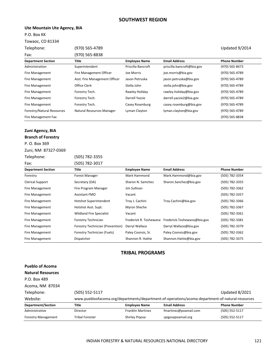### **Ute Mountain Ute Agency, BIA**

P.O. Box KK

Towaoc, CO 81334

Telephone: (970) 565-4789<br>  $(970)$  565-4789 Updated 9/2014

| Fax:                       | (970) 565-8838                |                      |                            |                     |  |  |
|----------------------------|-------------------------------|----------------------|----------------------------|---------------------|--|--|
| <b>Department Section</b>  | Title                         | <b>Employee Name</b> | <b>Email Address</b>       | <b>Phone Number</b> |  |  |
| Administration             | Superintendent                | Priscilla Bancroft   | priscilla.bancroft@bia.gov | (970) 565-8473      |  |  |
| Fire Management            | Fire Management Officer       | Joe Morris           | joe.morris@bia.gov         | (970) 565-4789      |  |  |
| Fire Management            | Asst. Fire Management Officer | Jason Petruska       | jason.petruska@bia.gov     | (970) 565-4789      |  |  |
| Fire Management            | Office Clerk                  | Stella John          | stella.john@bia.gov        | (970) 565-4789      |  |  |
| Fire Management            | Forestry Tech.                | Rawley Holiday       | rawley.holiday@bia.gov     | (970) 565-4789      |  |  |
| Fire Management            | Forestry Tech.                | Darrell Yazzie       | darrell.yazzie2@bia.gov    | (970) 565-4789      |  |  |
| Fire Management            | Forestry Tech.                | Casey Rosenburg      | casey.rosenburg@bia.gov    | (970) 565-4789      |  |  |
| Forestry/Natural Resources | Natural Resources Manager     | Lyman Clayton        | lyman.clayton@bia.gov      | (970) 565-4789      |  |  |
| Fire Management Fax        |                               |                      |                            | (970) 565-8838      |  |  |

## **Zuni Agency, BIA**

#### **Branch of Forestry**

| P. O. Box 369             |                                         |                        |                             |                     |  |
|---------------------------|-----------------------------------------|------------------------|-----------------------------|---------------------|--|
| Zuni, NM 87327-0369       |                                         |                        |                             |                     |  |
| Telephone:                | (505) 782-3355                          |                        |                             |                     |  |
| Fax:                      | (505) 782-3017                          |                        |                             |                     |  |
| <b>Department Section</b> | Title                                   | <b>Employee Name</b>   | <b>Email Address</b>        | <b>Phone Number</b> |  |
| Forestry                  | Forest Manager                          | Mark Hammond           | Mark.Hammond@bia.gov        | (505) 782-3354      |  |
| <b>Clerical Support</b>   | Secretary (OA)                          | Sharon N. Samchez      | Sharon.Sanchez@bia.gov      | (505) 782-3355      |  |
| Fire Management           | Fire Program Manager                    | Jim Sullivan           |                             | (505) 782-3362      |  |
| Fire Management           | <b>Assistant FMO</b>                    | Vacant                 |                             | (505) 782-3357      |  |
| <b>Fire Management</b>    | <b>Hotshot Superintendent</b>           | Troy J. Cachini        | Troy.Cachini@bia.gov        | (505) 782-3366      |  |
| <b>Fire Management</b>    | Hotshot Asst. Supt.                     | Myron Sheche           |                             | (505) 782-3367      |  |
| <b>Fire Management</b>    | <b>Wildland Fire Specialist</b>         | Vacant                 |                             | (505) 782-3361      |  |
| Fire Management           | Forestry Technician                     | Frederick R. Toshewana | Frederick.Toshewana@bia.gov | (505) 782-3381      |  |
| Fire Management           | <b>Forestry Technician (Prevention)</b> | Darryl Wallace         | Darryl. Wallace@bia.gov     | (505) 782-3379      |  |
| Fire Management           | Forestry Technician (Fuels)             | Paley Coonsis, Sr.     | Paley.Coonsis@bia.gov       | (505) 782-3362      |  |
| <b>Fire Management</b>    | Dispatcher                              | Shannon R. Hattie      | Shannon.Hattie@bia.gov      | (505) 782-3375      |  |

### **TRIBAL PROGRAMS**

| <b>Pueblo of Acoma</b>     |                        |                          |                                                                                                  |                     |
|----------------------------|------------------------|--------------------------|--------------------------------------------------------------------------------------------------|---------------------|
| <b>Natural Resources</b>   |                        |                          |                                                                                                  |                     |
| P.O. Box 489               |                        |                          |                                                                                                  |                     |
| Acoma, NM 87034            |                        |                          |                                                                                                  |                     |
| Telephone:                 | (505) 552-5117         |                          |                                                                                                  | Updated 8/2021      |
| Website:                   |                        |                          | www.puebloofacoma.org/departments/department-of-operations/acoma-department-of-natural-resources |                     |
| Department/Section         | <b>Title</b>           | <b>Employee Name</b>     | <b>Email Address</b>                                                                             | <b>Phone Number</b> |
| Administrative             | Director               | <b>Franklin Martinez</b> | fmartinez@poamail.com                                                                            | (505) 552-5117      |
| <b>Forestry Management</b> | <b>Tribal Forester</b> | Shirley Pigosa           | spigosapoamail.org                                                                               | (505) 552-5117      |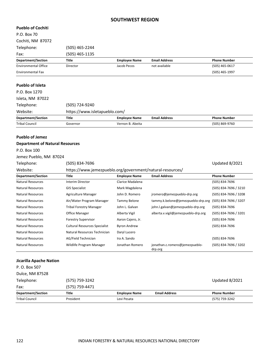| <b>Pueblo of Cochiti</b>               |                                                           |                      |                                                          |                       |
|----------------------------------------|-----------------------------------------------------------|----------------------|----------------------------------------------------------|-----------------------|
| P.O. Box 70                            |                                                           |                      |                                                          |                       |
| Cochiti, NM 87072                      |                                                           |                      |                                                          |                       |
| Telephone:                             | (505) 465-2244                                            |                      |                                                          |                       |
| Fax:                                   | (505) 465-1135                                            |                      |                                                          |                       |
| Department/Section                     | <b>Title</b>                                              | <b>Employee Name</b> | <b>Email Address</b>                                     | <b>Phone Number</b>   |
| <b>Environmental Office</b>            | Director                                                  | Jacob Pecos          | not available                                            | (505) 465-0617        |
| <b>Environmental Fax</b>               |                                                           |                      |                                                          | (505) 465-1997        |
| <b>Pueblo of Isleta</b>                |                                                           |                      |                                                          |                       |
| P.O. Box 1270                          |                                                           |                      |                                                          |                       |
| Isleta, NM 87022                       |                                                           |                      |                                                          |                       |
| Telephone:                             | (505) 724-9240                                            |                      |                                                          |                       |
| Website:                               | https://www.isletapueblo.com/                             |                      |                                                          |                       |
| <b>Department/Section</b>              | <b>Title</b>                                              | <b>Employee Name</b> | <b>Email Address</b>                                     | <b>Phone Number</b>   |
| <b>Tribal Council</b>                  | Governor                                                  | Vernon B. Abeita     |                                                          | (505) 869-9760        |
|                                        |                                                           |                      |                                                          |                       |
| <b>Pueblo of Jemez</b>                 |                                                           |                      |                                                          |                       |
| <b>Department of Natural Resources</b> |                                                           |                      |                                                          |                       |
| P.O. Box 100                           |                                                           |                      |                                                          |                       |
| Jemez Pueblo, NM 87024                 |                                                           |                      |                                                          |                       |
| Telephone:                             | (505) 834-7696                                            |                      |                                                          | Updated 8/2021        |
| Website:                               | https://www.jemezpueblo.org/government/natural-resources/ |                      |                                                          |                       |
| <b>Department/Section</b>              | <b>Title</b>                                              | <b>Employee Name</b> | <b>Email Address</b>                                     | <b>Phone Number</b>   |
| <b>Natural Resources</b>               | <b>Interim Director</b>                                   | Clarice Madalena     |                                                          | (505) 834-7696        |
| <b>Natural Resources</b>               | <b>GIS Specialist</b>                                     | Mark Magdalena       |                                                          | (505) 834-7696 / 3210 |
| <b>Natural Resources</b>               | Agriculture Manager                                       | John D. Romero       | jromero@jemezpueblo-drp.org                              | (505) 834-7696 / 3208 |
| <b>Natural Resources</b>               | Air/Water Program Manager                                 | <b>Tammy Belone</b>  | tammy.k.belone@jemezpueblo-drp.org (505) 834-7696 / 3207 |                       |
| <b>Natural Resources</b>               | <b>Tribal Forestry Manager</b>                            | John L. Galvan       | john.l.galvan@jemezpueblo-drp.org                        | (505) 834-7696        |
| <b>Natural Resources</b>               | Office Manager                                            | Alberta Vigil        | alberta.v.vigil@jemezpueblo-drp.org                      | (505) 834-7696 / 3201 |
| <b>Natural Resources</b>               | <b>Forestry Supervisor</b>                                | Aaron Cajero, Jr.    |                                                          | (505) 834-7696        |
| <b>Natural Resources</b>               | <b>Cultural Resources Specialist</b>                      | <b>Byron Andrew</b>  |                                                          | (505) 834-7696        |

| Jicarilla Apache Nation |  |
|-------------------------|--|

P. O. Box 507

Natural Resources Natural Resources Technician Daryl Lucero

| Dulce, NM 87528       |                |                      |                      |                     |
|-----------------------|----------------|----------------------|----------------------|---------------------|
| Telephone:            | (575) 759-3242 |                      |                      | Updated 8/2021      |
| Fax:                  | (575) 759-4471 |                      |                      |                     |
| Department/Section    | Title          | <b>Employee Name</b> | <b>Email Address</b> | <b>Phone Number</b> |
| <b>Tribal Council</b> | President      | Levi Pesata          |                      | (575) 759-3242      |

drp.org

(505) 834‐7696 / 3202

Natural Resources AG/Field Technician Ira A. Sando (505) 834‐7696

Natural Resources Wildlife Program Manager Jonathan Romero jonathan.c.romero@jemezpueblo‐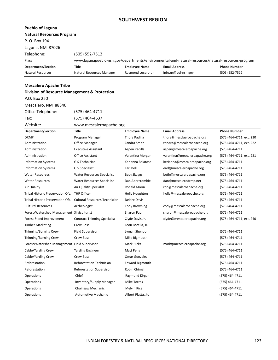| <b>Pueblo of Laguna</b>          |                           |                      |                                                                                                    |                     |
|----------------------------------|---------------------------|----------------------|----------------------------------------------------------------------------------------------------|---------------------|
| <b>Natural Resources Program</b> |                           |                      |                                                                                                    |                     |
| P. O. Box 194                    |                           |                      |                                                                                                    |                     |
| Laguna, NM 87026                 |                           |                      |                                                                                                    |                     |
| Telephone:                       | (505) 552-7512            |                      |                                                                                                    |                     |
| Fax:                             |                           |                      | www.lagunapueblo-nsn.gov/departments/environmental-and-natural-resources/natural-resources-program |                     |
| <b>Department/Section</b>        | Title                     | <b>Employee Name</b> | <b>Email Address</b>                                                                               | <b>Phone Number</b> |
| <b>Natural Resources</b>         | Natural Resources Manager | Raymond Lucero, Jr.  | info.nr@pol-nsn.gov                                                                                | (505) 552-7512      |

### **Mescalero Apache Tribe Division of Resource Management & Protection**

P.O. Box 250

Mescalero, NM 88340

Office Telephone: (575) 464‐4711 Fax: (575) 464‐4637

Website: www.mescaleroapache.org

| Department/Section                                              | <b>Title</b>                        | <b>Employee Name</b>   | <b>Email Address</b>          | <b>Phone Number</b>      |
|-----------------------------------------------------------------|-------------------------------------|------------------------|-------------------------------|--------------------------|
| <b>DRMP</b>                                                     | Program Manager                     | <b>Thora Padilla</b>   | thora@mesclaeroapache.org     | (575) 464-4711, ext. 230 |
| Administration                                                  | Office Manager                      | Zandra Smith           | zandra@mescaleroapache.org    | (575) 464-4711, ext. 222 |
| Administration                                                  | <b>Executive Assistant</b>          | Aspen Padilla          | aspen@mescaleroapache.org     | (575) 464-4711           |
| Administration                                                  | <b>Office Assistant</b>             | Valentina Morgan       | valentina@mescaleroapache.org | (575) 464-4711, ext. 221 |
| <b>Information Systems</b>                                      | <b>GIS Technician</b>               | Kerianna Balatche      | kerianna@mescaleroapache.org  | (575) 464-4711           |
| <b>Information Systems</b>                                      | <b>GIS Specialist</b>               | Earl Bell              | earl@mescaleroapache.org      | (575) 464-4711           |
| <b>Water Resources</b>                                          | <b>Water Resources Specialist</b>   | <b>Beth Skaggs</b>     | beth@mescaleroapache.org      | (575) 464-4711           |
| <b>Water Resources</b>                                          | <b>Water Resources Specialist</b>   | Dan Abercrombie        | dan@mescalerodrmp.net         | $(575)$ 464-4711         |
| Air Quality                                                     | Air Quality Specialist              | <b>Ronald Morin</b>    | ron@mescaleroapache.org       | (575) 464-4711           |
| Tribal Historic Preservation Ofc. THP Officer                   |                                     | Holly Houghton         | holly@mescaleropache.org      | (575) 464-4711           |
| Tribal Historic Preservation Ofc. Cultural Resources Technician |                                     | Deidre Davis           |                               | (575) 464-4711           |
| <b>Cultural Resources</b>                                       | Archeologist                        | Cody Browning          | cody@mescaleroapache.org      | (575) 464-4711           |
| Forest/Watershed Management Silviculturist                      |                                     | Sharon Paul            | sharon@mescaleroapache.org    | (575) 464-4711           |
| Forest Stand Improvement                                        | <b>Contract Thinning Specialist</b> | Clyde Davis Jr.        | clyde@mescaleroapache.org     | (575) 464-4711, ext. 240 |
| <b>Timber Marketing</b>                                         | Crew Boss                           | Leon Botella, Jr.      |                               |                          |
| Thinning/Burning Crew                                           | <b>Field Supervisor</b>             | Lyman Shendo           |                               | (575) 464-4711           |
| Thinning/Burning Crew                                           | <b>Crew Boss</b>                    | Mike Bigmouth          |                               | (575) 464-4711           |
| Forest/Watershed Management Field Supervisor                    |                                     | Mark Hicks             | mark@mescaleroapache.org      | (575) 464-4711           |
| Cable/Yarding Crew                                              | Yarding Engineer                    | Matt Pena              |                               | (575) 464-4711           |
| Cable/Yarding Crew                                              | <b>Crew Boss</b>                    | <b>Omar Gonzalez</b>   |                               | (575) 464-4711           |
| Reforestation                                                   | Reforestation Technician            | <b>Edward Bigmouth</b> |                               | (575) 464-4711           |
| Reforestation                                                   | <b>Reforestation Supervisor</b>     | Robin Chimal           |                               | (575) 464-4711           |
| Operations                                                      | Chief                               | Raymond Kirgan         |                               | (575) 464-4711           |
| Operations                                                      | Inventory/Supply Manager            | <b>Mike Torres</b>     |                               | (575) 464-4711           |
| Operations                                                      | Chainsaw Mechanic                   | <b>Melvin Rice</b>     |                               | (575) 464-4711           |
| Operations                                                      | Automotive Mechanic                 | Albert Platta, Jr.     |                               | (575) 464-4711           |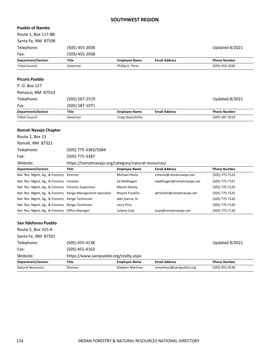#### **Pueblo of Nambe**

| Route 1, Box 117-BB                                         |                                                     |                      |                            |                     |
|-------------------------------------------------------------|-----------------------------------------------------|----------------------|----------------------------|---------------------|
| Santa Fe, NM 87506                                          |                                                     |                      |                            |                     |
| Telephone:                                                  | (505) 455-2036                                      |                      |                            | Updated 8/2021      |
| Fax:                                                        | (505) 455-2038                                      |                      |                            |                     |
| Department/Section                                          | Title                                               | <b>Employee Name</b> | <b>Email Address</b>       | <b>Phone Number</b> |
| <b>Tribal Council</b>                                       | Governor                                            | Phillip A. Perez     |                            | (505) 455-2036      |
| <b>Picuris Pueblo</b>                                       |                                                     |                      |                            |                     |
| P. O. Box 127                                               |                                                     |                      |                            |                     |
| Penasco, NM 87553                                           |                                                     |                      |                            |                     |
| Telephone:                                                  | (505) 587-2519                                      |                      |                            | Updated 8/2021      |
| Fax:                                                        | (505) 587-1071                                      |                      |                            |                     |
| Department/Section                                          | <b>Title</b>                                        | <b>Employee Name</b> | <b>Email Address</b>       | <b>Phone Number</b> |
| <b>Tribal Council</b>                                       | Governor                                            | Craig Quanchello     |                            | (505) 587-2519      |
|                                                             |                                                     |                      |                            |                     |
| Ramah Navajo Chapter<br>Route 2, Box 13                     |                                                     |                      |                            |                     |
| Ramah, NM 87321                                             |                                                     |                      |                            |                     |
| Telephone:                                                  |                                                     |                      |                            |                     |
| Fax:                                                        | (505) 775-3383/3384<br>(505) 775-3387               |                      |                            |                     |
| Website:                                                    | https://ramahnavajo.org/category/natural-resources/ |                      |                            |                     |
| Department/Section                                          | <b>Title</b>                                        | <b>Employee Name</b> | <b>Email Address</b>       | <b>Phone Number</b> |
| Nat. Res. Mgmt, Ag., & Forestry                             | Director                                            | Michael Henlo        | mhenlo@ramahnavajo.net     | (505) 775-7123      |
| Nat. Res. Mgmt, Ag., & Forestry Forester                    |                                                     | Ed Wallhagen         | ewallhagen@ramahnavajo.net | (505) 775-7127      |
| Nat. Res. Mgmt, Ag., & Forestry Forestry Supervisor         |                                                     | Marvin Kelsey        |                            | (505) 775-7120      |
| Nat. Res. Mgmt, Ag., & Forestry Range Management Specialist |                                                     | Wayne Franklin       | wfranklin@ramahnavajo.net  | (505) 775-7125      |
| Nat. Res. Mgmt, Ag., & Forestry Range Technician            |                                                     | Jake Garcia, Sr.     |                            | (505) 775-7120      |
| Nat. Res. Mgmt, Ag., & Forestry                             | Range Technician                                    | Larry Pino           |                            | (505) 775-7120      |
| Nat. Res. Mgmt, Ag., & Forestry                             | Office Manager                                      | Juliana Cojo         | jcojo@ramahnavajo.net      | (505) 775-7120      |
| San Ildefonso Pueblo                                        |                                                     |                      |                            |                     |
| Route 5, Box 315-A                                          |                                                     |                      |                            |                     |
| Santa Fe, NM 87501                                          |                                                     |                      |                            |                     |
| Telephone:                                                  | (505) 455-4138                                      |                      |                            | Updated 8/2021      |
| Fax:                                                        | (505) 455-4163                                      |                      |                            |                     |
| Website:                                                    |                                                     |                      |                            |                     |
|                                                             | https://www.sanipueblo.org/realty.aspx              |                      |                            |                     |

natural Resources **Martinez** Director Stephen Martinez stmartinez@sanipueblo.org (505) 455-4138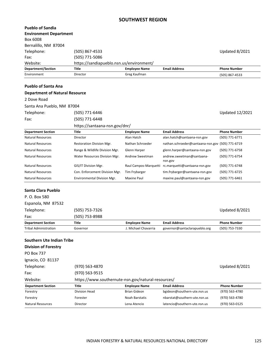| <b>Pueblo of Sandia</b>               |                                                    |                      |                                                     |                        |
|---------------------------------------|----------------------------------------------------|----------------------|-----------------------------------------------------|------------------------|
| <b>Environment Department</b>         |                                                    |                      |                                                     |                        |
| Box 6008                              |                                                    |                      |                                                     |                        |
| Bernalillo, NM 87004                  |                                                    |                      |                                                     |                        |
| Telephone:                            | (505) 867-4533                                     |                      |                                                     | Updated 8/2021         |
| Fax:                                  | (505) 771-5086                                     |                      |                                                     |                        |
| Website:                              | https://sandiapueblo.nsn.us/environment/           |                      |                                                     |                        |
| Department/Section                    | Title                                              | <b>Employee Name</b> | <b>Email Address</b>                                | <b>Phone Number</b>    |
| Environment                           | Director                                           | Greg Kaufman         |                                                     | (505) 867-4533         |
| <b>Pueblo of Santa Ana</b>            |                                                    |                      |                                                     |                        |
| <b>Department of Natural Resource</b> |                                                    |                      |                                                     |                        |
| 2 Dove Road                           |                                                    |                      |                                                     |                        |
| Santa Ana Pueblo, NM 87004            |                                                    |                      |                                                     |                        |
| Telephone:                            | (505) 771-6446                                     |                      |                                                     | <b>Updated 12/2021</b> |
| Fax:                                  | (505) 771-6448                                     |                      |                                                     |                        |
|                                       | https://santaana-nsn.gov/dnr/                      |                      |                                                     |                        |
| <b>Department Section</b>             | <b>Title</b>                                       | <b>Employee Name</b> | <b>Email Address</b>                                | <b>Phone Number</b>    |
| <b>Natural Resources</b>              | Director                                           | Alan Hatch           | alan.hatch@santaana-nsn.gov                         | (505) 771-6771         |
| <b>Natural Resources</b>              | Restoration Division Mgr.                          | Nathan Schroeder     | nathan.schroeder@santaana-nsn.gov                   | (505) 771-6719         |
| <b>Natural Resources</b>              | Range & Wildlife Division Mgr.                     | Glenn Harper         | glenn.harper@santaana-nsn.gov                       | (505) 771-6758         |
| <b>Natural Resources</b>              | Water Resources Division Mgr.                      | Andrew Sweetman      | andrew.sweetman@santaana-<br>nsn.gov                | (505) 771-6754         |
| <b>Natural Resources</b>              | GIS/IT Division Mgr.                               |                      | Raul Campos-Marquetti rc.marquetti@santaana-nsn.gov | (505) 771-6748         |
| <b>Natural Resources</b>              | Con. Enforcement Division Mgr.                     | Tim Frybarger        | tim.frybarger@santaana-nsn.gov                      | (505) 771-6725         |
| <b>Natural Resources</b>              | Environmental Division Mgr.                        | <b>Maxine Paul</b>   | maxine.paul@santaana-nsn.gov                        | (505) 771-6461         |
| Santa Clara Pueblo                    |                                                    |                      |                                                     |                        |
| P.O. Box 580                          |                                                    |                      |                                                     |                        |
| Espanola, NM 87532                    |                                                    |                      |                                                     |                        |
| Telephone:                            | (505) 753-7326                                     |                      |                                                     | Updated 8/2021         |
| Fax:                                  | (505) 753-8988                                     |                      |                                                     |                        |
| <b>Department Section</b>             | Title                                              | <b>Employee Name</b> | <b>Email Address</b>                                | <b>Phone Number</b>    |
| <b>Tribal Administration</b>          | Governor                                           | J. Michael Chavarria | governor@santaclarapueblo.org                       | (505) 753-7330         |
|                                       |                                                    |                      |                                                     |                        |
| <b>Southern Ute Indian Tribe</b>      |                                                    |                      |                                                     |                        |
| <b>Division of Forestry</b>           |                                                    |                      |                                                     |                        |
| PO Box 737                            |                                                    |                      |                                                     |                        |
| Ignacio, CO 81137                     |                                                    |                      |                                                     |                        |
| Telephone:                            | (970) 563-4870                                     |                      |                                                     | Updated 8/2021         |
| Fax:                                  | (970) 563-9515                                     |                      |                                                     |                        |
| Website:                              | https://www.southernute-nsn.gov/natural-resources/ |                      |                                                     |                        |
| <b>Department Section</b>             | <b>Title</b>                                       | <b>Employee Name</b> | <b>Email Address</b>                                | <b>Phone Number</b>    |
| Forestry                              | Division Head                                      | <b>Brian Gideon</b>  | bgideon@southern-ute.nsn.us                         | (970) 563-4780         |
| Forestry                              | Forester                                           | Noah Barstatis       | nbarstat@southern-ute.nsn.us                        | (970) 563-4780         |
| <b>Natural Resources</b>              | Director                                           | Lena Atencio         | latencio@southern-ute.nsn.us                        | (970) 563-0125         |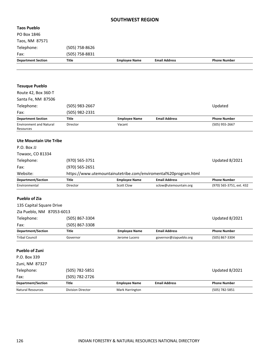| <b>Taos Pueblo</b>                          |                          |                      |                                                                 |                          |
|---------------------------------------------|--------------------------|----------------------|-----------------------------------------------------------------|--------------------------|
| PO Box 1846                                 |                          |                      |                                                                 |                          |
| Taos, NM 87571                              |                          |                      |                                                                 |                          |
| Telephone:                                  | (505) 758-8626           |                      |                                                                 |                          |
| Fax:                                        | (505) 758-8831           |                      |                                                                 |                          |
| <b>Department Section</b>                   | <b>Title</b>             | <b>Employee Name</b> | <b>Email Address</b>                                            | <b>Phone Number</b>      |
|                                             |                          |                      |                                                                 |                          |
|                                             |                          |                      |                                                                 |                          |
| <b>Tesuque Pueblo</b>                       |                          |                      |                                                                 |                          |
| Route 42, Box 360-T                         |                          |                      |                                                                 |                          |
| Santa Fe, NM 87506                          |                          |                      |                                                                 |                          |
| Telephone:                                  | (505) 983-2667           |                      |                                                                 | Updated                  |
| Fax:                                        | (505) 982-2331           |                      |                                                                 |                          |
| <b>Department Section</b>                   | <b>Title</b>             | <b>Employee Name</b> | <b>Email Address</b>                                            | <b>Phone Number</b>      |
| <b>Environment and Natural</b><br>Resources | Director                 | Vacant               |                                                                 | (505) 955-2667           |
| <b>Ute Mountain Ute Tribe</b>               |                          |                      |                                                                 |                          |
| P.O. Box JJ                                 |                          |                      |                                                                 |                          |
| Towaoc, CO 81334                            |                          |                      |                                                                 |                          |
| Telephone:                                  | (970) 565-3751           |                      |                                                                 | Updated 8/2021           |
| Fax:                                        | (970) 565-2651           |                      |                                                                 |                          |
| Website:                                    |                          |                      | https://www.utemountainutetribe.com/enviromental%20program.html |                          |
| Department/Section                          | <b>Title</b>             | <b>Employee Name</b> | <b>Email Address</b>                                            | <b>Phone Number</b>      |
| Environmental                               | Director                 | <b>Scott Clow</b>    | sclow@utemountain.org                                           | (970) 565-3751, ext. 432 |
| <b>Pueblo of Zia</b>                        |                          |                      |                                                                 |                          |
| 135 Capital Square Drive                    |                          |                      |                                                                 |                          |
| Zia Pueblo, NM 87053-6013                   |                          |                      |                                                                 |                          |
| Telephone:                                  | (505) 867-3304           |                      |                                                                 | Updated 8/2021           |
| Fax:                                        | (505) 867-3308           |                      |                                                                 |                          |
| <b>Department/Section</b>                   | Title                    | <b>Employee Name</b> | <b>Email Address</b>                                            | <b>Phone Number</b>      |
| <b>Tribal Council</b>                       | Governor                 | Jerome Lucero        | governor@ziapueblo.org                                          | (505) 867-3304           |
| <b>Pueblo of Zuni</b>                       |                          |                      |                                                                 |                          |
| P.O. Box 339                                |                          |                      |                                                                 |                          |
| Zuni, NM 87327                              |                          |                      |                                                                 |                          |
| Telephone:                                  | (505) 782-5851           |                      |                                                                 | Updated 8/2021           |
| Fax:                                        | (505) 782-2726           |                      |                                                                 |                          |
| Department/Section                          | Title                    | <b>Employee Name</b> | <b>Email Address</b>                                            | <b>Phone Number</b>      |
| <b>Natural Resources</b>                    | <b>Division Director</b> | Mark Harrington      |                                                                 | (505) 782-5851           |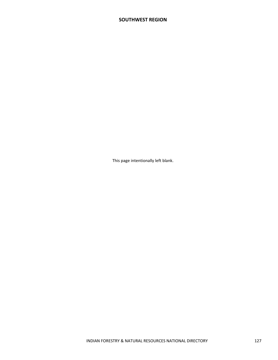This page intentionally left blank.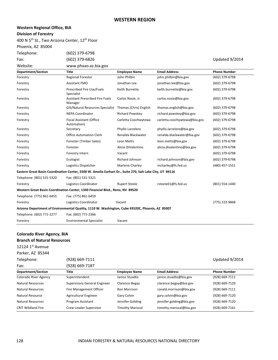### **Western Regional Office, BIA**

#### **Division of Forestry**

| 400 N 5 <sup>th</sup> St., Two Arizona Center, 12 <sup>th</sup> Floor |
|-----------------------------------------------------------------------|
|                                                                       |

Phoenix, AZ 85004

| Telephone: | (602) 379-6798 |                |
|------------|----------------|----------------|
| Fax:       | (602) 379-6826 | Updated 9/2014 |

Website: www.phxao.az.bia.gov

| website.                  | www.plixdu.dz.bid.gov                                                                                    |                        |                              |                     |
|---------------------------|----------------------------------------------------------------------------------------------------------|------------------------|------------------------------|---------------------|
| Department/Section        | <b>Title</b>                                                                                             | <b>Employee Name</b>   | <b>Email Address</b>         | <b>Phone Number</b> |
| Forestry                  | Regional Forester                                                                                        | John Philbin           | john.philbin@bia.gov         | (602) 379-6798      |
| Forestry                  | <b>Assistant FMO</b>                                                                                     | Jonathan Lee           | jonathan.lee@bia.gov         | (602) 379-6798      |
| Forestry                  | Prescribed Fire Use/Fuels<br>Specialist                                                                  | Keith Burnette         | keith.burnette@bia.gov       | (602) 379-6798      |
| Forestry                  | <b>Assistant Prescribed Fire Fuels</b><br>Manager                                                        | Carlos Nosie, Jr.      | carlos.nosie@bia.gov         | (602) 379-6798      |
| Forestry                  | GIS/Natural Resources Specialist                                                                         | Thomas (Chris) English | thomas.english@bia.gov       | (602) 379-6798      |
| Forestry                  | <b>NEPA Coordinator</b>                                                                                  | <b>Richard Powskey</b> | richard.powskey@bia.gov      | (602) 379-6798      |
| Forestry                  | <b>Fiscal Assistant (Office</b><br>Automation)                                                           | Carletta Coochwytewa   | carletta.coochywtewa@bia.gov | (602) 379-6798      |
| Forestry                  | Secretary                                                                                                | Phyllis Larzelere      | phyllis.larzelere@bia.gov    | (602) 379-6798      |
| Forestry                  | <b>Office Automation Clerk</b>                                                                           | Renalda Blackwater     | renalda.blackwater@bia.gov   | (602) 379-6798      |
| Forestry                  | Forester (Timber Sales)                                                                                  | Leon Metts             | leon.metts@bia.gov           | (602) 379-6798      |
| Forestry                  | Forester                                                                                                 | Alicia DiValentino     | alicia.divalentino@bia.gov   | (602) 379-6798      |
| Forestry                  | Forestry Intern                                                                                          | Vacant                 |                              | (602) 379-6798      |
| Forestry                  | Ecologist                                                                                                | Richard Johnson        | richard.johnson@bia.gov      | (602) 379-6798      |
| Forestry                  | Logistics Dispatcher                                                                                     | Marlene Charley        | mcharley@fs.fed.us           | (480) 457-1551      |
|                           | Eastern Great Basin Coordination Center, 5500 W. Amelia Earhart Dr., Suite 270, Salt Lake City, UT 84116 |                        |                              |                     |
| Telephone: (801) 531-5320 | Fax: (801) 531-5321                                                                                      |                        |                              |                     |
| Forestry                  | Logistics Coordinator                                                                                    | <b>Rupert Steele</b>   | rsteele01@fs.fed.us          | (801) 554-1440      |
|                           | Western Great Basin Coordination Center, 1340 Financial Blvd., Reno, NV 89520                            |                        |                              |                     |
| Telephone: (775) 861-6455 | Fax: (775) 861-6459                                                                                      |                        |                              |                     |
| Forestry                  | Logistics Coordinator                                                                                    | Vacant                 |                              | (775) 223-9868      |
|                           | Arizona Department of Environmental Quality, 1110 W. Washington, Cube #3520C, Phoenix, AZ 85007          |                        |                              |                     |
| Telephone: (602) 771-2277 | Fax: (602) 771-2366                                                                                      |                        |                              |                     |
| Forestry                  | <b>Environmental Specialist</b>                                                                          | Vacant                 |                              |                     |

## **Colorado River Agency, BIA**

### **Branch of Natural Resources**

12124 1st Avenue Parker, AZ 85344

| Parker, AZ 85344          |                                     |                         |                          |                     |
|---------------------------|-------------------------------------|-------------------------|--------------------------|---------------------|
| Telephone:                | (928) 669-7111                      |                         |                          | Updated 9/2014      |
| Fax:                      | (928) 669-7187                      |                         |                          |                     |
| <b>Department/Section</b> | <b>Title</b>                        | <b>Employee Name</b>    | <b>Email Address</b>     | <b>Phone Number</b> |
| Colorado River Agency     | Superintendent                      | Janice Stuadte          | janice.stuadte@bia.gov   | (928) 669-7111      |
| Natural Resources         | <b>Supervisory General Engineer</b> | Clarence Begay          | clarence.begay@bia.gov   | (928) 669-7129      |
| <b>Natural Resources</b>  | Fire Management Officer             | <b>Ron Morrison</b>     | ronald.morrison@bia.gov  | (928) 669-7111      |
| Natural Resource          | Agricultural Engineer               | Gary Colvin             | gary.colvin@bia.gov      | (928) 669-7120      |
| Natural Resources         | Program Assistant                   | Jennifer Golding        | jennifer.golding@bia.gov | (928) 669-7120      |
| <b>CRIT Wildland Fire</b> | Crew Leader Supervisor              | <b>Timothy Mariscal</b> | timothy.mariscal@bia.gov | (928) 669-7161      |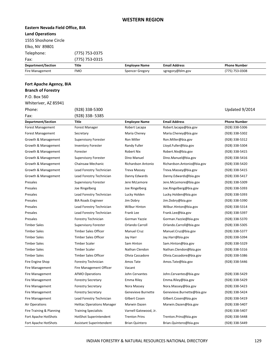### **Eastern Nevada Field Office, BIA**

|  |  | <b>Land Operations</b> |
|--|--|------------------------|
|--|--|------------------------|

| <b>Fire Management</b>    | <b>FMO</b>     | <b>Spencer Gregory</b> | sgregory@blm.gov     | (775) 753-0308      |
|---------------------------|----------------|------------------------|----------------------|---------------------|
| <b>Department/Section</b> | Title          | <b>Employee Name</b>   | <b>Email Address</b> | <b>Phone Number</b> |
| Fax:                      | (775) 753-0315 |                        |                      |                     |
| Telephone:                | (775) 753-0375 |                        |                      |                     |
| Elko, NV 89801            |                |                        |                      |                     |
| 1555 Shoshone Circle      |                |                        |                      |                     |
|                           |                |                        |                      |                     |

### **Fort Apache Agency, BIA**

**Branch of Forestry** 

P.O. Box 560

Whiteriver, AZ 85941

Phone: (928) 338‐5300 Updated 9/2014

Fax: (928) 338‐ 5385

| Department/Section       | <b>Title</b>                      | <b>Employee Name</b>  | <b>Email Address</b>       | <b>Phone Number</b> |
|--------------------------|-----------------------------------|-----------------------|----------------------------|---------------------|
| <b>Forest Management</b> | <b>Forest Manager</b>             | Robert Lacapa         | Robert.lacapa@bia.gov      | (928) 338-5306      |
| <b>Forest Management</b> | Secretary                         | Maria Cheney          | Maria.Cheney@bia.gov       | (928) 338-5302      |
| Growth & Management      | <b>Supervisory Forester</b>       | <b>Ron Miller</b>     | Ron.Miller@bia.gov         | (928) 338-5312      |
| Growth & Management      | <b>Inventory Forester</b>         | Randy Fuller          | Lloyd.Fuller@bia.gov       | (928) 338-5304      |
| Growth & Management      | Forester                          | Robert Nix            | Robert.Nix@bia.gov         | (928) 338-5415      |
| Growth & Management      | <b>Supervisory Forester</b>       | Dino Manuel           | Dino.Manuel@bia.gov        | (928) 338-5416      |
| Growth & Management      | Chainsaw Mechanic                 | Richardson Antonio    | Richardson.Antonio@bia.gov | (928) 338-5420      |
| Growth & Management      | Lead Forestry Technician          | <b>Treva Massey</b>   | Treva.Massey@bia.gov       | (928) 338-5415      |
| Growth & Management      | Lead Forestry Technician          | Danny Edwards         | Danny.Edwards@bia.gov      | (928) 338-5417      |
| Presales                 | <b>Supervisory Forester</b>       | Jere McLemore         | Jere.McLemore@bia.gov      | (928) 338-5309      |
| Presales                 | Joe Ringelberg                    | Joe Ringelberg        | Joe.Ringelberg@bia.gov     | (928) 338-5393      |
| Presales                 | Lead Forestry Technician          | Lucky Holden          | Lucky.Holden@bia.gov       | (928) 338-5393      |
| Presales                 | <b>BIA Roads Engineer</b>         | Jim Dobry             | Jim.Dobry@bia.gov          | (928) 338-5390      |
| Presales                 | Lead Forestry Technician          | <b>Wilbur Hinton</b>  | Wilbur.Hinton@bia.gov      | (928) 338-5314      |
| Presales                 | Lead Forestry Technician          | Frank Lee             | Frank.Lee@bia.gov          | (928) 338-5397      |
| Presales                 | Forestry Technician               | Gorman Yazzie         | Gorman. Yazzie@bia.gov     | (928) 338-5370      |
| <b>Timber Sales</b>      | <b>Supervisory Forester</b>       | Orlando Carroll       | Orlando.Carroll@bia.gov    | (928) 338-5305      |
| <b>Timber Sales</b>      | <b>Timber Sales Officer</b>       | Manuel Cruz           | Manuel.Cruz@bia.gov        | (928) 338-5377      |
| <b>Timber Sales</b>      | <b>Timber Sales Officer</b>       | Jay Harr              | Jay.Harr@bia.gov           | (928) 338-5394      |
| <b>Timber Sales</b>      | <b>Timber Scaler</b>              | Sam Hinton            | Sam.Hinton@bia.gov         | (928) 338-5329      |
| <b>Timber Sales</b>      | <b>Timber Scaler</b>              | Nathan Clendon        | Nathan.Clendon@bia.gov     | (928) 338-5316      |
| <b>Timber Sales</b>      | <b>Timber Sales Officer</b>       | Olivia Cassadore      | Olivia.Cassadore@bia.gov   | (928) 338-5386      |
| Fire Engine Shop         | Forestry Technician               | Amos Tate             | Amos.Tate@bia.gov          | (928) 338-5446      |
| Fire Management          | Fire Management Officer           | Vacant                |                            |                     |
| <b>Fire Management</b>   | <b>AFMO Operations</b>            | John Cervantes        | John.Cervantes@bia.gov     | (928) 338-5429      |
| <b>Fire Management</b>   | <b>Forestry Secretary</b>         | Emma Riley            | Emma.Riley@bia.gov         | (928) 338-5429      |
| <b>Fire Management</b>   | <b>Forestry Secretary</b>         | Nora Massey           | Nora.Massey@bia.gov        | (928) 338-5423      |
| <b>Fire Management</b>   | <b>Forestry Secretary</b>         | Genevieve Burnette    | Genevieve.Burnette@bia.gov | (928) 338-5424      |
| <b>Fire Management</b>   | Lead Forestry Technician          | Gilbert Cosen         | Gilbert.Cosen@bia.gov      | (928) 338-5419      |
| <b>Air Operations</b>    | <b>Helitac Operations Manager</b> | Marwin Dazen          | Marwin.Dazen@bia.gov       | (928) 338-5407      |
| Fire Training & Planning | <b>Training Specialists</b>       | Varnell Gatewood, Jr. |                            | (928) 338-5407      |
| Fort Apache HotShots     | HotShot Superintendent            | <b>Trenton Prins</b>  | Trenton.Prins@bia.gov      | (928) 338-5448      |
| Fort Apache HotShots     | Assistant Superintendent          | <b>Brian Quintero</b> | Brian.Quintero@bia.gov     | (928) 338-5449      |
|                          |                                   |                       |                            |                     |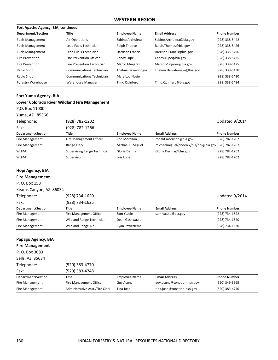| Fort Apache Agency, BIA, continued |                                   |                         |                           |                     |  |  |
|------------------------------------|-----------------------------------|-------------------------|---------------------------|---------------------|--|--|
| <b>Department/Section</b>          | Title                             | <b>Employee Name</b>    | <b>Email Address</b>      | <b>Phone Number</b> |  |  |
| <b>Fuels Management</b>            | Air Operations                    | Sabino Archuleta        | Sabino.Archuleta@bia.gov  | (928) 338-5442      |  |  |
| <b>Fuels Management</b>            | Lead Fuels Technician             | Ralph Thomas            | Ralph.Thomas@bia.gov      | (928) 338-5426      |  |  |
| <b>Fuels Management</b>            | Lead Fuels Technician             | <b>Harrison Francis</b> | Harrison.Francis@bia.gov  | (928) 338-5496      |  |  |
| <b>Fire Prevention</b>             | <b>Fire Prevention Officer</b>    | Candy Lupe              | Candy.Lupe@bia.gov        | (928) 338-5425      |  |  |
| <b>Fire Prevention</b>             | <b>Fire Prevention Technician</b> | Marco Minjarez          | Marco.Minjarez@bia.gov    | (928) 338-5425      |  |  |
| Radio Shop                         | Communications Technician         | Thelma Dawahongva       | Thelma.Dawahongva@bia.gov | (928) 338-5430      |  |  |
| Radio Shop                         | <b>Communications Technician</b>  | Mary Lou Nosie          |                           | (928) 338-5430      |  |  |
| <b>Forestry Warehouse</b>          | Warehouse Manager                 | Timo Quintero           | Timo.Quintero@bia.gov     | (928) 338-5434      |  |  |

#### **Fort Yuma Agency, BIA**

| Lower Colorado River Wildland Fire Management |                              |                      |                                                      |                     |  |
|-----------------------------------------------|------------------------------|----------------------|------------------------------------------------------|---------------------|--|
| P.O. Box 11000                                |                              |                      |                                                      |                     |  |
| Yuma, AZ 85366                                |                              |                      |                                                      |                     |  |
| Telephone:                                    | (928) 782-1202               |                      |                                                      | Updated 9/2014      |  |
| Fax:                                          | (928) 782-1266               |                      |                                                      |                     |  |
| Department/Section                            | <b>Title</b>                 | <b>Employee Name</b> | <b>Email Address</b>                                 | <b>Phone Number</b> |  |
| Fire Management                               | Fire Management Officer      | <b>Ron Morrison</b>  | ronald.morrison@bia.gov                              | (928) 782-1202      |  |
| Fire Management                               | Range Clerk                  | Michael F. Miguel    | michaelmiguel/phoenix/bia/doi@bia.gov (928) 782-1202 |                     |  |
| <b>WLFM</b>                                   | Supervising Range Technician | Gloria Derma         | Gloria Derma@blm.gov                                 | (928) 782-1202      |  |
| WLFM                                          | Supervisor                   | Luis Lopez           |                                                      | (928) 782-1202      |  |

### **Hopi Agency, BIA**

#### **Fire Management**

### P. O. Box 158

| Keams Canyon, AZ 86034 |  |
|------------------------|--|
|                        |  |

| Telephone:             | (928) 734-1620            |                      |                      |                     |  |  |
|------------------------|---------------------------|----------------------|----------------------|---------------------|--|--|
| Fax:                   | (928) 734-1625            |                      |                      |                     |  |  |
| Department/Section     | Title                     | <b>Employee Name</b> | <b>Email Address</b> | <b>Phone Number</b> |  |  |
| Fire Management        | Fire Management Officer   | Sam Yazzie           | sam.yazzie@bia.gov   | (928) 734-1622      |  |  |
| <b>Fire Management</b> | Wildland Range Technician | Dean Gashwazra       |                      | (928) 734-1620      |  |  |
| Fire Management        | Wildland Range Aid        | Rvan Pawesiema       |                      | (928) 734-1620      |  |  |

#### **Papago Agency, BIA**

**Fire Management** 

P. O. Box 3083

| Sells, AZ 85634        |                  |  |  |
|------------------------|------------------|--|--|
| Telenhone <sup>.</sup> | $(520)$ 383-4770 |  |  |

| Telephone:         | (JZU) 383-4770                  |                      |                            |                     |  |
|--------------------|---------------------------------|----------------------|----------------------------|---------------------|--|
| Fax:               | (520) 383-4748                  |                      |                            |                     |  |
| Department/Section | Title                           | <b>Employee Name</b> | <b>Email Address</b>       | <b>Phone Number</b> |  |
| Fire Management    | Fire Management Officer         | Guy Acuna            | guy.acuna@tonation-nsn.gov | (520) 349-3565      |  |
| Fire Management    | Administrative Asst./Fire Clerk | Tina Juan            | tina.juan@tonation-nsn.gov | (520) 383-4770      |  |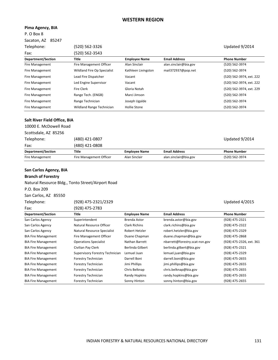#### **Pima Agency, BIA**

| P. O Box 8             |                             |                      |                       |                          |
|------------------------|-----------------------------|----------------------|-----------------------|--------------------------|
| Sacaton, AZ<br>85247   |                             |                      |                       |                          |
| Telephone:             | (520) 562-3326              |                      |                       | Updated 9/2014           |
| Fax:                   | (520) 562-3543              |                      |                       |                          |
| Department/Section     | Title                       | <b>Employee Name</b> | <b>Email Address</b>  | <b>Phone Number</b>      |
| Fire Management        | Fire Management Officer     | Alan Sinclair        | alan.sinclair@bia.gov | (520) 562-3974           |
| <b>Fire Management</b> | Wildland Fire Op Specialist | Kathleen Livingston  | mail372937@pop.net    | (520) 562-3974           |
| Fire Management        | Lead Fire Dispatcher        | Vacant               |                       | (520) 562-3974, ext. 222 |
| Fire Management        | Led Engine Supervisor       | Vacant               |                       | (520) 562-3974, ext. 222 |
| <b>Fire Management</b> | <b>Fire Clerk</b>           | Gloria Notah         |                       | (520) 562-3974, ext. 229 |
| Fire Management        | Range Tech. (ENGB)          | Marci Jimson         |                       | (520) 562-3974           |
| <b>Fire Management</b> | Range Technician            | Joseph Ugalde        |                       | (520) 562-3974           |
| <b>Fire Management</b> | Wildland Range Technician   | Hollie Stone         |                       | (520) 562-3974           |

### **Salt River Field Office, BIA**

| 10000 E. McDowell Road |                         |                      |                       |                     |
|------------------------|-------------------------|----------------------|-----------------------|---------------------|
| Scottsdale, AZ 85256   |                         |                      |                       |                     |
| Telephone:             | (480) 421-0807          |                      |                       | Updated 9/2014      |
| Fax:                   | (480) 421-0808          |                      |                       |                     |
| Department/Section     | Title                   | <b>Employee Name</b> | <b>Email Address</b>  | <b>Phone Number</b> |
| Fire Management        | Fire Management Officer | Alan Sinclair        | alan.sinclair@bia.gov | (520) 562-3974      |

### **San Carlos Agency, BIA**

#### **Branch of Forestry**

Natural Resource Bldg., Tonto Street/Airport Road

P.O. Box 209

San Carlos, AZ 85550

| Telephone:                 | (928) 475-2321/2329             |                      |                                |                          |  |
|----------------------------|---------------------------------|----------------------|--------------------------------|--------------------------|--|
| Fax:                       | (928) 475-2783                  |                      |                                |                          |  |
| Department/Section         | Title                           | <b>Employee Name</b> | <b>Email Address</b>           | <b>Phone Number</b>      |  |
| San Carlos Agency          | Superintendent                  | Brenda Astor         | brenda.astor@bia.gov           | (928) 475-2321           |  |
| San Carlos Agency          | Natural Resource Officer        | <b>Clark Richins</b> | clark.richins@bia.gov          | (928) 475-2322           |  |
| San Carlos Agency          | Natural Resource Specialist     | Robert Hetzler       | robert.hetzler@bia.gov         | (928) 475-2329           |  |
| <b>BIA Fire Management</b> | Fire Management Officer         | Duane Chapman        | duane.chapman@bia.gov          | (928) 475-2868           |  |
| <b>BIA Fire Management</b> | <b>Operations Specialist</b>    | Nathan Barrett       | nbarrett@forestry.scat-nsn.gov | (928) 475-2326, ext. 361 |  |
| <b>BIA Fire Management</b> | Civilian Pay Clerk              | Berlinda Gilbert     | berlinda.gilbert@bia.gov       | (928) 475-2321           |  |
| <b>BIA Fire Management</b> | Supervisory Forestry Technician | Lemuel Juan          | lemuel.juan@bia.gov            | (928) 475-2329           |  |
| <b>BIA Fire Management</b> | Forestry Technician             | Darrell Boni         | darrell.boni@bia.gov           | (928) 475-2655           |  |
| <b>BIA Fire Management</b> | Forestry Technician             | Jimi Phillips        | jimi.phillips@bia.gov          | (928) 475-2655           |  |
| <b>BIA Fire Management</b> | Forestry Technician             | Chris Belknap        | chris.belknap@bia.gov          | (928) 475-2655           |  |
| <b>BIA Fire Management</b> | Forestry Technician             | Randy Hopkins        | randy.hopkins@bia.gov          | (928) 475-2655           |  |
| <b>BIA Fire Management</b> | Forestry Technician             | Sonny Hinton         | sonny.hinton@bia.gov           | (928) 475-2655           |  |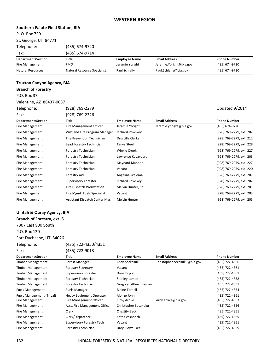### **Southern Paiute Field Station, BIA**

| P. O. Box 720                     |                                |                        |                         |                          |
|-----------------------------------|--------------------------------|------------------------|-------------------------|--------------------------|
| St. George, UT 84771              |                                |                        |                         |                          |
| Telephone:                        | (435) 674-9720                 |                        |                         |                          |
| Fax:                              | (435) 674-9714                 |                        |                         |                          |
| Department/Section                | <b>Title</b>                   | <b>Employee Name</b>   | <b>Email Address</b>    | <b>Phone Number</b>      |
| <b>Fire Management</b>            | <b>FMO</b>                     | Jeramie Ybright        | Jeramie.Ybright@bia.gov | (435) 674-9720           |
| <b>Natural Resources</b>          | Natural Resource Specialist    | Paul Schlafly          | Paul.Schlafly@bia.gov   | (435) 674-9720           |
| <b>Truxton Canyon Agency, BIA</b> |                                |                        |                         |                          |
| <b>Branch of Forestry</b>         |                                |                        |                         |                          |
| P.O. Box 37                       |                                |                        |                         |                          |
| Valentine, AZ 86437-0037          |                                |                        |                         |                          |
| Telephone:                        | (928) 769-2279                 |                        |                         | Updated 9/2014           |
| Fax:                              | (928) 769-2326                 |                        |                         |                          |
| <b>Department/Section</b>         | <b>Title</b>                   | <b>Employee Name</b>   | <b>Email Address</b>    | <b>Phone Number</b>      |
| <b>Fire Management</b>            | Fire Management Officer        | Jeramie Ybright        | Jeramie.ybright@bia.gov | (435) 674-9720           |
| Fire Management                   | Wildland Fire Program Manager  | <b>Richard Powskey</b> |                         | (928) 769-2279, ext. 202 |
| <b>Fire Management</b>            | Fire Prevention Technician     | Druscilla Clarke       |                         | (928) 769-2279, ext. 212 |
| <b>Fire Management</b>            | Lead Forestry Technician       | Tanya Steel            |                         | (928) 769-2279, ext. 228 |
| Fire Management                   | Forestry Technician            | <b>Winkie Crook</b>    |                         | (928) 769-2279, ext. 227 |
| Fire Management                   | Forestry Technician            | Lawrence Koyayesva     |                         | (928) 769-2279, ext. 203 |
| Fire Management                   | Forestry Technician            | Maynard Mahone         |                         | (928) 769-2279, ext. 227 |
| Fire Management                   | Forestry Technician            | Vacant                 |                         | (928) 769-2279, ext. 220 |
| Fire Management                   | Forestry Aid                   | Angelina Walema        |                         | (928) 769-2279, ext. 207 |
| <b>Fire Management</b>            | <b>Supervisory Forester</b>    | Richard Powskey        |                         | (928) 769-2279, ext. 202 |
| Fire Management                   | Fire Dispatch Workstation      | Melvin Hunter, Sr.     |                         | (928) 769-2279, ext. 201 |
| Fire Management                   | Fire Mgmt. Fuels Specialist    | Vacant                 |                         | (928) 769-2279, ext. 203 |
| Fire Management                   | Assistant Dispatch Center Mgr. | Melvin Hunter          |                         | (928) 769-2279, ext. 205 |

## **Uintah & Ouray Agency, BIA**

**Branch of Forestry, ext. 6** 7307 East 900 South P.O. Box 130 Fort Duchesne, UT 84026

| Telephone: | (435) 722-4350/4351 |
|------------|---------------------|
| Fax:       | (435) 722-9018      |

| Department/Section               | <b>Title</b>                    | <b>Employee Name</b>   | <b>Email Address</b>         | <b>Phone Number</b> |
|----------------------------------|---------------------------------|------------------------|------------------------------|---------------------|
| <b>Timber Management</b>         | <b>Forest Manager</b>           | Chris Seckakuku        | Christopher.secakuku@bia.gov | (435) 722-4356      |
| <b>Timber Management</b>         | <b>Forestry Secretary</b>       | Vacant                 |                              | (435) 722-4361      |
| <b>Timber Management</b>         | Supervisory Forester            | Doug Bryce             |                              | (435) 722-4361      |
| <b>Timber Management</b>         | Forestry Technician             | <b>Stanley Larson</b>  |                              | (435) 722-4358      |
| <b>Timber Management</b>         | Forestry Technician             | Gregory Littlewhiteman |                              | (435) 722-4357      |
| <b>Fuels Management</b>          | <b>Fuels Manager</b>            | <b>Blaine Tarbell</b>  |                              | (435) 722-4354      |
| <b>Fuels Management (Tribal)</b> | <b>Heavy Equipment Operator</b> | Alonzo John            |                              | (435) 722-4361      |
| Fire Management                  | Fire Management Officer         | Kirby Arrive           | kirby.arrive@bia.gov         | (435) 722-4353      |
| Fire Management                  | Asst. Fire Management Officer   | Christopher Secakuku   |                              | (435) 722-4356      |
| Fire Management                  | Clerk                           | <b>Chastity Beck</b>   |                              | (435) 722-4351      |
| Fire Management                  | Clerk/Dispatcher                | Kate Cesspooch         |                              | (435) 722-4365      |
| Fire Management                  | Supervisory Forestry Tech       | Vacant                 |                              | (435) 722-4351      |
| Fire Management                  | Forestry Technician             | Daryl Powaukee         |                              | (435) 722-4359      |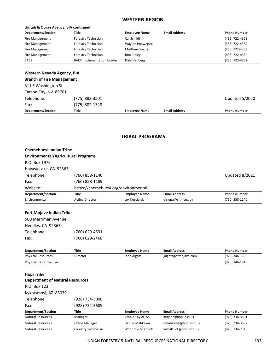#### **Uintah & Ouray Agency, BIA continued**

| Department/Section | Title                             | <b>Employee Name</b>  | <b>Email Address</b> | <b>Phone Number</b> |
|--------------------|-----------------------------------|-----------------------|----------------------|---------------------|
| Fire Management    | Forestry Technician               | Cal Schildt           |                      | (435) 722-4359      |
| Fire Management    | Forestry Technician               | Waylon Poowegup       |                      | (435) 722-4359      |
| Fire Management    | Forestry Technician               | <b>Matthew Yazzie</b> |                      | (435) 722-4359      |
| Fire Management    | Forestry Technician               | Bob Ridley            |                      | (435) 722-4359      |
| <b>BAER</b>        | <b>BAER Implementation Leader</b> | Dale Hanberg          |                      | (435) 722-4352      |

### **Western Nevada Agency, BIA Branch of Fire Management**

| Department/Section              | Title          | <b>Employee Name</b> | <b>Email Address</b> | <b>Phone Number</b> |
|---------------------------------|----------------|----------------------|----------------------|---------------------|
| Fax:                            | (775) 882-1348 |                      |                      |                     |
| Telephone:                      | (775) 882-3501 |                      |                      | Updated 5/2020      |
| Carson City, NV 89701           |                |                      |                      |                     |
| 311 E Washington St.            |                |                      |                      |                     |
| <b>Pranch of the Management</b> |                |                      |                      |                     |

### **TRIBAL PROGRAMS**

| <b>Chemehuevi Indian Tribe</b>             |                        |                                      |                      |                     |  |  |  |
|--------------------------------------------|------------------------|--------------------------------------|----------------------|---------------------|--|--|--|
| <b>Environmental/Agricultural Programs</b> |                        |                                      |                      |                     |  |  |  |
| P.O. Box 1976                              |                        |                                      |                      |                     |  |  |  |
| Havasu Lake, CA 92363                      |                        |                                      |                      |                     |  |  |  |
| Telephone:                                 | Updated 8/2021         |                                      |                      |                     |  |  |  |
| Fax:                                       | (760) 858-1189         |                                      |                      |                     |  |  |  |
| Website:                                   |                        | https://chemehuevi.org/environmental |                      |                     |  |  |  |
| Department/Section                         | <b>Title</b>           | <b>Employee Name</b>                 | <b>Email Address</b> | <b>Phone Number</b> |  |  |  |
| Environmental                              | <b>Acting Director</b> | Lex Koscielak                        | dir.epa@cit-nsn.gov  | (760) 858-1140      |  |  |  |
|                                            |                        |                                      |                      |                     |  |  |  |

### **Fort Mojave Indian Tribe**

| (760) 629-4591 |
|----------------|
| (760) 629-2468 |
|                |

| Department/Section        | Title    | <b>Employee Name</b> | <b>Email Address</b> | <b>Phone Number</b> |
|---------------------------|----------|----------------------|----------------------|---------------------|
| <b>Physical Resources</b> | Director | John Algots          | jalgots@ftmojave.com | (928) 346-1606      |
| Physical Resources Fax    |          |                      |                      | (928) 346-1610      |

### **Hopi Tribe Department of Natural Resources**

| P.O. Box 123             |                       |                      |                      |                     |  |
|--------------------------|-----------------------|----------------------|----------------------|---------------------|--|
| Kykotsmovi, AZ 86039     |                       |                      |                      |                     |  |
| Telephone:               | (928) 734-3000        |                      |                      |                     |  |
| Fax:                     | (928) 734-3609        |                      |                      |                     |  |
|                          |                       |                      |                      |                     |  |
| Department/Section       | <b>Title</b>          | <b>Employee Name</b> | <b>Email Address</b> | <b>Phone Number</b> |  |
| <b>Natural Resources</b> | Manager               | Arnold Taylor, Sr.   | ataylor@hopi.nsn.us  | (928) 734-3601      |  |
| <b>Natural Resources</b> | <b>Office Manager</b> | Denise Mahkewa       | dmahkewa@hopi.nsn.us | (928) 734-3602      |  |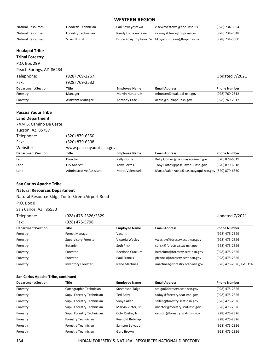|                          |                          | UVLJILINI INLUIVIV   |                                                   |                     |
|--------------------------|--------------------------|----------------------|---------------------------------------------------|---------------------|
| <b>Natural Resources</b> | Geodetic Technician      | Carl Seweyestewa     | c.seweyestewa@hopi.nsn.us                         | (928) 734-3654      |
| <b>Natural Resources</b> | Forestry Technician      | Randy Lomayaktewa    | rlomayaktewa@hopi.nsn.us                          | (928) 734-7348      |
| <b>Natural Resources</b> | Silviculturist           |                      | Bruce Koyiyumptewa, Sr. bkoyiyumptewa@hopi.nsn.us | (928) 734-3000      |
|                          |                          |                      |                                                   |                     |
| Hualapai Tribe           |                          |                      |                                                   |                     |
| <b>Tribal Forestry</b>   |                          |                      |                                                   |                     |
| P.O. Box 299             |                          |                      |                                                   |                     |
| Peach Springs, AZ 86434  |                          |                      |                                                   |                     |
| Telephone:               | (928) 769-2267           |                      |                                                   | Updated 7/2021      |
| Fax:                     | (928) 769-2532           |                      |                                                   |                     |
| Department/Section       | <b>Title</b>             | <b>Employee Name</b> | <b>Email Address</b>                              | <b>Phone Number</b> |
| Forestry                 | Manager                  | Melvin Hunter, Jr    | mhunter@hualapai-nsn.gov                          | (928) 769-2312      |
| Forestry                 | <b>Assistant Manager</b> | Anthony Case         | acase@hualapai-nsn.gov                            | (928) 769-2312      |
| Pascua Yaqui Tribe       |                          |                      |                                                   |                     |
| <b>Land Department</b>   |                          |                      |                                                   |                     |
| 7474 S. Camino De Ceste  |                          |                      |                                                   |                     |
| Tucson, AZ 85757         |                          |                      |                                                   |                     |
| Telephone:               | (520) 879-6350           |                      |                                                   |                     |
| Fax:                     | (520) 879-6308           |                      |                                                   |                     |
| Website:                 | www.pascuayaqui-nsn.gov  |                      |                                                   |                     |

| Department/Section | Title                    | <b>Employee Name</b> | <b>Email Address</b>                                 | <b>Phone Number</b> |
|--------------------|--------------------------|----------------------|------------------------------------------------------|---------------------|
| Land               | Director                 | Kelly Gomez          | Kelly.Gomez@pascuayaqui-nsn.gov                      | (520) 879-6319      |
| Land               | <b>GIS Analyst</b>       | Tony Fortes          | Tony.Fortes@pascuayaqui-nsn.gov                      | (520) 879-6318      |
| Land               | Administrative Assistant | Marta Valenzuela     | Marta. Valenzuela@pascuayaqui-nsn.gov (520) 879-6350 |                     |

#### **San Carlos Apache Tribe**

### **Natural Resources Department**

Natural Resource Bldg., Tonto Street/Airport Road

P.O. Box 0

San Carlos, AZ 85550

Telephone: (928) 475-2326/2329 Updated 7/2021

| Fax:               | (928) 475-5798              |                      |                                 |                          |
|--------------------|-----------------------------|----------------------|---------------------------------|--------------------------|
| Department/Section | Title                       | <b>Employee Name</b> | <b>Email Address</b>            | <b>Phone Number</b>      |
| Forestry           | <b>Forest Manager</b>       | Vacant               |                                 | (928) 475-2329           |
| Forestry           | <b>Supervisory Forester</b> | Victoria Wesley      | vwesley@forestry.scat-nsn.gov   | (928) 475-2326           |
| Forestry           | <b>Botanist</b>             | Seth Pilsk           | spilsk@forestry.scat-nsn.gov    | (928) 475-2326           |
| Forestry           | Forester                    | Beedona Cracium      | bcracium@forestry.scat-nsn.gov  | (928) 475-2326           |
| Forestry           | Forester                    | Paul Francis         | pfrancis@forestry.scat-nsn.gov  | (928) 475-2326           |
| Forestry           | <b>Inventory Forester</b>   | Irene Martinez       | imartinez@forestry.scat-nsn.gov | (928) 475-2326, ext. 314 |

#### **San Carlos Apache Tribe, continued**

| Department/Section | <b>Title</b>              | <b>Employee Name</b> | <b>Email Address</b>          | <b>Phone Number</b> |
|--------------------|---------------------------|----------------------|-------------------------------|---------------------|
| Forestry           | Cartographic Technician   | Stevenson Talgo      | stalgo@forestry.scat-nsn.gov  | (928) 475-2326      |
| Forestry           | Supv. Forestry Technician | Ted Aday             | taday@forestry.scat-nsn.gov   | (928) 475-2326      |
| Forestry           | Supv. Forestry Technician | Sonya Allen          | sallen@forestry.scat-nsn.gov  | (928) 475-2326      |
| Forestry           | Supv. Forestry Technician | Marvin Victor, Jr.   | mvictor@forestry.scat-nsn.gov | (928) 475-2326      |
| Forestry           | Supv. Forestry Technician | Otto Rustin, Jr.     | orustin@forestry.scat-nsn.gov | (928) 475-2326      |
| Forestry           | Forestry Technician       | Reynold Belknap      |                               | (928) 475-2326      |
| Forestry           | Forestry Technician       | Samson Belvado       |                               | (928) 475-2326      |
| Forestry           | Forestry Technician       | Gary Brown           |                               | (928) 475-2326      |

134 INDIAN FORESTRY & NATURAL RESOURCES NATIONAL DIRECTORY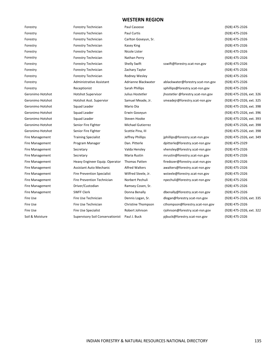| Forestry               | Forestry Technician                     | Paul Casoose             |                                   | (928) 475-2326           |
|------------------------|-----------------------------------------|--------------------------|-----------------------------------|--------------------------|
| Forestry               | Forestry Technician                     | <b>Paul Curtis</b>       |                                   | (928) 475-2326           |
| Forestry               | Forestry Technician                     | Carlton Goseyun, Sr.     |                                   | (928) 475-2326           |
| Forestry               | Forestry Technician                     | Kasey King               |                                   | (928) 475-2326           |
| Forestry               | Forestry Technician                     | Nicole Lister            |                                   | (928) 475-2326           |
| Forestry               | Forestry Technician                     | Nathan Perry             |                                   | (928) 475-2326           |
| Forestry               | Forestry Technician                     | <b>Shelly Swift</b>      | sswift@forestry.scat-nsn.gov      | (928) 475-2326           |
| Forestry               | Forestry Technician                     | Zachary Taylor           |                                   | (928) 475-2326           |
| Forestry               | Forestry Technician                     | Rodney Wesley            |                                   | (928) 475-2326           |
| Forestry               | Administrative Assistant                | Adrianne Blackwater      | ablackwater@forestry.scat-nsn.gov | (928) 475-2326           |
| Forestry               | Receptionist                            | Sarah Phillips           | sphillips@forestry.scat-nsn.gov   | (928) 475-2326           |
| Geronimo Hotshot       | <b>Hotshot Supervisor</b>               | Julius Hostetler         | jhostetler @forestry.scat-nsn.gov | (928) 475-2326, ext. 326 |
| Geronimo Hotshot       | Hotshot Asst. Supervior                 | Samuel Meade, Jr.        | smeadejr@forestry.scat-nsn.gov    | (928) 475-2326, ext. 325 |
| Geronimo Hotshot       | Squad Leader                            | Mario Dia                |                                   | (928) 475-2326, ext. 398 |
| Geronimo Hotshot       | Squad Leader                            | Erwin Goseyun            |                                   | (928) 475-2326, ext. 396 |
| Geronimo Hotshot       | Squad Leader                            | Steven Hooke             |                                   | (928) 475-2326, ext. 393 |
| Geronimo Hotshot       | Senior Fire Fighter                     | <b>Michael Gutierrez</b> |                                   | (928) 475-2326, ext. 398 |
| Geronimo Hotshot       | Senior Fire Fighter                     | Scottie Pina, III        |                                   | (928) 475-2326, ext. 398 |
| <b>Fire Management</b> | <b>Training Specialist</b>              | Jeffrey Phillips         | jphillips@forestry.scat-nsn.gov   | (928) 475-2326, ext. 349 |
| <b>Fire Management</b> | Program Manager                         | Dan. Pitterle            | dpitterle@forestry.scat-nsn.gov   | (928) 475-2329           |
| <b>Fire Management</b> | Secretary                               | Valda Hensley            | vhensley@forestry.scat-nsn.gov    | (928) 475-2326           |
| <b>Fire Management</b> | Secretary                               | Maria Rustin             | mrustin@forestry.scat-nsn.gov     | (928) 475-2326           |
| <b>Fire Management</b> | Heavy Engineer Equip. Operator          | <b>Thomas Patten</b>     | firedozer@forestry.scat-nsn.gov   | (928) 475-2326           |
| Fire Management        | <b>Assistant Auto Mechanic</b>          | <b>Alfred Walters</b>    | awalters@forestry.scat-nsn.gov    | (928) 475-2326           |
| <b>Fire Management</b> | <b>Fire Prevention Specialist</b>       | Wilfred Steele, Jr.      | wsteele@forestry.scat-nsn.gov     | (928) 475-2326           |
| <b>Fire Management</b> | Fire Prevention Technician              | Norbert Pechuli          | npechuli@forestry.scat-nsn.gov    | (928) 475-2326           |
| <b>Fire Management</b> | Driver/Custodian                        | Ramsey Cosen, Sr.        |                                   | (928) 475-2326           |
| <b>Fire Management</b> | <b>SWFF Clerk</b>                       | Donna Benally            | dbenally@forestry.scat-nsn.gov    | (928) 475-2326           |
| Fire Use               | Fire Use Technician                     | Dennis Logan, Sr.        | dlogan@forestry.scat-nsn.gov      | (928) 475-2326, ext. 335 |
| Fire Use               | Fire Use Technician                     | Christine Thompson       | cthompson@forestry.scat-nsn.gov   | (928) 475-2326           |
| Fire Use               | Fire Use Specialist                     | Robert Johnson           | rjohnson@forestry.scat-nsn.gov    | (928) 475-2326, ext. 322 |
| Soil & Moisture        | <b>Supervisory Soil Conservationist</b> | Paul J. Buck             | pjbuck@forestry.scat-nsn.gov      | (928) 475-2326           |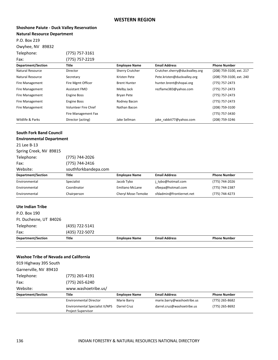### **Shoshone Paiute ‐ Duck Valley Reservation Natural Resource Department**

P.O. Box 219

Owyhee, NV 89832

| Telephone: | (775) 757-3161 |
|------------|----------------|
| Fax:       | (775) 757-2219 |

| <b>Title</b>                | <b>Employee Name</b>   | <b>Email Address</b>           | <b>Phone Number</b>      |
|-----------------------------|------------------------|--------------------------------|--------------------------|
| Director                    | <b>Sherry Crutcher</b> | Crutcher.sherry@duckvalley.org | (208) 759-3100, ext. 217 |
| Secretary                   | Kristen Pete           | Pete.kristen@duckvalley.org    | (208) 759-3100, ext. 240 |
| Fire Mgmt Officer           | <b>Brent Hunter</b>    | hunter.brent@shopai.org        | (775) 757-2473           |
| <b>Assistant FMO</b>        | Melby Jack             | rezflame383@yahoo.com          | (775) 757-2473           |
| <b>Engine Boss</b>          | Bryan Pete             |                                | (775) 757-2473           |
| <b>Engine Boss</b>          | Rodney Bacon           |                                | (775) 757-2473           |
| <b>Volunteer Fire Chief</b> | Nathan Bacon           |                                | (208) 759-3100           |
| Fire Management Fax         |                        |                                | (775) 757-3430           |
| Director (acting)           | Jake Sellman           | jake rabbit77@yahoo.com        | (208) 759-3246           |
|                             |                        |                                |                          |

### **South Fork Band Council**

#### **Environmental Department**

| 21 Lee B-13            |                      |                      |                          |                     |
|------------------------|----------------------|----------------------|--------------------------|---------------------|
| Spring Creek, NV 89815 |                      |                      |                          |                     |
| Telephone:             | (775) 744-2026       |                      |                          |                     |
| Fax:                   | (775) 744-2416       |                      |                          |                     |
| Website:               | southforkbandepa.com |                      |                          |                     |
| Department/Section     | Title                | <b>Employee Name</b> | <b>Email Address</b>     | <b>Phone Number</b> |
| Environmental          | Specialist           | Jacob Tybo           | j tybo@hotmail.com       | (775) 744-2026      |
| Environmental          | Coordinator          | Emiliano McLane      | sfbepa@hotmail.com       | (775) 744-2387      |
| Environmental          | Chairperson          | Cheryl Mose-Temoke   | sfdadmin@frontiernet.net | (775) 744-4273      |
|                        |                      |                      |                          |                     |

#### **Ute Indian Tribe**

| Department/Section     | Title          | <b>Employee Name</b> | <b>Email Address</b> | <b>Phone Number</b> |
|------------------------|----------------|----------------------|----------------------|---------------------|
| Fax:                   | (435) 722-5072 |                      |                      |                     |
| Telephone:             | (435) 722-5141 |                      |                      |                     |
| Ft. Duchesne, UT 84026 |                |                      |                      |                     |
| P.O. Box 190           |                |                      |                      |                     |
|                        |                |                      |                      |                     |

#### **Washoe Tribe of Nevada and California**

| 919 Highway 395 South |                                                              |                      |                            |                     |  |
|-----------------------|--------------------------------------------------------------|----------------------|----------------------------|---------------------|--|
| Garnerville, NV 89410 |                                                              |                      |                            |                     |  |
| Telephone:            | (775) 265-4191                                               |                      |                            |                     |  |
| Fax:                  | (775) 265-6240                                               |                      |                            |                     |  |
| Website:              | www.washoetribe.us/                                          |                      |                            |                     |  |
| Department/Section    | <b>Title</b>                                                 | <b>Employee Name</b> | <b>Email Address</b>       | <b>Phone Number</b> |  |
|                       | <b>Environmental Director</b>                                | Marie Barry          | marie.barry@washoetribe.us | (775) 265-8682      |  |
|                       | Environmental Specialist II/NPS<br><b>Project Supervisor</b> | Darrel Cruz          | darrel.cruz@washoetribe.us | (775) 265-8692      |  |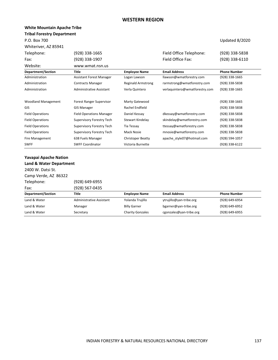### **White Mountain Apache Tribe Tribal Forestry Department**

| <b>THORIT OF COLLY DEPARTMENT</b> |                                  |                           |                                |                     |
|-----------------------------------|----------------------------------|---------------------------|--------------------------------|---------------------|
| P.O. Box 700                      |                                  |                           |                                | Updated 8/2020      |
| Whiteriver, AZ 85941              |                                  |                           |                                |                     |
| Telephone:                        | (928) 338-1665                   |                           | Field Office Telephone:        | (928) 338-5838      |
| Fax:                              | (928) 338-1907                   |                           | Field Office Fax:              | (928) 338-6110      |
| Website:                          | www.wmat.nsn.us                  |                           |                                |                     |
| Department/Section                | <b>Title</b>                     | <b>Employee Name</b>      | <b>Email Address</b>           | <b>Phone Number</b> |
| Administration                    | <b>Assistant Forest Manager</b>  | Logan Lawson              | llawson@wmatforestry.com       | (928) 338-1665      |
| Administration                    | <b>Contracts Manager</b>         | <b>Reginald Armstrong</b> | rarmstrong@wmatforestry.com    | (928) 338-5838      |
| Administration                    | <b>Administrative Assistant</b>  | Verla Quintero            | verlaquintero@wmatforestry.com | (928) 338-1665      |
| <b>Woodland Management</b>        | <b>Forest Ranger Supervisor</b>  | Marty Gatewood            |                                | (928) 338-1665      |
| GIS                               | <b>GIS Manager</b>               | Rachel Endfield           |                                | (928) 338-5838      |
| <b>Field Operations</b>           | <b>Field Operations Manager</b>  | Daniel Kessay             | dkessay@wmatforestry.com       | (928) 338-5838      |
| <b>Field Operations</b>           | Supervisory Forestry Tech        | Stewart Kindelay          | skindelay@wmatforestry.com     | (928) 338-5838      |
| <b>Field Operations</b>           | <b>Supervisory Forestry Tech</b> | Tia Tessay                | ttessay@wmatforestry.com       | (928) 338-5838      |
| <b>Field Operations</b>           | Supervisory Forestry Tech        | <b>Mack Nosie</b>         | mnosie@wmatforestry.com        | (928) 338-5838      |
| <b>Fire Management</b>            | 638 Fuels Manager                | <b>Christoper Beatty</b>  | apache_style07@hotmail.com     | (928) 594-1057      |
| <b>SWFF</b>                       | <b>SWFF Coordinator</b>          | Victoria Burnette         |                                | (928) 338-6122      |
|                                   |                                  |                           |                                |                     |
| <b>Yavapai Apache Nation</b>      |                                  |                           |                                |                     |
| Land & Water Department           |                                  |                           |                                |                     |
| 2400 W. Datsi St.                 |                                  |                           |                                |                     |
| Camp Verde, AZ 86322              |                                  |                           |                                |                     |

| $\frac{1}{2}$ |                |
|---------------|----------------|
| Telephone:    | (928) 649-6955 |
| Fax:          | (928) 567-0435 |

| Department/Section | Title                    | <b>Employee Name</b>    | <b>Email Address</b>    | <b>Phone Number</b> |
|--------------------|--------------------------|-------------------------|-------------------------|---------------------|
| Land & Water       | Administrative Assistant | Yolanda Trujillo        | ytrujillo@yan-tribe.org | (928) 649-6954      |
| Land & Water       | Manager                  | <b>Billy Garner</b>     | bgarner@yan-tribe.org   | (928) 649-6952      |
| Land & Water       | Secretary                | <b>Charity Gonzales</b> | cgonzales@yan-tribe.org | (928) 649-6955      |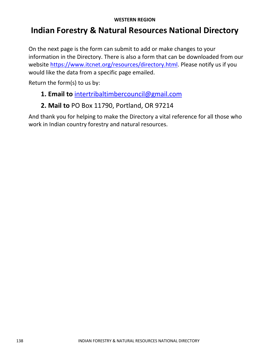# **Indian Forestry & Natural Resources National Directory**

On the next page is the form can submit to add or make changes to your information in the Directory. There is also a form that can be downloaded from our website https://www.itcnet.org/resources/directory.html. Please notify us if you would like the data from a specific page emailed.

Return the form(s) to us by:

**1. Email to** intertribaltimbercouncil@gmail.com

# **2. Mail to** PO Box 11790, Portland, OR 97214

And thank you for helping to make the Directory a vital reference for all those who work in Indian country forestry and natural resources.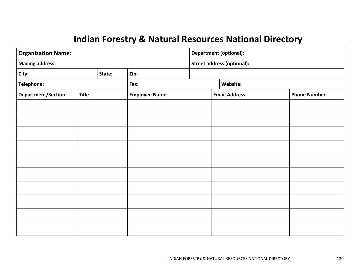# **Indian Forestry & Natural Resources National Directory**

| <b>Organization Name:</b> |              |                      |      | <b>Department (optional):</b>     |  |                      |                     |  |
|---------------------------|--------------|----------------------|------|-----------------------------------|--|----------------------|---------------------|--|
| <b>Mailing address:</b>   |              |                      |      | <b>Street address (optional):</b> |  |                      |                     |  |
| City:                     |              | State:               | Zip: |                                   |  |                      |                     |  |
| <b>Telephone:</b>         |              |                      | Fax: |                                   |  | <b>Website:</b>      |                     |  |
| <b>Department/Section</b> | <b>Title</b> | <b>Employee Name</b> |      |                                   |  | <b>Email Address</b> | <b>Phone Number</b> |  |
|                           |              |                      |      |                                   |  |                      |                     |  |
|                           |              |                      |      |                                   |  |                      |                     |  |
|                           |              |                      |      |                                   |  |                      |                     |  |
|                           |              |                      |      |                                   |  |                      |                     |  |
|                           |              |                      |      |                                   |  |                      |                     |  |
|                           |              |                      |      |                                   |  |                      |                     |  |
|                           |              |                      |      |                                   |  |                      |                     |  |
|                           |              |                      |      |                                   |  |                      |                     |  |
|                           |              |                      |      |                                   |  |                      |                     |  |
|                           |              |                      |      |                                   |  |                      |                     |  |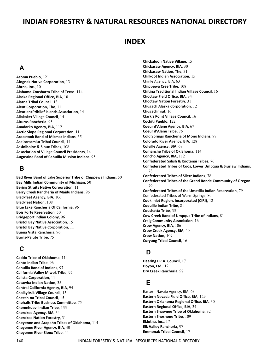## **INDEX**

#### **A**

**Acoma Pueblo**, 121 **Afognak Native Corporation**, 13 **Ahtna, Inc.**, 10 **Alabama‐Coushatta Tribe of Texas**, 114 **Alaska Regional Office, BIA**, 10 **Alatna Tribal Council**, 13 **Aleut Corporation, The**, 11 **Aleutian/Pribilof Islands Association**, 14 **Allakaket Village Council**, 14 **Alturas Rancheria**, 95 **Anadarko Agency, BIA**, 112 **Arctic Slope Regional Corporation**, 11 **Aroostook Band of Micmac Indians**, 35 **Asa'carsamiut Tribal Council**, 14 **Assiniboine & Sioux Tribes**, 108 **Association of Village Council Presidents**, 14 **Augustine Band of Cahuilla Mission Indians**, 95

#### **B**

**Bad River Band of Lake Superior Tribe of Chippewa Indians**, 50 **Bay Mills Indian Community of Michigan**, 50 **Bering Straits Native Corporation**, 11 **Berry Creek Rancheria of Maidu Indians**, 96 **Blackfeet Agency, BIA**, 106 **Blackfeet Nation**, 108 **Blue Lake Rancheria Of California**, 96 **Bois Forte Reservation**, 50 **Bridgeport Indian Colony**, 96 **Bristol Bay Native Association**, 15 **Bristol Bay Native Corporation**, 11 **Buena Vista Rancheria**, 96 **Burns‐Paiute Tribe**, 75

#### **C**

**Caddo Tribe of Oklahoma**, 114 **Cahto Indian Tribe**, 96 **Cahuilla Band of Indians**, 97 **California Valley Miwok Tribe**, 97 **Calista Corporation**, 11 **Catawba Indian Nation**, 35 **Central California Agency, BIA**, 94 **Chalkyitsik Village Council**, 15 **Cheesh‐na Tribal Council**, 15 **Chehalis Tribe Business Committee**, 75 **Chemehuevi Indian Tribe**, 133 **Cherokee Agency, BIA**, 34 **Cherokee Nation Forestry**, 31 **Cheyenne and Arapaho Tribes of Oklahoma**, 114 **Cheyenne River Agency, BIA**, 40 **Cheyenne River Sioux Tribe**, 44

**Chickaloon Native Village**, 15 **Chickasaw Agency, BIA**, 30 **Chickasaw Nation, The**, 31 **Chilkoot Indian Association**, 15 Chinle Agency, BIA, 63 **Chippewa Cree Tribe**, 108 **Chitina Traditional Indian Village Council**, 16 **Choctaw Field Office, BIA**, 34 **Choctaw Nation Forestry**, 31 **Chugach Alaska Corporation**, 12 **Chugachmiut**, 16 **Clark's Point Village Council**, 16 **Cochiti Pueblo**, 122 **Coeur d'Alene Agency, BIA**, 67 **Coeur d'Alene Tribe**, 76 **Cold Springs Rancheria of Mono Indians**, 97 **Colorado River Agency, BIA**, 128 **Colville Agency, BIA**, 68 **Comanche Tribe of Oklahoma**, 114 **Concho Agency, BIA**, 112 **Confederated Salish & Kootenai Tribes**, 76 **Confederated Tribes of Coos, Lower Umpqua & Siuslaw Indians**, 78 **Confederated Tribes of Siletz Indians**, 78 **Confederated Tribes of the Grand Ronde Community of Oregon**, 79 **Confederated Tribes of the Umatilla Indian Reservation**, 79 Confederated Tribes of Warm Springs, 80 **Cook Inlet Region, Incorporated (CIRI)**, 12 **Coquille Indian Tribe**, 81 **Coushatta Tribe**, 35 **Cow Creek Band of Umpqua Tribe of Indians**, 81 **Craig Community Association**, 16 **Crow Agency, BIA**, 106 **Crow Creek Agency, BIA**, 40 **Crow Nation**, 109 **Curyung Tribal Council**, 16

## **D**

**Deering I.R.A. Council**, 17 **Doyon, Ltd**., 12 **Dry Creek Rancheria**, 97

# **E**

Eastern Navajo Agency, BIA, 63 **Eastern Nevada Field Office, BIA**, 129 **Eastern Oklahoma Regional Office, BIA**, 30 **Eastern Regional Office, BIA**, 34 **Eastern Shawnee Tribe of Oklahoma**, 32 **Eastern Shoshone Tribe**, 109 **Eklutna, Inc.**, 17 **Elk Valley Rancheria**, 97 **Emmonak Tribal Council**, 17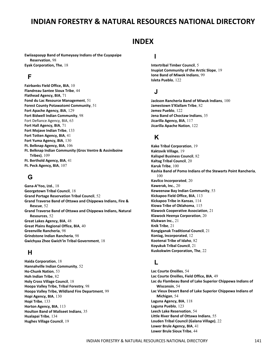## **INDEX**

**Ewiiaapaayp Band of Kumeyaay Indians of the Cuyapaipe Reservation**, 98 **Eyak Corporation, The**, 18

## **F**

**Fairbanks Field Office, BIA**, 10 **Flandreau Santee Sioux Tribe**, 44 **Flathead Agency, BIA**, 71 **Fond du Lac Resource Management**, 51 **Forest County Potawatomi Community**, 51 **Fort Apache Agency, BIA**, 129 **Fort Bidwell Indian Community**, 98 Fort Defiance Agency, BIA, 63 **Fort Hall Agency, BIA**, 71 **Fort Mojave Indian Tribe**, 133 **Fort Totten Agency, BIA**, 41 **Fort Yuma Agency, BIA**, 130 **Ft. Belknap Agency, BIA**, 106 **Ft. Belknap Indian Community (Gros Ventre & Assiniboine Tribes)**, 109 **Ft. Berthold Agency, BIA**, 41 **Ft. Peck Agency, BIA**, 107

## **G**

**Gana‐A'Yoo, Ltd.**, 18 **Georgetown Tribal Council**, 18 **Grand Portage Reservation Tribal Council**, 52 **Grand Traverse Band of Ottawa and Chippewa Indians, Fire & Rescue**, 52 **Grand Traverse Band of Ottawa and Chippewa Indians, Natural Resources**, 52 **Great Lakes Agency, BIA**, 48 **Great Plains Regional Office, BIA**, 40 **Greenville Rancheria**, 98 **Grindstone Indian Rancheria**, 98 **Gwichyaa Zhee Gwich'in Tribal Government**, 18

#### **H**

**Haida Corporation**, 18 **Hannahville Indian Community**, 52 **Ho‐Chunk Nation**, 53 **Hoh Indian Tribe**, 82 **Holy Cross Village Council**, 18 **Hoopa Valley Tribe, Tribal Forestry**, 98 **Hoopa Valley Tribe, Wildland Fire Department**, 99 **Hopi Agency, BIA**, 130 **Hopi Tribe**, 133 **Horton Agency, BIA**, 113 **Houlton Band of Maliseet Indians**, 35 **Hualapai Tribe**, 134 **Hughes Village Council**, 19

#### **I**

**Intertribal Timber Council**, 5 **Inupiat Community of the Arctic Slope**, 19 **Ione Band of Miwok Indians**, 99 **Isleta Pueblo**, 122

#### **J**

**Jackson Rancheria Band of Miwuk Indians**, 100 **Jamestown S'Klallam Tribe**, 82 **Jemez Pueblo**, 122 **Jena Band of Choctaw Indians**, 35 **Jicarilla Agency, BIA**, 117 **Jicarilla Apache Nation**, 122

## **K**

**Kake Tribal Corporation**, 19 **Kaktovik Village**, 19 **Kalispel Business Council**, 82 **Kaltag Tribal Council**, 20 **Karuk Tribe**, 100 **Kashia Band of Pomo Indians of the Stewarts Point Rancheria**, 100 **Kavilco Incorporated**, 20 **Kawerak, Inc.**, 20 **Keweenaw Bay Indian Community**, 53 **Kickapoo Field Office, BIA**, 113 **Kickapoo Tribe in Kansas**, 114 **Kiowa Tribe of Oklahoma**, 115 **Klawock Cooperative Association**, 21 **Klawock Heenya Corporation**, 20 **Klukwan Inc.**, 21 **Knik Tribe**, 21 **Kongiganak Traditional Council**, 21 **Koniag, Incorporated**, 12 **Kootenai Tribe of Idaho**, 82 **Koyukuk Tribal Council**, 21 **Kuskokwim Corporation, The**, 22

#### **L**

**Lac Courte Oreilles**, 54 **Lac Courte Oreilles, Field Office, BIA**, 49 **Lac du Flambeau Band of Lake Superior Chippewa Indians of Wisconsin**, 54 **Lac Vieux Desert Band of Lake Superior Chippewa Indians of Michigan**, 54 **Laguna Agency, BIA**, 118 **Laguna Pueblo**, 123 **Leech Lake Reservation**, 54 **Little River Band of Ottawa Indians**, 55 **Louden Tribal Council (Galana Village)**, 22 **Lower Brule Agency, BIA**, 41 **Lower Brule Sioux Tribe**, 44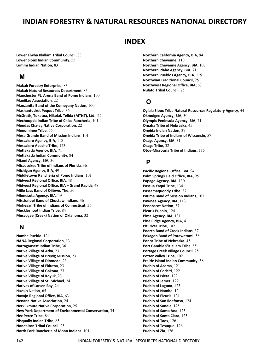## **INDEX**

**Lower Elwha Klallam Tribal Council**, 83 **Lower Sioux Indian Community**, 55 **Lummi Indian Nation**, 83

#### **M**

**Makah Forestry Enterprise**, 83 **Makah Natural Resources Department**, 83 **Manchester Pt. Arena Band of Pomo Indians**, 100 **Maniilaq Association**, 22 **Manzanita Band of the Kumeyany Nation**, 100 **Mashantucket Pequot Tribe**, 36 **McGrath, Tokatna, Nikolai, Telida (MTNT), Ltd.**, 22 **Mechoopda Indian Tribe of Chico Rancheria**, 101 **Mendas Cha‐ag Native Corporation**, 22 **Menominee Tribe**, 55 **Mesa Grande Band of Mission Indians**, 101 **Mescalero Agency, BIA**, 118 **Mescalero Apache Tribe**, 123 **Metlakatla Agency, BIA**, 71 **Metlakatla Indian Community**, 84 **Miami Agency, BIA**, 30 **Miccosukee Tribe of Indians of Florida**, 36 **Michigan Agency, BIA**, 49 **Middletown Rancheria of Pomo Indians**, 101 **Midwest Regional Office, BIA**, 48 **Midwest Regional Office, BIA – Grand Rapids**, 48 **Mille Lacs Band of Ojibwe, The**, 56 **Minnesota Agency, BIA**, 49 **Mississippi Band of Choctaw Indians**, 36 **Mohegan Tribe of Indians of Connecticut**, 36 **Muckleshoot Indian Tribe**, 84 **Muscogee (Creek) Nation of Oklahoma**, 32

#### **N**

**Nambe Pueblo**, 124 **NANA Regional Corporation**, 13 **Narragansett Indian Tribe**, 36 **Native Village of Atka**, 23 **Native Village of Brevig Mission**, 23 **Native Village of Diomede**, 23 **Native Village of Eklutna**, 23 **Native Village of Gakona**, 23 **Native Village of Koyuk**, 23 **Native Village of St. Michael**, 24 **Natives of Larsen Bay**, 24 Navajo Nation, 65 **Navajo Regional Office, BIA**, 63 **Nenana Native Association**, 24 **Nerklikmute Native Corporation**, 25 **New York Department of Environmental Conservation**, 34 **Nez Perce Tribe**, 84 **Nisqually Indian Tribe**, 85 **Nondalton Tribal Council**, 25 **North Fork Rancheria of Mono Indians**, 101

**Northern California Agency, BIA**, 94 **Northern Cheyenne**, 110 **Northern Cheyenne Agency, BIA**, 107 **Northern Idaho Agency, BIA**, 71 **Northern Pueblos Agency, BIA**, 119 **Northway Traditional Council**, 25 **Northwest Regional Office, BIA**, 67 **Nulato Tribal Council**, 25

## **O**

**Oglala Sioux Tribe Natural Resources Regulatory Agency**, 44 **Okmulgee Agency, BIA**, 30 **Olympic Peninsula Agency, BIA**, 71 **Omaha Tribe of Nebraska**, 45 **Oneida Indian Nation**, 37 **Oneida Tribe of Indians of Wisconsin**, 57 **Osage Agency, BIA**, 31 **Osage Tribe**, 32 **Otoe‐Missouria Tribe of Indians**, 115

## **P**

**Pacific Regional Office, BIA**, 94 **Palm Springs Field Office, BIA**, 95 **Papago Agency, BIA**, 130 **Pascua Yaqui Tribe**, 134 **Passamaquoddy Tribe**, 37 **Pauma Band of Mission Indians**, 101 **Pawnee Agency, BIA**, 113 **Penobscot Nation**, 37 **Picuris Pueblo**, 124 **Pima Agency, BIA**, 131 **Pine Ridge Agency, BIA**, 41 **Pit River Tribe**, 102 **Poarch Band of Creek Indians**, 37 **Pokagon Band of Potawatomi**, 58 **Ponca Tribe of Nebraska**, 45 **Port Gamble S'Klallam Tribe**, 85 **Portage Creek Village Council**, 25 **Potter Valley Tribe**, 102 **Prairie Island Indian Community**, 58 **Pueblo of Acoma**, 121 **Pueblo of Cochiti**, 122 **Pueblo of Isleta**, 122 **Pueblo of Jemez**, 122 **Pueblo of Laguna**, 123 **Pueblo of Nambe**, 124 **Pueblo of Picuris**, 124 **Pueblo of San Ildefonso**, 124 **Pueblo of Sandia**, 125 **Pueblo of Santa Ana**, 125 **Pueblo of Santa Clara**, 125 **Pueblo of Taos**, 126 **Pueblo of Tesuque**, 126 **Pueblo of Zia**, 126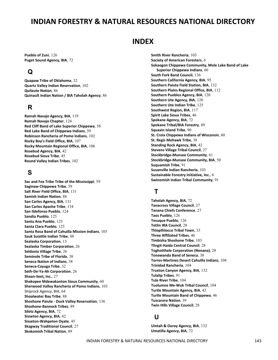## **INDEX**

**Pueblo of Zuni**, 126 **Puget Sound Agency, BIA**, 72

#### **Q**

**Quapaw Tribe of Oklahoma**, 32 **Quartz Valley Indian Reservation**, 102 **Quileute Nation**, 86 **Quinault Indian Nation / BIA Taholah Agency**, 86

#### **R**

**Ramah Navajo Agency, BIA**, 119 **Ramah Navajo Chapter**, 124 **Red Cliff Band of Lake Superior Chippewa**, 58 **Red Lake Band of Chippewa Indians**, 59 **Robinson Rancheria of Pomo Indians**, 102 **Rocky Boy's Field Office, BIA**, 107 **Rocky Mountain Regional Office, BIA**, 106 **Rosebud Agency, BIA**, 42 **Rosebud Sioux Tribe**, 45 **Round Valley Indian Tribes**, 102

## **S**

**Sac and Fox Tribe Tribe of the Mississippi**, 59 **Saginaw Chippewa Tribe**, 59 **Salt River Field Office, BIA**, 131 **Samish Indian Nation**, 88 **San Carlos Agency, BIA**, 131 **San Carlos Apache Tribe**, 134 **San Ildefonso Pueblo**, 124 **Sandia Pueblo**, 125 **Santa Ana Pueblo**, 125 **Santa Clara Pueblo**, 125 **Santa Rosa Band of Cahuilla Mission Indians**, 103 **Sauk Suiattle Indian Tribe**, 88 **Sealaska Corporation**, 13 **Sealaska Timber Corporation**, 26 **Seldovia Village Tribe**, 26 **Seminole Tribe of Florida**, 38 **Seneca Nation of Indians**, 38 **Seneca‐Cayuga Tribe**, 32 **Seth‐De‐Ya‐Ah Corporation**, 26 **Shaan‐Seet, Inc.**, 27 **Shakopee Mdewakanton Sioux Community**, 60 **Sherwood Valley Rancheria of Pomo Indians**, 103 Shiprock Agency, BIA, 64 **Shoalwater Bay Tribe**, 88 **Shoshone Paiute ‐ Duck Valley Reservation**, 136 **Shoshone‐Bannock Tribes**, 89 **Siletz Agency, BIA**, 72 **Sisseton Agency, BIA**, 42 **Sisseton‐Wahpeton Oyate**, 45 **Skagway Traditional Council**, 27 **Skokomish Tribal Nation**, 89

**Smith River Rancheria**, 103 **Society of American Foresters**, 6 **Sokaogon Chippewa Community, Mole Lake Band of Lake Superior Chippewa Indians**, 60 **South Fork Band Council**, 136 **Southern California Agency, BIA**, 95 **Southern Paiute Field Station, BIA**, 132 **Southern Plains Regional Office, BIA**, 112 **Southern Pueblos Agency, BIA**, 120 **Southern Ute Agency, BIA**, 120 **Southern Ute Indian Tribe**, 125 **Southwest Region, BIA**, 117 **Spirit Lake Sioux Tribes**, 46 **Spokane Agency, BIA**, 72 **Spokane Tribal/BIA Forestry**, 89 **Squaxin Island Tribe**, 90 **St. Croix Chippewa Indians of Wisconsin**, 60 **St. Regis Mohawk Tribe**, 38 **Standing Rock Agency, BIA**, 42 **Stevens Village Tribal Council**, 27 **Stockbridge‐Munsee Community**, 61 **Stockbridge‐Munsee Community, BIA**, 50 **Suquamish Tribe**, 91 **Susanville Indian Rancheria**, 103 **Sustainable Forestry Initiative, Inc.**, 6 **Swinomish Indian Tribal Community**, 91

# **T**

**Taholah Agency, BIA**, 72 **Tanacross Village Council**, 27 **Tanana Chiefs Conference**, 27 **Taos Pueblo**, 126 **Tesuque Pueblo**, 126 **Tetlin IRA Council**, 28 **Thlopthlocco Tribal Town**, 33 **Three Affiliated Tribes**, 46 **Timbisha Shoshone Tribe**, 103 **Tlingit‐Haida Central Council**, 28 **Toghotthele Corporation (Nenana)**, 28 **Tonawanda Band of Seneca**, 38 **Torres‐Martinez Desert Cahuilla Indians**, 104 **Trinidad Rancheria**, 104 **Truxton Canyon Agency, BIA**, 132 **Tulalip Tribes**, 91 **Tule River Tribe**, 104 **Tuolumne Me‐Wuk Tribal Council**, 104 **Turtle Mountain Agency, BIA**, 43 **Turtle Mountain Band of Chippewa**, 46 **Tuscarora Nation**, 39 **Twin Hills Village Council**, 28

## **U**

**Uintah & Ouray Agency, BIA**, 132 **Umatilla Agency, BIA**, 72